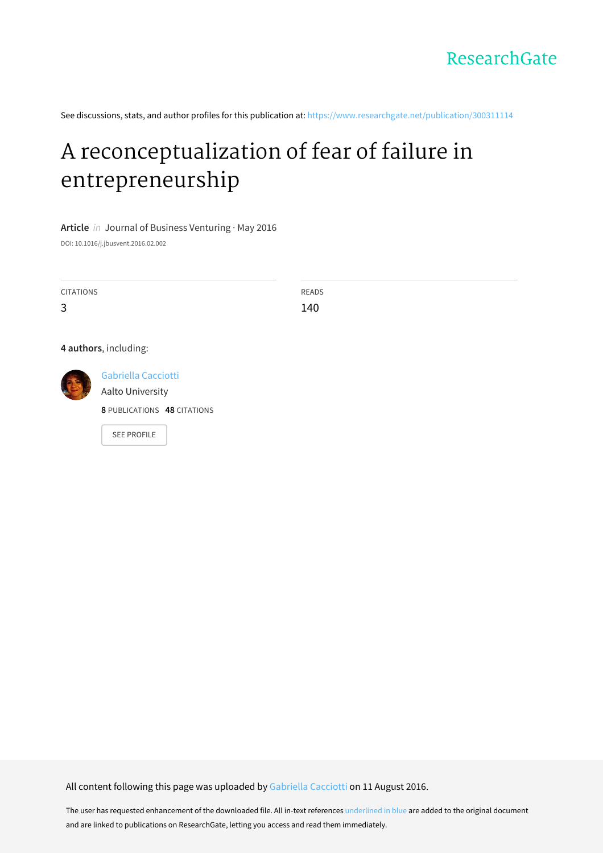See discussions, stats, and author profiles for this publication at: [https://www.researchgate.net/publication/300311114](https://www.researchgate.net/publication/300311114_A_reconceptualization_of_fear_of_failure_in_entrepreneurship?enrichId=rgreq-79255f33ff526740e71246f573d8f528-XXX&enrichSource=Y292ZXJQYWdlOzMwMDMxMTExNDtBUzozOTM4NDE3ODcwNjQzMzNAMTQ3MDkxMDYwNzg3MQ%3D%3D&el=1_x_2&_esc=publicationCoverPdf)

# A [reconceptualization](https://www.researchgate.net/publication/300311114_A_reconceptualization_of_fear_of_failure_in_entrepreneurship?enrichId=rgreq-79255f33ff526740e71246f573d8f528-XXX&enrichSource=Y292ZXJQYWdlOzMwMDMxMTExNDtBUzozOTM4NDE3ODcwNjQzMzNAMTQ3MDkxMDYwNzg3MQ%3D%3D&el=1_x_3&_esc=publicationCoverPdf) of fear of failure in entrepreneurship

**Article** in Journal of Business Venturing · May 2016

DOI: 10.1016/j.jbusvent.2016.02.002

| <b>CITATIONS</b><br>3 |                                                                        | READS<br>140 |
|-----------------------|------------------------------------------------------------------------|--------------|
| 4 authors, including: |                                                                        |              |
|                       | Gabriella Cacciotti<br>Aalto University<br>8 PUBLICATIONS 48 CITATIONS |              |

SEE [PROFILE](https://www.researchgate.net/profile/Gabriella_Cacciotti?enrichId=rgreq-79255f33ff526740e71246f573d8f528-XXX&enrichSource=Y292ZXJQYWdlOzMwMDMxMTExNDtBUzozOTM4NDE3ODcwNjQzMzNAMTQ3MDkxMDYwNzg3MQ%3D%3D&el=1_x_7&_esc=publicationCoverPdf)

All content following this page was uploaded by [Gabriella](https://www.researchgate.net/profile/Gabriella_Cacciotti?enrichId=rgreq-79255f33ff526740e71246f573d8f528-XXX&enrichSource=Y292ZXJQYWdlOzMwMDMxMTExNDtBUzozOTM4NDE3ODcwNjQzMzNAMTQ3MDkxMDYwNzg3MQ%3D%3D&el=1_x_10&_esc=publicationCoverPdf) Cacciotti on 11 August 2016.

The user has requested enhancement of the downloaded file. All in-text references underlined in blue are added to the original document and are linked to publications on ResearchGate, letting you access and read them immediately.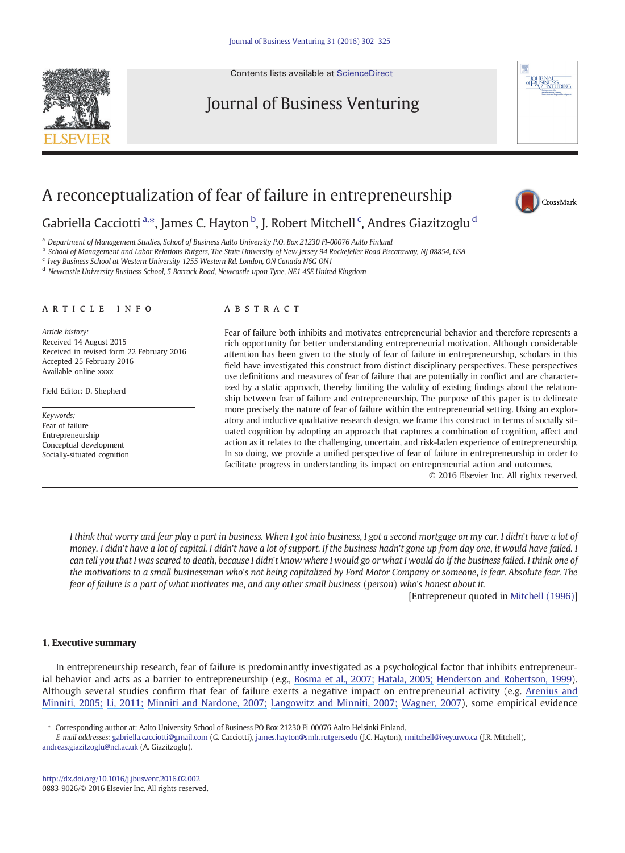Contents lists available at [ScienceDirect](http://www.sciencedirect.com/science/journal/08839026)

## Journal of Business Venturing





臅

of BUSINESS<br>Of BUSINESS

### Gabriella Cacciotti <sup>a,</sup>\*, James C. Hayton <sup>b</sup>, J. Robert Mitchell <sup>c</sup>, Andres Giazitzoglu <sup>d</sup>

<sup>a</sup> Department of Management Studies, School of Business Aalto University P.O. Box 21230 FI-00076 Aalto Finland

<sup>b</sup> School of Management and Labor Relations Rutgers, The State University of New Jersey 94 Rockefeller Road Piscataway, NJ 08854, USA

 $c$  Ivey Business School at Western University 1255 Western Rd. London, ON Canada N6G ON1

<sup>d</sup> Newcastle University Business School, 5 Barrack Road, Newcastle upon Tyne, NE1 4SE United Kingdom

#### article info abstract

Article history: Received 14 August 2015 Received in revised form 22 February 2016 Accepted 25 February 2016 Available online xxxx

Field Editor: D. Shepherd

Keywords: Fear of failure Entrepreneurship Conceptual development Socially-situated cognition

Fear of failure both inhibits and motivates entrepreneurial behavior and therefore represents a rich opportunity for better understanding entrepreneurial motivation. Although considerable attention has been given to the study of fear of failure in entrepreneurship, scholars in this field have investigated this construct from distinct disciplinary perspectives. These perspectives use definitions and measures of fear of failure that are potentially in conflict and are characterized by a static approach, thereby limiting the validity of existing findings about the relationship between fear of failure and entrepreneurship. The purpose of this paper is to delineate more precisely the nature of fear of failure within the entrepreneurial setting. Using an exploratory and inductive qualitative research design, we frame this construct in terms of socially situated cognition by adopting an approach that captures a combination of cognition, affect and action as it relates to the challenging, uncertain, and risk-laden experience of entrepreneurship. In so doing, we provide a unified perspective of fear of failure in entrepreneurship in order to facilitate progress in understanding its impact on entrepreneurial action and outcomes.

© 2016 Elsevier Inc. All rights reserved.

I think that worry and fear play a part in business. When I got into business, I got a second mortgage on my car. I didn't have a lot of money. I didn't have a lot of capital. I didn't have a lot of support. If the business hadn't gone up from day one, it would have failed. I can tell you that I was scared to death, because I didn't know where I would go or what I would do if the business failed. I think one of the motivations to a small businessman who's not being capitalized by Ford Motor Company or someone, is fear. Absolute fear. The fear of failure is a part of what motivates me, and any other small business (person) who's honest about it.

[Entrepreneur quoted in [Mitchell \(1996\)](#page-23-0)]

#### 1. Executive summary

In entrepreneurship research, fear of failure is predominantly investigated as a psychological factor that inhibits entrepreneur-ial behavior and acts as a barrier to entrepreneurship (e.g., [Bosma](https://www.researchgate.net/publication/null?el=1_x_8&enrichId=rgreq-79255f33ff526740e71246f573d8f528-XXX&enrichSource=Y292ZXJQYWdlOzMwMDMxMTExNDtBUzozOTM4NDE3ODcwNjQzMzNAMTQ3MDkxMDYwNzg3MQ==)[et](https://www.researchgate.net/publication/null?el=1_x_8&enrichId=rgreq-79255f33ff526740e71246f573d8f528-XXX&enrichSource=Y292ZXJQYWdlOzMwMDMxMTExNDtBUzozOTM4NDE3ODcwNjQzMzNAMTQ3MDkxMDYwNzg3MQ==) [al.,](https://www.researchgate.net/publication/null?el=1_x_8&enrichId=rgreq-79255f33ff526740e71246f573d8f528-XXX&enrichSource=Y292ZXJQYWdlOzMwMDMxMTExNDtBUzozOTM4NDE3ODcwNjQzMzNAMTQ3MDkxMDYwNzg3MQ==) [2007](https://www.researchgate.net/publication/null?el=1_x_8&enrichId=rgreq-79255f33ff526740e71246f573d8f528-XXX&enrichSource=Y292ZXJQYWdlOzMwMDMxMTExNDtBUzozOTM4NDE3ODcwNjQzMzNAMTQ3MDkxMDYwNzg3MQ==)[;](#page-21-0) [Hatala,](https://www.researchgate.net/publication/229737921_Identifying_Barriers_to_Self-employment_The_Development_and_Validation_of_the_Barriers_to_Entrepreneurship_Success_Tool?el=1_x_8&enrichId=rgreq-79255f33ff526740e71246f573d8f528-XXX&enrichSource=Y292ZXJQYWdlOzMwMDMxMTExNDtBUzozOTM4NDE3ODcwNjQzMzNAMTQ3MDkxMDYwNzg3MQ==) [2005](https://www.researchgate.net/publication/229737921_Identifying_Barriers_to_Self-employment_The_Development_and_Validation_of_the_Barriers_to_Entrepreneurship_Success_Tool?el=1_x_8&enrichId=rgreq-79255f33ff526740e71246f573d8f528-XXX&enrichSource=Y292ZXJQYWdlOzMwMDMxMTExNDtBUzozOTM4NDE3ODcwNjQzMzNAMTQ3MDkxMDYwNzg3MQ==); [Henderson](https://www.researchgate.net/publication/235310308_Who_Wants_to_Be_an_Entrepreneur_Young_Adult_Attitudes_to_Entrepreneurship_as_a_Career?el=1_x_8&enrichId=rgreq-79255f33ff526740e71246f573d8f528-XXX&enrichSource=Y292ZXJQYWdlOzMwMDMxMTExNDtBUzozOTM4NDE3ODcwNjQzMzNAMTQ3MDkxMDYwNzg3MQ==) [and](https://www.researchgate.net/publication/235310308_Who_Wants_to_Be_an_Entrepreneur_Young_Adult_Attitudes_to_Entrepreneurship_as_a_Career?el=1_x_8&enrichId=rgreq-79255f33ff526740e71246f573d8f528-XXX&enrichSource=Y292ZXJQYWdlOzMwMDMxMTExNDtBUzozOTM4NDE3ODcwNjQzMzNAMTQ3MDkxMDYwNzg3MQ==) [Robertson,](https://www.researchgate.net/publication/235310308_Who_Wants_to_Be_an_Entrepreneur_Young_Adult_Attitudes_to_Entrepreneurship_as_a_Career?el=1_x_8&enrichId=rgreq-79255f33ff526740e71246f573d8f528-XXX&enrichSource=Y292ZXJQYWdlOzMwMDMxMTExNDtBUzozOTM4NDE3ODcwNjQzMzNAMTQ3MDkxMDYwNzg3MQ==) [199](https://www.researchgate.net/publication/235310308_Who_Wants_to_Be_an_Entrepreneur_Young_Adult_Attitudes_to_Entrepreneurship_as_a_Career?el=1_x_8&enrichId=rgreq-79255f33ff526740e71246f573d8f528-XXX&enrichSource=Y292ZXJQYWdlOzMwMDMxMTExNDtBUzozOTM4NDE3ODcwNjQzMzNAMTQ3MDkxMDYwNzg3MQ==)[9\)](#page-21-0). Although several studies confirm that fear of failure exerts a negative impact on entrepreneurial activity (e.g. [Arenius and](#page-21-0) [Minniti,](https://www.researchgate.net/publication/null?el=1_x_8&enrichId=rgreq-79255f33ff526740e71246f573d8f528-XXX&enrichSource=Y292ZXJQYWdlOzMwMDMxMTExNDtBUzozOTM4NDE3ODcwNjQzMzNAMTQ3MDkxMDYwNzg3MQ==)[2005;](https://www.researchgate.net/publication/null?el=1_x_8&enrichId=rgreq-79255f33ff526740e71246f573d8f528-XXX&enrichSource=Y292ZXJQYWdlOzMwMDMxMTExNDtBUzozOTM4NDE3ODcwNjQzMzNAMTQ3MDkxMDYwNzg3MQ==)[Li,](https://www.researchgate.net/publication/225369976_Emotions_and_new_venture_judgment_in_China?el=1_x_8&enrichId=rgreq-79255f33ff526740e71246f573d8f528-XXX&enrichSource=Y292ZXJQYWdlOzMwMDMxMTExNDtBUzozOTM4NDE3ODcwNjQzMzNAMTQ3MDkxMDYwNzg3MQ==)[2011](https://www.researchgate.net/publication/225369976_Emotions_and_new_venture_judgment_in_China?el=1_x_8&enrichId=rgreq-79255f33ff526740e71246f573d8f528-XXX&enrichSource=Y292ZXJQYWdlOzMwMDMxMTExNDtBUzozOTM4NDE3ODcwNjQzMzNAMTQ3MDkxMDYwNzg3MQ==)[;](#page-21-0) [Minniti](https://www.researchgate.net/publication/null?el=1_x_8&enrichId=rgreq-79255f33ff526740e71246f573d8f528-XXX&enrichSource=Y292ZXJQYWdlOzMwMDMxMTExNDtBUzozOTM4NDE3ODcwNjQzMzNAMTQ3MDkxMDYwNzg3MQ==)[and](https://www.researchgate.net/publication/null?el=1_x_8&enrichId=rgreq-79255f33ff526740e71246f573d8f528-XXX&enrichSource=Y292ZXJQYWdlOzMwMDMxMTExNDtBUzozOTM4NDE3ODcwNjQzMzNAMTQ3MDkxMDYwNzg3MQ==)[Nardone,](https://www.researchgate.net/publication/null?el=1_x_8&enrichId=rgreq-79255f33ff526740e71246f573d8f528-XXX&enrichSource=Y292ZXJQYWdlOzMwMDMxMTExNDtBUzozOTM4NDE3ODcwNjQzMzNAMTQ3MDkxMDYwNzg3MQ==)[2007;](https://www.researchgate.net/publication/null?el=1_x_8&enrichId=rgreq-79255f33ff526740e71246f573d8f528-XXX&enrichSource=Y292ZXJQYWdlOzMwMDMxMTExNDtBUzozOTM4NDE3ODcwNjQzMzNAMTQ3MDkxMDYwNzg3MQ==)[Langowitz](https://www.researchgate.net/publication/228271099_The_Entrepreneurial_Propensity_of_Women?el=1_x_8&enrichId=rgreq-79255f33ff526740e71246f573d8f528-XXX&enrichSource=Y292ZXJQYWdlOzMwMDMxMTExNDtBUzozOTM4NDE3ODcwNjQzMzNAMTQ3MDkxMDYwNzg3MQ==)[and](https://www.researchgate.net/publication/228271099_The_Entrepreneurial_Propensity_of_Women?el=1_x_8&enrichId=rgreq-79255f33ff526740e71246f573d8f528-XXX&enrichSource=Y292ZXJQYWdlOzMwMDMxMTExNDtBUzozOTM4NDE3ODcwNjQzMzNAMTQ3MDkxMDYwNzg3MQ==)[Minniti,](https://www.researchgate.net/publication/228271099_The_Entrepreneurial_Propensity_of_Women?el=1_x_8&enrichId=rgreq-79255f33ff526740e71246f573d8f528-XXX&enrichSource=Y292ZXJQYWdlOzMwMDMxMTExNDtBUzozOTM4NDE3ODcwNjQzMzNAMTQ3MDkxMDYwNzg3MQ==)[2007;](https://www.researchgate.net/publication/228271099_The_Entrepreneurial_Propensity_of_Women?el=1_x_8&enrichId=rgreq-79255f33ff526740e71246f573d8f528-XXX&enrichSource=Y292ZXJQYWdlOzMwMDMxMTExNDtBUzozOTM4NDE3ODcwNjQzMzNAMTQ3MDkxMDYwNzg3MQ==)[Wagner,](https://www.researchgate.net/publication/null?el=1_x_8&enrichId=rgreq-79255f33ff526740e71246f573d8f528-XXX&enrichSource=Y292ZXJQYWdlOzMwMDMxMTExNDtBUzozOTM4NDE3ODcwNjQzMzNAMTQ3MDkxMDYwNzg3MQ==)[200](https://www.researchgate.net/publication/null?el=1_x_8&enrichId=rgreq-79255f33ff526740e71246f573d8f528-XXX&enrichSource=Y292ZXJQYWdlOzMwMDMxMTExNDtBUzozOTM4NDE3ODcwNjQzMzNAMTQ3MDkxMDYwNzg3MQ==)[7\)](#page-21-0), some empirical evidence

⁎ Corresponding author at: Aalto University School of Business PO Box 21230 Fi-00076 Aalto Helsinki Finland.

E-mail addresses: [gabriella.cacciotti@gmail.com](mailto:gabriella.cacciotti@gmail.com) (G. Cacciotti), [james.hayton@smlr.rutgers.edu](mailto:james.hayton@smlr.rutgers.edu) (J.C. Hayton), [rmitchell@ivey.uwo.ca](mailto:rmitchell@ivey.uwo.ca) (J.R. Mitchell), [andreas.giazitzoglu@ncl.ac.uk](mailto:andreas.giazitzoglu@ncl.ac.uk) (A. Giazitzoglu).

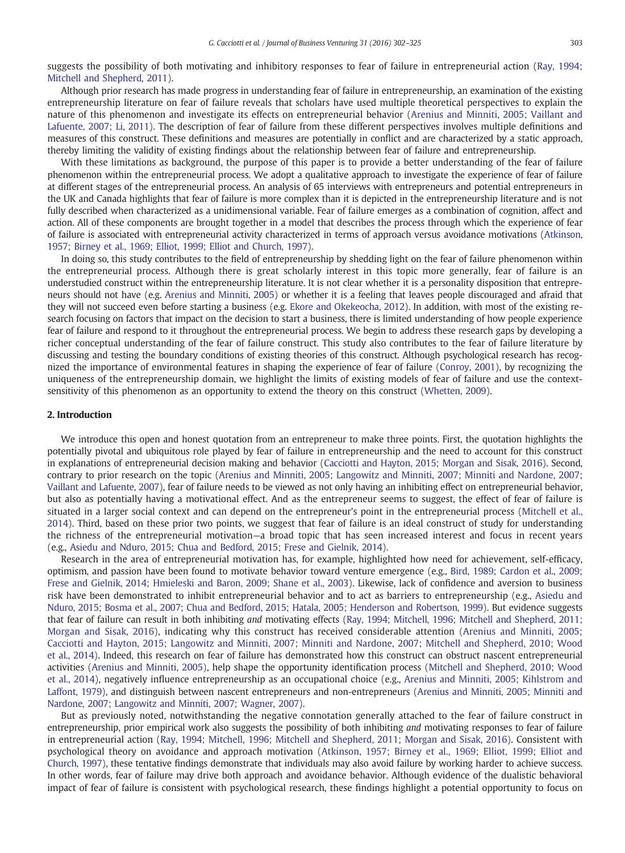suggests the possibility of both motivating and inhibitory responses to fear of failure in entrepreneurial action ([Ray, 1994;](#page-23-0) [Mitchell and Shepherd, 2011\)](#page-23-0).

Although prior research has made progress in understanding fear of failure in entrepreneurship, an examination of the existing entrepreneurship literature on fear of failure reveals that scholars have used multiple theoretical perspectives to explain the nature of this phenomenon and investigate its effects on entrepreneurial behavior ([Arenius and Minniti, 2005; Vaillant and](#page-21-0) [Lafuente, 2007; Li, 2011\)](#page-21-0). The description of fear of failure from these different perspectives involves multiple definitions and measures of this construct. These definitions and measures are potentially in conflict and are characterized by a static approach, thereby limiting the validity of existing findings about the relationship between fear of failure and entrepreneurship.

With these limitations as background, the purpose of this paper is to provide a better understanding of the fear of failure phenomenon within the entrepreneurial process. We adopt a qualitative approach to investigate the experience of fear of failure at different stages of the entrepreneurial process. An analysis of 65 interviews with entrepreneurs and potential entrepreneurs in the UK and Canada highlights that fear of failure is more complex than it is depicted in the entrepreneurship literature and is not fully described when characterized as a unidimensional variable. Fear of failure emerges as a combination of cognition, affect and action. All of these components are brought together in a model that describes the process through which the experience of fear of failure is associated with entrepreneurial activity characterized in terms of approach versus avoidance motivations [\(Atkinson,](#page-21-0) [1957; Birney et al., 1969; Elliot, 1999; Elliot and Church, 1997\)](#page-21-0).

In doing so, this study contributes to the field of entrepreneurship by shedding light on the fear of failure phenomenon within the entrepreneurial process. Although there is great scholarly interest in this topic more generally, fear of failure is an understudied construct within the entrepreneurship literature. It is not clear whether it is a personality disposition that entrepreneurs should not have (e.g. [Arenius and Minniti, 2005\)](#page-21-0) or whether it is a feeling that leaves people discouraged and afraid that they will not succeed even before starting a business (e.g. [Ekore and Okekeocha, 2012](#page-22-0)). In addition, with most of the existing research focusing on factors that impact on the decision to start a business, there is limited understanding of how people experience fear of failure and respond to it throughout the entrepreneurial process. We begin to address these research gaps by developing a richer conceptual understanding of the fear of failure construct. This study also contributes to the fear of failure literature by discussing and testing the boundary conditions of existing theories of this construct. Although psychological research has recognized the importance of environmental features in shaping the experience of fear of failure [\(Conroy, 2001](#page-22-0)), by recognizing the uniqueness of the entrepreneurship domain, we highlight the limits of existing models of fear of failure and use the contextsensitivity of this phenomenon as an opportunity to extend the theory on this construct ([Whetten, 2009](#page-23-0)).

#### 2. Introduction

We introduce this open and honest quotation from an entrepreneur to make three points. First, the quotation highlights the potentially pivotal and ubiquitous role played by fear of failure in entrepreneurship and the need to account for this construct in explanations of entrepreneurial decision making and behavior [\(Cacciotti and Hayton, 2015; Morgan and Sisak, 2016](#page-22-0)). Second, contrary to prior research on the topic ([Arenius and Minniti, 2005; Langowitz and Minniti, 2007; Minniti and Nardone, 2007;](#page-21-0) [Vaillant and Lafuente, 2007\)](#page-21-0), fear of failure needs to be viewed as not only having an inhibiting effect on entrepreneurial behavior, but also as potentially having a motivational effect. And as the entrepreneur seems to suggest, the effect of fear of failure is situated in a larger social context and can depend on the entrepreneur's point in the entrepreneurial process ([Mitchell et al.,](#page-23-0) [2014](#page-23-0)). Third, based on these prior two points, we suggest that fear of failure is an ideal construct of study for understanding the richness of the entrepreneurial motivation—a broad topic that has seen increased interest and focus in recent years (e.g., [Asiedu and Nduro, 2015; Chua and Bedford, 2015; Frese and Gielnik, 2014\)](#page-21-0).

Research in the area of entrepreneurial motivation has, for example, highlighted how need for achievement, self-efficacy, optimism, and passion have been found to motivate behavior toward venture emergence (e.g., [Bird, 1989; Cardon et al., 2009;](#page-21-0) [Frese and Gielnik, 2014; Hmieleski and Baron, 2009; Shane et al., 2003\)](#page-21-0). Likewise, lack of confidence and aversion to business risk have been demonstrated to inhibit entrepreneurial behavior and to act as barriers to entrepreneurship (e.g., [Asiedu and](#page-21-0) [Nduro, 2015; Bosma et al., 2007; Chua and Bedford, 2015; Hatala, 2005; Henderson and Robertson, 1999\)](#page-21-0). But evidence suggests that fear of failure can result in both inhibiting and motivating effects ([Ray, 1994; Mitchell, 1996; Mitchell and Shepherd, 2011;](#page-23-0) [Morgan and Sisak, 2016](#page-23-0)), indicating why this construct has received considerable attention [\(Arenius and Minniti, 2005;](#page-21-0) [Cacciotti and Hayton, 2015; Langowitz and Minniti, 2007; Minniti and Nardone, 2007; Mitchell and Shepherd, 2010; Wood](#page-21-0) [et al., 2014\)](#page-21-0). Indeed, this research on fear of failure has demonstrated how this construct can obstruct nascent entrepreneurial activities ([Arenius and Minniti, 2005\)](#page-21-0), help shape the opportunity identification process [\(Mitchell and Shepherd, 2010; Wood](#page-23-0) et [al., 2014](#page-23-0)), negatively influence entrepreneurship as an occupational choice (e.g., [Arenius and Minniti, 2005; Kihlstrom and](#page-21-0) [Laffont, 1979\)](#page-21-0), and distinguish between nascent entrepreneurs and non-entrepreneurs ([Arenius and Minniti, 2005; Minniti and](#page-21-0) [Nardone, 2007; Langowitz and Minniti, 2007; Wagner, 2007](#page-21-0)).

But as previously noted, notwithstanding the negative connotation generally attached to the fear of failure construct in entrepreneurship, prior empirical work also suggests the possibility of both inhibiting and motivating responses to fear of failure in entrepreneurial action ([Ray, 1994; Mitchell, 1996; Mitchell and Shepherd, 2011; Morgan and Sisak, 2016\)](#page-23-0). Consistent with psychological theory on avoidance and approach motivation [\(Atkinson, 1957; Birney et al., 1969; Elliot, 1999; Elliot and](#page-21-0) [Church, 1997\)](#page-21-0), these tentative findings demonstrate that individuals may also avoid failure by working harder to achieve success. In other words, fear of failure may drive both approach and avoidance behavior. Although evidence of the dualistic behavioral impact of fear of failure is consistent with psychological research, these findings highlight a potential opportunity to focus on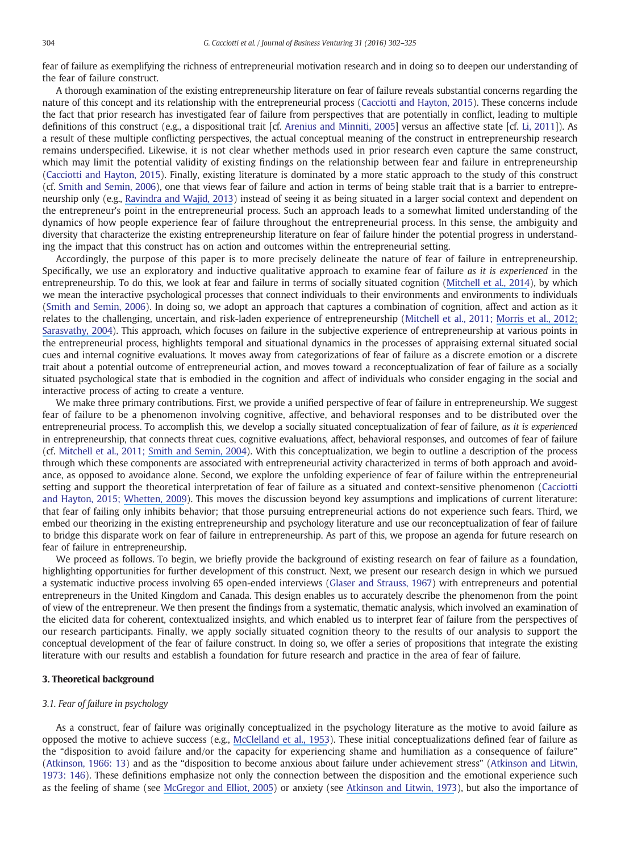fear of failure as exemplifying the richness of entrepreneurial motivation research and in doing so to deepen our understanding of the fear of failure construct.

A thorough examination of the existing entrepreneurship literature on fear of failure reveals substantial concerns regarding the nature of this concept and its relationship with the entrepreneurial process ([Cacciotti and Hayton, 2015\)](#page-22-0). These concerns include the fact that prior research has investigated fear of failure from perspectives that are potentially in conflict, leading to multiple definitions of this construct (e.g., a dispositional trait [cf. [Arenius and Minniti, 2005](#page-21-0)] versus an affective state [cf. [Li, 2011\]](#page-22-0)). As a result of these multiple conflicting perspectives, the actual conceptual meaning of the construct in entrepreneurship research remains underspecified. Likewise, it is not clear whether methods used in prior research even capture the same construct, which may limit the potential validity of existing findings on the relationship between fear and failure in entrepreneurship [\(Cacciotti and Hayton, 2015\)](#page-22-0). Finally, existing literature is dominated by a more static approach to the study of this construct (cf. [Smith and Semin, 2006\)](#page-23-0), one that views fear of failure and action in terms of being stable trait that is a barrier to entrepreneurship only (e.g., [Ravindra](https://www.researchgate.net/publication/303179181_A_review_of_facilitators_barriers_and_gateways_to_entrepreneurship_directions_for_future_research?el=1_x_8&enrichId=rgreq-79255f33ff526740e71246f573d8f528-XXX&enrichSource=Y292ZXJQYWdlOzMwMDMxMTExNDtBUzozOTM4NDE3ODcwNjQzMzNAMTQ3MDkxMDYwNzg3MQ==)[and](https://www.researchgate.net/publication/303179181_A_review_of_facilitators_barriers_and_gateways_to_entrepreneurship_directions_for_future_research?el=1_x_8&enrichId=rgreq-79255f33ff526740e71246f573d8f528-XXX&enrichSource=Y292ZXJQYWdlOzMwMDMxMTExNDtBUzozOTM4NDE3ODcwNjQzMzNAMTQ3MDkxMDYwNzg3MQ==)[Wajid,](https://www.researchgate.net/publication/303179181_A_review_of_facilitators_barriers_and_gateways_to_entrepreneurship_directions_for_future_research?el=1_x_8&enrichId=rgreq-79255f33ff526740e71246f573d8f528-XXX&enrichSource=Y292ZXJQYWdlOzMwMDMxMTExNDtBUzozOTM4NDE3ODcwNjQzMzNAMTQ3MDkxMDYwNzg3MQ==)[201](https://www.researchgate.net/publication/303179181_A_review_of_facilitators_barriers_and_gateways_to_entrepreneurship_directions_for_future_research?el=1_x_8&enrichId=rgreq-79255f33ff526740e71246f573d8f528-XXX&enrichSource=Y292ZXJQYWdlOzMwMDMxMTExNDtBUzozOTM4NDE3ODcwNjQzMzNAMTQ3MDkxMDYwNzg3MQ==)[3](#page-23-0)) instead of seeing it as being situated in a larger social context and dependent on the entrepreneur's point in the entrepreneurial process. Such an approach leads to a somewhat limited understanding of the dynamics of how people experience fear of failure throughout the entrepreneurial process. In this sense, the ambiguity and diversity that characterize the existing entrepreneurship literature on fear of failure hinder the potential progress in understanding the impact that this construct has on action and outcomes within the entrepreneurial setting.

Accordingly, the purpose of this paper is to more precisely delineate the nature of fear of failure in entrepreneurship. Specifically, we use an exploratory and inductive qualitative approach to examine fear of failure as it is experienced in the entrepreneurship. To do this, we look at fear and failure in terms of socially situated cognition ([Mitchell](https://www.researchgate.net/publication/298095577_Introduction_Historical_context_present_trends_and_future_directions_in_entrepreneurial_cognition_research?el=1_x_8&enrichId=rgreq-79255f33ff526740e71246f573d8f528-XXX&enrichSource=Y292ZXJQYWdlOzMwMDMxMTExNDtBUzozOTM4NDE3ODcwNjQzMzNAMTQ3MDkxMDYwNzg3MQ==)[et](https://www.researchgate.net/publication/298095577_Introduction_Historical_context_present_trends_and_future_directions_in_entrepreneurial_cognition_research?el=1_x_8&enrichId=rgreq-79255f33ff526740e71246f573d8f528-XXX&enrichSource=Y292ZXJQYWdlOzMwMDMxMTExNDtBUzozOTM4NDE3ODcwNjQzMzNAMTQ3MDkxMDYwNzg3MQ==)[al.,](https://www.researchgate.net/publication/298095577_Introduction_Historical_context_present_trends_and_future_directions_in_entrepreneurial_cognition_research?el=1_x_8&enrichId=rgreq-79255f33ff526740e71246f573d8f528-XXX&enrichSource=Y292ZXJQYWdlOzMwMDMxMTExNDtBUzozOTM4NDE3ODcwNjQzMzNAMTQ3MDkxMDYwNzg3MQ==)[201](https://www.researchgate.net/publication/298095577_Introduction_Historical_context_present_trends_and_future_directions_in_entrepreneurial_cognition_research?el=1_x_8&enrichId=rgreq-79255f33ff526740e71246f573d8f528-XXX&enrichSource=Y292ZXJQYWdlOzMwMDMxMTExNDtBUzozOTM4NDE3ODcwNjQzMzNAMTQ3MDkxMDYwNzg3MQ==)[4](#page-23-0)), by which we mean the interactive psychological processes that connect individuals to their environments and environments to individuals [\(Smith and Semin, 2006\)](#page-23-0). In doing so, we adopt an approach that captures a combination of cognition, affect and action as it relates to the challenging, uncertain, and risk-laden experience of entrepreneurship ([Mitchell et al., 2011; Morris et al., 2012;](#page-23-0) [Sarasvathy,](https://www.researchgate.net/publication/228264452_Making_It_Happen_Beyond_Theories_of_the_Firm_to_Theories_of_Firm_Design?el=1_x_8&enrichId=rgreq-79255f33ff526740e71246f573d8f528-XXX&enrichSource=Y292ZXJQYWdlOzMwMDMxMTExNDtBUzozOTM4NDE3ODcwNjQzMzNAMTQ3MDkxMDYwNzg3MQ==)[200](https://www.researchgate.net/publication/228264452_Making_It_Happen_Beyond_Theories_of_the_Firm_to_Theories_of_Firm_Design?el=1_x_8&enrichId=rgreq-79255f33ff526740e71246f573d8f528-XXX&enrichSource=Y292ZXJQYWdlOzMwMDMxMTExNDtBUzozOTM4NDE3ODcwNjQzMzNAMTQ3MDkxMDYwNzg3MQ==)[4\)](#page-23-0). This approach, which focuses on failure in the subjective experience of entrepreneurship at various points in the entrepreneurial process, highlights temporal and situational dynamics in the processes of appraising external situated social cues and internal cognitive evaluations. It moves away from categorizations of fear of failure as a discrete emotion or a discrete trait about a potential outcome of entrepreneurial action, and moves toward a reconceptualization of fear of failure as a socially situated psychological state that is embodied in the cognition and affect of individuals who consider engaging in the social and interactive process of acting to create a venture.

We make three primary contributions. First, we provide a unified perspective of fear of failure in entrepreneurship. We suggest fear of failure to be a phenomenon involving cognitive, affective, and behavioral responses and to be distributed over the entrepreneurial process. To accomplish this, we develop a socially situated conceptualization of fear of failure, as it is experienced in entrepreneurship, that connects threat cues, cognitive evaluations, affect, behavioral responses, and outcomes of fear of failure (cf. [Mitchell et al., 2011; Smith and Semin, 2004\)](#page-23-0). With this conceptualization, we begin to outline a description of the process through which these components are associated with entrepreneurial activity characterized in terms of both approach and avoidance, as opposed to avoidance alone. Second, we explore the unfolding experience of fear of failure within the entrepreneurial setting and support the theoretical interpretation of fear of failure as a situated and context-sensitive phenomenon [\(Cacciotti](#page-22-0) [and Hayton, 2015; Whetten, 2009\)](#page-22-0). This moves the discussion beyond key assumptions and implications of current literature: that fear of failing only inhibits behavior; that those pursuing entrepreneurial actions do not experience such fears. Third, we embed our theorizing in the existing entrepreneurship and psychology literature and use our reconceptualization of fear of failure to bridge this disparate work on fear of failure in entrepreneurship. As part of this, we propose an agenda for future research on fear of failure in entrepreneurship.

We proceed as follows. To begin, we briefly provide the background of existing research on fear of failure as a foundation, highlighting opportunities for further development of this construct. Next, we present our research design in which we pursued a systematic inductive process involving 65 open-ended interviews [\(Glaser and Strauss, 1967](#page-22-0)) with entrepreneurs and potential entrepreneurs in the United Kingdom and Canada. This design enables us to accurately describe the phenomenon from the point of view of the entrepreneur. We then present the findings from a systematic, thematic analysis, which involved an examination of the elicited data for coherent, contextualized insights, and which enabled us to interpret fear of failure from the perspectives of our research participants. Finally, we apply socially situated cognition theory to the results of our analysis to support the conceptual development of the fear of failure construct. In doing so, we offer a series of propositions that integrate the existing literature with our results and establish a foundation for future research and practice in the area of fear of failure.

#### 3. Theoretical background

#### 3.1. Fear of failure in psychology

As a construct, fear of failure was originally conceptualized in the psychology literature as the motive to avoid failure as opposed the motive to achieve success (e.g., [McClelland et al., 1953](#page-23-0)). These initial conceptualizations defined fear of failure as the "disposition to avoid failure and/or the capacity for experiencing shame and humiliation as a consequence of failure" [\(Atkinson, 1966: 13\)](#page-21-0) and as the "disposition to become anxious about failure under achievement stress" [\(Atkinson and Litwin,](#page-21-0) [1973: 146](#page-21-0)). These definitions emphasize not only the connection between the disposition and the emotional experience such as the feeling of shame (see [McGregor and Elliot, 2005](#page-23-0)) or anxiety (see [Atkinson and Litwin, 1973\)](#page-21-0), but also the importance of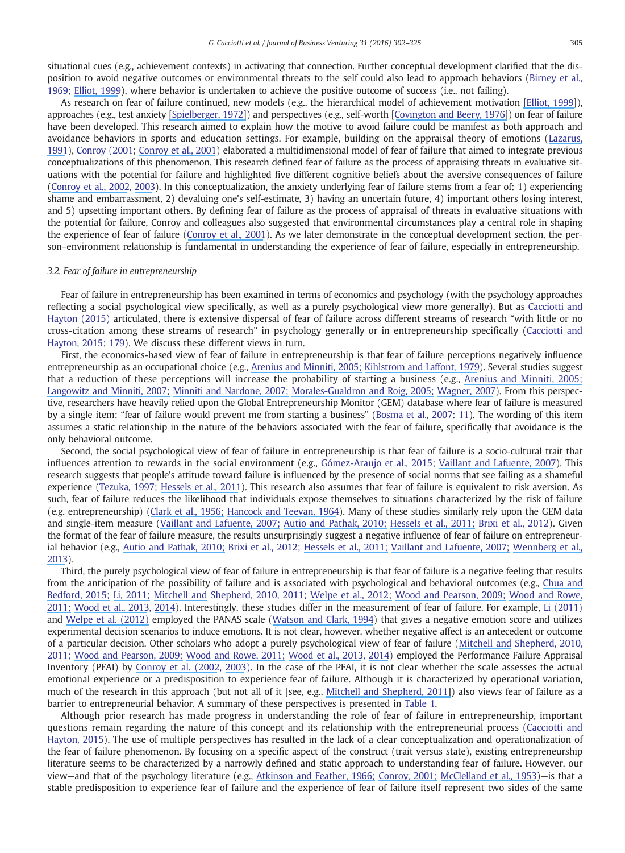situational cues (e.g., achievement contexts) in activating that connection. Further conceptual development clarified that the disposition to avoid negative outcomes or environmental threats to the self could also lead to approach behaviors [\(Birney et al.,](#page-21-0) [1969; Elliot, 1999](#page-21-0)), where behavior is undertaken to achieve the positive outcome of success (i.e., not failing).

As research on fear of failure continued, new models (e.g., the hierarchical model of achievement motivation [\[E](https://www.researchgate.net/publication/280746164_Approach_and_avoidance_motivation_and_achievement_goals?el=1_x_8&enrichId=rgreq-79255f33ff526740e71246f573d8f528-XXX&enrichSource=Y292ZXJQYWdlOzMwMDMxMTExNDtBUzozOTM4NDE3ODcwNjQzMzNAMTQ3MDkxMDYwNzg3MQ==)[lliot, 1999\]](#page-22-0)), approaches (e.g., test anxiety [\[S](https://www.researchgate.net/publication/288894445_Anxiety_as_an_emotional_state_Anxiety_Current_trends_in_theory_and_researchVol?el=1_x_8&enrichId=rgreq-79255f33ff526740e71246f573d8f528-XXX&enrichSource=Y292ZXJQYWdlOzMwMDMxMTExNDtBUzozOTM4NDE3ODcwNjQzMzNAMTQ3MDkxMDYwNzg3MQ==)[pielberger, 1972](#page-23-0)[\]](https://www.researchgate.net/publication/288894445_Anxiety_as_an_emotional_state_Anxiety_Current_trends_in_theory_and_researchVol?el=1_x_8&enrichId=rgreq-79255f33ff526740e71246f573d8f528-XXX&enrichSource=Y292ZXJQYWdlOzMwMDMxMTExNDtBUzozOTM4NDE3ODcwNjQzMzNAMTQ3MDkxMDYwNzg3MQ==)) and perspectives (e.g., self-worth [[Covington and Beery, 1976](#page-22-0)[\]](https://www.researchgate.net/publication/232443790_Self-Worth_and_School_Learning?el=1_x_8&enrichId=rgreq-79255f33ff526740e71246f573d8f528-XXX&enrichSource=Y292ZXJQYWdlOzMwMDMxMTExNDtBUzozOTM4NDE3ODcwNjQzMzNAMTQ3MDkxMDYwNzg3MQ==)) on fear of failure have been developed. This research aimed to explain how the motive to avoid failure could be manifest as both approach and avoidance behaviors in sports and education settings. For example, building on the appraisal theory of emotions ([Lazarus,](#page-22-0) [199](https://www.researchgate.net/publication/null?el=1_x_8&enrichId=rgreq-79255f33ff526740e71246f573d8f528-XXX&enrichSource=Y292ZXJQYWdlOzMwMDMxMTExNDtBUzozOTM4NDE3ODcwNjQzMzNAMTQ3MDkxMDYwNzg3MQ==)[1](#page-22-0)), [Conroy \(2001;](#page-22-0) [Conroy](https://www.researchgate.net/publication/229009577_Evaluative_Criteria_and_Consequences_Associated_with_Failure_and_Success_for_Elite_Athletes_and_Performing_Artists?el=1_x_8&enrichId=rgreq-79255f33ff526740e71246f573d8f528-XXX&enrichSource=Y292ZXJQYWdlOzMwMDMxMTExNDtBUzozOTM4NDE3ODcwNjQzMzNAMTQ3MDkxMDYwNzg3MQ==)[et](https://www.researchgate.net/publication/229009577_Evaluative_Criteria_and_Consequences_Associated_with_Failure_and_Success_for_Elite_Athletes_and_Performing_Artists?el=1_x_8&enrichId=rgreq-79255f33ff526740e71246f573d8f528-XXX&enrichSource=Y292ZXJQYWdlOzMwMDMxMTExNDtBUzozOTM4NDE3ODcwNjQzMzNAMTQ3MDkxMDYwNzg3MQ==)[al.,](https://www.researchgate.net/publication/229009577_Evaluative_Criteria_and_Consequences_Associated_with_Failure_and_Success_for_Elite_Athletes_and_Performing_Artists?el=1_x_8&enrichId=rgreq-79255f33ff526740e71246f573d8f528-XXX&enrichSource=Y292ZXJQYWdlOzMwMDMxMTExNDtBUzozOTM4NDE3ODcwNjQzMzNAMTQ3MDkxMDYwNzg3MQ==)[2001](https://www.researchgate.net/publication/229009577_Evaluative_Criteria_and_Consequences_Associated_with_Failure_and_Success_for_Elite_Athletes_and_Performing_Artists?el=1_x_8&enrichId=rgreq-79255f33ff526740e71246f573d8f528-XXX&enrichSource=Y292ZXJQYWdlOzMwMDMxMTExNDtBUzozOTM4NDE3ODcwNjQzMzNAMTQ3MDkxMDYwNzg3MQ==)) elaborated a multidimensional model of fear of failure that aimed to integrate previous conceptualizations of this phenomenon. This research defined fear of failure as the process of appraising threats in evaluative situations with the potential for failure and highlighted five different cognitive beliefs about the aversive consequences of failure ([Conroy et al., 2002, 2003](#page-22-0)). In this conceptualization, the anxiety underlying fear of failure stems from a fear of: 1) experiencing shame and embarrassment, 2) devaluing one's self-estimate, 3) having an uncertain future, 4) important others losing interest, and 5) upsetting important others. By defining fear of failure as the process of appraisal of threats in evaluative situations with the potential for failure, Conroy and colleagues also suggested that environmental circumstances play a central role in shaping the experience of fear of failure ([Conroy et al., 2001\)](#page-22-0). As we later demonstrate in the conceptual development section, the person–environment relationship is fundamental in understanding the experience of fear of failure, especially in entrepreneurship.

#### 3.2. Fear of failure in entrepreneurship

Fear of failure in entrepreneurship has been examined in terms of economics and psychology (with the psychology approaches reflecting a social psychological view specifically, as well as a purely psychological view more generally). But as [Cacciotti and](#page-22-0) [Hayton \(2015\)](#page-22-0) articulated, there is extensive dispersal of fear of failure across different streams of research "with little or no cross-citation among these streams of research" in psychology generally or in entrepreneurship specifically ([Cacciotti and](#page-22-0) [Hayton, 2015: 179](#page-22-0)). We discuss these different views in turn.

First, the economics-based view of fear of failure in entrepreneurship is that fear of failure perceptions negatively influence entrepreneurship as an occupational choice (e.g., [Arenius and Minniti, 2005; Kihlstrom and Laffont, 1979](#page-21-0)). Several studies suggest that a reduction of these perceptions will increase the probability of starting a business (e.g., [Arenius and Minniti, 2005;](#page-21-0) [Langowitz and Minniti, 2007; Minniti and Nardone, 2007; Morales-Gualdron and Roig, 2005; Wagner, 2007\)](#page-21-0). From this perspective, researchers have heavily relied upon the Global Entrepreneurship Monitor (GEM) database where fear of failure is measured by a single item: "fear of failure would prevent me from starting a business" [\(Bosma et al., 2007: 11](#page-21-0)). The wording of this item assumes a static relationship in the nature of the behaviors associated with the fear of failure, specifically that avoidance is the only behavioral outcome.

Second, the social psychological view of fear of failure in entrepreneurship is that fear of failure is a socio-cultural trait that influences attention to rewards in the social environment (e.g., [Gómez-Araujo et al., 2015;](#page-22-0) [Vaillant](https://www.researchgate.net/publication/237933920_Do_Different_Institutional_Frameworks_Condition_the_Influence_of_Local_Fear_of_Failure_and_Entrepreneurial_Examples_Over_Entrepreneurial_Activity?el=1_x_8&enrichId=rgreq-79255f33ff526740e71246f573d8f528-XXX&enrichSource=Y292ZXJQYWdlOzMwMDMxMTExNDtBUzozOTM4NDE3ODcwNjQzMzNAMTQ3MDkxMDYwNzg3MQ==)[and](https://www.researchgate.net/publication/237933920_Do_Different_Institutional_Frameworks_Condition_the_Influence_of_Local_Fear_of_Failure_and_Entrepreneurial_Examples_Over_Entrepreneurial_Activity?el=1_x_8&enrichId=rgreq-79255f33ff526740e71246f573d8f528-XXX&enrichSource=Y292ZXJQYWdlOzMwMDMxMTExNDtBUzozOTM4NDE3ODcwNjQzMzNAMTQ3MDkxMDYwNzg3MQ==)[Lafuente,](https://www.researchgate.net/publication/237933920_Do_Different_Institutional_Frameworks_Condition_the_Influence_of_Local_Fear_of_Failure_and_Entrepreneurial_Examples_Over_Entrepreneurial_Activity?el=1_x_8&enrichId=rgreq-79255f33ff526740e71246f573d8f528-XXX&enrichSource=Y292ZXJQYWdlOzMwMDMxMTExNDtBUzozOTM4NDE3ODcwNjQzMzNAMTQ3MDkxMDYwNzg3MQ==)[200](https://www.researchgate.net/publication/237933920_Do_Different_Institutional_Frameworks_Condition_the_Influence_of_Local_Fear_of_Failure_and_Entrepreneurial_Examples_Over_Entrepreneurial_Activity?el=1_x_8&enrichId=rgreq-79255f33ff526740e71246f573d8f528-XXX&enrichSource=Y292ZXJQYWdlOzMwMDMxMTExNDtBUzozOTM4NDE3ODcwNjQzMzNAMTQ3MDkxMDYwNzg3MQ==)[7](#page-22-0)). This research suggests that people's attitude toward failure is influenced by the presence of social norms that see failing as a shameful experience ([Tezuka, 1997;](#page-23-0) [Hessels](https://www.researchgate.net/publication/227135589_Entrepreneurial_exit_and_entrepreneurial_engagement?el=1_x_8&enrichId=rgreq-79255f33ff526740e71246f573d8f528-XXX&enrichSource=Y292ZXJQYWdlOzMwMDMxMTExNDtBUzozOTM4NDE3ODcwNjQzMzNAMTQ3MDkxMDYwNzg3MQ==)[et](https://www.researchgate.net/publication/227135589_Entrepreneurial_exit_and_entrepreneurial_engagement?el=1_x_8&enrichId=rgreq-79255f33ff526740e71246f573d8f528-XXX&enrichSource=Y292ZXJQYWdlOzMwMDMxMTExNDtBUzozOTM4NDE3ODcwNjQzMzNAMTQ3MDkxMDYwNzg3MQ==)[al.,](https://www.researchgate.net/publication/227135589_Entrepreneurial_exit_and_entrepreneurial_engagement?el=1_x_8&enrichId=rgreq-79255f33ff526740e71246f573d8f528-XXX&enrichSource=Y292ZXJQYWdlOzMwMDMxMTExNDtBUzozOTM4NDE3ODcwNjQzMzNAMTQ3MDkxMDYwNzg3MQ==)[201](https://www.researchgate.net/publication/227135589_Entrepreneurial_exit_and_entrepreneurial_engagement?el=1_x_8&enrichId=rgreq-79255f33ff526740e71246f573d8f528-XXX&enrichSource=Y292ZXJQYWdlOzMwMDMxMTExNDtBUzozOTM4NDE3ODcwNjQzMzNAMTQ3MDkxMDYwNzg3MQ==)[1\)](#page-23-0). This research also assumes that fear of failure is equivalent to risk aversion. As such, fear of failure reduces the likelihood that individuals expose themselves to situations characterized by the risk of failure (e.g. entrepreneurship) [\(Clark](https://www.researchgate.net/publication/null?el=1_x_8&enrichId=rgreq-79255f33ff526740e71246f573d8f528-XXX&enrichSource=Y292ZXJQYWdlOzMwMDMxMTExNDtBUzozOTM4NDE3ODcwNjQzMzNAMTQ3MDkxMDYwNzg3MQ==)[et](https://www.researchgate.net/publication/null?el=1_x_8&enrichId=rgreq-79255f33ff526740e71246f573d8f528-XXX&enrichSource=Y292ZXJQYWdlOzMwMDMxMTExNDtBUzozOTM4NDE3ODcwNjQzMzNAMTQ3MDkxMDYwNzg3MQ==)[al.,](https://www.researchgate.net/publication/null?el=1_x_8&enrichId=rgreq-79255f33ff526740e71246f573d8f528-XXX&enrichSource=Y292ZXJQYWdlOzMwMDMxMTExNDtBUzozOTM4NDE3ODcwNjQzMzNAMTQ3MDkxMDYwNzg3MQ==)[1956](https://www.researchgate.net/publication/null?el=1_x_8&enrichId=rgreq-79255f33ff526740e71246f573d8f528-XXX&enrichSource=Y292ZXJQYWdlOzMwMDMxMTExNDtBUzozOTM4NDE3ODcwNjQzMzNAMTQ3MDkxMDYwNzg3MQ==)[;](#page-22-0) [Hancock](https://www.researchgate.net/publication/null?el=1_x_8&enrichId=rgreq-79255f33ff526740e71246f573d8f528-XXX&enrichSource=Y292ZXJQYWdlOzMwMDMxMTExNDtBUzozOTM4NDE3ODcwNjQzMzNAMTQ3MDkxMDYwNzg3MQ==)[and](https://www.researchgate.net/publication/null?el=1_x_8&enrichId=rgreq-79255f33ff526740e71246f573d8f528-XXX&enrichSource=Y292ZXJQYWdlOzMwMDMxMTExNDtBUzozOTM4NDE3ODcwNjQzMzNAMTQ3MDkxMDYwNzg3MQ==)[Teevan,](https://www.researchgate.net/publication/null?el=1_x_8&enrichId=rgreq-79255f33ff526740e71246f573d8f528-XXX&enrichSource=Y292ZXJQYWdlOzMwMDMxMTExNDtBUzozOTM4NDE3ODcwNjQzMzNAMTQ3MDkxMDYwNzg3MQ==)[196](https://www.researchgate.net/publication/null?el=1_x_8&enrichId=rgreq-79255f33ff526740e71246f573d8f528-XXX&enrichSource=Y292ZXJQYWdlOzMwMDMxMTExNDtBUzozOTM4NDE3ODcwNjQzMzNAMTQ3MDkxMDYwNzg3MQ==)[4](#page-22-0)). Many of these studies similarly rely upon the GEM data and single-item measure ([Vaillant and Lafuente, 2007; Autio and Pathak, 2010; Hessels et al., 2011; Brixi et al., 2012](#page-23-0)). Given the format of the fear of failure measure, the results unsurprisingly suggest a negative influence of fear of failure on entrepreneur-ial behavior (e.g., [Autio and Pathak, 2010; Brixi et al., 2012;](#page-21-0) [Hessels et al., 2011; Vaillant and Lafuente, 2007; Wennberg et al.,](#page-22-0) [2013\)](#page-22-0).

Third, the purely psychological view of fear of failure in entrepreneurship is that fear of failure is a negative feeling that results from the anticipation of the possibility of failure and is associated with psychological and behavioral outcomes (e.g., [Chua an](#page-22-0)[d](https://www.researchgate.net/publication/282419619_A_Qualitative_Exploration_of_Fear_of_Failure_and_Entrepreneurial_Intent_in_Singapore?el=1_x_8&enrichId=rgreq-79255f33ff526740e71246f573d8f528-XXX&enrichSource=Y292ZXJQYWdlOzMwMDMxMTExNDtBUzozOTM4NDE3ODcwNjQzMzNAMTQ3MDkxMDYwNzg3MQ==) [Bedford, 2015; Li, 2011; Mitchell and Shepherd, 2010, 2011; Welpe et al., 2012; Wood and Pearson, 2009; Wood and Rowe,](#page-22-0) [2011; Wood et al., 2013, 2014\)](#page-22-0). Interestingly, these studies differ in the measurement of fear of failure. For example, [Li \(2011\)](#page-22-0) and [Welpe](https://www.researchgate.net/publication/227980856_Emotions_and_Opportunities_The_Interplay_of_Opportunity_Evaluation_Fear_Joy_and_Anger_as_Antecedent_of_Entrepreneurial_Exploitation?el=1_x_8&enrichId=rgreq-79255f33ff526740e71246f573d8f528-XXX&enrichSource=Y292ZXJQYWdlOzMwMDMxMTExNDtBUzozOTM4NDE3ODcwNjQzMzNAMTQ3MDkxMDYwNzg3MQ==)[et](https://www.researchgate.net/publication/227980856_Emotions_and_Opportunities_The_Interplay_of_Opportunity_Evaluation_Fear_Joy_and_Anger_as_Antecedent_of_Entrepreneurial_Exploitation?el=1_x_8&enrichId=rgreq-79255f33ff526740e71246f573d8f528-XXX&enrichSource=Y292ZXJQYWdlOzMwMDMxMTExNDtBUzozOTM4NDE3ODcwNjQzMzNAMTQ3MDkxMDYwNzg3MQ==)[al.](https://www.researchgate.net/publication/227980856_Emotions_and_Opportunities_The_Interplay_of_Opportunity_Evaluation_Fear_Joy_and_Anger_as_Antecedent_of_Entrepreneurial_Exploitation?el=1_x_8&enrichId=rgreq-79255f33ff526740e71246f573d8f528-XXX&enrichSource=Y292ZXJQYWdlOzMwMDMxMTExNDtBUzozOTM4NDE3ODcwNjQzMzNAMTQ3MDkxMDYwNzg3MQ==)[\(2012\)](https://www.researchgate.net/publication/227980856_Emotions_and_Opportunities_The_Interplay_of_Opportunity_Evaluation_Fear_Joy_and_Anger_as_Antecedent_of_Entrepreneurial_Exploitation?el=1_x_8&enrichId=rgreq-79255f33ff526740e71246f573d8f528-XXX&enrichSource=Y292ZXJQYWdlOzMwMDMxMTExNDtBUzozOTM4NDE3ODcwNjQzMzNAMTQ3MDkxMDYwNzg3MQ==) employed the PANAS scale [\(W](#page-23-0)[atson](https://www.researchgate.net/publication/240322066_The_PANAS-X_manual_for_the_positive_and_negative_affect_schedule?el=1_x_8&enrichId=rgreq-79255f33ff526740e71246f573d8f528-XXX&enrichSource=Y292ZXJQYWdlOzMwMDMxMTExNDtBUzozOTM4NDE3ODcwNjQzMzNAMTQ3MDkxMDYwNzg3MQ==)[and](https://www.researchgate.net/publication/240322066_The_PANAS-X_manual_for_the_positive_and_negative_affect_schedule?el=1_x_8&enrichId=rgreq-79255f33ff526740e71246f573d8f528-XXX&enrichSource=Y292ZXJQYWdlOzMwMDMxMTExNDtBUzozOTM4NDE3ODcwNjQzMzNAMTQ3MDkxMDYwNzg3MQ==)[Clark,](https://www.researchgate.net/publication/240322066_The_PANAS-X_manual_for_the_positive_and_negative_affect_schedule?el=1_x_8&enrichId=rgreq-79255f33ff526740e71246f573d8f528-XXX&enrichSource=Y292ZXJQYWdlOzMwMDMxMTExNDtBUzozOTM4NDE3ODcwNjQzMzNAMTQ3MDkxMDYwNzg3MQ==)[1994](https://www.researchgate.net/publication/240322066_The_PANAS-X_manual_for_the_positive_and_negative_affect_schedule?el=1_x_8&enrichId=rgreq-79255f33ff526740e71246f573d8f528-XXX&enrichSource=Y292ZXJQYWdlOzMwMDMxMTExNDtBUzozOTM4NDE3ODcwNjQzMzNAMTQ3MDkxMDYwNzg3MQ==)) that gives a negative emotion score and utilizes experimental decision scenarios to induce emotions. It is not clear, however, whether negative affect is an antecedent or outcome of a particular decision. Other scholars who adopt a purely psychological view of fear of failure ([Mitchell](https://www.researchgate.net/publication/235298855_Oral_History_and_Expert_Scripts_Demystifying_the_Entrepreneurial_Experience?el=1_x_8&enrichId=rgreq-79255f33ff526740e71246f573d8f528-XXX&enrichSource=Y292ZXJQYWdlOzMwMDMxMTExNDtBUzozOTM4NDE3ODcwNjQzMzNAMTQ3MDkxMDYwNzg3MQ==)[and](https://www.researchgate.net/publication/235298855_Oral_History_and_Expert_Scripts_Demystifying_the_Entrepreneurial_Experience?el=1_x_8&enrichId=rgreq-79255f33ff526740e71246f573d8f528-XXX&enrichSource=Y292ZXJQYWdlOzMwMDMxMTExNDtBUzozOTM4NDE3ODcwNjQzMzNAMTQ3MDkxMDYwNzg3MQ==) [Shepherd, 2010,](#page-23-0) [2011; Wood and Pearson, 2009; Wood and Rowe, 2011; Wood et al., 2013, 2014](#page-23-0)) employed the Performance Failure Appraisal Inventory (PFAI) by [Conroy](https://www.researchgate.net/publication/247515108_Multidimensional_Fear_of_Failure_Measurement_The_Performance_Failure_Appraisal_Inventory?el=1_x_8&enrichId=rgreq-79255f33ff526740e71246f573d8f528-XXX&enrichSource=Y292ZXJQYWdlOzMwMDMxMTExNDtBUzozOTM4NDE3ODcwNjQzMzNAMTQ3MDkxMDYwNzg3MQ==)[et](https://www.researchgate.net/publication/247515108_Multidimensional_Fear_of_Failure_Measurement_The_Performance_Failure_Appraisal_Inventory?el=1_x_8&enrichId=rgreq-79255f33ff526740e71246f573d8f528-XXX&enrichSource=Y292ZXJQYWdlOzMwMDMxMTExNDtBUzozOTM4NDE3ODcwNjQzMzNAMTQ3MDkxMDYwNzg3MQ==)[al.](https://www.researchgate.net/publication/247515108_Multidimensional_Fear_of_Failure_Measurement_The_Performance_Failure_Appraisal_Inventory?el=1_x_8&enrichId=rgreq-79255f33ff526740e71246f573d8f528-XXX&enrichSource=Y292ZXJQYWdlOzMwMDMxMTExNDtBUzozOTM4NDE3ODcwNjQzMzNAMTQ3MDkxMDYwNzg3MQ==)[\(200](https://www.researchgate.net/publication/247515108_Multidimensional_Fear_of_Failure_Measurement_The_Performance_Failure_Appraisal_Inventory?el=1_x_8&enrichId=rgreq-79255f33ff526740e71246f573d8f528-XXX&enrichSource=Y292ZXJQYWdlOzMwMDMxMTExNDtBUzozOTM4NDE3ODcwNjQzMzNAMTQ3MDkxMDYwNzg3MQ==)[2,](#page-22-0) [200](https://www.researchgate.net/publication/232435914_A_2_2_Achievement_Goals_Questionnaire_for_Sport_Evidence_for_Factorial_Invariance_Temporal_Stability_and_External_Validity?el=1_x_8&enrichId=rgreq-79255f33ff526740e71246f573d8f528-XXX&enrichSource=Y292ZXJQYWdlOzMwMDMxMTExNDtBUzozOTM4NDE3ODcwNjQzMzNAMTQ3MDkxMDYwNzg3MQ==)[3\)](#page-22-0). In the case of the PFAI, it is not clear whether the scale assesses the actual emotional experience or a predisposition to experience fear of failure. Although it is characterized by operational variation, much of the research in this approach (but not all of it [see, e.g., [Mitchell and Shepherd, 201](#page-23-0)[1\]](https://www.researchgate.net/publication/254556022_Afraid_of_opportunity_the_effects_of_fear_of_failure_on_entrepreneurial_decisions?el=1_x_8&enrichId=rgreq-79255f33ff526740e71246f573d8f528-XXX&enrichSource=Y292ZXJQYWdlOzMwMDMxMTExNDtBUzozOTM4NDE3ODcwNjQzMzNAMTQ3MDkxMDYwNzg3MQ==)) also views fear of failure as a barrier to entrepreneurial behavior. A summary of these perspectives is presented in [Table 1.](#page-5-0)

Although prior research has made progress in understanding the role of fear of failure in entrepreneurship, important questions remain regarding the nature of this concept and its relationship with the entrepreneurial process ([Cacciotti and](#page-22-0) [Hayton, 2015](#page-22-0)). The use of multiple perspectives has resulted in the lack of a clear conceptualization and operationalization of the fear of failure phenomenon. By focusing on a specific aspect of the construct (trait versus state), existing entrepreneurship literature seems to be characterized by a narrowly defined and static approach to understanding fear of failure. However, our view—and that of the psychology literature (e.g., [Atkinson](https://www.researchgate.net/publication/null?el=1_x_8&enrichId=rgreq-79255f33ff526740e71246f573d8f528-XXX&enrichSource=Y292ZXJQYWdlOzMwMDMxMTExNDtBUzozOTM4NDE3ODcwNjQzMzNAMTQ3MDkxMDYwNzg3MQ==)[and](https://www.researchgate.net/publication/null?el=1_x_8&enrichId=rgreq-79255f33ff526740e71246f573d8f528-XXX&enrichSource=Y292ZXJQYWdlOzMwMDMxMTExNDtBUzozOTM4NDE3ODcwNjQzMzNAMTQ3MDkxMDYwNzg3MQ==)[Feather,](https://www.researchgate.net/publication/null?el=1_x_8&enrichId=rgreq-79255f33ff526740e71246f573d8f528-XXX&enrichSource=Y292ZXJQYWdlOzMwMDMxMTExNDtBUzozOTM4NDE3ODcwNjQzMzNAMTQ3MDkxMDYwNzg3MQ==)[1966;](https://www.researchgate.net/publication/null?el=1_x_8&enrichId=rgreq-79255f33ff526740e71246f573d8f528-XXX&enrichSource=Y292ZXJQYWdlOzMwMDMxMTExNDtBUzozOTM4NDE3ODcwNjQzMzNAMTQ3MDkxMDYwNzg3MQ==) [C](#page-21-0)[onroy,](https://www.researchgate.net/publication/234710997_Fear_of_Failure_An_Exemplar_for_Social_Development_Research_in_Sport?el=1_x_8&enrichId=rgreq-79255f33ff526740e71246f573d8f528-XXX&enrichSource=Y292ZXJQYWdlOzMwMDMxMTExNDtBUzozOTM4NDE3ODcwNjQzMzNAMTQ3MDkxMDYwNzg3MQ==)[2001;](https://www.researchgate.net/publication/234710997_Fear_of_Failure_An_Exemplar_for_Social_Development_Research_in_Sport?el=1_x_8&enrichId=rgreq-79255f33ff526740e71246f573d8f528-XXX&enrichSource=Y292ZXJQYWdlOzMwMDMxMTExNDtBUzozOTM4NDE3ODcwNjQzMzNAMTQ3MDkxMDYwNzg3MQ==)[McClelland](https://www.researchgate.net/publication/232427653_The_Achievement_Motive?el=1_x_8&enrichId=rgreq-79255f33ff526740e71246f573d8f528-XXX&enrichSource=Y292ZXJQYWdlOzMwMDMxMTExNDtBUzozOTM4NDE3ODcwNjQzMzNAMTQ3MDkxMDYwNzg3MQ==)[et](https://www.researchgate.net/publication/232427653_The_Achievement_Motive?el=1_x_8&enrichId=rgreq-79255f33ff526740e71246f573d8f528-XXX&enrichSource=Y292ZXJQYWdlOzMwMDMxMTExNDtBUzozOTM4NDE3ODcwNjQzMzNAMTQ3MDkxMDYwNzg3MQ==)[al.,](https://www.researchgate.net/publication/232427653_The_Achievement_Motive?el=1_x_8&enrichId=rgreq-79255f33ff526740e71246f573d8f528-XXX&enrichSource=Y292ZXJQYWdlOzMwMDMxMTExNDtBUzozOTM4NDE3ODcwNjQzMzNAMTQ3MDkxMDYwNzg3MQ==)[195](https://www.researchgate.net/publication/232427653_The_Achievement_Motive?el=1_x_8&enrichId=rgreq-79255f33ff526740e71246f573d8f528-XXX&enrichSource=Y292ZXJQYWdlOzMwMDMxMTExNDtBUzozOTM4NDE3ODcwNjQzMzNAMTQ3MDkxMDYwNzg3MQ==)[3](#page-21-0))—is that a stable predisposition to experience fear of failure and the experience of fear of failure itself represent two sides of the same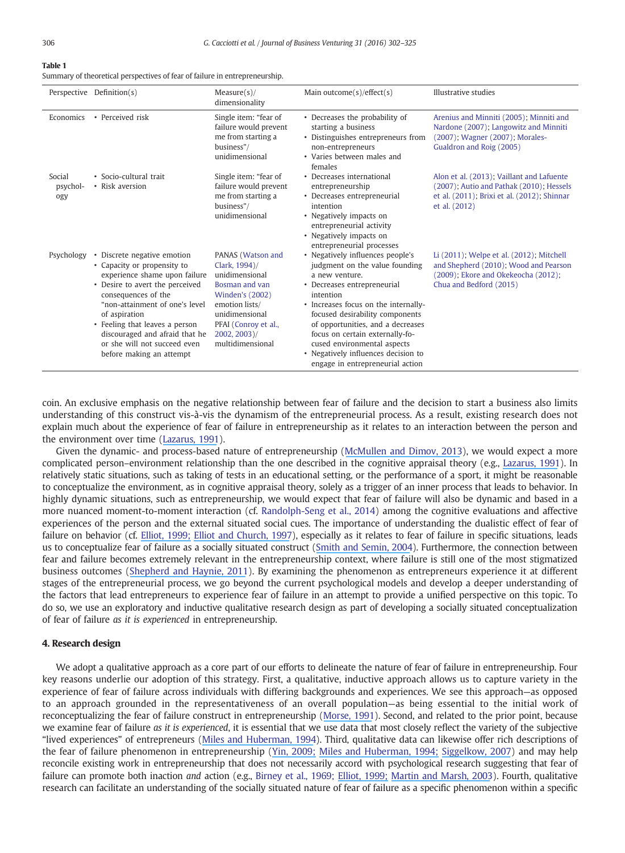#### <span id="page-5-0"></span>Table 1

Summary of theoretical perspectives of fear of failure in entrepreneurship.

|                           | Perspective Definition(s)                                                                                                                                                                                                                                                                                                                | $Measure(s)$ /<br>dimensionality                                                                                                                                                                        | Main outcome( $s$ )/effect( $s$ )                                                                                                                                                                                                                                                                                                                                                             | Illustrative studies                                                                                                                                  |
|---------------------------|------------------------------------------------------------------------------------------------------------------------------------------------------------------------------------------------------------------------------------------------------------------------------------------------------------------------------------------|---------------------------------------------------------------------------------------------------------------------------------------------------------------------------------------------------------|-----------------------------------------------------------------------------------------------------------------------------------------------------------------------------------------------------------------------------------------------------------------------------------------------------------------------------------------------------------------------------------------------|-------------------------------------------------------------------------------------------------------------------------------------------------------|
| Economics                 | • Perceived risk                                                                                                                                                                                                                                                                                                                         | Single item: "fear of<br>failure would prevent<br>me from starting a<br>business"/<br>unidimensional                                                                                                    | • Decreases the probability of<br>starting a business<br>• Distinguishes entrepreneurs from<br>non-entrepreneurs<br>• Varies between males and<br>females                                                                                                                                                                                                                                     | Arenius and Minniti (2005); Minniti and<br>Nardone (2007); Langowitz and Minniti<br>(2007); Wagner (2007); Morales-<br>Gualdron and Roig (2005)       |
| Social<br>psychol-<br>ogy | · Socio-cultural trait<br>• Risk aversion                                                                                                                                                                                                                                                                                                | Single item: "fear of<br>failure would prevent<br>me from starting a<br>business"/<br>unidimensional                                                                                                    | • Decreases international<br>entrepreneurship<br>• Decreases entrepreneurial<br>intention<br>• Negatively impacts on<br>entrepreneurial activity<br>• Negatively impacts on<br>entrepreneurial processes                                                                                                                                                                                      | Alon et al. (2013); Vaillant and Lafuente<br>(2007); Autio and Pathak (2010); Hessels<br>et al. (2011); Brixi et al. (2012); Shinnar<br>et al. (2012) |
| Psychology                | • Discrete negative emotion<br>• Capacity or propensity to<br>experience shame upon failure<br>• Desire to avert the perceived<br>consequences of the<br>"non-attainment of one's level<br>of aspiration<br>• Feeling that leaves a person<br>discouraged and afraid that he<br>or she will not succeed even<br>before making an attempt | PANAS (Watson and<br>Clark, 1994)/<br>unidimensional<br><b>Bosman and van</b><br><b>Winden's (2002)</b><br>emotion lists/<br>unidimensional<br>PFAI (Conroy et al.,<br>2002, 2003)/<br>multidimensional | • Negatively influences people's<br>judgment on the value founding<br>a new venture.<br>• Decreases entrepreneurial<br>intention<br>• Increases focus on the internally-<br>focused desirability components<br>of opportunities, and a decreases<br>focus on certain externally-fo-<br>cused environmental aspects<br>• Negatively influences decision to<br>engage in entrepreneurial action | Li (2011); Welpe et al. (2012); Mitchell<br>and Shepherd (2010); Wood and Pearson<br>(2009); Ekore and Okekeocha (2012);<br>Chua and Bedford (2015)   |

coin. An exclusive emphasis on the negative relationship between fear of failure and the decision to start a business also limits understanding of this construct vis-à-vis the dynamism of the entrepreneurial process. As a result, existing research does not explain much about the experience of fear of failure in entrepreneurship as it relates to an interaction between the person and the environment over time ([Lazarus,](https://www.researchgate.net/publication/null?el=1_x_8&enrichId=rgreq-79255f33ff526740e71246f573d8f528-XXX&enrichSource=Y292ZXJQYWdlOzMwMDMxMTExNDtBUzozOTM4NDE3ODcwNjQzMzNAMTQ3MDkxMDYwNzg3MQ==)[199](https://www.researchgate.net/publication/null?el=1_x_8&enrichId=rgreq-79255f33ff526740e71246f573d8f528-XXX&enrichSource=Y292ZXJQYWdlOzMwMDMxMTExNDtBUzozOTM4NDE3ODcwNjQzMzNAMTQ3MDkxMDYwNzg3MQ==)[1\)](#page-22-0).

Given the dynamic- and process-based nature of entrepreneurship [\(McMullen and Dimov, 2013\)](#page-23-0), we would expect a more complicated person–environment relationship than the one described in the cognitive appraisal theory (e.g., [Lazarus,](https://www.researchgate.net/publication/null?el=1_x_8&enrichId=rgreq-79255f33ff526740e71246f573d8f528-XXX&enrichSource=Y292ZXJQYWdlOzMwMDMxMTExNDtBUzozOTM4NDE3ODcwNjQzMzNAMTQ3MDkxMDYwNzg3MQ==)[199](https://www.researchgate.net/publication/null?el=1_x_8&enrichId=rgreq-79255f33ff526740e71246f573d8f528-XXX&enrichSource=Y292ZXJQYWdlOzMwMDMxMTExNDtBUzozOTM4NDE3ODcwNjQzMzNAMTQ3MDkxMDYwNzg3MQ==)[1\)](#page-22-0). In relatively static situations, such as taking of tests in an educational setting, or the performance of a sport, it might be reasonable to conceptualize the environment, as in cognitive appraisal theory, solely as a trigger of an inner process that leads to behavior. In highly dynamic situations, such as entrepreneurship, we would expect that fear of failure will also be dynamic and based in a more nuanced moment-to-moment interaction (cf. [Randolph-Seng et al., 2014\)](#page-23-0) among the cognitive evaluations and affective experiences of the person and the external situated social cues. The importance of understanding the dualistic effect of fear of failure on behavior (cf. [Elliot,](https://www.researchgate.net/publication/280746164_Approach_and_avoidance_motivation_and_achievement_goals?el=1_x_8&enrichId=rgreq-79255f33ff526740e71246f573d8f528-XXX&enrichSource=Y292ZXJQYWdlOzMwMDMxMTExNDtBUzozOTM4NDE3ODcwNjQzMzNAMTQ3MDkxMDYwNzg3MQ==)[1999;](https://www.researchgate.net/publication/280746164_Approach_and_avoidance_motivation_and_achievement_goals?el=1_x_8&enrichId=rgreq-79255f33ff526740e71246f573d8f528-XXX&enrichSource=Y292ZXJQYWdlOzMwMDMxMTExNDtBUzozOTM4NDE3ODcwNjQzMzNAMTQ3MDkxMDYwNzg3MQ==)[Elliot](https://www.researchgate.net/publication/232590069_A_Hierarchical_Model_of_Approach_and_Avoidance_Achievement_Motivation?el=1_x_8&enrichId=rgreq-79255f33ff526740e71246f573d8f528-XXX&enrichSource=Y292ZXJQYWdlOzMwMDMxMTExNDtBUzozOTM4NDE3ODcwNjQzMzNAMTQ3MDkxMDYwNzg3MQ==)[and](https://www.researchgate.net/publication/232590069_A_Hierarchical_Model_of_Approach_and_Avoidance_Achievement_Motivation?el=1_x_8&enrichId=rgreq-79255f33ff526740e71246f573d8f528-XXX&enrichSource=Y292ZXJQYWdlOzMwMDMxMTExNDtBUzozOTM4NDE3ODcwNjQzMzNAMTQ3MDkxMDYwNzg3MQ==)[Church,](https://www.researchgate.net/publication/232590069_A_Hierarchical_Model_of_Approach_and_Avoidance_Achievement_Motivation?el=1_x_8&enrichId=rgreq-79255f33ff526740e71246f573d8f528-XXX&enrichSource=Y292ZXJQYWdlOzMwMDMxMTExNDtBUzozOTM4NDE3ODcwNjQzMzNAMTQ3MDkxMDYwNzg3MQ==)[199](https://www.researchgate.net/publication/232590069_A_Hierarchical_Model_of_Approach_and_Avoidance_Achievement_Motivation?el=1_x_8&enrichId=rgreq-79255f33ff526740e71246f573d8f528-XXX&enrichSource=Y292ZXJQYWdlOzMwMDMxMTExNDtBUzozOTM4NDE3ODcwNjQzMzNAMTQ3MDkxMDYwNzg3MQ==)[7](#page-22-0)), especially as it relates to fear of failure in specific situations, leads us to conceptualize fear of failure as a socially situated construct [\(Smith and Semin, 2004](#page-23-0)). Furthermore, the connection between fear and failure becomes extremely relevant in the entrepreneurship context, where failure is still one of the most stigmatized business outcomes ([Shepherd and Haynie, 2011](#page-23-0)). By examining the phenomenon as entrepreneurs experience it at different stages of the entrepreneurial process, we go beyond the current psychological models and develop a deeper understanding of the factors that lead entrepreneurs to experience fear of failure in an attempt to provide a unified perspective on this topic. To do so, we use an exploratory and inductive qualitative research design as part of developing a socially situated conceptualization of fear of failure as it is experienced in entrepreneurship.

#### 4. Research design

We adopt a qualitative approach as a core part of our efforts to delineate the nature of fear of failure in entrepreneurship. Four key reasons underlie our adoption of this strategy. First, a qualitative, inductive approach allows us to capture variety in the experience of fear of failure across individuals with differing backgrounds and experiences. We see this approach—as opposed to an approach grounded in the representativeness of an overall population—as being essential to the initial work of reconceptualizing the fear of failure construct in entrepreneurship ([Morse, 1991](#page-23-0)). Second, and related to the prior point, because we examine fear of failure as it is experienced, it is essential that we use data that most closely reflect the variety of the subjective "lived experiences" of entrepreneurs [\(Miles and Huberman, 1994](#page-23-0)). Third, qualitative data can likewise offer rich descriptions of the fear of failure phenomenon in entrepreneurship [\(Yin,](https://www.researchgate.net/publication/225084024_Case_Study_Research_Design_Methods?el=1_x_8&enrichId=rgreq-79255f33ff526740e71246f573d8f528-XXX&enrichSource=Y292ZXJQYWdlOzMwMDMxMTExNDtBUzozOTM4NDE3ODcwNjQzMzNAMTQ3MDkxMDYwNzg3MQ==)[2009;](https://www.researchgate.net/publication/225084024_Case_Study_Research_Design_Methods?el=1_x_8&enrichId=rgreq-79255f33ff526740e71246f573d8f528-XXX&enrichSource=Y292ZXJQYWdlOzMwMDMxMTExNDtBUzozOTM4NDE3ODcwNjQzMzNAMTQ3MDkxMDYwNzg3MQ==)[Miles](https://www.researchgate.net/publication/251880092_Qualitative_Data_Analysis?el=1_x_8&enrichId=rgreq-79255f33ff526740e71246f573d8f528-XXX&enrichSource=Y292ZXJQYWdlOzMwMDMxMTExNDtBUzozOTM4NDE3ODcwNjQzMzNAMTQ3MDkxMDYwNzg3MQ==)[and](https://www.researchgate.net/publication/251880092_Qualitative_Data_Analysis?el=1_x_8&enrichId=rgreq-79255f33ff526740e71246f573d8f528-XXX&enrichSource=Y292ZXJQYWdlOzMwMDMxMTExNDtBUzozOTM4NDE3ODcwNjQzMzNAMTQ3MDkxMDYwNzg3MQ==)[Huberman,](https://www.researchgate.net/publication/251880092_Qualitative_Data_Analysis?el=1_x_8&enrichId=rgreq-79255f33ff526740e71246f573d8f528-XXX&enrichSource=Y292ZXJQYWdlOzMwMDMxMTExNDtBUzozOTM4NDE3ODcwNjQzMzNAMTQ3MDkxMDYwNzg3MQ==)[1994;](https://www.researchgate.net/publication/251880092_Qualitative_Data_Analysis?el=1_x_8&enrichId=rgreq-79255f33ff526740e71246f573d8f528-XXX&enrichSource=Y292ZXJQYWdlOzMwMDMxMTExNDtBUzozOTM4NDE3ODcwNjQzMzNAMTQ3MDkxMDYwNzg3MQ==) [S](#page-24-0)[iggelkow,](https://www.researchgate.net/publication/234021898_Persuasion_With_Case_Studies?el=1_x_8&enrichId=rgreq-79255f33ff526740e71246f573d8f528-XXX&enrichSource=Y292ZXJQYWdlOzMwMDMxMTExNDtBUzozOTM4NDE3ODcwNjQzMzNAMTQ3MDkxMDYwNzg3MQ==)[200](https://www.researchgate.net/publication/234021898_Persuasion_With_Case_Studies?el=1_x_8&enrichId=rgreq-79255f33ff526740e71246f573d8f528-XXX&enrichSource=Y292ZXJQYWdlOzMwMDMxMTExNDtBUzozOTM4NDE3ODcwNjQzMzNAMTQ3MDkxMDYwNzg3MQ==)[7](#page-24-0)) and may help reconcile existing work in entrepreneurship that does not necessarily accord with psychological research suggesting that fear of failure can promote both inaction and action (e.g., [Birney et al., 1969;](#page-21-0) [Elliot,](https://www.researchgate.net/publication/280746164_Approach_and_avoidance_motivation_and_achievement_goals?el=1_x_8&enrichId=rgreq-79255f33ff526740e71246f573d8f528-XXX&enrichSource=Y292ZXJQYWdlOzMwMDMxMTExNDtBUzozOTM4NDE3ODcwNjQzMzNAMTQ3MDkxMDYwNzg3MQ==)[1999;](https://www.researchgate.net/publication/280746164_Approach_and_avoidance_motivation_and_achievement_goals?el=1_x_8&enrichId=rgreq-79255f33ff526740e71246f573d8f528-XXX&enrichSource=Y292ZXJQYWdlOzMwMDMxMTExNDtBUzozOTM4NDE3ODcwNjQzMzNAMTQ3MDkxMDYwNzg3MQ==) [M](#page-21-0)[artin](https://www.researchgate.net/publication/247505640_Fear_of_Failure_Friend_or_Foe?el=1_x_8&enrichId=rgreq-79255f33ff526740e71246f573d8f528-XXX&enrichSource=Y292ZXJQYWdlOzMwMDMxMTExNDtBUzozOTM4NDE3ODcwNjQzMzNAMTQ3MDkxMDYwNzg3MQ==)[and](https://www.researchgate.net/publication/247505640_Fear_of_Failure_Friend_or_Foe?el=1_x_8&enrichId=rgreq-79255f33ff526740e71246f573d8f528-XXX&enrichSource=Y292ZXJQYWdlOzMwMDMxMTExNDtBUzozOTM4NDE3ODcwNjQzMzNAMTQ3MDkxMDYwNzg3MQ==)[Marsh,](https://www.researchgate.net/publication/247505640_Fear_of_Failure_Friend_or_Foe?el=1_x_8&enrichId=rgreq-79255f33ff526740e71246f573d8f528-XXX&enrichSource=Y292ZXJQYWdlOzMwMDMxMTExNDtBUzozOTM4NDE3ODcwNjQzMzNAMTQ3MDkxMDYwNzg3MQ==)[200](https://www.researchgate.net/publication/247505640_Fear_of_Failure_Friend_or_Foe?el=1_x_8&enrichId=rgreq-79255f33ff526740e71246f573d8f528-XXX&enrichSource=Y292ZXJQYWdlOzMwMDMxMTExNDtBUzozOTM4NDE3ODcwNjQzMzNAMTQ3MDkxMDYwNzg3MQ==)[3](#page-21-0)). Fourth, qualitative research can facilitate an understanding of the socially situated nature of fear of failure as a specific phenomenon within a specific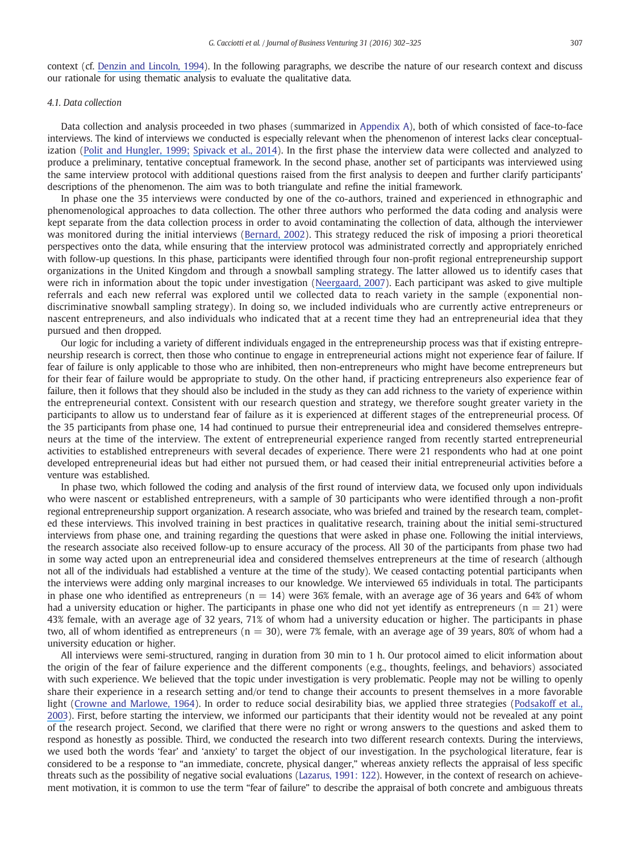context (cf. [Denzin](https://www.researchgate.net/publication/246524194_Introduction_Entering_the_field_of_qualitative_research?el=1_x_8&enrichId=rgreq-79255f33ff526740e71246f573d8f528-XXX&enrichSource=Y292ZXJQYWdlOzMwMDMxMTExNDtBUzozOTM4NDE3ODcwNjQzMzNAMTQ3MDkxMDYwNzg3MQ==)[and](https://www.researchgate.net/publication/246524194_Introduction_Entering_the_field_of_qualitative_research?el=1_x_8&enrichId=rgreq-79255f33ff526740e71246f573d8f528-XXX&enrichSource=Y292ZXJQYWdlOzMwMDMxMTExNDtBUzozOTM4NDE3ODcwNjQzMzNAMTQ3MDkxMDYwNzg3MQ==)[Lincoln,](https://www.researchgate.net/publication/246524194_Introduction_Entering_the_field_of_qualitative_research?el=1_x_8&enrichId=rgreq-79255f33ff526740e71246f573d8f528-XXX&enrichSource=Y292ZXJQYWdlOzMwMDMxMTExNDtBUzozOTM4NDE3ODcwNjQzMzNAMTQ3MDkxMDYwNzg3MQ==)[199](https://www.researchgate.net/publication/246524194_Introduction_Entering_the_field_of_qualitative_research?el=1_x_8&enrichId=rgreq-79255f33ff526740e71246f573d8f528-XXX&enrichSource=Y292ZXJQYWdlOzMwMDMxMTExNDtBUzozOTM4NDE3ODcwNjQzMzNAMTQ3MDkxMDYwNzg3MQ==)[4\)](#page-22-0). In the following paragraphs, we describe the nature of our research context and discuss our rationale for using thematic analysis to evaluate the qualitative data.

#### 4.1. Data collection

Data collection and analysis proceeded in two phases (summarized in [Appendix A](#page-20-0)), both of which consisted of face-to-face interviews. The kind of interviews we conducted is especially relevant when the phenomenon of interest lacks clear conceptualization ([Polit](https://www.researchgate.net/publication/237036447_Nursing_Research_Principles_and_Methods?el=1_x_8&enrichId=rgreq-79255f33ff526740e71246f573d8f528-XXX&enrichSource=Y292ZXJQYWdlOzMwMDMxMTExNDtBUzozOTM4NDE3ODcwNjQzMzNAMTQ3MDkxMDYwNzg3MQ==)[and](https://www.researchgate.net/publication/237036447_Nursing_Research_Principles_and_Methods?el=1_x_8&enrichId=rgreq-79255f33ff526740e71246f573d8f528-XXX&enrichSource=Y292ZXJQYWdlOzMwMDMxMTExNDtBUzozOTM4NDE3ODcwNjQzMzNAMTQ3MDkxMDYwNzg3MQ==)[Hungler,](https://www.researchgate.net/publication/237036447_Nursing_Research_Principles_and_Methods?el=1_x_8&enrichId=rgreq-79255f33ff526740e71246f573d8f528-XXX&enrichSource=Y292ZXJQYWdlOzMwMDMxMTExNDtBUzozOTM4NDE3ODcwNjQzMzNAMTQ3MDkxMDYwNzg3MQ==)[1999](https://www.researchgate.net/publication/237036447_Nursing_Research_Principles_and_Methods?el=1_x_8&enrichId=rgreq-79255f33ff526740e71246f573d8f528-XXX&enrichSource=Y292ZXJQYWdlOzMwMDMxMTExNDtBUzozOTM4NDE3ODcwNjQzMzNAMTQ3MDkxMDYwNzg3MQ==)[;](#page-23-0) [Spivack](https://www.researchgate.net/publication/259516457_Habitual_entrepreneurs_Possible_cases_of_entrepreneurship_addiction?el=1_x_8&enrichId=rgreq-79255f33ff526740e71246f573d8f528-XXX&enrichSource=Y292ZXJQYWdlOzMwMDMxMTExNDtBUzozOTM4NDE3ODcwNjQzMzNAMTQ3MDkxMDYwNzg3MQ==)[et](https://www.researchgate.net/publication/259516457_Habitual_entrepreneurs_Possible_cases_of_entrepreneurship_addiction?el=1_x_8&enrichId=rgreq-79255f33ff526740e71246f573d8f528-XXX&enrichSource=Y292ZXJQYWdlOzMwMDMxMTExNDtBUzozOTM4NDE3ODcwNjQzMzNAMTQ3MDkxMDYwNzg3MQ==)[al.,](https://www.researchgate.net/publication/259516457_Habitual_entrepreneurs_Possible_cases_of_entrepreneurship_addiction?el=1_x_8&enrichId=rgreq-79255f33ff526740e71246f573d8f528-XXX&enrichSource=Y292ZXJQYWdlOzMwMDMxMTExNDtBUzozOTM4NDE3ODcwNjQzMzNAMTQ3MDkxMDYwNzg3MQ==)[201](https://www.researchgate.net/publication/259516457_Habitual_entrepreneurs_Possible_cases_of_entrepreneurship_addiction?el=1_x_8&enrichId=rgreq-79255f33ff526740e71246f573d8f528-XXX&enrichSource=Y292ZXJQYWdlOzMwMDMxMTExNDtBUzozOTM4NDE3ODcwNjQzMzNAMTQ3MDkxMDYwNzg3MQ==)[4](#page-23-0)). In the first phase the interview data were collected and analyzed to produce a preliminary, tentative conceptual framework. In the second phase, another set of participants was interviewed using the same interview protocol with additional questions raised from the first analysis to deepen and further clarify participants' descriptions of the phenomenon. The aim was to both triangulate and refine the initial framework.

In phase one the 35 interviews were conducted by one of the co-authors, trained and experienced in ethnographic and phenomenological approaches to data collection. The other three authors who performed the data coding and analysis were kept separate from the data collection process in order to avoid contaminating the collection of data, although the interviewer was monitored during the initial interviews [\(Bernard, 2002\)](#page-21-0). This strategy reduced the risk of imposing a priori theoretical perspectives onto the data, while ensuring that the interview protocol was administrated correctly and appropriately enriched with follow-up questions. In this phase, participants were identified through four non-profit regional entrepreneurship support organizations in the United Kingdom and through a snowball sampling strategy. The latter allowed us to identify cases that were rich in information about the topic under investigation ([Neergaard,](https://www.researchgate.net/publication/298493306_Handbook_of_qualitative_research_methods_in_entrepreneurship?el=1_x_8&enrichId=rgreq-79255f33ff526740e71246f573d8f528-XXX&enrichSource=Y292ZXJQYWdlOzMwMDMxMTExNDtBUzozOTM4NDE3ODcwNjQzMzNAMTQ3MDkxMDYwNzg3MQ==)[200](https://www.researchgate.net/publication/298493306_Handbook_of_qualitative_research_methods_in_entrepreneurship?el=1_x_8&enrichId=rgreq-79255f33ff526740e71246f573d8f528-XXX&enrichSource=Y292ZXJQYWdlOzMwMDMxMTExNDtBUzozOTM4NDE3ODcwNjQzMzNAMTQ3MDkxMDYwNzg3MQ==)[7\)](#page-23-0). Each participant was asked to give multiple referrals and each new referral was explored until we collected data to reach variety in the sample (exponential nondiscriminative snowball sampling strategy). In doing so, we included individuals who are currently active entrepreneurs or nascent entrepreneurs, and also individuals who indicated that at a recent time they had an entrepreneurial idea that they pursued and then dropped.

Our logic for including a variety of different individuals engaged in the entrepreneurship process was that if existing entrepreneurship research is correct, then those who continue to engage in entrepreneurial actions might not experience fear of failure. If fear of failure is only applicable to those who are inhibited, then non-entrepreneurs who might have become entrepreneurs but for their fear of failure would be appropriate to study. On the other hand, if practicing entrepreneurs also experience fear of failure, then it follows that they should also be included in the study as they can add richness to the variety of experience within the entrepreneurial context. Consistent with our research question and strategy, we therefore sought greater variety in the participants to allow us to understand fear of failure as it is experienced at different stages of the entrepreneurial process. Of the 35 participants from phase one, 14 had continued to pursue their entrepreneurial idea and considered themselves entrepreneurs at the time of the interview. The extent of entrepreneurial experience ranged from recently started entrepreneurial activities to established entrepreneurs with several decades of experience. There were 21 respondents who had at one point developed entrepreneurial ideas but had either not pursued them, or had ceased their initial entrepreneurial activities before a venture was established.

In phase two, which followed the coding and analysis of the first round of interview data, we focused only upon individuals who were nascent or established entrepreneurs, with a sample of 30 participants who were identified through a non-profit regional entrepreneurship support organization. A research associate, who was briefed and trained by the research team, completed these interviews. This involved training in best practices in qualitative research, training about the initial semi-structured interviews from phase one, and training regarding the questions that were asked in phase one. Following the initial interviews, the research associate also received follow-up to ensure accuracy of the process. All 30 of the participants from phase two had in some way acted upon an entrepreneurial idea and considered themselves entrepreneurs at the time of research (although not all of the individuals had established a venture at the time of the study). We ceased contacting potential participants when the interviews were adding only marginal increases to our knowledge. We interviewed 65 individuals in total. The participants in phase one who identified as entrepreneurs ( $n = 14$ ) were 36% female, with an average age of 36 years and 64% of whom had a university education or higher. The participants in phase one who did not yet identify as entrepreneurs ( $n = 21$ ) were 43% female, with an average age of 32 years, 71% of whom had a university education or higher. The participants in phase two, all of whom identified as entrepreneurs ( $n = 30$ ), were 7% female, with an average age of 39 years, 80% of whom had a university education or higher.

All interviews were semi-structured, ranging in duration from 30 min to 1 h. Our protocol aimed to elicit information about the origin of the fear of failure experience and the different components (e.g., thoughts, feelings, and behaviors) associated with such experience. We believed that the topic under investigation is very problematic. People may not be willing to openly share their experience in a research setting and/or tend to change their accounts to present themselves in a more favorable light ([Crowne and Marlowe, 1964\)](#page-22-0). In order to reduce social desirability bias, we applied three strategies [\(Podsakoff et al.,](#page-23-0) [2003](#page-23-0)). First, before starting the interview, we informed our participants that their identity would not be revealed at any point of the research project. Second, we clarified that there were no right or wrong answers to the questions and asked them to respond as honestly as possible. Third, we conducted the research into two different research contexts. During the interviews, we used both the words 'fear' and 'anxiety' to target the object of our investigation. In the psychological literature, fear is considered to be a response to "an immediate, concrete, physical danger," whereas anxiety reflects the appraisal of less specific threats such as the possibility of negative social evaluations [\(Lazarus, 1991: 122\)](#page-22-0). However, in the context of research on achievement motivation, it is common to use the term "fear of failure" to describe the appraisal of both concrete and ambiguous threats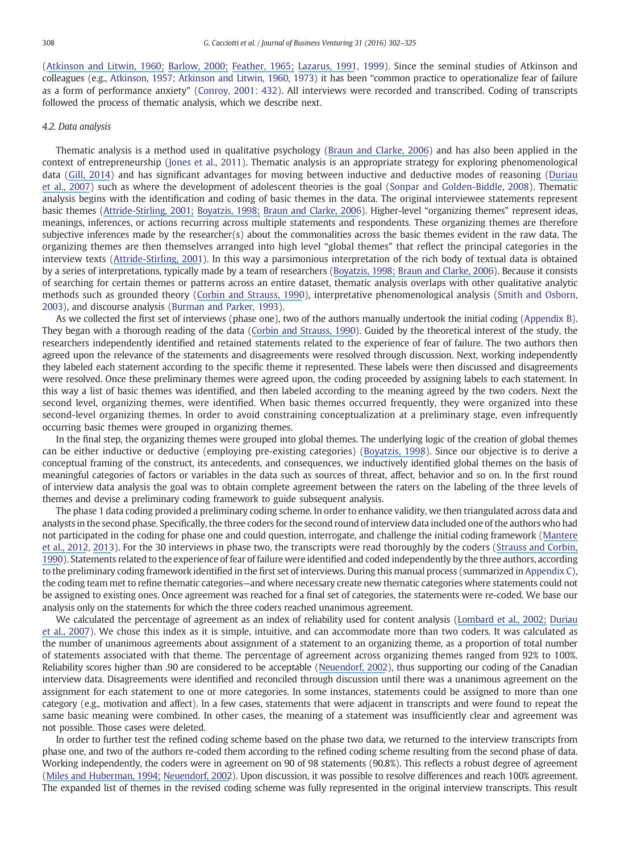[\(](#page-21-0)[Atkinson](https://www.researchgate.net/publication/303157185_Achievement_motive_and_test_anxiety_conceived_as_motive_to_avoid_failure?el=1_x_8&enrichId=rgreq-79255f33ff526740e71246f573d8f528-XXX&enrichSource=Y292ZXJQYWdlOzMwMDMxMTExNDtBUzozOTM4NDE3ODcwNjQzMzNAMTQ3MDkxMDYwNzg3MQ==)[and](https://www.researchgate.net/publication/303157185_Achievement_motive_and_test_anxiety_conceived_as_motive_to_avoid_failure?el=1_x_8&enrichId=rgreq-79255f33ff526740e71246f573d8f528-XXX&enrichSource=Y292ZXJQYWdlOzMwMDMxMTExNDtBUzozOTM4NDE3ODcwNjQzMzNAMTQ3MDkxMDYwNzg3MQ==)[Litwin,](https://www.researchgate.net/publication/303157185_Achievement_motive_and_test_anxiety_conceived_as_motive_to_avoid_failure?el=1_x_8&enrichId=rgreq-79255f33ff526740e71246f573d8f528-XXX&enrichSource=Y292ZXJQYWdlOzMwMDMxMTExNDtBUzozOTM4NDE3ODcwNjQzMzNAMTQ3MDkxMDYwNzg3MQ==)[1960;](https://www.researchgate.net/publication/303157185_Achievement_motive_and_test_anxiety_conceived_as_motive_to_avoid_failure?el=1_x_8&enrichId=rgreq-79255f33ff526740e71246f573d8f528-XXX&enrichSource=Y292ZXJQYWdlOzMwMDMxMTExNDtBUzozOTM4NDE3ODcwNjQzMzNAMTQ3MDkxMDYwNzg3MQ==)[Barlow,](https://www.researchgate.net/publication/279143848_Unraveling_the_mysteries_of_anxiety_and_its_disorders_from_the_perspective_of_emotion_theory?el=1_x_8&enrichId=rgreq-79255f33ff526740e71246f573d8f528-XXX&enrichSource=Y292ZXJQYWdlOzMwMDMxMTExNDtBUzozOTM4NDE3ODcwNjQzMzNAMTQ3MDkxMDYwNzg3MQ==)[2000;](https://www.researchgate.net/publication/279143848_Unraveling_the_mysteries_of_anxiety_and_its_disorders_from_the_perspective_of_emotion_theory?el=1_x_8&enrichId=rgreq-79255f33ff526740e71246f573d8f528-XXX&enrichSource=Y292ZXJQYWdlOzMwMDMxMTExNDtBUzozOTM4NDE3ODcwNjQzMzNAMTQ3MDkxMDYwNzg3MQ==)[Feather,](https://www.researchgate.net/publication/null?el=1_x_8&enrichId=rgreq-79255f33ff526740e71246f573d8f528-XXX&enrichSource=Y292ZXJQYWdlOzMwMDMxMTExNDtBUzozOTM4NDE3ODcwNjQzMzNAMTQ3MDkxMDYwNzg3MQ==)[1965](https://www.researchgate.net/publication/null?el=1_x_8&enrichId=rgreq-79255f33ff526740e71246f573d8f528-XXX&enrichSource=Y292ZXJQYWdlOzMwMDMxMTExNDtBUzozOTM4NDE3ODcwNjQzMzNAMTQ3MDkxMDYwNzg3MQ==)[;](#page-21-0) [Lazarus,](https://www.researchgate.net/publication/null?el=1_x_8&enrichId=rgreq-79255f33ff526740e71246f573d8f528-XXX&enrichSource=Y292ZXJQYWdlOzMwMDMxMTExNDtBUzozOTM4NDE3ODcwNjQzMzNAMTQ3MDkxMDYwNzg3MQ==)[199](https://www.researchgate.net/publication/null?el=1_x_8&enrichId=rgreq-79255f33ff526740e71246f573d8f528-XXX&enrichSource=Y292ZXJQYWdlOzMwMDMxMTExNDtBUzozOTM4NDE3ODcwNjQzMzNAMTQ3MDkxMDYwNzg3MQ==)[1, 1999\)](#page-21-0). Since the seminal studies of Atkinson and colleagues (e.g., [Atkinson, 1957; Atkinson and Litwin, 1960, 1973](#page-21-0)) it has been "common practice to operationalize fear of failure as a form of performance anxiety" ([Conroy, 2001: 432\)](#page-22-0). All interviews were recorded and transcribed. Coding of transcripts followed the process of thematic analysis, which we describe next.

#### 4.2. Data analysis

Thematic analysis is a method used in qualitative psychology ([Braun](https://www.researchgate.net/publication/235356393_Using_Thematic_Analysis_in_Psychology?el=1_x_8&enrichId=rgreq-79255f33ff526740e71246f573d8f528-XXX&enrichSource=Y292ZXJQYWdlOzMwMDMxMTExNDtBUzozOTM4NDE3ODcwNjQzMzNAMTQ3MDkxMDYwNzg3MQ==)[and](https://www.researchgate.net/publication/235356393_Using_Thematic_Analysis_in_Psychology?el=1_x_8&enrichId=rgreq-79255f33ff526740e71246f573d8f528-XXX&enrichSource=Y292ZXJQYWdlOzMwMDMxMTExNDtBUzozOTM4NDE3ODcwNjQzMzNAMTQ3MDkxMDYwNzg3MQ==)[Clarke,](https://www.researchgate.net/publication/235356393_Using_Thematic_Analysis_in_Psychology?el=1_x_8&enrichId=rgreq-79255f33ff526740e71246f573d8f528-XXX&enrichSource=Y292ZXJQYWdlOzMwMDMxMTExNDtBUzozOTM4NDE3ODcwNjQzMzNAMTQ3MDkxMDYwNzg3MQ==)[200](https://www.researchgate.net/publication/235356393_Using_Thematic_Analysis_in_Psychology?el=1_x_8&enrichId=rgreq-79255f33ff526740e71246f573d8f528-XXX&enrichSource=Y292ZXJQYWdlOzMwMDMxMTExNDtBUzozOTM4NDE3ODcwNjQzMzNAMTQ3MDkxMDYwNzg3MQ==)[6\)](#page-21-0) and has also been applied in the context of entrepreneurship ([Jones et al., 2011](#page-22-0)). Thematic analysis is an appropriate strategy for exploring phenomenological data [\(Gill,](https://www.researchgate.net/publication/266378460_The_Possibilities_of_Phenomenology_for_Organizational_Research?el=1_x_8&enrichId=rgreq-79255f33ff526740e71246f573d8f528-XXX&enrichSource=Y292ZXJQYWdlOzMwMDMxMTExNDtBUzozOTM4NDE3ODcwNjQzMzNAMTQ3MDkxMDYwNzg3MQ==)[201](https://www.researchgate.net/publication/266378460_The_Possibilities_of_Phenomenology_for_Organizational_Research?el=1_x_8&enrichId=rgreq-79255f33ff526740e71246f573d8f528-XXX&enrichSource=Y292ZXJQYWdlOzMwMDMxMTExNDtBUzozOTM4NDE3ODcwNjQzMzNAMTQ3MDkxMDYwNzg3MQ==)[4](#page-22-0)) and has significant advantages for moving between inductive and deductive modes of reasoning [\(D](#page-22-0)[uriau](https://www.researchgate.net/publication/234021481_A_Content_Analysis_of_the_Content_Analysis_Literature_in_Organization_Studies_Research_Themes_Data_Sources_and_Methodological_Refinements?el=1_x_8&enrichId=rgreq-79255f33ff526740e71246f573d8f528-XXX&enrichSource=Y292ZXJQYWdlOzMwMDMxMTExNDtBUzozOTM4NDE3ODcwNjQzMzNAMTQ3MDkxMDYwNzg3MQ==) [et al., 2007\)](#page-22-0) such as where the development of adolescent theories is the goal ([Sonpar and Golden-Biddle, 2008\)](#page-23-0). Thematic analysis begins with the identification and coding of basic themes in the data. The original interviewee statements represent basic themes [\(Attride-Stirling, 2001; Boyatzis, 1998; Braun and Clarke, 2006\)](#page-21-0). Higher-level "organizing themes" represent ideas, meanings, inferences, or actions recurring across multiple statements and respondents. These organizing themes are therefore subjective inferences made by the researcher(s) about the commonalities across the basic themes evident in the raw data. The organizing themes are then themselves arranged into high level "global themes" that reflect the principal categories in the interview texts ([Attride-Stirling, 2001\)](#page-21-0). In this way a parsimonious interpretation of the rich body of textual data is obtained by a series of interpretations, typically made by a team of researchers [\(Boyatzis, 1998; Braun and Clarke, 2006\)](#page-21-0). Because it consists of searching for certain themes or patterns across an entire dataset, thematic analysis overlaps with other qualitative analytic methods such as grounded theory ([Corbin and Strauss, 1990](#page-22-0)), interpretative phenomenological analysis ([Smith and Osborn,](#page-23-0) [2003\)](#page-23-0), and discourse analysis ([Burman and Parker, 1993](#page-22-0)).

As we collected the first set of interviews (phase one), two of the authors manually undertook the initial coding ([Appendix B\)](#page-21-0). They began with a thorough reading of the data [\(C](#page-22-0)[orbin](https://www.researchgate.net/publication/272177823_Grounded_Theory_Research_Procedures_Canons_and_Evaluative_Criteria?el=1_x_8&enrichId=rgreq-79255f33ff526740e71246f573d8f528-XXX&enrichSource=Y292ZXJQYWdlOzMwMDMxMTExNDtBUzozOTM4NDE3ODcwNjQzMzNAMTQ3MDkxMDYwNzg3MQ==)[and](https://www.researchgate.net/publication/272177823_Grounded_Theory_Research_Procedures_Canons_and_Evaluative_Criteria?el=1_x_8&enrichId=rgreq-79255f33ff526740e71246f573d8f528-XXX&enrichSource=Y292ZXJQYWdlOzMwMDMxMTExNDtBUzozOTM4NDE3ODcwNjQzMzNAMTQ3MDkxMDYwNzg3MQ==)[Strauss,](https://www.researchgate.net/publication/272177823_Grounded_Theory_Research_Procedures_Canons_and_Evaluative_Criteria?el=1_x_8&enrichId=rgreq-79255f33ff526740e71246f573d8f528-XXX&enrichSource=Y292ZXJQYWdlOzMwMDMxMTExNDtBUzozOTM4NDE3ODcwNjQzMzNAMTQ3MDkxMDYwNzg3MQ==)[199](https://www.researchgate.net/publication/272177823_Grounded_Theory_Research_Procedures_Canons_and_Evaluative_Criteria?el=1_x_8&enrichId=rgreq-79255f33ff526740e71246f573d8f528-XXX&enrichSource=Y292ZXJQYWdlOzMwMDMxMTExNDtBUzozOTM4NDE3ODcwNjQzMzNAMTQ3MDkxMDYwNzg3MQ==)[0](#page-22-0)). Guided by the theoretical interest of the study, the researchers independently identified and retained statements related to the experience of fear of failure. The two authors then agreed upon the relevance of the statements and disagreements were resolved through discussion. Next, working independently they labeled each statement according to the specific theme it represented. These labels were then discussed and disagreements were resolved. Once these preliminary themes were agreed upon, the coding proceeded by assigning labels to each statement. In this way a list of basic themes was identified, and then labeled according to the meaning agreed by the two coders. Next the second level, organizing themes, were identified. When basic themes occurred frequently, they were organized into these second-level organizing themes. In order to avoid constraining conceptualization at a preliminary stage, even infrequently occurring basic themes were grouped in organizing themes.

In the final step, the organizing themes were grouped into global themes. The underlying logic of the creation of global themes can be either inductive or deductive (employing pre-existing categories) ([Boyatzis, 1998\)](#page-21-0). Since our objective is to derive a conceptual framing of the construct, its antecedents, and consequences, we inductively identified global themes on the basis of meaningful categories of factors or variables in the data such as sources of threat, affect, behavior and so on. In the first round of interview data analysis the goal was to obtain complete agreement between the raters on the labeling of the three levels of themes and devise a preliminary coding framework to guide subsequent analysis.

The phase 1 data coding provided a preliminary coding scheme. In order to enhance validity, we then triangulated across data and analysts in the second phase. Specifically, the three coders for the second round of interview data included one of the authors who had not participated in the coding for phase one and could question, interrogate, and challenge the initial coding framework ([Mantere](https://www.researchgate.net/publication/274444434_Reversal_of_Strategic_Change?el=1_x_8&enrichId=rgreq-79255f33ff526740e71246f573d8f528-XXX&enrichSource=Y292ZXJQYWdlOzMwMDMxMTExNDtBUzozOTM4NDE3ODcwNjQzMzNAMTQ3MDkxMDYwNzg3MQ==) [et al., 2012, 2013](#page-22-0)). For the 30 interviews in phase two, the transcripts were read thoroughly by the coders ([Strauss and Corbin,](#page-23-0) [1990\)](#page-23-0). Statements related to the experience of fear of failure were identified and coded independently by the three authors, according to the preliminary coding framework identified in the first set of interviews. During this manual process (summarized in [Appendix C\)](#page-21-0), the coding team met to refine thematic categories—and where necessary create new thematic categories where statements could not be assigned to existing ones. Once agreement was reached for a final set of categories, the statements were re-coded. We base our analysis only on the statements for which the three coders reached unanimous agreement.

We calculated the percentage of agreement as an index of reliability used for content analysis ([Lombard](https://www.researchgate.net/publication/227605219_Content_Analysis_in_Mass_Communication_Assessment_and_Reporting_of_Intercoder_Reliability?el=1_x_8&enrichId=rgreq-79255f33ff526740e71246f573d8f528-XXX&enrichSource=Y292ZXJQYWdlOzMwMDMxMTExNDtBUzozOTM4NDE3ODcwNjQzMzNAMTQ3MDkxMDYwNzg3MQ==)[et](https://www.researchgate.net/publication/227605219_Content_Analysis_in_Mass_Communication_Assessment_and_Reporting_of_Intercoder_Reliability?el=1_x_8&enrichId=rgreq-79255f33ff526740e71246f573d8f528-XXX&enrichSource=Y292ZXJQYWdlOzMwMDMxMTExNDtBUzozOTM4NDE3ODcwNjQzMzNAMTQ3MDkxMDYwNzg3MQ==)[al.,](https://www.researchgate.net/publication/227605219_Content_Analysis_in_Mass_Communication_Assessment_and_Reporting_of_Intercoder_Reliability?el=1_x_8&enrichId=rgreq-79255f33ff526740e71246f573d8f528-XXX&enrichSource=Y292ZXJQYWdlOzMwMDMxMTExNDtBUzozOTM4NDE3ODcwNjQzMzNAMTQ3MDkxMDYwNzg3MQ==)[2002](https://www.researchgate.net/publication/227605219_Content_Analysis_in_Mass_Communication_Assessment_and_Reporting_of_Intercoder_Reliability?el=1_x_8&enrichId=rgreq-79255f33ff526740e71246f573d8f528-XXX&enrichSource=Y292ZXJQYWdlOzMwMDMxMTExNDtBUzozOTM4NDE3ODcwNjQzMzNAMTQ3MDkxMDYwNzg3MQ==)[;](#page-22-0) [Duriau](https://www.researchgate.net/publication/234021481_A_Content_Analysis_of_the_Content_Analysis_Literature_in_Organization_Studies_Research_Themes_Data_Sources_and_Methodological_Refinements?el=1_x_8&enrichId=rgreq-79255f33ff526740e71246f573d8f528-XXX&enrichSource=Y292ZXJQYWdlOzMwMDMxMTExNDtBUzozOTM4NDE3ODcwNjQzMzNAMTQ3MDkxMDYwNzg3MQ==) [et al., 2007](#page-22-0)). We chose this index as it is simple, intuitive, and can accommodate more than two coders. It was calculated as the number of unanimous agreements about assignment of a statement to an organizing theme, as a proportion of total number of statements associated with that theme. The percentage of agreement across organizing themes ranged from 92% to 100%. Reliability scores higher than .90 are considered to be acceptable ([Neuendorf,](https://www.researchgate.net/publication/247817272_The_Content_Analysis_Guidebook?el=1_x_8&enrichId=rgreq-79255f33ff526740e71246f573d8f528-XXX&enrichSource=Y292ZXJQYWdlOzMwMDMxMTExNDtBUzozOTM4NDE3ODcwNjQzMzNAMTQ3MDkxMDYwNzg3MQ==)[200](https://www.researchgate.net/publication/247817272_The_Content_Analysis_Guidebook?el=1_x_8&enrichId=rgreq-79255f33ff526740e71246f573d8f528-XXX&enrichSource=Y292ZXJQYWdlOzMwMDMxMTExNDtBUzozOTM4NDE3ODcwNjQzMzNAMTQ3MDkxMDYwNzg3MQ==)[2\)](#page-23-0), thus supporting our coding of the Canadian interview data. Disagreements were identified and reconciled through discussion until there was a unanimous agreement on the assignment for each statement to one or more categories. In some instances, statements could be assigned to more than one category (e.g., motivation and affect). In a few cases, statements that were adjacent in transcripts and were found to repeat the same basic meaning were combined. In other cases, the meaning of a statement was insufficiently clear and agreement was not possible. Those cases were deleted.

In order to further test the refined coding scheme based on the phase two data, we returned to the interview transcripts from phase one, and two of the authors re-coded them according to the refined coding scheme resulting from the second phase of data. Working independently, the coders were in agreement on 90 of 98 statements (90.8%). This reflects a robust degree of agreement [\(M](#page-23-0)[iles](https://www.researchgate.net/publication/251880092_Qualitative_Data_Analysis?el=1_x_8&enrichId=rgreq-79255f33ff526740e71246f573d8f528-XXX&enrichSource=Y292ZXJQYWdlOzMwMDMxMTExNDtBUzozOTM4NDE3ODcwNjQzMzNAMTQ3MDkxMDYwNzg3MQ==)[and](https://www.researchgate.net/publication/251880092_Qualitative_Data_Analysis?el=1_x_8&enrichId=rgreq-79255f33ff526740e71246f573d8f528-XXX&enrichSource=Y292ZXJQYWdlOzMwMDMxMTExNDtBUzozOTM4NDE3ODcwNjQzMzNAMTQ3MDkxMDYwNzg3MQ==)[Huberman,](https://www.researchgate.net/publication/251880092_Qualitative_Data_Analysis?el=1_x_8&enrichId=rgreq-79255f33ff526740e71246f573d8f528-XXX&enrichSource=Y292ZXJQYWdlOzMwMDMxMTExNDtBUzozOTM4NDE3ODcwNjQzMzNAMTQ3MDkxMDYwNzg3MQ==)[1994;](https://www.researchgate.net/publication/251880092_Qualitative_Data_Analysis?el=1_x_8&enrichId=rgreq-79255f33ff526740e71246f573d8f528-XXX&enrichSource=Y292ZXJQYWdlOzMwMDMxMTExNDtBUzozOTM4NDE3ODcwNjQzMzNAMTQ3MDkxMDYwNzg3MQ==)[Neuendorf,](https://www.researchgate.net/publication/247817272_The_Content_Analysis_Guidebook?el=1_x_8&enrichId=rgreq-79255f33ff526740e71246f573d8f528-XXX&enrichSource=Y292ZXJQYWdlOzMwMDMxMTExNDtBUzozOTM4NDE3ODcwNjQzMzNAMTQ3MDkxMDYwNzg3MQ==)[200](https://www.researchgate.net/publication/247817272_The_Content_Analysis_Guidebook?el=1_x_8&enrichId=rgreq-79255f33ff526740e71246f573d8f528-XXX&enrichSource=Y292ZXJQYWdlOzMwMDMxMTExNDtBUzozOTM4NDE3ODcwNjQzMzNAMTQ3MDkxMDYwNzg3MQ==)[2\)](#page-23-0). Upon discussion, it was possible to resolve differences and reach 100% agreement. The expanded list of themes in the revised coding scheme was fully represented in the original interview transcripts. This result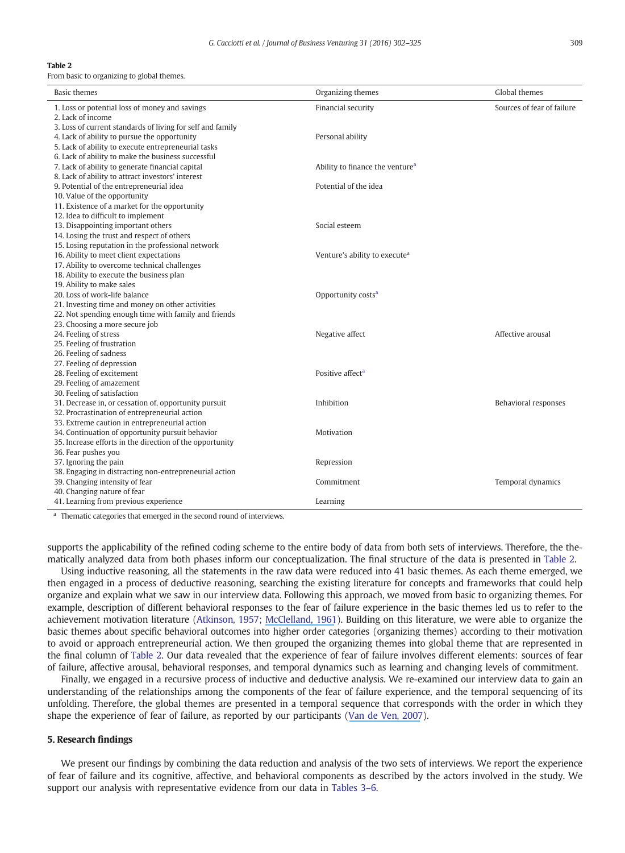#### Table 2

From basic to organizing to global themes.

| Basic themes                                               | Organizing themes                           | Global themes              |
|------------------------------------------------------------|---------------------------------------------|----------------------------|
| 1. Loss or potential loss of money and savings             | Financial security                          | Sources of fear of failure |
| 2. Lack of income                                          |                                             |                            |
| 3. Loss of current standards of living for self and family |                                             |                            |
| 4. Lack of ability to pursue the opportunity               | Personal ability                            |                            |
| 5. Lack of ability to execute entrepreneurial tasks        |                                             |                            |
| 6. Lack of ability to make the business successful         |                                             |                            |
| 7. Lack of ability to generate financial capital           | Ability to finance the venture <sup>a</sup> |                            |
| 8. Lack of ability to attract investors' interest          |                                             |                            |
| 9. Potential of the entrepreneurial idea                   | Potential of the idea                       |                            |
| 10. Value of the opportunity                               |                                             |                            |
| 11. Existence of a market for the opportunity              |                                             |                            |
| 12. Idea to difficult to implement                         |                                             |                            |
| 13. Disappointing important others                         | Social esteem                               |                            |
| 14. Losing the trust and respect of others                 |                                             |                            |
| 15. Losing reputation in the professional network          |                                             |                            |
| 16. Ability to meet client expectations                    | Venture's ability to execute <sup>a</sup>   |                            |
| 17. Ability to overcome technical challenges               |                                             |                            |
| 18. Ability to execute the business plan                   |                                             |                            |
| 19. Ability to make sales                                  |                                             |                            |
| 20. Loss of work-life balance                              | Opportunity costs <sup>a</sup>              |                            |
| 21. Investing time and money on other activities           |                                             |                            |
| 22. Not spending enough time with family and friends       |                                             |                            |
| 23. Choosing a more secure job                             |                                             |                            |
| 24. Feeling of stress                                      | Negative affect                             | Affective arousal          |
| 25. Feeling of frustration                                 |                                             |                            |
| 26. Feeling of sadness                                     |                                             |                            |
| 27. Feeling of depression                                  |                                             |                            |
| 28. Feeling of excitement                                  | Positive affect <sup>a</sup>                |                            |
| 29. Feeling of amazement                                   |                                             |                            |
| 30. Feeling of satisfaction                                |                                             |                            |
| 31. Decrease in, or cessation of, opportunity pursuit      | Inhibition                                  | Behavioral responses       |
| 32. Procrastination of entrepreneurial action              |                                             |                            |
| 33. Extreme caution in entrepreneurial action              |                                             |                            |
| 34. Continuation of opportunity pursuit behavior           | Motivation                                  |                            |
| 35. Increase efforts in the direction of the opportunity   |                                             |                            |
| 36. Fear pushes you                                        |                                             |                            |
| 37. Ignoring the pain                                      | Repression                                  |                            |
| 38. Engaging in distracting non-entrepreneurial action     |                                             |                            |
| 39. Changing intensity of fear                             | Commitment                                  | Temporal dynamics          |
| 40. Changing nature of fear                                |                                             |                            |
| 41. Learning from previous experience                      | Learning                                    |                            |

<sup>a</sup> Thematic categories that emerged in the second round of interviews.

supports the applicability of the refined coding scheme to the entire body of data from both sets of interviews. Therefore, the thematically analyzed data from both phases inform our conceptualization. The final structure of the data is presented in Table 2.

Using inductive reasoning, all the statements in the raw data were reduced into 41 basic themes. As each theme emerged, we then engaged in a process of deductive reasoning, searching the existing literature for concepts and frameworks that could help organize and explain what we saw in our interview data. Following this approach, we moved from basic to organizing themes. For example, description of different behavioral responses to the fear of failure experience in the basic themes led us to refer to the achievement motivation literature [\(Atkinson, 1957;](#page-21-0) [McClelland,](https://www.researchgate.net/publication/272160008_The_Achieving_Society?el=1_x_8&enrichId=rgreq-79255f33ff526740e71246f573d8f528-XXX&enrichSource=Y292ZXJQYWdlOzMwMDMxMTExNDtBUzozOTM4NDE3ODcwNjQzMzNAMTQ3MDkxMDYwNzg3MQ==)[196](https://www.researchgate.net/publication/272160008_The_Achieving_Society?el=1_x_8&enrichId=rgreq-79255f33ff526740e71246f573d8f528-XXX&enrichSource=Y292ZXJQYWdlOzMwMDMxMTExNDtBUzozOTM4NDE3ODcwNjQzMzNAMTQ3MDkxMDYwNzg3MQ==)[1](#page-21-0)). Building on this literature, we were able to organize the basic themes about specific behavioral outcomes into higher order categories (organizing themes) according to their motivation to avoid or approach entrepreneurial action. We then grouped the organizing themes into global theme that are represented in the final column of Table 2. Our data revealed that the experience of fear of failure involves different elements: sources of fear of failure, affective arousal, behavioral responses, and temporal dynamics such as learning and changing levels of commitment.

Finally, we engaged in a recursive process of inductive and deductive analysis. We re-examined our interview data to gain an understanding of the relationships among the components of the fear of failure experience, and the temporal sequencing of its unfolding. Therefore, the global themes are presented in a temporal sequence that corresponds with the order in which they shape the experience of fear of failure, as reported by our participants ([Van de Ven, 2007](#page-23-0)).

#### 5. Research findings

We present our findings by combining the data reduction and analysis of the two sets of interviews. We report the experience of fear of failure and its cognitive, affective, and behavioral components as described by the actors involved in the study. We support our analysis with representative evidence from our data in [Tables 3](#page-9-0)–6.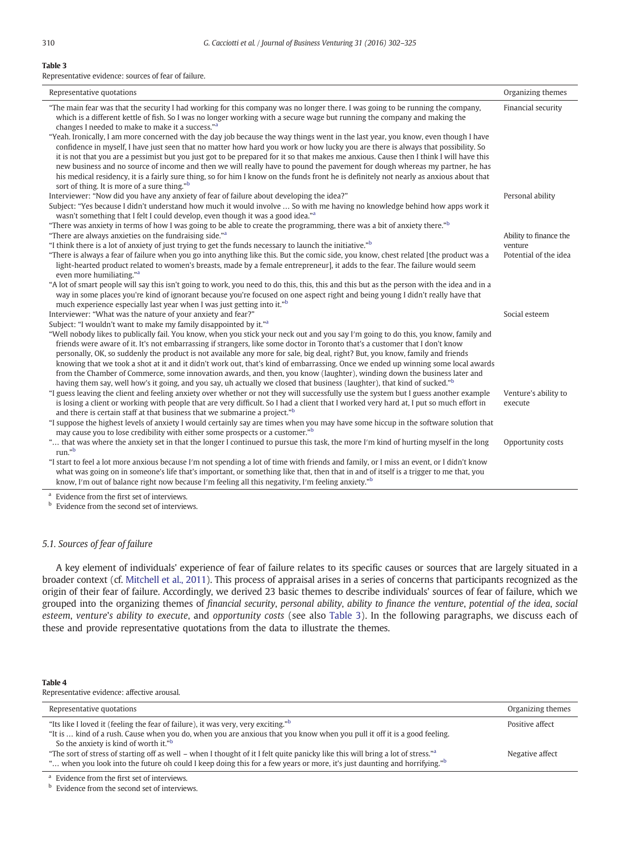#### <span id="page-9-0"></span>Table 3

Representative evidence: sources of fear of failure.

| Representative quotations                                                                                                                                                                                                                                                                                                                                                                                                                                                                                                                                                                                                                                                                                                                                                                                                                                                                                                                                                                                                                                                     | Organizing themes                 |
|-------------------------------------------------------------------------------------------------------------------------------------------------------------------------------------------------------------------------------------------------------------------------------------------------------------------------------------------------------------------------------------------------------------------------------------------------------------------------------------------------------------------------------------------------------------------------------------------------------------------------------------------------------------------------------------------------------------------------------------------------------------------------------------------------------------------------------------------------------------------------------------------------------------------------------------------------------------------------------------------------------------------------------------------------------------------------------|-----------------------------------|
| "The main fear was that the security I had working for this company was no longer there. I was going to be running the company,<br>which is a different kettle of fish. So I was no longer working with a secure wage but running the company and making the<br>changes I needed to make to make it a success." <sup>a</sup><br>"Yeah. Ironically, I am more concerned with the day job because the way things went in the last year, you know, even though I have<br>confidence in myself, I have just seen that no matter how hard you work or how lucky you are there is always that possibility. So<br>it is not that you are a pessimist but you just got to be prepared for it so that makes me anxious. Cause then I think I will have this<br>new business and no source of income and then we will really have to pound the pavement for dough whereas my partner, he has<br>his medical residency, it is a fairly sure thing, so for him I know on the funds front he is definitely not nearly as anxious about that<br>sort of thing. It is more of a sure thing." | Financial security                |
| Interviewer: "Now did you have any anxiety of fear of failure about developing the idea?"<br>Subject: "Yes because I didn't understand how much it would involve  So with me having no knowledge behind how apps work it<br>wasn't something that I felt I could develop, even though it was a good idea." <sup>a</sup>                                                                                                                                                                                                                                                                                                                                                                                                                                                                                                                                                                                                                                                                                                                                                       | Personal ability                  |
| "There was anxiety in terms of how I was going to be able to create the programming, there was a bit of anxiety there." <sup>b</sup><br>"There are always anxieties on the fundraising side." <sup>a</sup><br>"I think there is a lot of anxiety of just trying to get the funds necessary to launch the initiative."                                                                                                                                                                                                                                                                                                                                                                                                                                                                                                                                                                                                                                                                                                                                                         | Ability to finance the<br>venture |
| "There is always a fear of failure when you go into anything like this. But the comic side, you know, chest related [the product was a<br>light-hearted product related to women's breasts, made by a female entrepreneur], it adds to the fear. The failure would seem<br>even more humiliating." <sup>a</sup><br>"A lot of smart people will say this isn't going to work, you need to do this, this, this and this but as the person with the idea and in a                                                                                                                                                                                                                                                                                                                                                                                                                                                                                                                                                                                                                | Potential of the idea             |
| way in some places you're kind of ignorant because you're focused on one aspect right and being young I didn't really have that<br>much experience especially last year when I was just getting into it."<br>Interviewer: "What was the nature of your anxiety and fear?"                                                                                                                                                                                                                                                                                                                                                                                                                                                                                                                                                                                                                                                                                                                                                                                                     | Social esteem                     |
| Subject: "I wouldn't want to make my family disappointed by it."<br>"Well nobody likes to publically fail. You know, when you stick your neck out and you say I'm going to do this, you know, family and                                                                                                                                                                                                                                                                                                                                                                                                                                                                                                                                                                                                                                                                                                                                                                                                                                                                      |                                   |
| friends were aware of it. It's not embarrassing if strangers, like some doctor in Toronto that's a customer that I don't know<br>personally, OK, so suddenly the product is not available any more for sale, big deal, right? But, you know, family and friends<br>knowing that we took a shot at it and it didn't work out, that's kind of embarrassing. Once we ended up winning some local awards<br>from the Chamber of Commerce, some innovation awards, and then, you know (laughter), winding down the business later and<br>having them say, well how's it going, and you say, uh actually we closed that business (laughter), that kind of sucked." <sup>b</sup>                                                                                                                                                                                                                                                                                                                                                                                                     |                                   |
| "I guess leaving the client and feeling anxiety over whether or not they will successfully use the system but I guess another example<br>is losing a client or working with people that are very difficult. So I had a client that I worked very hard at, I put so much effort in<br>and there is certain staff at that business that we submarine a project." <sup>b</sup>                                                                                                                                                                                                                                                                                                                                                                                                                                                                                                                                                                                                                                                                                                   | Venture's ability to<br>execute   |
| "I suppose the highest levels of anxiety I would certainly say are times when you may have some hiccup in the software solution that<br>may cause you to lose credibility with either some prospects or a customer." <sup>b</sup>                                                                                                                                                                                                                                                                                                                                                                                                                                                                                                                                                                                                                                                                                                                                                                                                                                             |                                   |
| " that was where the anxiety set in that the longer I continued to pursue this task, the more I'm kind of hurting myself in the long<br>run."b                                                                                                                                                                                                                                                                                                                                                                                                                                                                                                                                                                                                                                                                                                                                                                                                                                                                                                                                | Opportunity costs                 |
| "I start to feel a lot more anxious because I'm not spending a lot of time with friends and family, or I miss an event, or I didn't know<br>what was going on in someone's life that's important, or something like that, then that in and of itself is a trigger to me that, you<br>know, I'm out of balance right now because I'm feeling all this negativity, I'm feeling anxiety."                                                                                                                                                                                                                                                                                                                                                                                                                                                                                                                                                                                                                                                                                        |                                   |

<sup>a</sup> Evidence from the first set of interviews.

**b** Evidence from the second set of interviews.

#### 5.1. Sources of fear of failure

A key element of individuals' experience of fear of failure relates to its specific causes or sources that are largely situated in a broader context (cf. [Mitchell et al., 2011\)](#page-23-0). This process of appraisal arises in a series of concerns that participants recognized as the origin of their fear of failure. Accordingly, we derived 23 basic themes to describe individuals' sources of fear of failure, which we grouped into the organizing themes of financial security, personal ability, ability to finance the venture, potential of the idea, social esteem, venture's ability to execute, and opportunity costs (see also Table 3). In the following paragraphs, we discuss each of these and provide representative quotations from the data to illustrate the themes.

#### Table 4

Representative evidence: affective arousal.

| Representative quotations                                                                                                                   | Organizing themes |
|---------------------------------------------------------------------------------------------------------------------------------------------|-------------------|
| "Its like I loved it (feeling the fear of failure), it was very, very exciting."                                                            | Positive affect   |
| "It is  kind of a rush. Cause when you do, when you are anxious that you know when you pull it off it is a good feeling.                    |                   |
| So the anxiety is kind of worth it." <sup>b</sup>                                                                                           |                   |
| "The sort of stress of starting off as well – when I thought of it I felt quite panicky like this will bring a lot of stress." <sup>a</sup> | Negative affect   |
| " when you look into the future oh could I keep doing this for a few years or more, it's just daunting and horrifying."                     |                   |
|                                                                                                                                             |                   |

<sup>a</sup> Evidence from the first set of interviews.

b Evidence from the second set of interviews.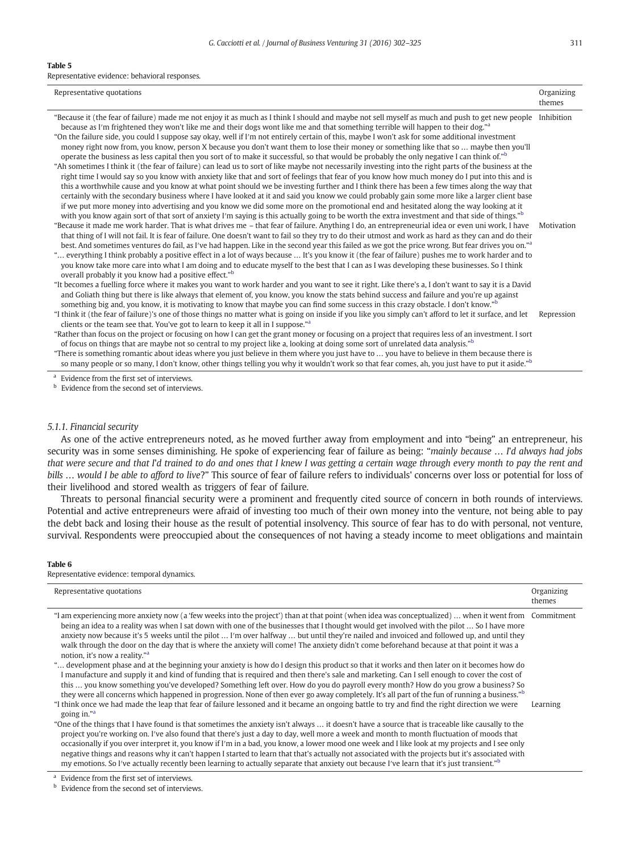#### G. Cacciotti et al. / Journal of Business Venturing 31 (2016) 302–325 311

#### <span id="page-10-0"></span>Table 5

Representative evidence: behavioral responses.

| Representative quotations                                                                                                                                                                                                                                                                                                                                                                                                                                                                                                                                                                                                                                                                                                                                                                                                                                                                                                                                                                                                                                                                                                                                                                                                                                                                                                                                                                                                                                                                                                                                                                                                                               | Organizing<br>themes |
|---------------------------------------------------------------------------------------------------------------------------------------------------------------------------------------------------------------------------------------------------------------------------------------------------------------------------------------------------------------------------------------------------------------------------------------------------------------------------------------------------------------------------------------------------------------------------------------------------------------------------------------------------------------------------------------------------------------------------------------------------------------------------------------------------------------------------------------------------------------------------------------------------------------------------------------------------------------------------------------------------------------------------------------------------------------------------------------------------------------------------------------------------------------------------------------------------------------------------------------------------------------------------------------------------------------------------------------------------------------------------------------------------------------------------------------------------------------------------------------------------------------------------------------------------------------------------------------------------------------------------------------------------------|----------------------|
| "Because it (the fear of failure) made me not enjoy it as much as I think I should and maybe not sell myself as much and push to get new people<br>because as I'm frightened they won't like me and their dogs wont like me and that something terrible will happen to their dog." <sup>a</sup><br>"On the failure side, you could I suppose say okay, well if I'm not entirely certain of this, maybe I won't ask for some additional investment<br>money right now from, you know, person X because you don't want them to lose their money or something like that so  maybe then you'll<br>operate the business as less capital then you sort of to make it successful, so that would be probably the only negative I can think of."<br>"Ah sometimes I think it (the fear of failure) can lead us to sort of like maybe not necessarily investing into the right parts of the business at the<br>right time I would say so you know with anxiety like that and sort of feelings that fear of you know how much money do I put into this and is<br>this a worthwhile cause and you know at what point should we be investing further and I think there has been a few times along the way that<br>certainly with the secondary business where I have looked at it and said you know we could probably gain some more like a larger client base<br>if we put more money into advertising and you know we did some more on the promotional end and hesitated along the way looking at it<br>with you know again sort of that sort of anxiety I'm saying is this actually going to be worth the extra investment and that side of things." <sup>b</sup> | Inhibition           |
| "Because it made me work harder. That is what drives me – that fear of failure. Anything I do, an entrepreneurial idea or even uni work, I have<br>that thing of I will not fail. It is fear of failure. One doesn't want to fail so they try to do their utmost and work as hard as they can and do their<br>best. And sometimes ventures do fail, as I've had happen. Like in the second year this failed as we got the price wrong. But fear drives you on." <sup>a</sup><br>" everything I think probably a positive effect in a lot of ways because  It's you know it (the fear of failure) pushes me to work harder and to<br>you know take more care into what I am doing and to educate myself to the best that I can as I was developing these businesses. So I think<br>overall probably it you know had a positive effect."                                                                                                                                                                                                                                                                                                                                                                                                                                                                                                                                                                                                                                                                                                                                                                                                                  | Motivation           |
| "It becomes a fuelling force where it makes you want to work harder and you want to see it right. Like there's a, I don't want to say it is a David<br>and Goliath thing but there is like always that element of, you know, you know the stats behind success and failure and you're up against<br>something big and, you know, it is motivating to know that maybe you can find some success in this crazy obstacle. I don't know." <sup>b</sup><br>"I think it (the fear of failure)'s one of those things no matter what is going on inside if you like you simply can't afford to let it surface, and let<br>clients or the team see that. You've got to learn to keep it all in I suppose." <sup>a</sup><br>"Rather than focus on the project or focusing on how I can get the grant money or focusing on a project that requires less of an investment. I sort<br>of focus on things that are maybe not so central to my project like a, looking at doing some sort of unrelated data analysis." <sup>b</sup><br>"There is something romantic about ideas where you just believe in them where you just have to  you have to believe in them because there is                                                                                                                                                                                                                                                                                                                                                                                                                                                                                    | Repression           |
| so many people or so many, I don't know, other things telling you why it wouldn't work so that fear comes, ah, you just have to put it aside." <sup>b</sup>                                                                                                                                                                                                                                                                                                                                                                                                                                                                                                                                                                                                                                                                                                                                                                                                                                                                                                                                                                                                                                                                                                                                                                                                                                                                                                                                                                                                                                                                                             |                      |

<sup>a</sup> Evidence from the first set of interviews.

<sup>b</sup> Evidence from the second set of interviews.

#### 5.1.1. Financial security

As one of the active entrepreneurs noted, as he moved further away from employment and into "being" an entrepreneur, his security was in some senses diminishing. He spoke of experiencing fear of failure as being: "mainly because ... I'd always had jobs that were secure and that I'd trained to do and ones that I knew I was getting a certain wage through every month to pay the rent and bills ... would I be able to afford to live?" This source of fear of failure refers to individuals' concerns over loss or potential for loss of their livelihood and stored wealth as triggers of fear of failure.

Threats to personal financial security were a prominent and frequently cited source of concern in both rounds of interviews. Potential and active entrepreneurs were afraid of investing too much of their own money into the venture, not being able to pay the debt back and losing their house as the result of potential insolvency. This source of fear has to do with personal, not venture, survival. Respondents were preoccupied about the consequences of not having a steady income to meet obligations and maintain

#### Table 6

Representative evidence: temporal dynamics.

| Representative quotations                                                                                                                                                                                                                                                                                                                                                                                                                                                                                                                                                                                                               | Organizing<br>themes |
|-----------------------------------------------------------------------------------------------------------------------------------------------------------------------------------------------------------------------------------------------------------------------------------------------------------------------------------------------------------------------------------------------------------------------------------------------------------------------------------------------------------------------------------------------------------------------------------------------------------------------------------------|----------------------|
| "I am experiencing more anxiety now (a 'few weeks into the project') than at that point (when idea was conceptualized)  when it went from Commitment<br>being an idea to a reality was when I sat down with one of the businesses that I thought would get involved with the pilot  So I have more<br>anxiety now because it's 5 weeks until the pilot  I'm over halfway  but until they're nailed and invoiced and followed up, and until they<br>walk through the door on the day that is where the anxiety will come! The anxiety didn't come beforehand because at that point it was a<br>notion, it's now a reality," <sup>a</sup> |                      |
| development phase and at the beginning your anxiety is how do I design this product so that it works and then later on it becomes how do."<br>I manufacture and supply it and kind of funding that is required and then there's sale and marketing. Can I sell enough to cover the cost of<br>this  you know something you've developed? Something left over. How do you do payroll every month? How do you grow a business? So<br>they were all concerns which happened in progression. None of then ever go away completely. It's all part of the fun of running a business." <sup>b</sup>                                            |                      |
| "I think once we had made the leap that fear of failure lessoned and it became an ongoing battle to try and find the right direction we were<br>going in." <sup>a</sup>                                                                                                                                                                                                                                                                                                                                                                                                                                                                 | Learning             |
| "One of the things that I have found is that sometimes the anxiety isn't always  it doesn't have a source that is traceable like causally to the<br>project you're working on. I've also found that there's just a day to day, well more a week and month to month fluctuation of moods that<br>occasionally if you over interpret it, you know if I'm in a bad, you know, a lower mood one week and I like look at my projects and I see only<br>negative things and reasons why it can't happen I started to learn that that's actually not associated with the projects but it's associated with                                     |                      |

my emotions. So I've actually recently been learning to actually separate that anxiety out because I've learn that it's just transient."<sup>E</sup>

Evidence from the first set of interviews.

**b** Evidence from the second set of interviews.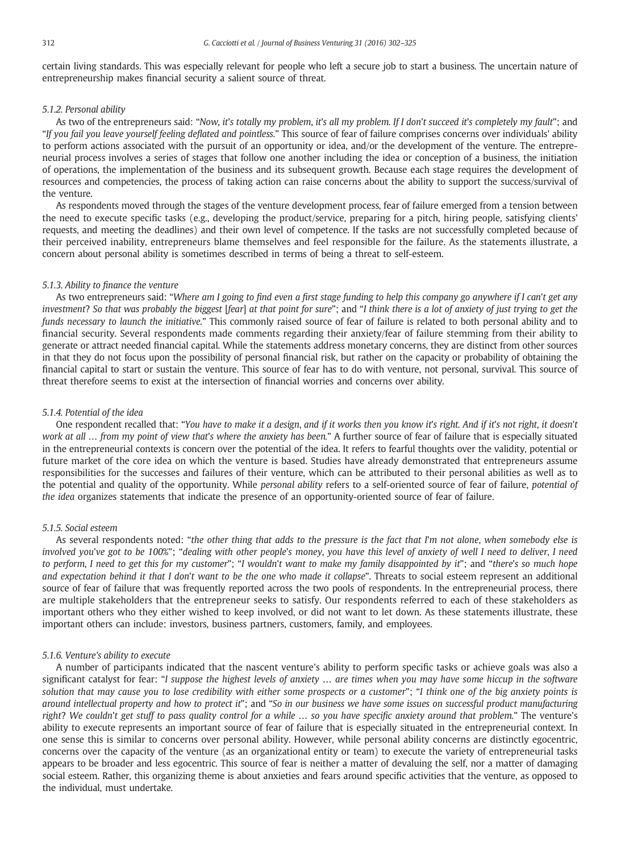certain living standards. This was especially relevant for people who left a secure job to start a business. The uncertain nature of entrepreneurship makes financial security a salient source of threat.

#### 5.1.2. Personal ability

As two of the entrepreneurs said: "Now, it's totally my problem, it's all my problem. If I don't succeed it's completely my fault"; and "If you fail you leave yourself feeling deflated and pointless." This source of fear of failure comprises concerns over individuals' ability to perform actions associated with the pursuit of an opportunity or idea, and/or the development of the venture. The entrepreneurial process involves a series of stages that follow one another including the idea or conception of a business, the initiation of operations, the implementation of the business and its subsequent growth. Because each stage requires the development of resources and competencies, the process of taking action can raise concerns about the ability to support the success/survival of the venture.

As respondents moved through the stages of the venture development process, fear of failure emerged from a tension between the need to execute specific tasks (e.g., developing the product/service, preparing for a pitch, hiring people, satisfying clients' requests, and meeting the deadlines) and their own level of competence. If the tasks are not successfully completed because of their perceived inability, entrepreneurs blame themselves and feel responsible for the failure. As the statements illustrate, a concern about personal ability is sometimes described in terms of being a threat to self-esteem.

#### 5.1.3. Ability to finance the venture

As two entrepreneurs said: "Where am I going to find even a first stage funding to help this company go anywhere if I can't get any investment? So that was probably the biggest [fear] at that point for sure"; and "I think there is a lot of anxiety of just trying to get the funds necessary to launch the initiative." This commonly raised source of fear of failure is related to both personal ability and to financial security. Several respondents made comments regarding their anxiety/fear of failure stemming from their ability to generate or attract needed financial capital. While the statements address monetary concerns, they are distinct from other sources in that they do not focus upon the possibility of personal financial risk, but rather on the capacity or probability of obtaining the financial capital to start or sustain the venture. This source of fear has to do with venture, not personal, survival. This source of threat therefore seems to exist at the intersection of financial worries and concerns over ability.

#### 5.1.4. Potential of the idea

One respondent recalled that: "You have to make it a design, and if it works then you know it's right. And if it's not right, it doesn't work at all … from my point of view that's where the anxiety has been." A further source of fear of failure that is especially situated in the entrepreneurial contexts is concern over the potential of the idea. It refers to fearful thoughts over the validity, potential or future market of the core idea on which the venture is based. Studies have already demonstrated that entrepreneurs assume responsibilities for the successes and failures of their venture, which can be attributed to their personal abilities as well as to the potential and quality of the opportunity. While personal ability refers to a self-oriented source of fear of failure, potential of the idea organizes statements that indicate the presence of an opportunity-oriented source of fear of failure.

#### 5.1.5. Social esteem

As several respondents noted: "the other thing that adds to the pressure is the fact that I'm not alone, when somebody else is involved you've got to be 100%"; "dealing with other people's money, you have this level of anxiety of well I need to deliver, I need to perform, I need to get this for my customer"; "I wouldn't want to make my family disappointed by it"; and "there's so much hope and expectation behind it that I don't want to be the one who made it collapse". Threats to social esteem represent an additional source of fear of failure that was frequently reported across the two pools of respondents. In the entrepreneurial process, there are multiple stakeholders that the entrepreneur seeks to satisfy. Our respondents referred to each of these stakeholders as important others who they either wished to keep involved, or did not want to let down. As these statements illustrate, these important others can include: investors, business partners, customers, family, and employees.

#### 5.1.6. Venture's ability to execute

A number of participants indicated that the nascent venture's ability to perform specific tasks or achieve goals was also a significant catalyst for fear: "I suppose the highest levels of anxiety … are times when you may have some hiccup in the software solution that may cause you to lose credibility with either some prospects or a customer"; "I think one of the big anxiety points is around intellectual property and how to protect it"; and "So in our business we have some issues on successful product manufacturing right? We couldn't get stuff to pass quality control for a while … so you have specific anxiety around that problem." The venture's ability to execute represents an important source of fear of failure that is especially situated in the entrepreneurial context. In one sense this is similar to concerns over personal ability. However, while personal ability concerns are distinctly egocentric, concerns over the capacity of the venture (as an organizational entity or team) to execute the variety of entrepreneurial tasks appears to be broader and less egocentric. This source of fear is neither a matter of devaluing the self, nor a matter of damaging social esteem. Rather, this organizing theme is about anxieties and fears around specific activities that the venture, as opposed to the individual, must undertake.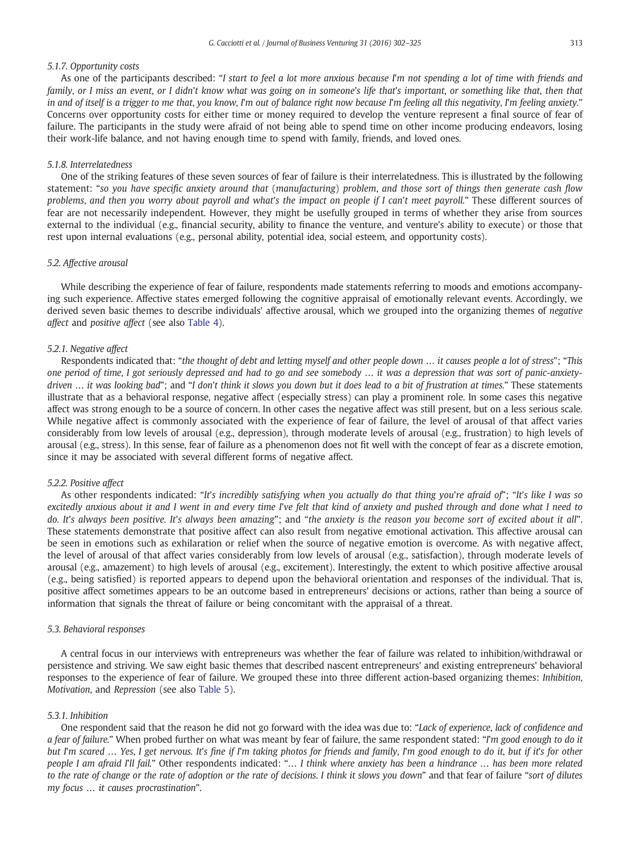#### 5.1.7. Opportunity costs

As one of the participants described: "I start to feel a lot more anxious because I'm not spending a lot of time with friends and family, or I miss an event, or I didn't know what was going on in someone's life that's important, or something like that, then that in and of itself is a trigger to me that, you know, I'm out of balance right now because I'm feeling all this negativity, I'm feeling anxiety." Concerns over opportunity costs for either time or money required to develop the venture represent a final source of fear of failure. The participants in the study were afraid of not being able to spend time on other income producing endeavors, losing their work-life balance, and not having enough time to spend with family, friends, and loved ones.

#### 5.1.8. Interrelatedness

One of the striking features of these seven sources of fear of failure is their interrelatedness. This is illustrated by the following statement: "so you have specific anxiety around that (manufacturing) problem, and those sort of things then generate cash flow problems, and then you worry about payroll and what's the impact on people if I can't meet payroll." These different sources of fear are not necessarily independent. However, they might be usefully grouped in terms of whether they arise from sources external to the individual (e.g., financial security, ability to finance the venture, and venture's ability to execute) or those that rest upon internal evaluations (e.g., personal ability, potential idea, social esteem, and opportunity costs).

#### 5.2. Affective arousal

While describing the experience of fear of failure, respondents made statements referring to moods and emotions accompanying such experience. Affective states emerged following the cognitive appraisal of emotionally relevant events. Accordingly, we derived seven basic themes to describe individuals' affective arousal, which we grouped into the organizing themes of negative affect and positive affect (see also [Table 4](#page-9-0)).

#### 5.2.1. Negative affect

Respondents indicated that: "the thought of debt and letting myself and other people down … it causes people a lot of stress"; "This one period of time, I got seriously depressed and had to go and see somebody … it was a depression that was sort of panic-anxietydriven … it was looking bad"; and "I don't think it slows you down but it does lead to a bit of frustration at times." These statements illustrate that as a behavioral response, negative affect (especially stress) can play a prominent role. In some cases this negative affect was strong enough to be a source of concern. In other cases the negative affect was still present, but on a less serious scale. While negative affect is commonly associated with the experience of fear of failure, the level of arousal of that affect varies considerably from low levels of arousal (e.g., depression), through moderate levels of arousal (e.g., frustration) to high levels of arousal (e.g., stress). In this sense, fear of failure as a phenomenon does not fit well with the concept of fear as a discrete emotion, since it may be associated with several different forms of negative affect.

#### 5.2.2. Positive affect

As other respondents indicated: "It's incredibly satisfying when you actually do that thing you're afraid of"; "It's like I was so excitedly anxious about it and I went in and every time I've felt that kind of anxiety and pushed through and done what I need to do. It's always been positive. It's always been amazing"; and "the anxiety is the reason you become sort of excited about it all". These statements demonstrate that positive affect can also result from negative emotional activation. This affective arousal can be seen in emotions such as exhilaration or relief when the source of negative emotion is overcome. As with negative affect, the level of arousal of that affect varies considerably from low levels of arousal (e.g., satisfaction), through moderate levels of arousal (e.g., amazement) to high levels of arousal (e.g., excitement). Interestingly, the extent to which positive affective arousal (e.g., being satisfied) is reported appears to depend upon the behavioral orientation and responses of the individual. That is, positive affect sometimes appears to be an outcome based in entrepreneurs' decisions or actions, rather than being a source of information that signals the threat of failure or being concomitant with the appraisal of a threat.

#### 5.3. Behavioral responses

A central focus in our interviews with entrepreneurs was whether the fear of failure was related to inhibition/withdrawal or persistence and striving. We saw eight basic themes that described nascent entrepreneurs' and existing entrepreneurs' behavioral responses to the experience of fear of failure. We grouped these into three different action-based organizing themes: Inhibition, Motivation, and Repression (see also [Table 5\)](#page-10-0).

#### 5.3.1. Inhibition

One respondent said that the reason he did not go forward with the idea was due to: "Lack of experience, lack of confidence and a fear of failure." When probed further on what was meant by fear of failure, the same respondent stated: "I'm good enough to do it but I'm scared … Yes, I get nervous. It's fine if I'm taking photos for friends and family, I'm good enough to do it, but if it's for other people I am afraid I'll fail." Other respondents indicated: "… I think where anxiety has been a hindrance … has been more related to the rate of change or the rate of adoption or the rate of decisions. I think it slows you down" and that fear of failure "sort of dilutes my focus … it causes procrastination".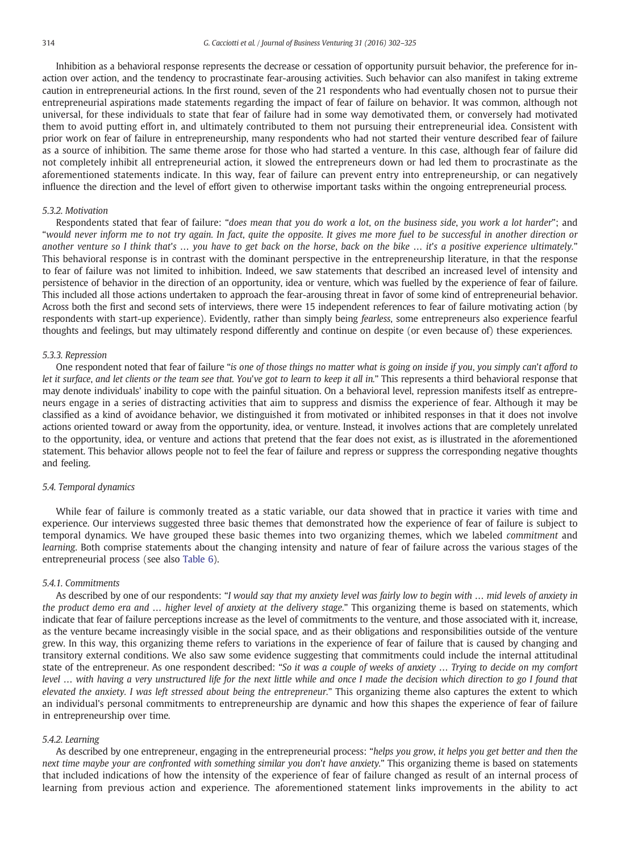Inhibition as a behavioral response represents the decrease or cessation of opportunity pursuit behavior, the preference for inaction over action, and the tendency to procrastinate fear-arousing activities. Such behavior can also manifest in taking extreme caution in entrepreneurial actions. In the first round, seven of the 21 respondents who had eventually chosen not to pursue their entrepreneurial aspirations made statements regarding the impact of fear of failure on behavior. It was common, although not universal, for these individuals to state that fear of failure had in some way demotivated them, or conversely had motivated them to avoid putting effort in, and ultimately contributed to them not pursuing their entrepreneurial idea. Consistent with prior work on fear of failure in entrepreneurship, many respondents who had not started their venture described fear of failure as a source of inhibition. The same theme arose for those who had started a venture. In this case, although fear of failure did not completely inhibit all entrepreneurial action, it slowed the entrepreneurs down or had led them to procrastinate as the aforementioned statements indicate. In this way, fear of failure can prevent entry into entrepreneurship, or can negatively influence the direction and the level of effort given to otherwise important tasks within the ongoing entrepreneurial process.

#### 5.3.2. Motivation

Respondents stated that fear of failure: "does mean that you do work a lot, on the business side, you work a lot harder"; and "would never inform me to not try again. In fact, quite the opposite. It gives me more fuel to be successful in another direction or another venture so I think that's … you have to get back on the horse, back on the bike … it's a positive experience ultimately." This behavioral response is in contrast with the dominant perspective in the entrepreneurship literature, in that the response to fear of failure was not limited to inhibition. Indeed, we saw statements that described an increased level of intensity and persistence of behavior in the direction of an opportunity, idea or venture, which was fuelled by the experience of fear of failure. This included all those actions undertaken to approach the fear-arousing threat in favor of some kind of entrepreneurial behavior. Across both the first and second sets of interviews, there were 15 independent references to fear of failure motivating action (by respondents with start-up experience). Evidently, rather than simply being fearless, some entrepreneurs also experience fearful thoughts and feelings, but may ultimately respond differently and continue on despite (or even because of) these experiences.

#### 5.3.3. Repression

One respondent noted that fear of failure "is one of those things no matter what is going on inside if you, you simply can't afford to let it surface, and let clients or the team see that. You've got to learn to keep it all in." This represents a third behavioral response that may denote individuals' inability to cope with the painful situation. On a behavioral level, repression manifests itself as entrepreneurs engage in a series of distracting activities that aim to suppress and dismiss the experience of fear. Although it may be classified as a kind of avoidance behavior, we distinguished it from motivated or inhibited responses in that it does not involve actions oriented toward or away from the opportunity, idea, or venture. Instead, it involves actions that are completely unrelated to the opportunity, idea, or venture and actions that pretend that the fear does not exist, as is illustrated in the aforementioned statement. This behavior allows people not to feel the fear of failure and repress or suppress the corresponding negative thoughts and feeling.

#### 5.4. Temporal dynamics

While fear of failure is commonly treated as a static variable, our data showed that in practice it varies with time and experience. Our interviews suggested three basic themes that demonstrated how the experience of fear of failure is subject to temporal dynamics. We have grouped these basic themes into two organizing themes, which we labeled commitment and learning. Both comprise statements about the changing intensity and nature of fear of failure across the various stages of the entrepreneurial process (see also [Table 6\)](#page-10-0).

#### 5.4.1. Commitments

As described by one of our respondents: "I would say that my anxiety level was fairly low to begin with … mid levels of anxiety in the product demo era and … higher level of anxiety at the delivery stage." This organizing theme is based on statements, which indicate that fear of failure perceptions increase as the level of commitments to the venture, and those associated with it, increase, as the venture became increasingly visible in the social space, and as their obligations and responsibilities outside of the venture grew. In this way, this organizing theme refers to variations in the experience of fear of failure that is caused by changing and transitory external conditions. We also saw some evidence suggesting that commitments could include the internal attitudinal state of the entrepreneur. As one respondent described: "So it was a couple of weeks of anxiety … Trying to decide on my comfort level … with having a very unstructured life for the next little while and once I made the decision which direction to go I found that elevated the anxiety. I was left stressed about being the entrepreneur." This organizing theme also captures the extent to which an individual's personal commitments to entrepreneurship are dynamic and how this shapes the experience of fear of failure in entrepreneurship over time.

#### 5.4.2. Learning

As described by one entrepreneur, engaging in the entrepreneurial process: "helps you grow, it helps you get better and then the next time maybe your are confronted with something similar you don't have anxiety." This organizing theme is based on statements that included indications of how the intensity of the experience of fear of failure changed as result of an internal process of learning from previous action and experience. The aforementioned statement links improvements in the ability to act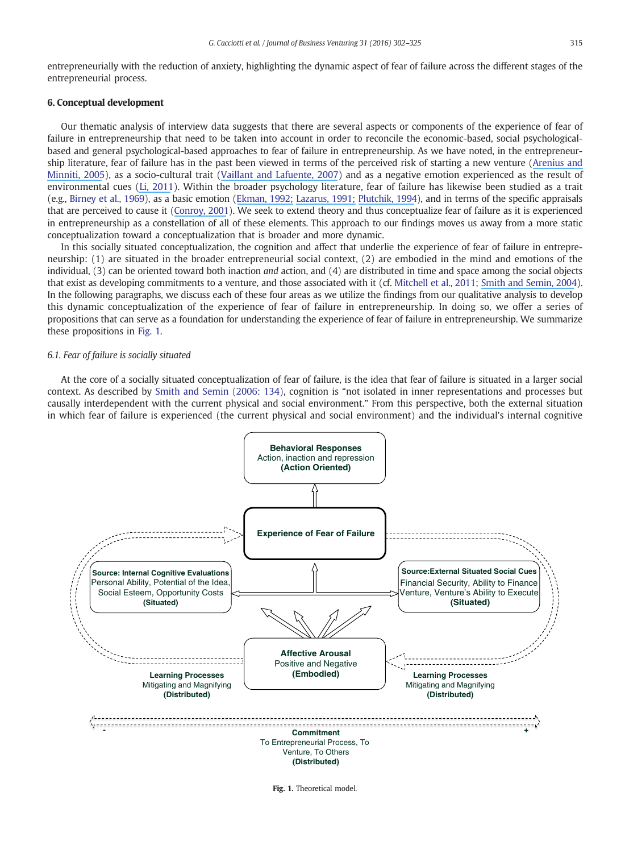<span id="page-14-0"></span>entrepreneurially with the reduction of anxiety, highlighting the dynamic aspect of fear of failure across the different stages of the entrepreneurial process.

#### 6. Conceptual development

Our thematic analysis of interview data suggests that there are several aspects or components of the experience of fear of failure in entrepreneurship that need to be taken into account in order to reconcile the economic-based, social psychologicalbased and general psychological-based approaches to fear of failure in entrepreneurship. As we have noted, in the entrepreneurship literature, fear of failure has in the past been viewed in terms of the perceived risk of starting a new venture [\(Arenius and](#page-21-0) [Minniti, 2005](#page-21-0)), as a socio-cultural trait [\(Vaillant and Lafuente, 2007\)](#page-23-0) and as a negative emotion experienced as the result of environmental cues [\(Li, 2011](#page-22-0)). Within the broader psychology literature, fear of failure has likewise been studied as a trait (e.g., [Birney et al., 1969\)](#page-21-0), as a basic emotion [\(E](#page-22-0)[kman,](https://www.researchgate.net/publication/null?el=1_x_8&enrichId=rgreq-79255f33ff526740e71246f573d8f528-XXX&enrichSource=Y292ZXJQYWdlOzMwMDMxMTExNDtBUzozOTM4NDE3ODcwNjQzMzNAMTQ3MDkxMDYwNzg3MQ==)[1992](https://www.researchgate.net/publication/null?el=1_x_8&enrichId=rgreq-79255f33ff526740e71246f573d8f528-XXX&enrichSource=Y292ZXJQYWdlOzMwMDMxMTExNDtBUzozOTM4NDE3ODcwNjQzMzNAMTQ3MDkxMDYwNzg3MQ==)[;](#page-22-0) [Lazarus,](https://www.researchgate.net/publication/null?el=1_x_8&enrichId=rgreq-79255f33ff526740e71246f573d8f528-XXX&enrichSource=Y292ZXJQYWdlOzMwMDMxMTExNDtBUzozOTM4NDE3ODcwNjQzMzNAMTQ3MDkxMDYwNzg3MQ==)[1991;](https://www.researchgate.net/publication/null?el=1_x_8&enrichId=rgreq-79255f33ff526740e71246f573d8f528-XXX&enrichSource=Y292ZXJQYWdlOzMwMDMxMTExNDtBUzozOTM4NDE3ODcwNjQzMzNAMTQ3MDkxMDYwNzg3MQ==)[Plutchik,](https://www.researchgate.net/publication/232282323_The_Psychology_and_Biology_of_Emotion?el=1_x_8&enrichId=rgreq-79255f33ff526740e71246f573d8f528-XXX&enrichSource=Y292ZXJQYWdlOzMwMDMxMTExNDtBUzozOTM4NDE3ODcwNjQzMzNAMTQ3MDkxMDYwNzg3MQ==)[199](https://www.researchgate.net/publication/232282323_The_Psychology_and_Biology_of_Emotion?el=1_x_8&enrichId=rgreq-79255f33ff526740e71246f573d8f528-XXX&enrichSource=Y292ZXJQYWdlOzMwMDMxMTExNDtBUzozOTM4NDE3ODcwNjQzMzNAMTQ3MDkxMDYwNzg3MQ==)[4](#page-22-0)), and in terms of the specific appraisals that are perceived to cause it ([Conroy, 2001](#page-22-0)). We seek to extend theory and thus conceptualize fear of failure as it is experienced in entrepreneurship as a constellation of all of these elements. This approach to our findings moves us away from a more static conceptualization toward a conceptualization that is broader and more dynamic.

In this socially situated conceptualization, the cognition and affect that underlie the experience of fear of failure in entrepreneurship: (1) are situated in the broader entrepreneurial social context, (2) are embodied in the mind and emotions of the individual,  $(3)$  can be oriented toward both inaction *and* action, and  $(4)$  are distributed in time and space among the social objects that exist as developing commitments to a venture, and those associated with it (cf. [Mitchell et al., 2011; Smith and Semin, 2004](#page-23-0)). In the following paragraphs, we discuss each of these four areas as we utilize the findings from our qualitative analysis to develop this dynamic conceptualization of the experience of fear of failure in entrepreneurship. In doing so, we offer a series of propositions that can serve as a foundation for understanding the experience of fear of failure in entrepreneurship. We summarize these propositions in Fig. 1.

#### 6.1. Fear of failure is socially situated

At the core of a socially situated conceptualization of fear of failure, is the idea that fear of failure is situated in a larger social context. As described by [Smith and Semin \(2006: 134\)](#page-23-0), cognition is "not isolated in inner representations and processes but causally interdependent with the current physical and social environment." From this perspective, both the external situation in which fear of failure is experienced (the current physical and social environment) and the individual's internal cognitive



Fig. 1. Theoretical model.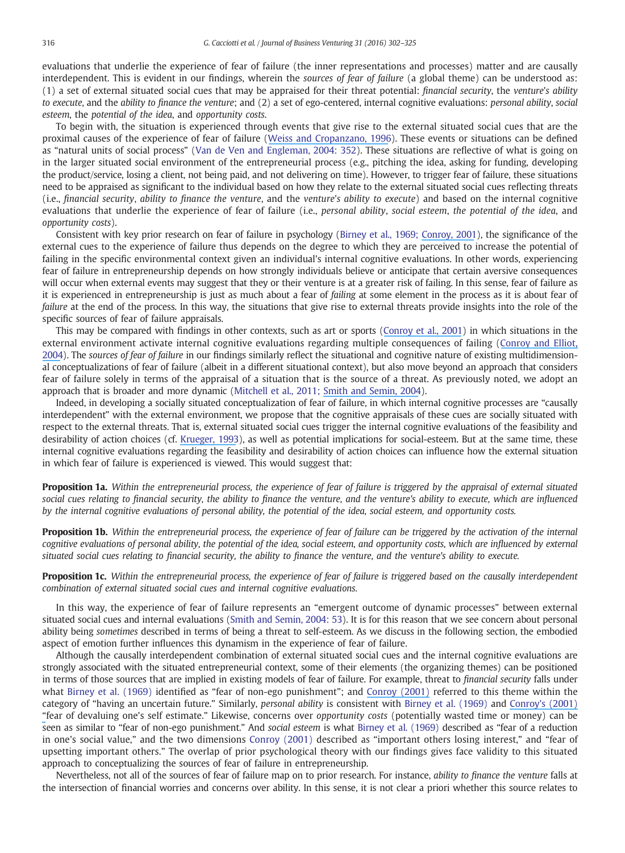<span id="page-15-0"></span>evaluations that underlie the experience of fear of failure (the inner representations and processes) matter and are causally interdependent. This is evident in our findings, wherein the sources of fear of failure (a global theme) can be understood as: (1) a set of external situated social cues that may be appraised for their threat potential: financial security, the venture's ability to execute, and the ability to finance the venture; and (2) a set of ego-centered, internal cognitive evaluations: personal ability, social esteem, the potential of the idea, and opportunity costs.

To begin with, the situation is experienced through events that give rise to the external situated social cues that are the proximal causes of the experience of fear of failure [\(Weiss and Cropanzano, 1996\)](#page-23-0). These events or situations can be defined as "natural units of social process" [\(Van de Ven and Engleman, 2004: 352](#page-23-0)). These situations are reflective of what is going on in the larger situated social environment of the entrepreneurial process (e.g., pitching the idea, asking for funding, developing the product/service, losing a client, not being paid, and not delivering on time). However, to trigger fear of failure, these situations need to be appraised as significant to the individual based on how they relate to the external situated social cues reflecting threats (i.e., financial security, ability to finance the venture, and the venture's ability to execute) and based on the internal cognitive evaluations that underlie the experience of fear of failure (i.e., personal ability, social esteem, the potential of the idea, and opportunity costs).

Consistent with key prior research on fear of failure in psychology [\(Birney et al., 1969; Conroy, 2001](#page-21-0)), the significance of the external cues to the experience of failure thus depends on the degree to which they are perceived to increase the potential of failing in the specific environmental context given an individual's internal cognitive evaluations. In other words, experiencing fear of failure in entrepreneurship depends on how strongly individuals believe or anticipate that certain aversive consequences will occur when external events may suggest that they or their venture is at a greater risk of failing. In this sense, fear of failure as it is experienced in entrepreneurship is just as much about a fear of failing at some element in the process as it is about fear of failure at the end of the process. In this way, the situations that give rise to external threats provide insights into the role of the specific sources of fear of failure appraisals.

This may be compared with findings in other contexts, such as art or sports [\(C](#page-22-0)[onroy](https://www.researchgate.net/publication/229009577_Evaluative_Criteria_and_Consequences_Associated_with_Failure_and_Success_for_Elite_Athletes_and_Performing_Artists?el=1_x_8&enrichId=rgreq-79255f33ff526740e71246f573d8f528-XXX&enrichSource=Y292ZXJQYWdlOzMwMDMxMTExNDtBUzozOTM4NDE3ODcwNjQzMzNAMTQ3MDkxMDYwNzg3MQ==)[et](https://www.researchgate.net/publication/229009577_Evaluative_Criteria_and_Consequences_Associated_with_Failure_and_Success_for_Elite_Athletes_and_Performing_Artists?el=1_x_8&enrichId=rgreq-79255f33ff526740e71246f573d8f528-XXX&enrichSource=Y292ZXJQYWdlOzMwMDMxMTExNDtBUzozOTM4NDE3ODcwNjQzMzNAMTQ3MDkxMDYwNzg3MQ==)[al.,](https://www.researchgate.net/publication/229009577_Evaluative_Criteria_and_Consequences_Associated_with_Failure_and_Success_for_Elite_Athletes_and_Performing_Artists?el=1_x_8&enrichId=rgreq-79255f33ff526740e71246f573d8f528-XXX&enrichSource=Y292ZXJQYWdlOzMwMDMxMTExNDtBUzozOTM4NDE3ODcwNjQzMzNAMTQ3MDkxMDYwNzg3MQ==)[200](https://www.researchgate.net/publication/229009577_Evaluative_Criteria_and_Consequences_Associated_with_Failure_and_Success_for_Elite_Athletes_and_Performing_Artists?el=1_x_8&enrichId=rgreq-79255f33ff526740e71246f573d8f528-XXX&enrichSource=Y292ZXJQYWdlOzMwMDMxMTExNDtBUzozOTM4NDE3ODcwNjQzMzNAMTQ3MDkxMDYwNzg3MQ==)[1\)](#page-22-0) in which situations in the external environment activate internal cognitive evaluations regarding multiple consequences of failing ([Conroy and Elliot,](#page-22-0) [200](https://www.researchgate.net/publication/228738891_Fear_of_failure_and_achievement_goals_in_sport_Addressing_the_issue_of_the_chicken_and_the_egg?el=1_x_8&enrichId=rgreq-79255f33ff526740e71246f573d8f528-XXX&enrichSource=Y292ZXJQYWdlOzMwMDMxMTExNDtBUzozOTM4NDE3ODcwNjQzMzNAMTQ3MDkxMDYwNzg3MQ==)[4\)](#page-22-0). The sources of fear of failure in our findings similarly reflect the situational and cognitive nature of existing multidimensional conceptualizations of fear of failure (albeit in a different situational context), but also move beyond an approach that considers fear of failure solely in terms of the appraisal of a situation that is the source of a threat. As previously noted, we adopt an approach that is broader and more dynamic [\(Mitchell et al., 2011; Smith and Semin, 2004\)](#page-23-0).

Indeed, in developing a socially situated conceptualization of fear of failure, in which internal cognitive processes are "causally interdependent" with the external environment, we propose that the cognitive appraisals of these cues are socially situated with respect to the external threats. That is, external situated social cues trigger the internal cognitive evaluations of the feasibility and desirability of action choices (cf. [Krueger,](https://www.researchgate.net/publication/228314730_The_Impact_of_Prior_Entrepreneurial_Exposure_on_Perceptions_of_New_Venture_Feasibility_and_Desirability?el=1_x_8&enrichId=rgreq-79255f33ff526740e71246f573d8f528-XXX&enrichSource=Y292ZXJQYWdlOzMwMDMxMTExNDtBUzozOTM4NDE3ODcwNjQzMzNAMTQ3MDkxMDYwNzg3MQ==)[199](https://www.researchgate.net/publication/228314730_The_Impact_of_Prior_Entrepreneurial_Exposure_on_Perceptions_of_New_Venture_Feasibility_and_Desirability?el=1_x_8&enrichId=rgreq-79255f33ff526740e71246f573d8f528-XXX&enrichSource=Y292ZXJQYWdlOzMwMDMxMTExNDtBUzozOTM4NDE3ODcwNjQzMzNAMTQ3MDkxMDYwNzg3MQ==)[3\)](#page-22-0), as well as potential implications for social-esteem. But at the same time, these internal cognitive evaluations regarding the feasibility and desirability of action choices can influence how the external situation in which fear of failure is experienced is viewed. This would suggest that:

Proposition 1a. Within the entrepreneurial process, the experience of fear of failure is triggered by the appraisal of external situated social cues relating to financial security, the ability to finance the venture, and the venture's ability to execute, which are influenced by the internal cognitive evaluations of personal ability, the potential of the idea, social esteem, and opportunity costs.

Proposition 1b. Within the entrepreneurial process, the experience of fear of failure can be triggered by the activation of the internal cognitive evaluations of personal ability, the potential of the idea, social esteem, and opportunity costs, which are influenced by external situated social cues relating to financial security, the ability to finance the venture, and the venture's ability to execute.

Proposition 1c. Within the entrepreneurial process, the experience of fear of failure is triggered based on the causally interdependent combination of external situated social cues and internal cognitive evaluations.

In this way, the experience of fear of failure represents an "emergent outcome of dynamic processes" between external situated social cues and internal evaluations ([Smith and Semin, 2004: 53\)](#page-23-0). It is for this reason that we see concern about personal ability being sometimes described in terms of being a threat to self-esteem. As we discuss in the following section, the embodied aspect of emotion further influences this dynamism in the experience of fear of failure.

Although the causally interdependent combination of external situated social cues and the internal cognitive evaluations are strongly associated with the situated entrepreneurial context, some of their elements (the organizing themes) can be positioned in terms of those sources that are implied in existing models of fear of failure. For example, threat to *financial security* falls under what [Birney et al. \(1969\)](#page-21-0) identified as "fear of non-ego punishment"; and [Conroy \(2001\)](#page-22-0) referred to this theme within the category of "having an uncertain future." Similarly, personal ability is consistent with [Birney et al. \(1969\)](#page-21-0) and [Conroy's \(2001\)](#page-22-0) ["](https://www.researchgate.net/publication/234710997_Fear_of_Failure_An_Exemplar_for_Social_Development_Research_in_Sport?el=1_x_8&enrichId=rgreq-79255f33ff526740e71246f573d8f528-XXX&enrichSource=Y292ZXJQYWdlOzMwMDMxMTExNDtBUzozOTM4NDE3ODcwNjQzMzNAMTQ3MDkxMDYwNzg3MQ==)fear of devaluing one's self estimate." Likewise, concerns over opportunity costs (potentially wasted time or money) can be seen as similar to "fear of non-ego punishment." And social esteem is what [Birney et al. \(1969\)](#page-21-0) described as "fear of a reduction in one's social value," and the two dimensions [Conroy \(2001\)](#page-22-0) described as "important others losing interest," and "fear of upsetting important others." The overlap of prior psychological theory with our findings gives face validity to this situated approach to conceptualizing the sources of fear of failure in entrepreneurship.

Nevertheless, not all of the sources of fear of failure map on to prior research. For instance, ability to finance the venture falls at the intersection of financial worries and concerns over ability. In this sense, it is not clear a priori whether this source relates to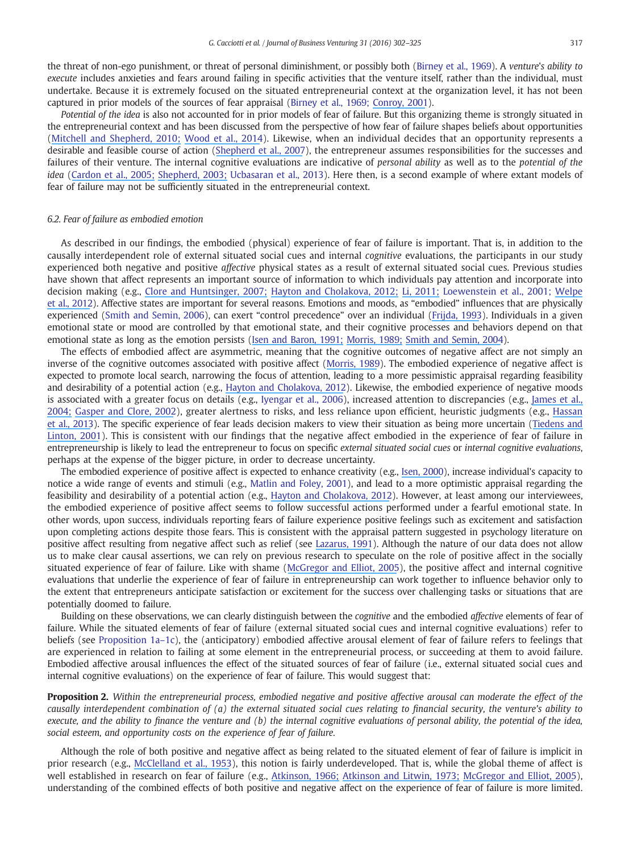the threat of non-ego punishment, or threat of personal diminishment, or possibly both [\(Birney et al., 1969\)](#page-21-0). A venture's ability to execute includes anxieties and fears around failing in specific activities that the venture itself, rather than the individual, must undertake. Because it is extremely focused on the situated entrepreneurial context at the organization level, it has not been captured in prior models of the sources of fear appraisal [\(Birney et al., 1969; Conroy, 2001\)](#page-21-0).

Potential of the idea is also not accounted for in prior models of fear of failure. But this organizing theme is strongly situated in the entrepreneurial context and has been discussed from the perspective of how fear of failure shapes beliefs about opportunities ([Mitchell and Shepherd, 2010; Wood et al., 2014\)](#page-23-0). Likewise, when an individual decides that an opportunity represents a desirable and feasible course of action ([S](#page-23-0)[hepherd](https://www.researchgate.net/publication/227763231_The_Formation_of_Opportunity_Beliefs_Overcoming_Ignorance_and_Reducing_Doubt?el=1_x_8&enrichId=rgreq-79255f33ff526740e71246f573d8f528-XXX&enrichSource=Y292ZXJQYWdlOzMwMDMxMTExNDtBUzozOTM4NDE3ODcwNjQzMzNAMTQ3MDkxMDYwNzg3MQ==)[et](https://www.researchgate.net/publication/227763231_The_Formation_of_Opportunity_Beliefs_Overcoming_Ignorance_and_Reducing_Doubt?el=1_x_8&enrichId=rgreq-79255f33ff526740e71246f573d8f528-XXX&enrichSource=Y292ZXJQYWdlOzMwMDMxMTExNDtBUzozOTM4NDE3ODcwNjQzMzNAMTQ3MDkxMDYwNzg3MQ==)[al.,](https://www.researchgate.net/publication/227763231_The_Formation_of_Opportunity_Beliefs_Overcoming_Ignorance_and_Reducing_Doubt?el=1_x_8&enrichId=rgreq-79255f33ff526740e71246f573d8f528-XXX&enrichSource=Y292ZXJQYWdlOzMwMDMxMTExNDtBUzozOTM4NDE3ODcwNjQzMzNAMTQ3MDkxMDYwNzg3MQ==)[200](https://www.researchgate.net/publication/227763231_The_Formation_of_Opportunity_Beliefs_Overcoming_Ignorance_and_Reducing_Doubt?el=1_x_8&enrichId=rgreq-79255f33ff526740e71246f573d8f528-XXX&enrichSource=Y292ZXJQYWdlOzMwMDMxMTExNDtBUzozOTM4NDE3ODcwNjQzMzNAMTQ3MDkxMDYwNzg3MQ==)[7\)](#page-23-0), the entrepreneur assumes responsibilities for the successes and failures of their venture. The internal cognitive evaluations are indicative of personal ability as well as to the potential of the idea [\(C](#page-22-0)[ardon](https://www.researchgate.net/publication/223544889_A_Tale_of_Passion_New_Insights_into_Entrepreneurship_from_a_Parenthood_Metaphor?el=1_x_8&enrichId=rgreq-79255f33ff526740e71246f573d8f528-XXX&enrichSource=Y292ZXJQYWdlOzMwMDMxMTExNDtBUzozOTM4NDE3ODcwNjQzMzNAMTQ3MDkxMDYwNzg3MQ==)[et](https://www.researchgate.net/publication/223544889_A_Tale_of_Passion_New_Insights_into_Entrepreneurship_from_a_Parenthood_Metaphor?el=1_x_8&enrichId=rgreq-79255f33ff526740e71246f573d8f528-XXX&enrichSource=Y292ZXJQYWdlOzMwMDMxMTExNDtBUzozOTM4NDE3ODcwNjQzMzNAMTQ3MDkxMDYwNzg3MQ==)[al.,](https://www.researchgate.net/publication/223544889_A_Tale_of_Passion_New_Insights_into_Entrepreneurship_from_a_Parenthood_Metaphor?el=1_x_8&enrichId=rgreq-79255f33ff526740e71246f573d8f528-XXX&enrichSource=Y292ZXJQYWdlOzMwMDMxMTExNDtBUzozOTM4NDE3ODcwNjQzMzNAMTQ3MDkxMDYwNzg3MQ==)[2005;](https://www.researchgate.net/publication/223544889_A_Tale_of_Passion_New_Insights_into_Entrepreneurship_from_a_Parenthood_Metaphor?el=1_x_8&enrichId=rgreq-79255f33ff526740e71246f573d8f528-XXX&enrichSource=Y292ZXJQYWdlOzMwMDMxMTExNDtBUzozOTM4NDE3ODcwNjQzMzNAMTQ3MDkxMDYwNzg3MQ==) [S](#page-22-0)[hepherd,](https://www.researchgate.net/publication/255625548_Learning_from_Business_Failure_Propositions_of_Grief_Recovery_for_the_Self-Employed?el=1_x_8&enrichId=rgreq-79255f33ff526740e71246f573d8f528-XXX&enrichSource=Y292ZXJQYWdlOzMwMDMxMTExNDtBUzozOTM4NDE3ODcwNjQzMzNAMTQ3MDkxMDYwNzg3MQ==)[2003;](https://www.researchgate.net/publication/255625548_Learning_from_Business_Failure_Propositions_of_Grief_Recovery_for_the_Self-Employed?el=1_x_8&enrichId=rgreq-79255f33ff526740e71246f573d8f528-XXX&enrichSource=Y292ZXJQYWdlOzMwMDMxMTExNDtBUzozOTM4NDE3ODcwNjQzMzNAMTQ3MDkxMDYwNzg3MQ==) [Ucbasaran et al., 2013\)](#page-22-0). Here then, is a second example of where extant models of fear of failure may not be sufficiently situated in the entrepreneurial context.

#### 6.2. Fear of failure as embodied emotion

As described in our findings, the embodied (physical) experience of fear of failure is important. That is, in addition to the causally interdependent role of external situated social cues and internal cognitive evaluations, the participants in our study experienced both negative and positive affective physical states as a result of external situated social cues. Previous studies have shown that affect represents an important source of information to which individuals pay attention and incorporate into decision making (e.g., [Clore and Huntsinger, 2007; Hayton and Cholakova, 2012; Li, 2011; Loewenstein et al., 2001; Welpe](#page-22-0) [et](https://www.researchgate.net/publication/227980856_Emotions_and_Opportunities_The_Interplay_of_Opportunity_Evaluation_Fear_Joy_and_Anger_as_Antecedent_of_Entrepreneurial_Exploitation?el=1_x_8&enrichId=rgreq-79255f33ff526740e71246f573d8f528-XXX&enrichSource=Y292ZXJQYWdlOzMwMDMxMTExNDtBUzozOTM4NDE3ODcwNjQzMzNAMTQ3MDkxMDYwNzg3MQ==)[al.,](https://www.researchgate.net/publication/227980856_Emotions_and_Opportunities_The_Interplay_of_Opportunity_Evaluation_Fear_Joy_and_Anger_as_Antecedent_of_Entrepreneurial_Exploitation?el=1_x_8&enrichId=rgreq-79255f33ff526740e71246f573d8f528-XXX&enrichSource=Y292ZXJQYWdlOzMwMDMxMTExNDtBUzozOTM4NDE3ODcwNjQzMzNAMTQ3MDkxMDYwNzg3MQ==)[201](https://www.researchgate.net/publication/227980856_Emotions_and_Opportunities_The_Interplay_of_Opportunity_Evaluation_Fear_Joy_and_Anger_as_Antecedent_of_Entrepreneurial_Exploitation?el=1_x_8&enrichId=rgreq-79255f33ff526740e71246f573d8f528-XXX&enrichSource=Y292ZXJQYWdlOzMwMDMxMTExNDtBUzozOTM4NDE3ODcwNjQzMzNAMTQ3MDkxMDYwNzg3MQ==)[2\)](#page-22-0). Affective states are important for several reasons. Emotions and moods, as "embodied" influences that are physically experienced ([Smith and Semin, 2006\)](#page-23-0), can exert "control precedence" over an individual [\(Frijda, 1993\)](#page-22-0). Individuals in a given emotional state or mood are controlled by that emotional state, and their cognitive processes and behaviors depend on that emotional state as long as the emotion persists [\(Isen and Baron, 1991; Morris, 1989; Smith and Semin, 2004](#page-22-0)).

The effects of embodied affect are asymmetric, meaning that the cognitive outcomes of negative affect are not simply an inverse of the cognitive outcomes associated with positive affect [\(Morris, 1989\)](#page-23-0). The embodied experience of negative affect is expected to promote local search, narrowing the focus of attention, leading to a more pessimistic appraisal regarding feasibility and desirability of a potential action (e.g., [Hayton and Cholakova, 2012](#page-22-0)). Likewise, the embodied experience of negative moods is associated with a greater focus on details (e.g., [Iyengar et al., 2006\)](#page-22-0), increased attention to discrepancies (e.g., [James et al.](#page-22-0)[,](https://www.researchgate.net/publication/247502107_Workplace_Affect_and_Workplace_Creativity_A_Review_and_Preliminary_Model?el=1_x_8&enrichId=rgreq-79255f33ff526740e71246f573d8f528-XXX&enrichSource=Y292ZXJQYWdlOzMwMDMxMTExNDtBUzozOTM4NDE3ODcwNjQzMzNAMTQ3MDkxMDYwNzg3MQ==) [2004; Gasper and Clore, 2002\)](#page-22-0), greater alertness to risks, and less reliance upon efficient, heuristic judgments (e.g., [Hassan](#page-22-0) [et al., 2013](#page-22-0)). The specific experience of fear leads decision makers to view their situation as being more uncertain ([Tiedens and](#page-23-0) [Linton, 2001](#page-23-0)). This is consistent with our findings that the negative affect embodied in the experience of fear of failure in entrepreneurship is likely to lead the entrepreneur to focus on specific external situated social cues or internal cognitive evaluations, perhaps at the expense of the bigger picture, in order to decrease uncertainty.

The embodied experience of positive affect is expected to enhance creativity (e.g., [Isen, 2000](#page-22-0)), increase individual's capacity to notice a wide range of events and stimuli (e.g., [Matlin and Foley, 2001](#page-23-0)), and lead to a more optimistic appraisal regarding the feasibility and desirability of a potential action (e.g., [Hayton and Cholakova, 2012](#page-22-0)). However, at least among our interviewees, the embodied experience of positive affect seems to follow successful actions performed under a fearful emotional state. In other words, upon success, individuals reporting fears of failure experience positive feelings such as excitement and satisfaction upon completing actions despite those fears. This is consistent with the appraisal pattern suggested in psychology literature on positive affect resulting from negative affect such as relief (see [Lazarus, 1991\)](#page-22-0). Although the nature of our data does not allow us to make clear causal assertions, we can rely on previous research to speculate on the role of positive affect in the socially situated experience of fear of failure. Like with shame [\(McGregor and Elliot, 2005\)](#page-23-0), the positive affect and internal cognitive evaluations that underlie the experience of fear of failure in entrepreneurship can work together to influence behavior only to the extent that entrepreneurs anticipate satisfaction or excitement for the success over challenging tasks or situations that are potentially doomed to failure.

Building on these observations, we can clearly distinguish between the cognitive and the embodied affective elements of fear of failure. While the situated elements of fear of failure (external situated social cues and internal cognitive evaluations) refer to beliefs (see [Proposition 1a](#page-15-0)–1c), the (anticipatory) embodied affective arousal element of fear of failure refers to feelings that are experienced in relation to failing at some element in the entrepreneurial process, or succeeding at them to avoid failure. Embodied affective arousal influences the effect of the situated sources of fear of failure (i.e., external situated social cues and internal cognitive evaluations) on the experience of fear of failure. This would suggest that:

Proposition 2. Within the entrepreneurial process, embodied negative and positive affective arousal can moderate the effect of the causally interdependent combination of (a) the external situated social cues relating to financial security, the venture's ability to execute, and the ability to finance the venture and (b) the internal cognitive evaluations of personal ability, the potential of the idea, social esteem, and opportunity costs on the experience of fear of failure.

Although the role of both positive and negative affect as being related to the situated element of fear of failure is implicit in prior research (e.g., [McClelland et al., 1953\)](#page-23-0), this notion is fairly underdeveloped. That is, while the global theme of affect is well established in research on fear of failure (e.g., [Atkinson,](https://www.researchgate.net/publication/null?el=1_x_8&enrichId=rgreq-79255f33ff526740e71246f573d8f528-XXX&enrichSource=Y292ZXJQYWdlOzMwMDMxMTExNDtBUzozOTM4NDE3ODcwNjQzMzNAMTQ3MDkxMDYwNzg3MQ==)[1966](https://www.researchgate.net/publication/null?el=1_x_8&enrichId=rgreq-79255f33ff526740e71246f573d8f528-XXX&enrichSource=Y292ZXJQYWdlOzMwMDMxMTExNDtBUzozOTM4NDE3ODcwNjQzMzNAMTQ3MDkxMDYwNzg3MQ==)[;](#page-21-0) [Atkinson](https://www.researchgate.net/publication/null?el=1_x_8&enrichId=rgreq-79255f33ff526740e71246f573d8f528-XXX&enrichSource=Y292ZXJQYWdlOzMwMDMxMTExNDtBUzozOTM4NDE3ODcwNjQzMzNAMTQ3MDkxMDYwNzg3MQ==)[and](https://www.researchgate.net/publication/null?el=1_x_8&enrichId=rgreq-79255f33ff526740e71246f573d8f528-XXX&enrichSource=Y292ZXJQYWdlOzMwMDMxMTExNDtBUzozOTM4NDE3ODcwNjQzMzNAMTQ3MDkxMDYwNzg3MQ==)[Litwin,](https://www.researchgate.net/publication/null?el=1_x_8&enrichId=rgreq-79255f33ff526740e71246f573d8f528-XXX&enrichSource=Y292ZXJQYWdlOzMwMDMxMTExNDtBUzozOTM4NDE3ODcwNjQzMzNAMTQ3MDkxMDYwNzg3MQ==)[1973](https://www.researchgate.net/publication/null?el=1_x_8&enrichId=rgreq-79255f33ff526740e71246f573d8f528-XXX&enrichSource=Y292ZXJQYWdlOzMwMDMxMTExNDtBUzozOTM4NDE3ODcwNjQzMzNAMTQ3MDkxMDYwNzg3MQ==)[;](#page-21-0) [McGregor](https://www.researchgate.net/publication/null?el=1_x_8&enrichId=rgreq-79255f33ff526740e71246f573d8f528-XXX&enrichSource=Y292ZXJQYWdlOzMwMDMxMTExNDtBUzozOTM4NDE3ODcwNjQzMzNAMTQ3MDkxMDYwNzg3MQ==)[and](https://www.researchgate.net/publication/null?el=1_x_8&enrichId=rgreq-79255f33ff526740e71246f573d8f528-XXX&enrichSource=Y292ZXJQYWdlOzMwMDMxMTExNDtBUzozOTM4NDE3ODcwNjQzMzNAMTQ3MDkxMDYwNzg3MQ==)[Elliot,](https://www.researchgate.net/publication/null?el=1_x_8&enrichId=rgreq-79255f33ff526740e71246f573d8f528-XXX&enrichSource=Y292ZXJQYWdlOzMwMDMxMTExNDtBUzozOTM4NDE3ODcwNjQzMzNAMTQ3MDkxMDYwNzg3MQ==)[200](https://www.researchgate.net/publication/null?el=1_x_8&enrichId=rgreq-79255f33ff526740e71246f573d8f528-XXX&enrichSource=Y292ZXJQYWdlOzMwMDMxMTExNDtBUzozOTM4NDE3ODcwNjQzMzNAMTQ3MDkxMDYwNzg3MQ==)[5](#page-21-0)), understanding of the combined effects of both positive and negative affect on the experience of fear of failure is more limited.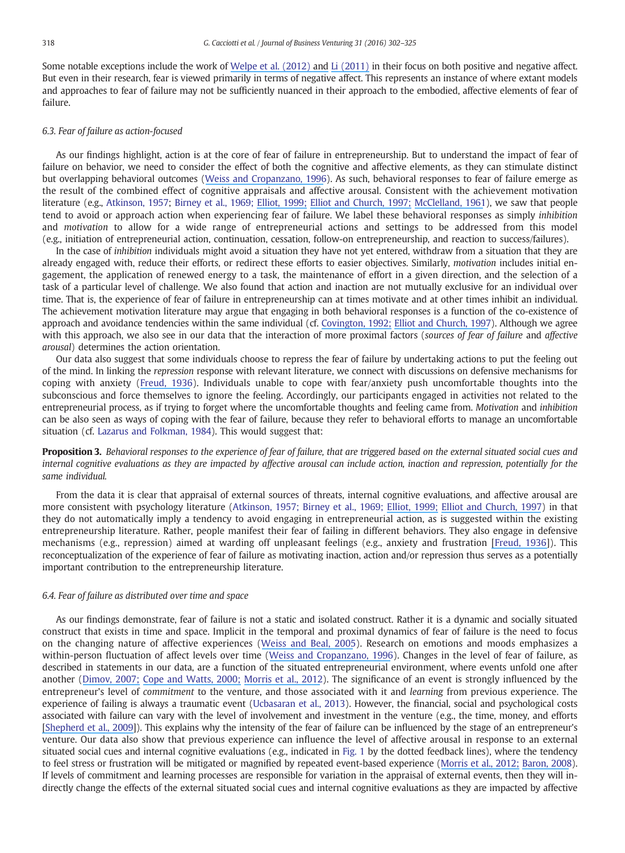Some notable exceptions include the work of [Welpe](https://www.researchgate.net/publication/227980856_Emotions_and_Opportunities_The_Interplay_of_Opportunity_Evaluation_Fear_Joy_and_Anger_as_Antecedent_of_Entrepreneurial_Exploitation?el=1_x_8&enrichId=rgreq-79255f33ff526740e71246f573d8f528-XXX&enrichSource=Y292ZXJQYWdlOzMwMDMxMTExNDtBUzozOTM4NDE3ODcwNjQzMzNAMTQ3MDkxMDYwNzg3MQ==)[et](https://www.researchgate.net/publication/227980856_Emotions_and_Opportunities_The_Interplay_of_Opportunity_Evaluation_Fear_Joy_and_Anger_as_Antecedent_of_Entrepreneurial_Exploitation?el=1_x_8&enrichId=rgreq-79255f33ff526740e71246f573d8f528-XXX&enrichSource=Y292ZXJQYWdlOzMwMDMxMTExNDtBUzozOTM4NDE3ODcwNjQzMzNAMTQ3MDkxMDYwNzg3MQ==)[al.](https://www.researchgate.net/publication/227980856_Emotions_and_Opportunities_The_Interplay_of_Opportunity_Evaluation_Fear_Joy_and_Anger_as_Antecedent_of_Entrepreneurial_Exploitation?el=1_x_8&enrichId=rgreq-79255f33ff526740e71246f573d8f528-XXX&enrichSource=Y292ZXJQYWdlOzMwMDMxMTExNDtBUzozOTM4NDE3ODcwNjQzMzNAMTQ3MDkxMDYwNzg3MQ==)[\(2012\)](https://www.researchgate.net/publication/227980856_Emotions_and_Opportunities_The_Interplay_of_Opportunity_Evaluation_Fear_Joy_and_Anger_as_Antecedent_of_Entrepreneurial_Exploitation?el=1_x_8&enrichId=rgreq-79255f33ff526740e71246f573d8f528-XXX&enrichSource=Y292ZXJQYWdlOzMwMDMxMTExNDtBUzozOTM4NDE3ODcwNjQzMzNAMTQ3MDkxMDYwNzg3MQ==) and [Li](https://www.researchgate.net/publication/225369976_Emotions_and_new_venture_judgment_in_China?el=1_x_8&enrichId=rgreq-79255f33ff526740e71246f573d8f528-XXX&enrichSource=Y292ZXJQYWdlOzMwMDMxMTExNDtBUzozOTM4NDE3ODcwNjQzMzNAMTQ3MDkxMDYwNzg3MQ==)[\(2011\)](https://www.researchgate.net/publication/225369976_Emotions_and_new_venture_judgment_in_China?el=1_x_8&enrichId=rgreq-79255f33ff526740e71246f573d8f528-XXX&enrichSource=Y292ZXJQYWdlOzMwMDMxMTExNDtBUzozOTM4NDE3ODcwNjQzMzNAMTQ3MDkxMDYwNzg3MQ==) in their focus on both positive and negative affect. But even in their research, fear is viewed primarily in terms of negative affect. This represents an instance of where extant models and approaches to fear of failure may not be sufficiently nuanced in their approach to the embodied, affective elements of fear of failure.

#### 6.3. Fear of failure as action-focused

As our findings highlight, action is at the core of fear of failure in entrepreneurship. But to understand the impact of fear of failure on behavior, we need to consider the effect of both the cognitive and affective elements, as they can stimulate distinct but overlapping behavioral outcomes ([Weiss and Cropanzano, 1996](#page-23-0)). As such, behavioral responses to fear of failure emerge as the result of the combined effect of cognitive appraisals and affective arousal. Consistent with the achievement motivation literature (e.g., [Atkinson, 1957;](#page-21-0) [Birney et al., 1969; Elliot, 1999; Elliot and Church, 1997; McClelland, 1961](#page-21-0)), we saw that people tend to avoid or approach action when experiencing fear of failure. We label these behavioral responses as simply inhibition and motivation to allow for a wide range of entrepreneurial actions and settings to be addressed from this model (e.g., initiation of entrepreneurial action, continuation, cessation, follow-on entrepreneurship, and reaction to success/failures).

In the case of inhibition individuals might avoid a situation they have not yet entered, withdraw from a situation that they are already engaged with, reduce their efforts, or redirect these efforts to easier objectives. Similarly, motivation includes initial engagement, the application of renewed energy to a task, the maintenance of effort in a given direction, and the selection of a task of a particular level of challenge. We also found that action and inaction are not mutually exclusive for an individual over time. That is, the experience of fear of failure in entrepreneurship can at times motivate and at other times inhibit an individual. The achievement motivation literature may argue that engaging in both behavioral responses is a function of the co-existence of approach and avoidance tendencies within the same individual (cf. [Covington, 1992; Elliot and Church, 1997](#page-22-0)). Although we agree with this approach, we also see in our data that the interaction of more proximal factors (sources of fear of failure and affective arousal) determines the action orientation.

Our data also suggest that some individuals choose to repress the fear of failure by undertaking actions to put the feeling out of the mind. In linking the repression response with relevant literature, we connect with discussions on defensive mechanisms for coping with anxiety [\(Freud, 1936\)](#page-22-0). Individuals unable to cope with fear/anxiety push uncomfortable thoughts into the subconscious and force themselves to ignore the feeling. Accordingly, our participants engaged in activities not related to the entrepreneurial process, as if trying to forget where the uncomfortable thoughts and feeling came from. Motivation and inhibition can be also seen as ways of coping with the fear of failure, because they refer to behavioral efforts to manage an uncomfortable situation (cf. [Lazarus and Folkman, 1984\)](#page-22-0). This would suggest that:

Proposition 3. Behavioral responses to the experience of fear of failure, that are triggered based on the external situated social cues and internal cognitive evaluations as they are impacted by affective arousal can include action, inaction and repression, potentially for the same individual.

From the data it is clear that appraisal of external sources of threats, internal cognitive evaluations, and affective arousal are more consistent with psychology literature ([Atkinson, 1957; Birney et al., 1969; Elliot, 1999; Elliot and Church, 1997\)](#page-21-0) in that they do not automatically imply a tendency to avoid engaging in entrepreneurial action, as is suggested within the existing entrepreneurship literature. Rather, people manifest their fear of failing in different behaviors. They also engage in defensive mechanisms (e.g., repression) aimed at warding off unpleasant feelings (e.g., anxiety and frustration [\[F](https://www.researchgate.net/publication/247864720_The_Ego_and_Mechanisms_of_Defence?el=1_x_8&enrichId=rgreq-79255f33ff526740e71246f573d8f528-XXX&enrichSource=Y292ZXJQYWdlOzMwMDMxMTExNDtBUzozOTM4NDE3ODcwNjQzMzNAMTQ3MDkxMDYwNzg3MQ==)[reud, 1936](#page-22-0)[\]](https://www.researchgate.net/publication/247864720_The_Ego_and_Mechanisms_of_Defence?el=1_x_8&enrichId=rgreq-79255f33ff526740e71246f573d8f528-XXX&enrichSource=Y292ZXJQYWdlOzMwMDMxMTExNDtBUzozOTM4NDE3ODcwNjQzMzNAMTQ3MDkxMDYwNzg3MQ==)). This reconceptualization of the experience of fear of failure as motivating inaction, action and/or repression thus serves as a potentially important contribution to the entrepreneurship literature.

#### 6.4. Fear of failure as distributed over time and space

As our findings demonstrate, fear of failure is not a static and isolated construct. Rather it is a dynamic and socially situated construct that exists in time and space. Implicit in the temporal and proximal dynamics of fear of failure is the need to focus on the changing nature of affective experiences ([Weiss](https://www.researchgate.net/publication/243459479_Reflections_on_Affective_Events_Theory?el=1_x_8&enrichId=rgreq-79255f33ff526740e71246f573d8f528-XXX&enrichSource=Y292ZXJQYWdlOzMwMDMxMTExNDtBUzozOTM4NDE3ODcwNjQzMzNAMTQ3MDkxMDYwNzg3MQ==)[and](https://www.researchgate.net/publication/243459479_Reflections_on_Affective_Events_Theory?el=1_x_8&enrichId=rgreq-79255f33ff526740e71246f573d8f528-XXX&enrichSource=Y292ZXJQYWdlOzMwMDMxMTExNDtBUzozOTM4NDE3ODcwNjQzMzNAMTQ3MDkxMDYwNzg3MQ==)[Beal,](https://www.researchgate.net/publication/243459479_Reflections_on_Affective_Events_Theory?el=1_x_8&enrichId=rgreq-79255f33ff526740e71246f573d8f528-XXX&enrichSource=Y292ZXJQYWdlOzMwMDMxMTExNDtBUzozOTM4NDE3ODcwNjQzMzNAMTQ3MDkxMDYwNzg3MQ==)[200](https://www.researchgate.net/publication/243459479_Reflections_on_Affective_Events_Theory?el=1_x_8&enrichId=rgreq-79255f33ff526740e71246f573d8f528-XXX&enrichSource=Y292ZXJQYWdlOzMwMDMxMTExNDtBUzozOTM4NDE3ODcwNjQzMzNAMTQ3MDkxMDYwNzg3MQ==)[5\)](#page-23-0). Research on emotions and moods emphasizes a within-person fluctuation of affect levels over time [\(Weiss and Cropanzano, 1996](#page-23-0)). Changes in the level of fear of failure, as described in statements in our data, are a function of the situated entrepreneurial environment, where events unfold one after another ([Dimov, 2007; Cope and Watts, 2000; Morris et al., 2012](#page-22-0)). The significance of an event is strongly influenced by the entrepreneur's level of commitment to the venture, and those associated with it and learning from previous experience. The experience of failing is always a traumatic event [\(Ucbasaran et al., 2013\)](#page-23-0). However, the financial, social and psychological costs associated with failure can vary with the level of involvement and investment in the venture (e.g., the time, money, and efforts [\[S](https://www.researchgate.net/publication/null?el=1_x_8&enrichId=rgreq-79255f33ff526740e71246f573d8f528-XXX&enrichSource=Y292ZXJQYWdlOzMwMDMxMTExNDtBUzozOTM4NDE3ODcwNjQzMzNAMTQ3MDkxMDYwNzg3MQ==)[hepherd et al., 2009\]](#page-23-0)). This explains why the intensity of the fear of failure can be influenced by the stage of an entrepreneur's venture. Our data also show that previous experience can influence the level of affective arousal in response to an external situated social cues and internal cognitive evaluations (e.g., indicated in [Fig. 1](#page-14-0) by the dotted feedback lines), where the tendency to feel stress or frustration will be mitigated or magnified by repeated event-based experience ([Morris et al., 2012; Baron, 2008\)](#page-23-0). If levels of commitment and learning processes are responsible for variation in the appraisal of external events, then they will indirectly change the effects of the external situated social cues and internal cognitive evaluations as they are impacted by affective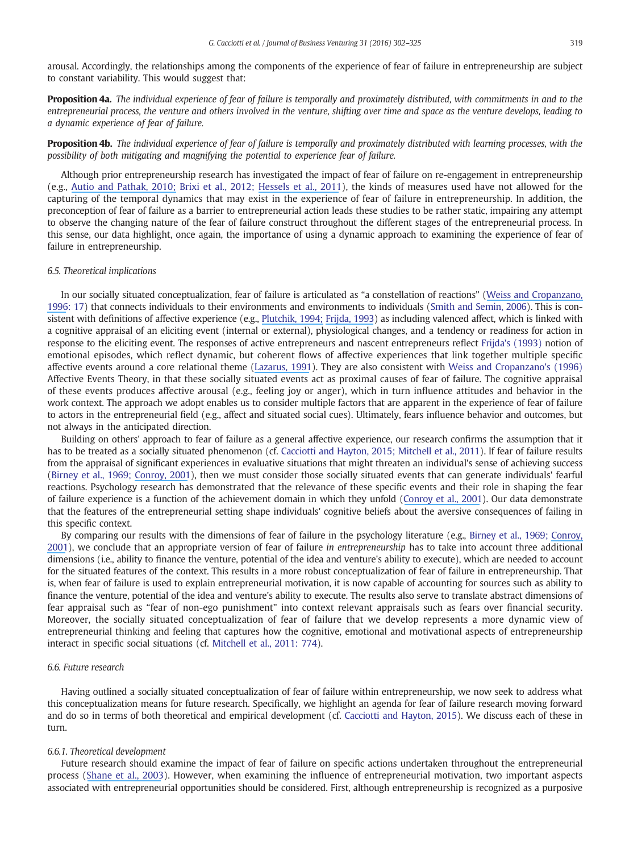arousal. Accordingly, the relationships among the components of the experience of fear of failure in entrepreneurship are subject to constant variability. This would suggest that:

Proposition 4a. The individual experience of fear of failure is temporally and proximately distributed, with commitments in and to the entrepreneurial process, the venture and others involved in the venture, shifting over time and space as the venture develops, leading to a dynamic experience of fear of failure.

Proposition 4b. The individual experience of fear of failure is temporally and proximately distributed with learning processes, with the possibility of both mitigating and magnifying the potential to experience fear of failure.

Although prior entrepreneurship research has investigated the impact of fear of failure on re-engagement in entrepreneurship (e.g., [Autio and Pathak, 2010; Brixi et al., 2012;](#page-21-0) [Hessels et al., 2011\)](#page-22-0), the kinds of measures used have not allowed for the capturing of the temporal dynamics that may exist in the experience of fear of failure in entrepreneurship. In addition, the preconception of fear of failure as a barrier to entrepreneurial action leads these studies to be rather static, impairing any attempt to observe the changing nature of the fear of failure construct throughout the different stages of the entrepreneurial process. In this sense, our data highlight, once again, the importance of using a dynamic approach to examining the experience of fear of failure in entrepreneurship.

#### 6.5. Theoretical implications

In our socially situated conceptualization, fear of failure is articulated as "a constellation of reactions" ([Weiss and Cropanzano,](#page-23-0) [199](https://www.researchgate.net/publication/292525724_Affective_events_theory_A_theoretical_discussion_of_the_structure_causes_and_consequences_of_affective_experiences_and_job_beliefs_on_job_satisfaction_and_variations_in_affective_experiences_over_time?el=1_x_8&enrichId=rgreq-79255f33ff526740e71246f573d8f528-XXX&enrichSource=Y292ZXJQYWdlOzMwMDMxMTExNDtBUzozOTM4NDE3ODcwNjQzMzNAMTQ3MDkxMDYwNzg3MQ==)[6: 17](#page-23-0)) that connects individuals to their environments and environments to individuals [\(Smith and Semin, 2006\)](#page-23-0). This is consistent with definitions of affective experience (e.g., [Plutchik, 1994; Frijda, 1993\)](#page-23-0) as including valenced affect, which is linked with a cognitive appraisal of an eliciting event (internal or external), physiological changes, and a tendency or readiness for action in response to the eliciting event. The responses of active entrepreneurs and nascent entrepreneurs reflect [Frijda's \(1993\)](#page-22-0) notion of emotional episodes, which reflect dynamic, but coherent flows of affective experiences that link together multiple specific affective events around a core relational theme ([Lazarus, 1991](#page-22-0)). They are also consistent with [Weiss and Cropanzano's \(1996\)](#page-23-0) Affective Events Theory, in that these socially situated events act as proximal causes of fear of failure. The cognitive appraisal of these events produces affective arousal (e.g., feeling joy or anger), which in turn influence attitudes and behavior in the work context. The approach we adopt enables us to consider multiple factors that are apparent in the experience of fear of failure to actors in the entrepreneurial field (e.g., affect and situated social cues). Ultimately, fears influence behavior and outcomes, but not always in the anticipated direction.

Building on others' approach to fear of failure as a general affective experience, our research confirms the assumption that it has to be treated as a socially situated phenomenon (cf. [Cacciotti and Hayton, 2015; Mitchell et al., 2011\)](#page-22-0). If fear of failure results from the appraisal of significant experiences in evaluative situations that might threaten an individual's sense of achieving success ([Birney et al., 1969; Conroy, 2001\)](#page-21-0), then we must consider those socially situated events that can generate individuals' fearful reactions. Psychology research has demonstrated that the relevance of these specific events and their role in shaping the fear of failure experience is a function of the achievement domain in which they unfold [\(Conroy et al., 2001\)](#page-22-0). Our data demonstrate that the features of the entrepreneurial setting shape individuals' cognitive beliefs about the aversive consequences of failing in this specific context.

By comparing our results with the dimensions of fear of failure in the psychology literature (e.g., [Birney et al., 1969;](#page-21-0) [Conroy,](https://www.researchgate.net/publication/234710997_Fear_of_Failure_An_Exemplar_for_Social_Development_Research_in_Sport?el=1_x_8&enrichId=rgreq-79255f33ff526740e71246f573d8f528-XXX&enrichSource=Y292ZXJQYWdlOzMwMDMxMTExNDtBUzozOTM4NDE3ODcwNjQzMzNAMTQ3MDkxMDYwNzg3MQ==) [2001](#page-21-0)), we conclude that an appropriate version of fear of failure in entrepreneurship has to take into account three additional dimensions (i.e., ability to finance the venture, potential of the idea and venture's ability to execute), which are needed to account for the situated features of the context. This results in a more robust conceptualization of fear of failure in entrepreneurship. That is, when fear of failure is used to explain entrepreneurial motivation, it is now capable of accounting for sources such as ability to finance the venture, potential of the idea and venture's ability to execute. The results also serve to translate abstract dimensions of fear appraisal such as "fear of non-ego punishment" into context relevant appraisals such as fears over financial security. Moreover, the socially situated conceptualization of fear of failure that we develop represents a more dynamic view of entrepreneurial thinking and feeling that captures how the cognitive, emotional and motivational aspects of entrepreneurship interact in specific social situations (cf. [Mitchell et al., 2011: 774](#page-23-0)).

#### 6.6. Future research

Having outlined a socially situated conceptualization of fear of failure within entrepreneurship, we now seek to address what this conceptualization means for future research. Specifically, we highlight an agenda for fear of failure research moving forward and do so in terms of both theoretical and empirical development (cf. [Cacciotti and Hayton, 2015\)](#page-22-0). We discuss each of these in turn.

#### 6.6.1. Theoretical development

Future research should examine the impact of fear of failure on specific actions undertaken throughout the entrepreneurial process [\(S](#page-23-0)[hane](https://www.researchgate.net/publication/null?el=1_x_8&enrichId=rgreq-79255f33ff526740e71246f573d8f528-XXX&enrichSource=Y292ZXJQYWdlOzMwMDMxMTExNDtBUzozOTM4NDE3ODcwNjQzMzNAMTQ3MDkxMDYwNzg3MQ==)[et](https://www.researchgate.net/publication/null?el=1_x_8&enrichId=rgreq-79255f33ff526740e71246f573d8f528-XXX&enrichSource=Y292ZXJQYWdlOzMwMDMxMTExNDtBUzozOTM4NDE3ODcwNjQzMzNAMTQ3MDkxMDYwNzg3MQ==)[al.,](https://www.researchgate.net/publication/null?el=1_x_8&enrichId=rgreq-79255f33ff526740e71246f573d8f528-XXX&enrichSource=Y292ZXJQYWdlOzMwMDMxMTExNDtBUzozOTM4NDE3ODcwNjQzMzNAMTQ3MDkxMDYwNzg3MQ==)[200](https://www.researchgate.net/publication/null?el=1_x_8&enrichId=rgreq-79255f33ff526740e71246f573d8f528-XXX&enrichSource=Y292ZXJQYWdlOzMwMDMxMTExNDtBUzozOTM4NDE3ODcwNjQzMzNAMTQ3MDkxMDYwNzg3MQ==)[3\)](#page-23-0). However, when examining the influence of entrepreneurial motivation, two important aspects associated with entrepreneurial opportunities should be considered. First, although entrepreneurship is recognized as a purposive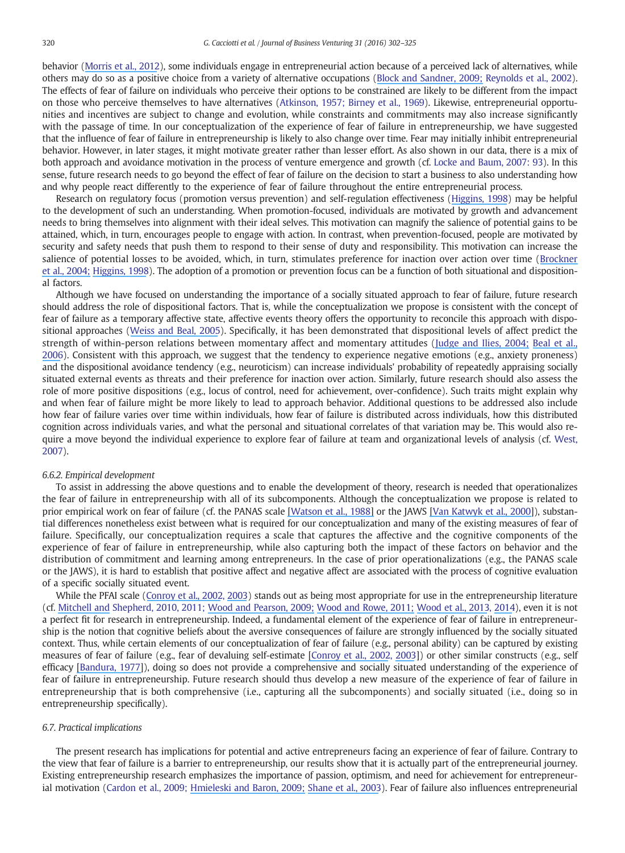behavior ([Morris](https://www.researchgate.net/publication/228270017_Framing_the_Entrepreneurial_Experience?el=1_x_8&enrichId=rgreq-79255f33ff526740e71246f573d8f528-XXX&enrichSource=Y292ZXJQYWdlOzMwMDMxMTExNDtBUzozOTM4NDE3ODcwNjQzMzNAMTQ3MDkxMDYwNzg3MQ==)[et](https://www.researchgate.net/publication/228270017_Framing_the_Entrepreneurial_Experience?el=1_x_8&enrichId=rgreq-79255f33ff526740e71246f573d8f528-XXX&enrichSource=Y292ZXJQYWdlOzMwMDMxMTExNDtBUzozOTM4NDE3ODcwNjQzMzNAMTQ3MDkxMDYwNzg3MQ==)[al.,](https://www.researchgate.net/publication/228270017_Framing_the_Entrepreneurial_Experience?el=1_x_8&enrichId=rgreq-79255f33ff526740e71246f573d8f528-XXX&enrichSource=Y292ZXJQYWdlOzMwMDMxMTExNDtBUzozOTM4NDE3ODcwNjQzMzNAMTQ3MDkxMDYwNzg3MQ==)[201](https://www.researchgate.net/publication/228270017_Framing_the_Entrepreneurial_Experience?el=1_x_8&enrichId=rgreq-79255f33ff526740e71246f573d8f528-XXX&enrichSource=Y292ZXJQYWdlOzMwMDMxMTExNDtBUzozOTM4NDE3ODcwNjQzMzNAMTQ3MDkxMDYwNzg3MQ==)[2](#page-23-0)), some individuals engage in entrepreneurial action because of a perceived lack of alternatives, while others may do so as a positive choice from a variety of alternative occupations [\(Block and Sandner, 2009; Reynolds et al., 2002\)](#page-21-0). The effects of fear of failure on individuals who perceive their options to be constrained are likely to be different from the impact on those who perceive themselves to have alternatives ([Atkinson, 1957; Birney et al., 1969](#page-21-0)). Likewise, entrepreneurial opportunities and incentives are subject to change and evolution, while constraints and commitments may also increase significantly with the passage of time. In our conceptualization of the experience of fear of failure in entrepreneurship, we have suggested that the influence of fear of failure in entrepreneurship is likely to also change over time. Fear may initially inhibit entrepreneurial behavior. However, in later stages, it might motivate greater rather than lesser effort. As also shown in our data, there is a mix of both approach and avoidance motivation in the process of venture emergence and growth (cf. [Locke and Baum, 2007: 93\)](#page-22-0). In this sense, future research needs to go beyond the effect of fear of failure on the decision to start a business to also understanding how and why people react differently to the experience of fear of failure throughout the entire entrepreneurial process.

Research on regulatory focus (promotion versus prevention) and self-regulation effectiveness [\(Higgins,](https://www.researchgate.net/publication/233894880_Promotion_and_Prevention_Regulatory_Focus_as_A_Motivational_Principle?el=1_x_8&enrichId=rgreq-79255f33ff526740e71246f573d8f528-XXX&enrichSource=Y292ZXJQYWdlOzMwMDMxMTExNDtBUzozOTM4NDE3ODcwNjQzMzNAMTQ3MDkxMDYwNzg3MQ==)[199](https://www.researchgate.net/publication/233894880_Promotion_and_Prevention_Regulatory_Focus_as_A_Motivational_Principle?el=1_x_8&enrichId=rgreq-79255f33ff526740e71246f573d8f528-XXX&enrichSource=Y292ZXJQYWdlOzMwMDMxMTExNDtBUzozOTM4NDE3ODcwNjQzMzNAMTQ3MDkxMDYwNzg3MQ==)[8](#page-22-0)) may be helpful to the development of such an understanding. When promotion-focused, individuals are motivated by growth and advancement needs to bring themselves into alignment with their ideal selves. This motivation can magnify the salience of potential gains to be attained, which, in turn, encourages people to engage with action. In contrast, when prevention-focused, people are motivated by security and safety needs that push them to respond to their sense of duty and responsibility. This motivation can increase the salience of potential losses to be avoided, which, in turn, stimulates preference for inaction over action over time [\(Brockner](#page-22-0) [et al., 2004; Higgins, 1998](#page-22-0)). The adoption of a promotion or prevention focus can be a function of both situational and dispositional factors.

Although we have focused on understanding the importance of a socially situated approach to fear of failure, future research should address the role of dispositional factors. That is, while the conceptualization we propose is consistent with the concept of fear of failure as a temporary affective state, affective events theory offers the opportunity to reconcile this approach with dispositional approaches [\(W](#page-23-0)[eiss](https://www.researchgate.net/publication/243459479_Reflections_on_Affective_Events_Theory?el=1_x_8&enrichId=rgreq-79255f33ff526740e71246f573d8f528-XXX&enrichSource=Y292ZXJQYWdlOzMwMDMxMTExNDtBUzozOTM4NDE3ODcwNjQzMzNAMTQ3MDkxMDYwNzg3MQ==)[and](https://www.researchgate.net/publication/243459479_Reflections_on_Affective_Events_Theory?el=1_x_8&enrichId=rgreq-79255f33ff526740e71246f573d8f528-XXX&enrichSource=Y292ZXJQYWdlOzMwMDMxMTExNDtBUzozOTM4NDE3ODcwNjQzMzNAMTQ3MDkxMDYwNzg3MQ==)[Beal,](https://www.researchgate.net/publication/243459479_Reflections_on_Affective_Events_Theory?el=1_x_8&enrichId=rgreq-79255f33ff526740e71246f573d8f528-XXX&enrichSource=Y292ZXJQYWdlOzMwMDMxMTExNDtBUzozOTM4NDE3ODcwNjQzMzNAMTQ3MDkxMDYwNzg3MQ==)[200](https://www.researchgate.net/publication/243459479_Reflections_on_Affective_Events_Theory?el=1_x_8&enrichId=rgreq-79255f33ff526740e71246f573d8f528-XXX&enrichSource=Y292ZXJQYWdlOzMwMDMxMTExNDtBUzozOTM4NDE3ODcwNjQzMzNAMTQ3MDkxMDYwNzg3MQ==)[5\)](#page-23-0). Specifically, it has been demonstrated that dispositional levels of affect predict the strength of within-person relations between momentary affect and momentary attitudes [\(Judge and Ilies, 2004; Beal et al.,](#page-22-0) [200](https://www.researchgate.net/publication/null?el=1_x_8&enrichId=rgreq-79255f33ff526740e71246f573d8f528-XXX&enrichSource=Y292ZXJQYWdlOzMwMDMxMTExNDtBUzozOTM4NDE3ODcwNjQzMzNAMTQ3MDkxMDYwNzg3MQ==)[6\)](#page-22-0). Consistent with this approach, we suggest that the tendency to experience negative emotions (e.g., anxiety proneness) and the dispositional avoidance tendency (e.g., neuroticism) can increase individuals' probability of repeatedly appraising socially situated external events as threats and their preference for inaction over action. Similarly, future research should also assess the role of more positive dispositions (e.g., locus of control, need for achievement, over-confidence). Such traits might explain why and when fear of failure might be more likely to lead to approach behavior. Additional questions to be addressed also include how fear of failure varies over time within individuals, how fear of failure is distributed across individuals, how this distributed cognition across individuals varies, and what the personal and situational correlates of that variation may be. This would also require a move beyond the individual experience to explore fear of failure at team and organizational levels of analysis (cf. [West,](#page-23-0) [2007\)](#page-23-0).

#### 6.6.2. Empirical development

To assist in addressing the above questions and to enable the development of theory, research is needed that operationalizes the fear of failure in entrepreneurship with all of its subcomponents. Although the conceptualization we propose is related to prior empirical work on fear of failure (cf. the PANAS scale [\[Watson](https://www.researchgate.net/publication/235726247_Development_and_Validation_of_Brief_Measures_of_Positive_and_Negative_Affect_The_PANAS_Scales?el=1_x_8&enrichId=rgreq-79255f33ff526740e71246f573d8f528-XXX&enrichSource=Y292ZXJQYWdlOzMwMDMxMTExNDtBUzozOTM4NDE3ODcwNjQzMzNAMTQ3MDkxMDYwNzg3MQ==)[et](https://www.researchgate.net/publication/235726247_Development_and_Validation_of_Brief_Measures_of_Positive_and_Negative_Affect_The_PANAS_Scales?el=1_x_8&enrichId=rgreq-79255f33ff526740e71246f573d8f528-XXX&enrichSource=Y292ZXJQYWdlOzMwMDMxMTExNDtBUzozOTM4NDE3ODcwNjQzMzNAMTQ3MDkxMDYwNzg3MQ==)[al.,](https://www.researchgate.net/publication/235726247_Development_and_Validation_of_Brief_Measures_of_Positive_and_Negative_Affect_The_PANAS_Scales?el=1_x_8&enrichId=rgreq-79255f33ff526740e71246f573d8f528-XXX&enrichSource=Y292ZXJQYWdlOzMwMDMxMTExNDtBUzozOTM4NDE3ODcwNjQzMzNAMTQ3MDkxMDYwNzg3MQ==)[1988\]](https://www.researchgate.net/publication/235726247_Development_and_Validation_of_Brief_Measures_of_Positive_and_Negative_Affect_The_PANAS_Scales?el=1_x_8&enrichId=rgreq-79255f33ff526740e71246f573d8f528-XXX&enrichSource=Y292ZXJQYWdlOzMwMDMxMTExNDtBUzozOTM4NDE3ODcwNjQzMzNAMTQ3MDkxMDYwNzg3MQ==) or the JAWS [\[Van](https://www.researchgate.net/publication/null?el=1_x_8&enrichId=rgreq-79255f33ff526740e71246f573d8f528-XXX&enrichSource=Y292ZXJQYWdlOzMwMDMxMTExNDtBUzozOTM4NDE3ODcwNjQzMzNAMTQ3MDkxMDYwNzg3MQ==)[Katwyk](https://www.researchgate.net/publication/null?el=1_x_8&enrichId=rgreq-79255f33ff526740e71246f573d8f528-XXX&enrichSource=Y292ZXJQYWdlOzMwMDMxMTExNDtBUzozOTM4NDE3ODcwNjQzMzNAMTQ3MDkxMDYwNzg3MQ==)[et](https://www.researchgate.net/publication/null?el=1_x_8&enrichId=rgreq-79255f33ff526740e71246f573d8f528-XXX&enrichSource=Y292ZXJQYWdlOzMwMDMxMTExNDtBUzozOTM4NDE3ODcwNjQzMzNAMTQ3MDkxMDYwNzg3MQ==)[al.,](https://www.researchgate.net/publication/null?el=1_x_8&enrichId=rgreq-79255f33ff526740e71246f573d8f528-XXX&enrichSource=Y292ZXJQYWdlOzMwMDMxMTExNDtBUzozOTM4NDE3ODcwNjQzMzNAMTQ3MDkxMDYwNzg3MQ==)[2000\]](https://www.researchgate.net/publication/null?el=1_x_8&enrichId=rgreq-79255f33ff526740e71246f573d8f528-XXX&enrichSource=Y292ZXJQYWdlOzMwMDMxMTExNDtBUzozOTM4NDE3ODcwNjQzMzNAMTQ3MDkxMDYwNzg3MQ==)), substantial differences nonetheless exist between what is required for our conceptualization and many of the existing measures of fear of failure. Specifically, our conceptualization requires a scale that captures the affective and the cognitive components of the experience of fear of failure in entrepreneurship, while also capturing both the impact of these factors on behavior and the distribution of commitment and learning among entrepreneurs. In the case of prior operationalizations (e.g., the PANAS scale or the JAWS), it is hard to establish that positive affect and negative affect are associated with the process of cognitive evaluation of a specific socially situated event.

While the PFAI scale [\(Conroy et al., 2002, 2003\)](#page-22-0) stands out as being most appropriate for use in the entrepreneurship literature (cf. [Mitchell and Shepherd, 2010, 2011; Wood and Pearson, 2009; Wood and Rowe, 2011; Wood et al., 2013, 2014](#page-23-0)), even it is not a perfect fit for research in entrepreneurship. Indeed, a fundamental element of the experience of fear of failure in entrepreneurship is the notion that cognitive beliefs about the aversive consequences of failure are strongly influenced by the socially situated context. Thus, while certain elements of our conceptualization of fear of failure (e.g., personal ability) can be captured by existing measures of fear of failure (e.g., fear of devaluing self-estimate [\[](https://www.researchgate.net/publication/247515108_Multidimensional_Fear_of_Failure_Measurement_The_Performance_Failure_Appraisal_Inventory?el=1_x_8&enrichId=rgreq-79255f33ff526740e71246f573d8f528-XXX&enrichSource=Y292ZXJQYWdlOzMwMDMxMTExNDtBUzozOTM4NDE3ODcwNjQzMzNAMTQ3MDkxMDYwNzg3MQ==)[Conroy et al., 2002, 2003](#page-22-0)]) or other similar constructs (e.g., self efficacy [\[Bandura,](https://www.researchgate.net/publication/null?el=1_x_8&enrichId=rgreq-79255f33ff526740e71246f573d8f528-XXX&enrichSource=Y292ZXJQYWdlOzMwMDMxMTExNDtBUzozOTM4NDE3ODcwNjQzMzNAMTQ3MDkxMDYwNzg3MQ==)[1977\]](https://www.researchgate.net/publication/null?el=1_x_8&enrichId=rgreq-79255f33ff526740e71246f573d8f528-XXX&enrichSource=Y292ZXJQYWdlOzMwMDMxMTExNDtBUzozOTM4NDE3ODcwNjQzMzNAMTQ3MDkxMDYwNzg3MQ==)), doing so does not provide a comprehensive and socially situated understanding of the experience of fear of failure in entrepreneurship. Future research should thus develop a new measure of the experience of fear of failure in entrepreneurship that is both comprehensive (i.e., capturing all the subcomponents) and socially situated (i.e., doing so in entrepreneurship specifically).

#### 6.7. Practical implications

The present research has implications for potential and active entrepreneurs facing an experience of fear of failure. Contrary to the view that fear of failure is a barrier to entrepreneurship, our results show that it is actually part of the entrepreneurial journey. Existing entrepreneurship research emphasizes the importance of passion, optimism, and need for achievement for entrepreneurial motivation ([Cardon et al., 2009; Hmieleski and Baron, 2009; Shane et al., 2003\)](#page-22-0). Fear of failure also influences entrepreneurial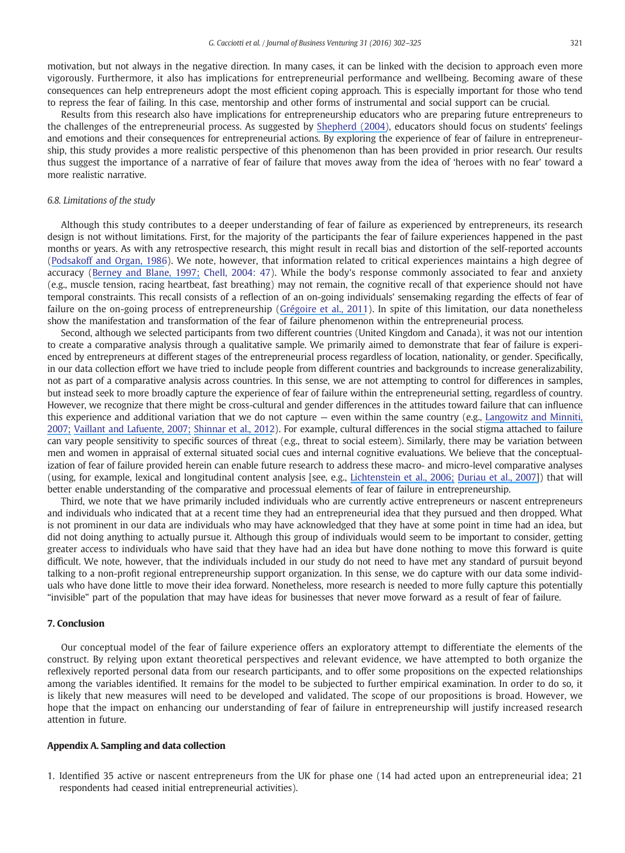<span id="page-20-0"></span>motivation, but not always in the negative direction. In many cases, it can be linked with the decision to approach even more vigorously. Furthermore, it also has implications for entrepreneurial performance and wellbeing. Becoming aware of these consequences can help entrepreneurs adopt the most efficient coping approach. This is especially important for those who tend to repress the fear of failing. In this case, mentorship and other forms of instrumental and social support can be crucial.

Results from this research also have implications for entrepreneurship educators who are preparing future entrepreneurs to the challenges of the entrepreneurial process. As suggested by [Shepherd \(2004\),](#page-23-0) educators should focus on students' feelings and emotions and their consequences for entrepreneurial actions. By exploring the experience of fear of failure in entrepreneurship, this study provides a more realistic perspective of this phenomenon than has been provided in prior research. Our results thus suggest the importance of a narrative of fear of failure that moves away from the idea of 'heroes with no fear' toward a more realistic narrative.

#### 6.8. Limitations of the study

Although this study contributes to a deeper understanding of fear of failure as experienced by entrepreneurs, its research design is not without limitations. First, for the majority of the participants the fear of failure experiences happened in the past months or years. As with any retrospective research, this might result in recall bias and distortion of the self-reported accounts ([Podsakoff](https://www.researchgate.net/publication/284041695_Self-Report_in_Organisational_Research_Problems_and_Prospects?el=1_x_8&enrichId=rgreq-79255f33ff526740e71246f573d8f528-XXX&enrichSource=Y292ZXJQYWdlOzMwMDMxMTExNDtBUzozOTM4NDE3ODcwNjQzMzNAMTQ3MDkxMDYwNzg3MQ==)[and](https://www.researchgate.net/publication/284041695_Self-Report_in_Organisational_Research_Problems_and_Prospects?el=1_x_8&enrichId=rgreq-79255f33ff526740e71246f573d8f528-XXX&enrichSource=Y292ZXJQYWdlOzMwMDMxMTExNDtBUzozOTM4NDE3ODcwNjQzMzNAMTQ3MDkxMDYwNzg3MQ==)[Organ,](https://www.researchgate.net/publication/284041695_Self-Report_in_Organisational_Research_Problems_and_Prospects?el=1_x_8&enrichId=rgreq-79255f33ff526740e71246f573d8f528-XXX&enrichSource=Y292ZXJQYWdlOzMwMDMxMTExNDtBUzozOTM4NDE3ODcwNjQzMzNAMTQ3MDkxMDYwNzg3MQ==)[198](https://www.researchgate.net/publication/284041695_Self-Report_in_Organisational_Research_Problems_and_Prospects?el=1_x_8&enrichId=rgreq-79255f33ff526740e71246f573d8f528-XXX&enrichSource=Y292ZXJQYWdlOzMwMDMxMTExNDtBUzozOTM4NDE3ODcwNjQzMzNAMTQ3MDkxMDYwNzg3MQ==)[6\)](#page-23-0). We note, however, that information related to critical experiences maintains a high degree of accuracy [\(Berney and Blane, 1997; Chell, 2004: 47\)](#page-21-0). While the body's response commonly associated to fear and anxiety (e.g., muscle tension, racing heartbeat, fast breathing) may not remain, the cognitive recall of that experience should not have temporal constraints. This recall consists of a reflection of an on-going individuals' sensemaking regarding the effects of fear of failure on the on-going process of entrepreneurship ([Grégoire et al., 2011\)](#page-22-0). In spite of this limitation, our data nonetheless show the manifestation and transformation of the fear of failure phenomenon within the entrepreneurial process.

Second, although we selected participants from two different countries (United Kingdom and Canada), it was not our intention to create a comparative analysis through a qualitative sample. We primarily aimed to demonstrate that fear of failure is experienced by entrepreneurs at different stages of the entrepreneurial process regardless of location, nationality, or gender. Specifically, in our data collection effort we have tried to include people from different countries and backgrounds to increase generalizability, not as part of a comparative analysis across countries. In this sense, we are not attempting to control for differences in samples, but instead seek to more broadly capture the experience of fear of failure within the entrepreneurial setting, regardless of country. However, we recognize that there might be cross-cultural and gender differences in the attitudes toward failure that can influence this experience and additional variation that we do not capture — even within the same country (e.g., [Langowitz](https://www.researchgate.net/publication/228271099_The_Entrepreneurial_Propensity_of_Women?el=1_x_8&enrichId=rgreq-79255f33ff526740e71246f573d8f528-XXX&enrichSource=Y292ZXJQYWdlOzMwMDMxMTExNDtBUzozOTM4NDE3ODcwNjQzMzNAMTQ3MDkxMDYwNzg3MQ==)[and](https://www.researchgate.net/publication/228271099_The_Entrepreneurial_Propensity_of_Women?el=1_x_8&enrichId=rgreq-79255f33ff526740e71246f573d8f528-XXX&enrichSource=Y292ZXJQYWdlOzMwMDMxMTExNDtBUzozOTM4NDE3ODcwNjQzMzNAMTQ3MDkxMDYwNzg3MQ==)[Minniti,](https://www.researchgate.net/publication/228271099_The_Entrepreneurial_Propensity_of_Women?el=1_x_8&enrichId=rgreq-79255f33ff526740e71246f573d8f528-XXX&enrichSource=Y292ZXJQYWdlOzMwMDMxMTExNDtBUzozOTM4NDE3ODcwNjQzMzNAMTQ3MDkxMDYwNzg3MQ==) [2007; Vaillant and Lafuente, 2007; Shinnar et al., 2012](#page-22-0)). For example, cultural differences in the social stigma attached to failure can vary people sensitivity to specific sources of threat (e.g., threat to social esteem). Similarly, there may be variation between men and women in appraisal of external situated social cues and internal cognitive evaluations. We believe that the conceptualization of fear of failure provided herein can enable future research to address these macro- and micro-level comparative analyses (using, for example, lexical and longitudinal content analysis [see, e.g., [Lichtenstein et al., 2006; Duriau et al., 200](#page-22-0)[7\]](https://www.researchgate.net/publication/234021481_A_Content_Analysis_of_the_Content_Analysis_Literature_in_Organization_Studies_Research_Themes_Data_Sources_and_Methodological_Refinements?el=1_x_8&enrichId=rgreq-79255f33ff526740e71246f573d8f528-XXX&enrichSource=Y292ZXJQYWdlOzMwMDMxMTExNDtBUzozOTM4NDE3ODcwNjQzMzNAMTQ3MDkxMDYwNzg3MQ==)) that will better enable understanding of the comparative and processual elements of fear of failure in entrepreneurship.

Third, we note that we have primarily included individuals who are currently active entrepreneurs or nascent entrepreneurs and individuals who indicated that at a recent time they had an entrepreneurial idea that they pursued and then dropped. What is not prominent in our data are individuals who may have acknowledged that they have at some point in time had an idea, but did not doing anything to actually pursue it. Although this group of individuals would seem to be important to consider, getting greater access to individuals who have said that they have had an idea but have done nothing to move this forward is quite difficult. We note, however, that the individuals included in our study do not need to have met any standard of pursuit beyond talking to a non-profit regional entrepreneurship support organization. In this sense, we do capture with our data some individuals who have done little to move their idea forward. Nonetheless, more research is needed to more fully capture this potentially "invisible" part of the population that may have ideas for businesses that never move forward as a result of fear of failure.

### 7. Conclusion

Our conceptual model of the fear of failure experience offers an exploratory attempt to differentiate the elements of the construct. By relying upon extant theoretical perspectives and relevant evidence, we have attempted to both organize the reflexively reported personal data from our research participants, and to offer some propositions on the expected relationships among the variables identified. It remains for the model to be subjected to further empirical examination. In order to do so, it is likely that new measures will need to be developed and validated. The scope of our propositions is broad. However, we hope that the impact on enhancing our understanding of fear of failure in entrepreneurship will justify increased research attention in future.

#### Appendix A. Sampling and data collection

1. Identified 35 active or nascent entrepreneurs from the UK for phase one (14 had acted upon an entrepreneurial idea; 21 respondents had ceased initial entrepreneurial activities).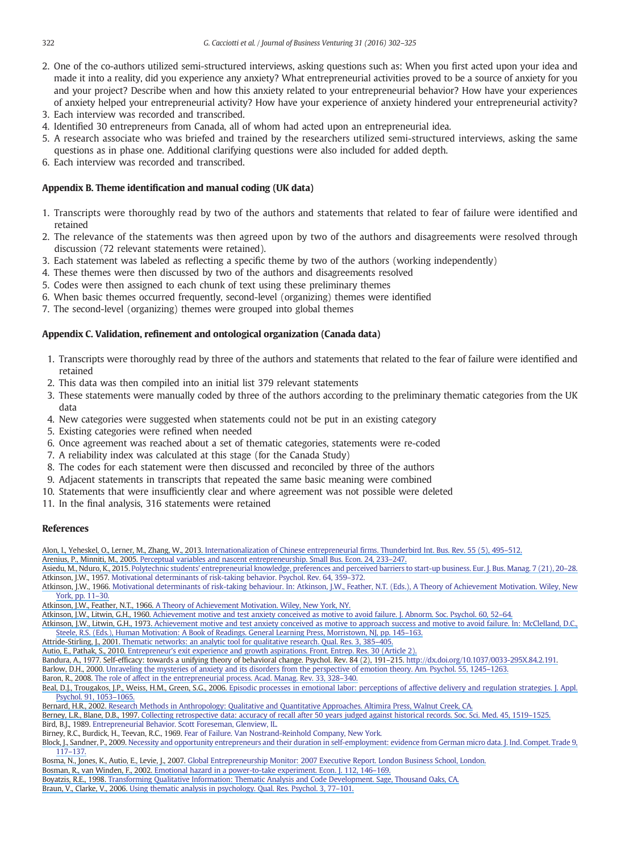- <span id="page-21-0"></span>2. One of the co-authors utilized semi-structured interviews, asking questions such as: When you first acted upon your idea and made it into a reality, did you experience any anxiety? What entrepreneurial activities proved to be a source of anxiety for you and your project? Describe when and how this anxiety related to your entrepreneurial behavior? How have your experiences of anxiety helped your entrepreneurial activity? How have your experience of anxiety hindered your entrepreneurial activity?
- 3. Each interview was recorded and transcribed.
- 4. Identified 30 entrepreneurs from Canada, all of whom had acted upon an entrepreneurial idea.
- 5. A research associate who was briefed and trained by the researchers utilized semi-structured interviews, asking the same questions as in phase one. Additional clarifying questions were also included for added depth.
- 6. Each interview was recorded and transcribed.

#### Appendix B. Theme identification and manual coding (UK data)

- 1. Transcripts were thoroughly read by two of the authors and statements that related to fear of failure were identified and retained
- 2. The relevance of the statements was then agreed upon by two of the authors and disagreements were resolved through discussion (72 relevant statements were retained).
- 3. Each statement was labeled as reflecting a specific theme by two of the authors (working independently)
- 4. These themes were then discussed by two of the authors and disagreements resolved
- 5. Codes were then assigned to each chunk of text using these preliminary themes
- 6. When basic themes occurred frequently, second-level (organizing) themes were identified
- 7. The second-level (organizing) themes were grouped into global themes

#### Appendix C. Validation, refinement and ontological organization (Canada data)

- 1. Transcripts were thoroughly read by three of the authors and statements that related to the fear of failure were identified and retained
- 2. This data was then compiled into an initial list 379 relevant statements
- 3. These statements were manually coded by three of the authors according to the preliminary thematic categories from the UK data
- 4. New categories were suggested when statements could not be put in an existing category
- 5. Existing categories were refined when needed
- 6. Once agreement was reached about a set of thematic categories, statements were re-coded
- 7. A reliability index was calculated at this stage (for the Canada Study)
- 8. The codes for each statement were then discussed and reconciled by three of the authors
- 9. Adjacent statements in transcripts that repeated the same basic meaning were combined
- 10. Statements that were insufficiently clear and where agreement was not possible were deleted

11. In the final analysis, 316 statements were retained

#### References

Alon, I., Yeheskel, O., Lerner, M., Zhang, W., 2013. [I](https://www.researchgate.net/publication/260354395_Internationalization_of_Chinese_Entrepreneurial_Firms?el=1_x_8&enrichId=rgreq-79255f33ff526740e71246f573d8f528-XXX&enrichSource=Y292ZXJQYWdlOzMwMDMxMTExNDtBUzozOTM4NDE3ODcwNjQzMzNAMTQ3MDkxMDYwNzg3MQ==)[nternationalization of Chinese entrepreneurial firms. Thunderbird Int. Bus. Rev. 55 \(5\), 495](http://refhub.elsevier.com/S0883-9026(16)30002-7/rf0005)–512.

Arenius, P., Minniti, M., 2005. [P](https://www.researchgate.net/publication/null?el=1_x_8&enrichId=rgreq-79255f33ff526740e71246f573d8f528-XXX&enrichSource=Y292ZXJQYWdlOzMwMDMxMTExNDtBUzozOTM4NDE3ODcwNjQzMzNAMTQ3MDkxMDYwNzg3MQ==)[erceptual variables and nascent entrepreneurship. Small Bus. Econ. 24, 233](http://refhub.elsevier.com/S0883-9026(16)30002-7/rf0010)–247.

- Asiedu, M., Nduro, K., 2015. [P](https://www.researchgate.net/publication/303157315_Polytechnic_students)[olytechnic students' entrepreneurial knowledge, preferences and perceived barriers to start-up business. Eur. J. Bus. Manag. 7 \(21\), 20](http://refhub.elsevier.com/S0883-9026(16)30002-7/rf0015)–28. Atkinson, J.W., 1957. [Motivational determinants of risk-taking behavior. Psychol. Rev. 64, 359](http://refhub.elsevier.com/S0883-9026(16)30002-7/rf0020)–372.
- Atkinson, J.W., 1966. [M](https://www.researchgate.net/publication/null?el=1_x_8&enrichId=rgreq-79255f33ff526740e71246f573d8f528-XXX&enrichSource=Y292ZXJQYWdlOzMwMDMxMTExNDtBUzozOTM4NDE3ODcwNjQzMzNAMTQ3MDkxMDYwNzg3MQ==)[otivational determinants of risk-taking behaviour. In: Atkinson, J.W., Feather, N.T. \(Eds.\), A Theory of Achievement Motivation. Wiley, New](http://refhub.elsevier.com/S0883-9026(16)30002-7/rf0025) [York, pp. 11](http://refhub.elsevier.com/S0883-9026(16)30002-7/rf0025)–30.
- Atkinson, J.W., Feather, N.T., 1966. [A](https://www.researchgate.net/publication/null?el=1_x_8&enrichId=rgreq-79255f33ff526740e71246f573d8f528-XXX&enrichSource=Y292ZXJQYWdlOzMwMDMxMTExNDtBUzozOTM4NDE3ODcwNjQzMzNAMTQ3MDkxMDYwNzg3MQ==) [Theory of Achievement Motivation. Wiley, New York, NY](http://refhub.elsevier.com/S0883-9026(16)30002-7/rf0030)[.](https://www.researchgate.net/publication/null?el=1_x_8&enrichId=rgreq-79255f33ff526740e71246f573d8f528-XXX&enrichSource=Y292ZXJQYWdlOzMwMDMxMTExNDtBUzozOTM4NDE3ODcwNjQzMzNAMTQ3MDkxMDYwNzg3MQ==)

Atkinson, J.W., Litwin, G.H., 1960. [Achievement motive and test anxiety conceived as motive to avoid failure. J. Abnorm. Soc. Psychol. 60, 52](http://refhub.elsevier.com/S0883-9026(16)30002-7/rf0035)–64.

Atkinson, J.W., Litwin, G.H., 1973. [A](https://www.researchgate.net/publication/null?el=1_x_8&enrichId=rgreq-79255f33ff526740e71246f573d8f528-XXX&enrichSource=Y292ZXJQYWdlOzMwMDMxMTExNDtBUzozOTM4NDE3ODcwNjQzMzNAMTQ3MDkxMDYwNzg3MQ==)[chievement motive and test anxiety conceived as motive to approach success and motive to avoid failure. In: McClelland, D.C.,](http://refhub.elsevier.com/S0883-9026(16)30002-7/rf0040) [Steele, R.S. \(Eds.\), Human Motivation: A Book of Readings. General Learning Press, Morristown, NJ, pp. 145](http://refhub.elsevier.com/S0883-9026(16)30002-7/rf0040)–163.

Attride-Stirling, J., 2001. [T](https://www.researchgate.net/publication/249730897_Thematic_Networks_An_Analytic_Tool_for_Qualitative_Research?el=1_x_8&enrichId=rgreq-79255f33ff526740e71246f573d8f528-XXX&enrichSource=Y292ZXJQYWdlOzMwMDMxMTExNDtBUzozOTM4NDE3ODcwNjQzMzNAMTQ3MDkxMDYwNzg3MQ==)[hematic networks: an analytic tool for qualitative research. Qual. Res. 3, 385](http://refhub.elsevier.com/S0883-9026(16)30002-7/rf0045)–405.

Autio, E., Pathak, S., 2010. [Entrepreneur's exit experience and growth aspirations. Front. Entrep. Res. 30 \(Article 2\)](http://refhub.elsevier.com/S0883-9026(16)30002-7/rf0050)[.](https://www.researchgate.net/publication/254555789_Entrepreneur)

[Bandura, A., 1977. Self-efficacy: towards a unifying theory of behavioral change. Psychol. Rev. 84 \(2\), 191](https://www.researchgate.net/publication/null?el=1_x_8&enrichId=rgreq-79255f33ff526740e71246f573d8f528-XXX&enrichSource=Y292ZXJQYWdlOzMwMDMxMTExNDtBUzozOTM4NDE3ODcwNjQzMzNAMTQ3MDkxMDYwNzg3MQ==)–215. http://dx.doi.org/[10.1037/0033-295X.84.2.191.](http://dx.doi.org/10.1037/0033-295X.84.2.191)

Barlow, D.H., 2000. [Unraveling](https://www.researchgate.net/publication/279143848_Unraveling_the_mysteries_of_anxiety_and_its_disorders_from_the_perspective_of_emotion_theory?el=1_x_8&enrichId=rgreq-79255f33ff526740e71246f573d8f528-XXX&enrichSource=Y292ZXJQYWdlOzMwMDMxMTExNDtBUzozOTM4NDE3ODcwNjQzMzNAMTQ3MDkxMDYwNzg3MQ==)[the](https://www.researchgate.net/publication/279143848_Unraveling_the_mysteries_of_anxiety_and_its_disorders_from_the_perspective_of_emotion_theory?el=1_x_8&enrichId=rgreq-79255f33ff526740e71246f573d8f528-XXX&enrichSource=Y292ZXJQYWdlOzMwMDMxMTExNDtBUzozOTM4NDE3ODcwNjQzMzNAMTQ3MDkxMDYwNzg3MQ==)[mysteries](https://www.researchgate.net/publication/279143848_Unraveling_the_mysteries_of_anxiety_and_its_disorders_from_the_perspective_of_emotion_theory?el=1_x_8&enrichId=rgreq-79255f33ff526740e71246f573d8f528-XXX&enrichSource=Y292ZXJQYWdlOzMwMDMxMTExNDtBUzozOTM4NDE3ODcwNjQzMzNAMTQ3MDkxMDYwNzg3MQ==)[of](https://www.researchgate.net/publication/279143848_Unraveling_the_mysteries_of_anxiety_and_its_disorders_from_the_perspective_of_emotion_theory?el=1_x_8&enrichId=rgreq-79255f33ff526740e71246f573d8f528-XXX&enrichSource=Y292ZXJQYWdlOzMwMDMxMTExNDtBUzozOTM4NDE3ODcwNjQzMzNAMTQ3MDkxMDYwNzg3MQ==)[anxiety](https://www.researchgate.net/publication/279143848_Unraveling_the_mysteries_of_anxiety_and_its_disorders_from_the_perspective_of_emotion_theory?el=1_x_8&enrichId=rgreq-79255f33ff526740e71246f573d8f528-XXX&enrichSource=Y292ZXJQYWdlOzMwMDMxMTExNDtBUzozOTM4NDE3ODcwNjQzMzNAMTQ3MDkxMDYwNzg3MQ==)[and](https://www.researchgate.net/publication/279143848_Unraveling_the_mysteries_of_anxiety_and_its_disorders_from_the_perspective_of_emotion_theory?el=1_x_8&enrichId=rgreq-79255f33ff526740e71246f573d8f528-XXX&enrichSource=Y292ZXJQYWdlOzMwMDMxMTExNDtBUzozOTM4NDE3ODcwNjQzMzNAMTQ3MDkxMDYwNzg3MQ==)[its](https://www.researchgate.net/publication/279143848_Unraveling_the_mysteries_of_anxiety_and_its_disorders_from_the_perspective_of_emotion_theory?el=1_x_8&enrichId=rgreq-79255f33ff526740e71246f573d8f528-XXX&enrichSource=Y292ZXJQYWdlOzMwMDMxMTExNDtBUzozOTM4NDE3ODcwNjQzMzNAMTQ3MDkxMDYwNzg3MQ==)[disorders](https://www.researchgate.net/publication/279143848_Unraveling_the_mysteries_of_anxiety_and_its_disorders_from_the_perspective_of_emotion_theory?el=1_x_8&enrichId=rgreq-79255f33ff526740e71246f573d8f528-XXX&enrichSource=Y292ZXJQYWdlOzMwMDMxMTExNDtBUzozOTM4NDE3ODcwNjQzMzNAMTQ3MDkxMDYwNzg3MQ==)[from](https://www.researchgate.net/publication/279143848_Unraveling_the_mysteries_of_anxiety_and_its_disorders_from_the_perspective_of_emotion_theory?el=1_x_8&enrichId=rgreq-79255f33ff526740e71246f573d8f528-XXX&enrichSource=Y292ZXJQYWdlOzMwMDMxMTExNDtBUzozOTM4NDE3ODcwNjQzMzNAMTQ3MDkxMDYwNzg3MQ==)[the](https://www.researchgate.net/publication/279143848_Unraveling_the_mysteries_of_anxiety_and_its_disorders_from_the_perspective_of_emotion_theory?el=1_x_8&enrichId=rgreq-79255f33ff526740e71246f573d8f528-XXX&enrichSource=Y292ZXJQYWdlOzMwMDMxMTExNDtBUzozOTM4NDE3ODcwNjQzMzNAMTQ3MDkxMDYwNzg3MQ==)[perspective](https://www.researchgate.net/publication/279143848_Unraveling_the_mysteries_of_anxiety_and_its_disorders_from_the_perspective_of_emotion_theory?el=1_x_8&enrichId=rgreq-79255f33ff526740e71246f573d8f528-XXX&enrichSource=Y292ZXJQYWdlOzMwMDMxMTExNDtBUzozOTM4NDE3ODcwNjQzMzNAMTQ3MDkxMDYwNzg3MQ==)[of](https://www.researchgate.net/publication/279143848_Unraveling_the_mysteries_of_anxiety_and_its_disorders_from_the_perspective_of_emotion_theory?el=1_x_8&enrichId=rgreq-79255f33ff526740e71246f573d8f528-XXX&enrichSource=Y292ZXJQYWdlOzMwMDMxMTExNDtBUzozOTM4NDE3ODcwNjQzMzNAMTQ3MDkxMDYwNzg3MQ==)[emotion](https://www.researchgate.net/publication/279143848_Unraveling_the_mysteries_of_anxiety_and_its_disorders_from_the_perspective_of_emotion_theory?el=1_x_8&enrichId=rgreq-79255f33ff526740e71246f573d8f528-XXX&enrichSource=Y292ZXJQYWdlOzMwMDMxMTExNDtBUzozOTM4NDE3ODcwNjQzMzNAMTQ3MDkxMDYwNzg3MQ==)[theory.](https://www.researchgate.net/publication/279143848_Unraveling_the_mysteries_of_anxiety_and_its_disorders_from_the_perspective_of_emotion_theory?el=1_x_8&enrichId=rgreq-79255f33ff526740e71246f573d8f528-XXX&enrichSource=Y292ZXJQYWdlOzMwMDMxMTExNDtBUzozOTM4NDE3ODcwNjQzMzNAMTQ3MDkxMDYwNzg3MQ==)[Am.](https://www.researchgate.net/publication/279143848_Unraveling_the_mysteries_of_anxiety_and_its_disorders_from_the_perspective_of_emotion_theory?el=1_x_8&enrichId=rgreq-79255f33ff526740e71246f573d8f528-XXX&enrichSource=Y292ZXJQYWdlOzMwMDMxMTExNDtBUzozOTM4NDE3ODcwNjQzMzNAMTQ3MDkxMDYwNzg3MQ==)[Psychol.](https://www.researchgate.net/publication/279143848_Unraveling_the_mysteries_of_anxiety_and_its_disorders_from_the_perspective_of_emotion_theory?el=1_x_8&enrichId=rgreq-79255f33ff526740e71246f573d8f528-XXX&enrichSource=Y292ZXJQYWdlOzMwMDMxMTExNDtBUzozOTM4NDE3ODcwNjQzMzNAMTQ3MDkxMDYwNzg3MQ==)[55,](https://www.researchgate.net/publication/279143848_Unraveling_the_mysteries_of_anxiety_and_its_disorders_from_the_perspective_of_emotion_theory?el=1_x_8&enrichId=rgreq-79255f33ff526740e71246f573d8f528-XXX&enrichSource=Y292ZXJQYWdlOzMwMDMxMTExNDtBUzozOTM4NDE3ODcwNjQzMzNAMTQ3MDkxMDYwNzg3MQ==)[1245](https://www.researchgate.net/publication/279143848_Unraveling_the_mysteries_of_anxiety_and_its_disorders_from_the_perspective_of_emotion_theory?el=1_x_8&enrichId=rgreq-79255f33ff526740e71246f573d8f528-XXX&enrichSource=Y292ZXJQYWdlOzMwMDMxMTExNDtBUzozOTM4NDE3ODcwNjQzMzNAMTQ3MDkxMDYwNzg3MQ==)–1263.

Baron, R., 2008. [The](https://www.researchgate.net/publication/237228449_The_Role_of_Affect_in_the_Entrepreneurial_Process?el=1_x_8&enrichId=rgreq-79255f33ff526740e71246f573d8f528-XXX&enrichSource=Y292ZXJQYWdlOzMwMDMxMTExNDtBUzozOTM4NDE3ODcwNjQzMzNAMTQ3MDkxMDYwNzg3MQ==)[role](https://www.researchgate.net/publication/237228449_The_Role_of_Affect_in_the_Entrepreneurial_Process?el=1_x_8&enrichId=rgreq-79255f33ff526740e71246f573d8f528-XXX&enrichSource=Y292ZXJQYWdlOzMwMDMxMTExNDtBUzozOTM4NDE3ODcwNjQzMzNAMTQ3MDkxMDYwNzg3MQ==)[of](https://www.researchgate.net/publication/237228449_The_Role_of_Affect_in_the_Entrepreneurial_Process?el=1_x_8&enrichId=rgreq-79255f33ff526740e71246f573d8f528-XXX&enrichSource=Y292ZXJQYWdlOzMwMDMxMTExNDtBUzozOTM4NDE3ODcwNjQzMzNAMTQ3MDkxMDYwNzg3MQ==)[affect](https://www.researchgate.net/publication/237228449_The_Role_of_Affect_in_the_Entrepreneurial_Process?el=1_x_8&enrichId=rgreq-79255f33ff526740e71246f573d8f528-XXX&enrichSource=Y292ZXJQYWdlOzMwMDMxMTExNDtBUzozOTM4NDE3ODcwNjQzMzNAMTQ3MDkxMDYwNzg3MQ==)[in](https://www.researchgate.net/publication/237228449_The_Role_of_Affect_in_the_Entrepreneurial_Process?el=1_x_8&enrichId=rgreq-79255f33ff526740e71246f573d8f528-XXX&enrichSource=Y292ZXJQYWdlOzMwMDMxMTExNDtBUzozOTM4NDE3ODcwNjQzMzNAMTQ3MDkxMDYwNzg3MQ==)[the](https://www.researchgate.net/publication/237228449_The_Role_of_Affect_in_the_Entrepreneurial_Process?el=1_x_8&enrichId=rgreq-79255f33ff526740e71246f573d8f528-XXX&enrichSource=Y292ZXJQYWdlOzMwMDMxMTExNDtBUzozOTM4NDE3ODcwNjQzMzNAMTQ3MDkxMDYwNzg3MQ==)[entrepreneurial](https://www.researchgate.net/publication/237228449_The_Role_of_Affect_in_the_Entrepreneurial_Process?el=1_x_8&enrichId=rgreq-79255f33ff526740e71246f573d8f528-XXX&enrichSource=Y292ZXJQYWdlOzMwMDMxMTExNDtBUzozOTM4NDE3ODcwNjQzMzNAMTQ3MDkxMDYwNzg3MQ==)[process.](https://www.researchgate.net/publication/237228449_The_Role_of_Affect_in_the_Entrepreneurial_Process?el=1_x_8&enrichId=rgreq-79255f33ff526740e71246f573d8f528-XXX&enrichSource=Y292ZXJQYWdlOzMwMDMxMTExNDtBUzozOTM4NDE3ODcwNjQzMzNAMTQ3MDkxMDYwNzg3MQ==)[Acad.](https://www.researchgate.net/publication/237228449_The_Role_of_Affect_in_the_Entrepreneurial_Process?el=1_x_8&enrichId=rgreq-79255f33ff526740e71246f573d8f528-XXX&enrichSource=Y292ZXJQYWdlOzMwMDMxMTExNDtBUzozOTM4NDE3ODcwNjQzMzNAMTQ3MDkxMDYwNzg3MQ==)[Manag.](https://www.researchgate.net/publication/237228449_The_Role_of_Affect_in_the_Entrepreneurial_Process?el=1_x_8&enrichId=rgreq-79255f33ff526740e71246f573d8f528-XXX&enrichSource=Y292ZXJQYWdlOzMwMDMxMTExNDtBUzozOTM4NDE3ODcwNjQzMzNAMTQ3MDkxMDYwNzg3MQ==)[Rev.](https://www.researchgate.net/publication/237228449_The_Role_of_Affect_in_the_Entrepreneurial_Process?el=1_x_8&enrichId=rgreq-79255f33ff526740e71246f573d8f528-XXX&enrichSource=Y292ZXJQYWdlOzMwMDMxMTExNDtBUzozOTM4NDE3ODcwNjQzMzNAMTQ3MDkxMDYwNzg3MQ==)[33,](https://www.researchgate.net/publication/237228449_The_Role_of_Affect_in_the_Entrepreneurial_Process?el=1_x_8&enrichId=rgreq-79255f33ff526740e71246f573d8f528-XXX&enrichSource=Y292ZXJQYWdlOzMwMDMxMTExNDtBUzozOTM4NDE3ODcwNjQzMzNAMTQ3MDkxMDYwNzg3MQ==)[328](https://www.researchgate.net/publication/237228449_The_Role_of_Affect_in_the_Entrepreneurial_Process?el=1_x_8&enrichId=rgreq-79255f33ff526740e71246f573d8f528-XXX&enrichSource=Y292ZXJQYWdlOzMwMDMxMTExNDtBUzozOTM4NDE3ODcwNjQzMzNAMTQ3MDkxMDYwNzg3MQ==)–340.

Beal, D.J., Trougakos, J.P., Weiss, H.M., Green, S.G., 2006. [Episodic](https://www.researchgate.net/publication/null?el=1_x_8&enrichId=rgreq-79255f33ff526740e71246f573d8f528-XXX&enrichSource=Y292ZXJQYWdlOzMwMDMxMTExNDtBUzozOTM4NDE3ODcwNjQzMzNAMTQ3MDkxMDYwNzg3MQ==)[processes](https://www.researchgate.net/publication/null?el=1_x_8&enrichId=rgreq-79255f33ff526740e71246f573d8f528-XXX&enrichSource=Y292ZXJQYWdlOzMwMDMxMTExNDtBUzozOTM4NDE3ODcwNjQzMzNAMTQ3MDkxMDYwNzg3MQ==)[in](https://www.researchgate.net/publication/null?el=1_x_8&enrichId=rgreq-79255f33ff526740e71246f573d8f528-XXX&enrichSource=Y292ZXJQYWdlOzMwMDMxMTExNDtBUzozOTM4NDE3ODcwNjQzMzNAMTQ3MDkxMDYwNzg3MQ==)[emotional](https://www.researchgate.net/publication/null?el=1_x_8&enrichId=rgreq-79255f33ff526740e71246f573d8f528-XXX&enrichSource=Y292ZXJQYWdlOzMwMDMxMTExNDtBUzozOTM4NDE3ODcwNjQzMzNAMTQ3MDkxMDYwNzg3MQ==)[labor:](https://www.researchgate.net/publication/null?el=1_x_8&enrichId=rgreq-79255f33ff526740e71246f573d8f528-XXX&enrichSource=Y292ZXJQYWdlOzMwMDMxMTExNDtBUzozOTM4NDE3ODcwNjQzMzNAMTQ3MDkxMDYwNzg3MQ==)[perceptions](https://www.researchgate.net/publication/null?el=1_x_8&enrichId=rgreq-79255f33ff526740e71246f573d8f528-XXX&enrichSource=Y292ZXJQYWdlOzMwMDMxMTExNDtBUzozOTM4NDE3ODcwNjQzMzNAMTQ3MDkxMDYwNzg3MQ==)[of](https://www.researchgate.net/publication/null?el=1_x_8&enrichId=rgreq-79255f33ff526740e71246f573d8f528-XXX&enrichSource=Y292ZXJQYWdlOzMwMDMxMTExNDtBUzozOTM4NDE3ODcwNjQzMzNAMTQ3MDkxMDYwNzg3MQ==)[affective](https://www.researchgate.net/publication/null?el=1_x_8&enrichId=rgreq-79255f33ff526740e71246f573d8f528-XXX&enrichSource=Y292ZXJQYWdlOzMwMDMxMTExNDtBUzozOTM4NDE3ODcwNjQzMzNAMTQ3MDkxMDYwNzg3MQ==)[delivery](https://www.researchgate.net/publication/null?el=1_x_8&enrichId=rgreq-79255f33ff526740e71246f573d8f528-XXX&enrichSource=Y292ZXJQYWdlOzMwMDMxMTExNDtBUzozOTM4NDE3ODcwNjQzMzNAMTQ3MDkxMDYwNzg3MQ==)[and](https://www.researchgate.net/publication/null?el=1_x_8&enrichId=rgreq-79255f33ff526740e71246f573d8f528-XXX&enrichSource=Y292ZXJQYWdlOzMwMDMxMTExNDtBUzozOTM4NDE3ODcwNjQzMzNAMTQ3MDkxMDYwNzg3MQ==)[regulation](https://www.researchgate.net/publication/null?el=1_x_8&enrichId=rgreq-79255f33ff526740e71246f573d8f528-XXX&enrichSource=Y292ZXJQYWdlOzMwMDMxMTExNDtBUzozOTM4NDE3ODcwNjQzMzNAMTQ3MDkxMDYwNzg3MQ==)[strategies.](https://www.researchgate.net/publication/null?el=1_x_8&enrichId=rgreq-79255f33ff526740e71246f573d8f528-XXX&enrichSource=Y292ZXJQYWdlOzMwMDMxMTExNDtBUzozOTM4NDE3ODcwNjQzMzNAMTQ3MDkxMDYwNzg3MQ==)[J.](https://www.researchgate.net/publication/null?el=1_x_8&enrichId=rgreq-79255f33ff526740e71246f573d8f528-XXX&enrichSource=Y292ZXJQYWdlOzMwMDMxMTExNDtBUzozOTM4NDE3ODcwNjQzMzNAMTQ3MDkxMDYwNzg3MQ==)[Appl.](https://www.researchgate.net/publication/null?el=1_x_8&enrichId=rgreq-79255f33ff526740e71246f573d8f528-XXX&enrichSource=Y292ZXJQYWdlOzMwMDMxMTExNDtBUzozOTM4NDE3ODcwNjQzMzNAMTQ3MDkxMDYwNzg3MQ==) [Psychol.](https://www.researchgate.net/publication/null?el=1_x_8&enrichId=rgreq-79255f33ff526740e71246f573d8f528-XXX&enrichSource=Y292ZXJQYWdlOzMwMDMxMTExNDtBUzozOTM4NDE3ODcwNjQzMzNAMTQ3MDkxMDYwNzg3MQ==)[91,](https://www.researchgate.net/publication/null?el=1_x_8&enrichId=rgreq-79255f33ff526740e71246f573d8f528-XXX&enrichSource=Y292ZXJQYWdlOzMwMDMxMTExNDtBUzozOTM4NDE3ODcwNjQzMzNAMTQ3MDkxMDYwNzg3MQ==)[1053](https://www.researchgate.net/publication/null?el=1_x_8&enrichId=rgreq-79255f33ff526740e71246f573d8f528-XXX&enrichSource=Y292ZXJQYWdlOzMwMDMxMTExNDtBUzozOTM4NDE3ODcwNjQzMzNAMTQ3MDkxMDYwNzg3MQ==)–1065.

Bernard, H.R., 2002. [Research](https://www.researchgate.net/publication/240218246_Research_Methods_in_Anthropology_-_Qualitative_Quantitative_Approaches?el=1_x_8&enrichId=rgreq-79255f33ff526740e71246f573d8f528-XXX&enrichSource=Y292ZXJQYWdlOzMwMDMxMTExNDtBUzozOTM4NDE3ODcwNjQzMzNAMTQ3MDkxMDYwNzg3MQ==)[Methods](https://www.researchgate.net/publication/240218246_Research_Methods_in_Anthropology_-_Qualitative_Quantitative_Approaches?el=1_x_8&enrichId=rgreq-79255f33ff526740e71246f573d8f528-XXX&enrichSource=Y292ZXJQYWdlOzMwMDMxMTExNDtBUzozOTM4NDE3ODcwNjQzMzNAMTQ3MDkxMDYwNzg3MQ==)[in](https://www.researchgate.net/publication/240218246_Research_Methods_in_Anthropology_-_Qualitative_Quantitative_Approaches?el=1_x_8&enrichId=rgreq-79255f33ff526740e71246f573d8f528-XXX&enrichSource=Y292ZXJQYWdlOzMwMDMxMTExNDtBUzozOTM4NDE3ODcwNjQzMzNAMTQ3MDkxMDYwNzg3MQ==)[Anthropology:](https://www.researchgate.net/publication/240218246_Research_Methods_in_Anthropology_-_Qualitative_Quantitative_Approaches?el=1_x_8&enrichId=rgreq-79255f33ff526740e71246f573d8f528-XXX&enrichSource=Y292ZXJQYWdlOzMwMDMxMTExNDtBUzozOTM4NDE3ODcwNjQzMzNAMTQ3MDkxMDYwNzg3MQ==)[Qualitative](https://www.researchgate.net/publication/240218246_Research_Methods_in_Anthropology_-_Qualitative_Quantitative_Approaches?el=1_x_8&enrichId=rgreq-79255f33ff526740e71246f573d8f528-XXX&enrichSource=Y292ZXJQYWdlOzMwMDMxMTExNDtBUzozOTM4NDE3ODcwNjQzMzNAMTQ3MDkxMDYwNzg3MQ==)[and](https://www.researchgate.net/publication/240218246_Research_Methods_in_Anthropology_-_Qualitative_Quantitative_Approaches?el=1_x_8&enrichId=rgreq-79255f33ff526740e71246f573d8f528-XXX&enrichSource=Y292ZXJQYWdlOzMwMDMxMTExNDtBUzozOTM4NDE3ODcwNjQzMzNAMTQ3MDkxMDYwNzg3MQ==)[Quantitative](https://www.researchgate.net/publication/240218246_Research_Methods_in_Anthropology_-_Qualitative_Quantitative_Approaches?el=1_x_8&enrichId=rgreq-79255f33ff526740e71246f573d8f528-XXX&enrichSource=Y292ZXJQYWdlOzMwMDMxMTExNDtBUzozOTM4NDE3ODcwNjQzMzNAMTQ3MDkxMDYwNzg3MQ==)[Approaches.](https://www.researchgate.net/publication/240218246_Research_Methods_in_Anthropology_-_Qualitative_Quantitative_Approaches?el=1_x_8&enrichId=rgreq-79255f33ff526740e71246f573d8f528-XXX&enrichSource=Y292ZXJQYWdlOzMwMDMxMTExNDtBUzozOTM4NDE3ODcwNjQzMzNAMTQ3MDkxMDYwNzg3MQ==)[Altimira](https://www.researchgate.net/publication/240218246_Research_Methods_in_Anthropology_-_Qualitative_Quantitative_Approaches?el=1_x_8&enrichId=rgreq-79255f33ff526740e71246f573d8f528-XXX&enrichSource=Y292ZXJQYWdlOzMwMDMxMTExNDtBUzozOTM4NDE3ODcwNjQzMzNAMTQ3MDkxMDYwNzg3MQ==)[Press,](https://www.researchgate.net/publication/240218246_Research_Methods_in_Anthropology_-_Qualitative_Quantitative_Approaches?el=1_x_8&enrichId=rgreq-79255f33ff526740e71246f573d8f528-XXX&enrichSource=Y292ZXJQYWdlOzMwMDMxMTExNDtBUzozOTM4NDE3ODcwNjQzMzNAMTQ3MDkxMDYwNzg3MQ==)[Walnut](https://www.researchgate.net/publication/240218246_Research_Methods_in_Anthropology_-_Qualitative_Quantitative_Approaches?el=1_x_8&enrichId=rgreq-79255f33ff526740e71246f573d8f528-XXX&enrichSource=Y292ZXJQYWdlOzMwMDMxMTExNDtBUzozOTM4NDE3ODcwNjQzMzNAMTQ3MDkxMDYwNzg3MQ==)[Creek,](https://www.researchgate.net/publication/240218246_Research_Methods_in_Anthropology_-_Qualitative_Quantitative_Approaches?el=1_x_8&enrichId=rgreq-79255f33ff526740e71246f573d8f528-XXX&enrichSource=Y292ZXJQYWdlOzMwMDMxMTExNDtBUzozOTM4NDE3ODcwNjQzMzNAMTQ3MDkxMDYwNzg3MQ==)[CA.](https://www.researchgate.net/publication/240218246_Research_Methods_in_Anthropology_-_Qualitative_Quantitative_Approaches?el=1_x_8&enrichId=rgreq-79255f33ff526740e71246f573d8f528-XXX&enrichSource=Y292ZXJQYWdlOzMwMDMxMTExNDtBUzozOTM4NDE3ODcwNjQzMzNAMTQ3MDkxMDYwNzg3MQ==)

Berney, L.R., Blane, D.B., 1997. [Collecting](https://www.researchgate.net/publication/null?el=1_x_8&enrichId=rgreq-79255f33ff526740e71246f573d8f528-XXX&enrichSource=Y292ZXJQYWdlOzMwMDMxMTExNDtBUzozOTM4NDE3ODcwNjQzMzNAMTQ3MDkxMDYwNzg3MQ==)[retrospective](https://www.researchgate.net/publication/null?el=1_x_8&enrichId=rgreq-79255f33ff526740e71246f573d8f528-XXX&enrichSource=Y292ZXJQYWdlOzMwMDMxMTExNDtBUzozOTM4NDE3ODcwNjQzMzNAMTQ3MDkxMDYwNzg3MQ==)[data:](https://www.researchgate.net/publication/null?el=1_x_8&enrichId=rgreq-79255f33ff526740e71246f573d8f528-XXX&enrichSource=Y292ZXJQYWdlOzMwMDMxMTExNDtBUzozOTM4NDE3ODcwNjQzMzNAMTQ3MDkxMDYwNzg3MQ==)[accuracy](https://www.researchgate.net/publication/null?el=1_x_8&enrichId=rgreq-79255f33ff526740e71246f573d8f528-XXX&enrichSource=Y292ZXJQYWdlOzMwMDMxMTExNDtBUzozOTM4NDE3ODcwNjQzMzNAMTQ3MDkxMDYwNzg3MQ==)[of](https://www.researchgate.net/publication/null?el=1_x_8&enrichId=rgreq-79255f33ff526740e71246f573d8f528-XXX&enrichSource=Y292ZXJQYWdlOzMwMDMxMTExNDtBUzozOTM4NDE3ODcwNjQzMzNAMTQ3MDkxMDYwNzg3MQ==)[recall](https://www.researchgate.net/publication/null?el=1_x_8&enrichId=rgreq-79255f33ff526740e71246f573d8f528-XXX&enrichSource=Y292ZXJQYWdlOzMwMDMxMTExNDtBUzozOTM4NDE3ODcwNjQzMzNAMTQ3MDkxMDYwNzg3MQ==)[after](https://www.researchgate.net/publication/null?el=1_x_8&enrichId=rgreq-79255f33ff526740e71246f573d8f528-XXX&enrichSource=Y292ZXJQYWdlOzMwMDMxMTExNDtBUzozOTM4NDE3ODcwNjQzMzNAMTQ3MDkxMDYwNzg3MQ==)[50](https://www.researchgate.net/publication/null?el=1_x_8&enrichId=rgreq-79255f33ff526740e71246f573d8f528-XXX&enrichSource=Y292ZXJQYWdlOzMwMDMxMTExNDtBUzozOTM4NDE3ODcwNjQzMzNAMTQ3MDkxMDYwNzg3MQ==)[years](https://www.researchgate.net/publication/null?el=1_x_8&enrichId=rgreq-79255f33ff526740e71246f573d8f528-XXX&enrichSource=Y292ZXJQYWdlOzMwMDMxMTExNDtBUzozOTM4NDE3ODcwNjQzMzNAMTQ3MDkxMDYwNzg3MQ==)[judged](https://www.researchgate.net/publication/null?el=1_x_8&enrichId=rgreq-79255f33ff526740e71246f573d8f528-XXX&enrichSource=Y292ZXJQYWdlOzMwMDMxMTExNDtBUzozOTM4NDE3ODcwNjQzMzNAMTQ3MDkxMDYwNzg3MQ==)[against](https://www.researchgate.net/publication/null?el=1_x_8&enrichId=rgreq-79255f33ff526740e71246f573d8f528-XXX&enrichSource=Y292ZXJQYWdlOzMwMDMxMTExNDtBUzozOTM4NDE3ODcwNjQzMzNAMTQ3MDkxMDYwNzg3MQ==)[historical](https://www.researchgate.net/publication/null?el=1_x_8&enrichId=rgreq-79255f33ff526740e71246f573d8f528-XXX&enrichSource=Y292ZXJQYWdlOzMwMDMxMTExNDtBUzozOTM4NDE3ODcwNjQzMzNAMTQ3MDkxMDYwNzg3MQ==)[records.](https://www.researchgate.net/publication/null?el=1_x_8&enrichId=rgreq-79255f33ff526740e71246f573d8f528-XXX&enrichSource=Y292ZXJQYWdlOzMwMDMxMTExNDtBUzozOTM4NDE3ODcwNjQzMzNAMTQ3MDkxMDYwNzg3MQ==)[Soc.](https://www.researchgate.net/publication/null?el=1_x_8&enrichId=rgreq-79255f33ff526740e71246f573d8f528-XXX&enrichSource=Y292ZXJQYWdlOzMwMDMxMTExNDtBUzozOTM4NDE3ODcwNjQzMzNAMTQ3MDkxMDYwNzg3MQ==)[Sci.](https://www.researchgate.net/publication/null?el=1_x_8&enrichId=rgreq-79255f33ff526740e71246f573d8f528-XXX&enrichSource=Y292ZXJQYWdlOzMwMDMxMTExNDtBUzozOTM4NDE3ODcwNjQzMzNAMTQ3MDkxMDYwNzg3MQ==)[Med.](https://www.researchgate.net/publication/null?el=1_x_8&enrichId=rgreq-79255f33ff526740e71246f573d8f528-XXX&enrichSource=Y292ZXJQYWdlOzMwMDMxMTExNDtBUzozOTM4NDE3ODcwNjQzMzNAMTQ3MDkxMDYwNzg3MQ==)[45,](https://www.researchgate.net/publication/null?el=1_x_8&enrichId=rgreq-79255f33ff526740e71246f573d8f528-XXX&enrichSource=Y292ZXJQYWdlOzMwMDMxMTExNDtBUzozOTM4NDE3ODcwNjQzMzNAMTQ3MDkxMDYwNzg3MQ==)[1519](https://www.researchgate.net/publication/null?el=1_x_8&enrichId=rgreq-79255f33ff526740e71246f573d8f528-XXX&enrichSource=Y292ZXJQYWdlOzMwMDMxMTExNDtBUzozOTM4NDE3ODcwNjQzMzNAMTQ3MDkxMDYwNzg3MQ==)–1525. Bird, B.J., 1989. [Entrepreneurial Behavior. Scott Foreseman, Glenview, IL](http://refhub.elsevier.com/S0883-9026(16)30002-7/rf0085).

Birney, R.C., Burdick, H., Teevan, R.C., 1969. [Fear of Failure. Van Nostrand-Reinhold Company, New York](http://refhub.elsevier.com/S0883-9026(16)30002-7/rf0090).

Bosma, N., Jones, K., Autio, E., Levie, J., 2007. [G](https://www.researchgate.net/publication/null?el=1_x_8&enrichId=rgreq-79255f33ff526740e71246f573d8f528-XXX&enrichSource=Y292ZXJQYWdlOzMwMDMxMTExNDtBUzozOTM4NDE3ODcwNjQzMzNAMTQ3MDkxMDYwNzg3MQ==)[lobal Entrepreneurship Monitor: 2007 Executive Report. London Business School, Londo](http://refhub.elsevier.com/S0883-9026(16)30002-7/rf0100)[n.](https://www.researchgate.net/publication/null?el=1_x_8&enrichId=rgreq-79255f33ff526740e71246f573d8f528-XXX&enrichSource=Y292ZXJQYWdlOzMwMDMxMTExNDtBUzozOTM4NDE3ODcwNjQzMzNAMTQ3MDkxMDYwNzg3MQ==)

Bosman, R., van Winden, F., 2002. [E](https://www.researchgate.net/publication/null?el=1_x_8&enrichId=rgreq-79255f33ff526740e71246f573d8f528-XXX&enrichSource=Y292ZXJQYWdlOzMwMDMxMTExNDtBUzozOTM4NDE3ODcwNjQzMzNAMTQ3MDkxMDYwNzg3MQ==)[motional hazard in a power-to-take experiment. Econ. J. 112, 146](http://refhub.elsevier.com/S0883-9026(16)30002-7/rf0105)–169.

Boyatzis, R.E., 1998. [Transforming Qualitative Information: Thematic Analysis and Code Development. Sage, Thousand Oaks, C](http://refhub.elsevier.com/S0883-9026(16)30002-7/rf0110)[A.](https://www.researchgate.net/publication/289675589_Transforming_qualitative_information_Thematic_analysis_code_development_sage_thousand_oaks?el=1_x_8&enrichId=rgreq-79255f33ff526740e71246f573d8f528-XXX&enrichSource=Y292ZXJQYWdlOzMwMDMxMTExNDtBUzozOTM4NDE3ODcwNjQzMzNAMTQ3MDkxMDYwNzg3MQ==) Braun, V., Clarke, V., 2006. [U](https://www.researchgate.net/publication/235356393_Using_Thematic_Analysis_in_Psychology?el=1_x_8&enrichId=rgreq-79255f33ff526740e71246f573d8f528-XXX&enrichSource=Y292ZXJQYWdlOzMwMDMxMTExNDtBUzozOTM4NDE3ODcwNjQzMzNAMTQ3MDkxMDYwNzg3MQ==)[sing thematic analysis in psychology. Qual. Res. Psychol. 3, 77](http://refhub.elsevier.com/S0883-9026(16)30002-7/rf0115)–101.

Block, J., Sandner, P., 2009. [Necessity](https://www.researchgate.net/publication/null?el=1_x_8&enrichId=rgreq-79255f33ff526740e71246f573d8f528-XXX&enrichSource=Y292ZXJQYWdlOzMwMDMxMTExNDtBUzozOTM4NDE3ODcwNjQzMzNAMTQ3MDkxMDYwNzg3MQ==)[and](https://www.researchgate.net/publication/null?el=1_x_8&enrichId=rgreq-79255f33ff526740e71246f573d8f528-XXX&enrichSource=Y292ZXJQYWdlOzMwMDMxMTExNDtBUzozOTM4NDE3ODcwNjQzMzNAMTQ3MDkxMDYwNzg3MQ==)[opportunity](https://www.researchgate.net/publication/null?el=1_x_8&enrichId=rgreq-79255f33ff526740e71246f573d8f528-XXX&enrichSource=Y292ZXJQYWdlOzMwMDMxMTExNDtBUzozOTM4NDE3ODcwNjQzMzNAMTQ3MDkxMDYwNzg3MQ==)[entrepreneurs](https://www.researchgate.net/publication/null?el=1_x_8&enrichId=rgreq-79255f33ff526740e71246f573d8f528-XXX&enrichSource=Y292ZXJQYWdlOzMwMDMxMTExNDtBUzozOTM4NDE3ODcwNjQzMzNAMTQ3MDkxMDYwNzg3MQ==)[and](https://www.researchgate.net/publication/null?el=1_x_8&enrichId=rgreq-79255f33ff526740e71246f573d8f528-XXX&enrichSource=Y292ZXJQYWdlOzMwMDMxMTExNDtBUzozOTM4NDE3ODcwNjQzMzNAMTQ3MDkxMDYwNzg3MQ==)[their](https://www.researchgate.net/publication/null?el=1_x_8&enrichId=rgreq-79255f33ff526740e71246f573d8f528-XXX&enrichSource=Y292ZXJQYWdlOzMwMDMxMTExNDtBUzozOTM4NDE3ODcwNjQzMzNAMTQ3MDkxMDYwNzg3MQ==)[duration](https://www.researchgate.net/publication/null?el=1_x_8&enrichId=rgreq-79255f33ff526740e71246f573d8f528-XXX&enrichSource=Y292ZXJQYWdlOzMwMDMxMTExNDtBUzozOTM4NDE3ODcwNjQzMzNAMTQ3MDkxMDYwNzg3MQ==)[in](https://www.researchgate.net/publication/null?el=1_x_8&enrichId=rgreq-79255f33ff526740e71246f573d8f528-XXX&enrichSource=Y292ZXJQYWdlOzMwMDMxMTExNDtBUzozOTM4NDE3ODcwNjQzMzNAMTQ3MDkxMDYwNzg3MQ==)[self-employment:](https://www.researchgate.net/publication/null?el=1_x_8&enrichId=rgreq-79255f33ff526740e71246f573d8f528-XXX&enrichSource=Y292ZXJQYWdlOzMwMDMxMTExNDtBUzozOTM4NDE3ODcwNjQzMzNAMTQ3MDkxMDYwNzg3MQ==)[evidence](https://www.researchgate.net/publication/null?el=1_x_8&enrichId=rgreq-79255f33ff526740e71246f573d8f528-XXX&enrichSource=Y292ZXJQYWdlOzMwMDMxMTExNDtBUzozOTM4NDE3ODcwNjQzMzNAMTQ3MDkxMDYwNzg3MQ==)[from](https://www.researchgate.net/publication/null?el=1_x_8&enrichId=rgreq-79255f33ff526740e71246f573d8f528-XXX&enrichSource=Y292ZXJQYWdlOzMwMDMxMTExNDtBUzozOTM4NDE3ODcwNjQzMzNAMTQ3MDkxMDYwNzg3MQ==)[German](https://www.researchgate.net/publication/null?el=1_x_8&enrichId=rgreq-79255f33ff526740e71246f573d8f528-XXX&enrichSource=Y292ZXJQYWdlOzMwMDMxMTExNDtBUzozOTM4NDE3ODcwNjQzMzNAMTQ3MDkxMDYwNzg3MQ==)[micro](https://www.researchgate.net/publication/null?el=1_x_8&enrichId=rgreq-79255f33ff526740e71246f573d8f528-XXX&enrichSource=Y292ZXJQYWdlOzMwMDMxMTExNDtBUzozOTM4NDE3ODcwNjQzMzNAMTQ3MDkxMDYwNzg3MQ==)[data.](https://www.researchgate.net/publication/null?el=1_x_8&enrichId=rgreq-79255f33ff526740e71246f573d8f528-XXX&enrichSource=Y292ZXJQYWdlOzMwMDMxMTExNDtBUzozOTM4NDE3ODcwNjQzMzNAMTQ3MDkxMDYwNzg3MQ==)[J.](https://www.researchgate.net/publication/null?el=1_x_8&enrichId=rgreq-79255f33ff526740e71246f573d8f528-XXX&enrichSource=Y292ZXJQYWdlOzMwMDMxMTExNDtBUzozOTM4NDE3ODcwNjQzMzNAMTQ3MDkxMDYwNzg3MQ==)[Ind.](https://www.researchgate.net/publication/null?el=1_x_8&enrichId=rgreq-79255f33ff526740e71246f573d8f528-XXX&enrichSource=Y292ZXJQYWdlOzMwMDMxMTExNDtBUzozOTM4NDE3ODcwNjQzMzNAMTQ3MDkxMDYwNzg3MQ==)[Compet.](https://www.researchgate.net/publication/null?el=1_x_8&enrichId=rgreq-79255f33ff526740e71246f573d8f528-XXX&enrichSource=Y292ZXJQYWdlOzMwMDMxMTExNDtBUzozOTM4NDE3ODcwNjQzMzNAMTQ3MDkxMDYwNzg3MQ==)[Trade](https://www.researchgate.net/publication/null?el=1_x_8&enrichId=rgreq-79255f33ff526740e71246f573d8f528-XXX&enrichSource=Y292ZXJQYWdlOzMwMDMxMTExNDtBUzozOTM4NDE3ODcwNjQzMzNAMTQ3MDkxMDYwNzg3MQ==)[9,](https://www.researchgate.net/publication/null?el=1_x_8&enrichId=rgreq-79255f33ff526740e71246f573d8f528-XXX&enrichSource=Y292ZXJQYWdlOzMwMDMxMTExNDtBUzozOTM4NDE3ODcwNjQzMzNAMTQ3MDkxMDYwNzg3MQ==) 117–[137](http://refhub.elsevier.com/S0883-9026(16)30002-7/rf0095)[.](https://www.researchgate.net/publication/null?el=1_x_8&enrichId=rgreq-79255f33ff526740e71246f573d8f528-XXX&enrichSource=Y292ZXJQYWdlOzMwMDMxMTExNDtBUzozOTM4NDE3ODcwNjQzMzNAMTQ3MDkxMDYwNzg3MQ==)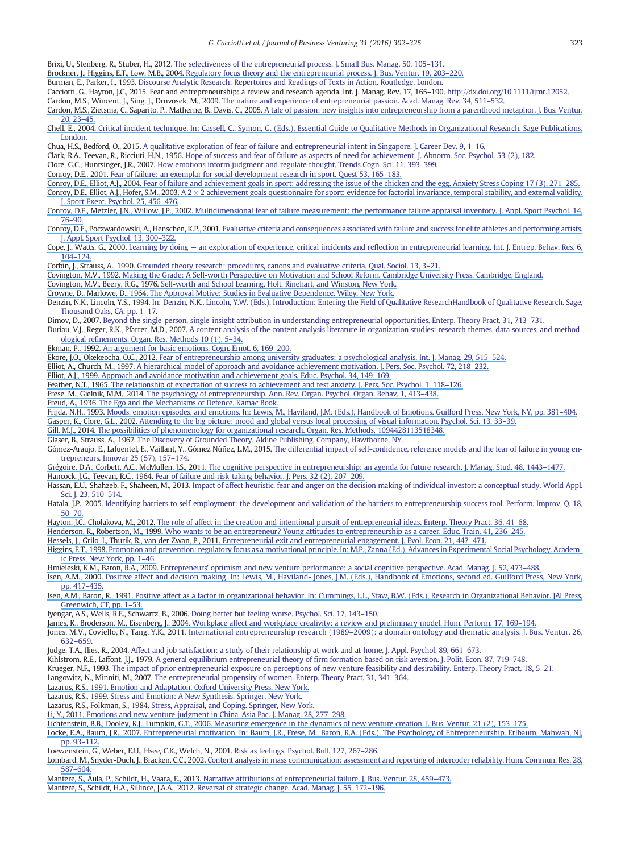<span id="page-22-0"></span>Brixi, U., Stenberg, R., Stuber, H., 2012. [The selectiveness of the entrepreneurial process. J. Small Bus. Manag. 50, 105](http://refhub.elsevier.com/S0883-9026(16)30002-7/rf0120)–131.

Brockner, J., Higgins, E.T., Low, M.B., 2004. [Regulatory focus theory and the entrepreneurial process. J. Bus. Ventur. 19, 203](http://refhub.elsevier.com/S0883-9026(16)30002-7/rf0125)–220.

Burman, E., Parker, I., 1993. [Discourse Analytic Research: Repertoires and Readings of Texts in Action. Routledge, London](http://refhub.elsevier.com/S0883-9026(16)30002-7/rf0130).

Cacciotti, G., Hayton, J.C., 2015. Fear and entrepreneurship: a review and research agenda. Int. J. Manag. Rev. 17, 165–190. http://dx.doi.org[/10.1111/ijmr.12052](http://dx.doi.org/10.1111/ijmr.12052).

Cardon, M.S., Wincent, J., Sing, J., Drnvosek, M., 2009. [The nature and experience of entrepreneurial passion. Acad. Manag. Rev. 34, 511](http://refhub.elsevier.com/S0883-9026(16)30002-7/rf0140)–532.

Cardon, M.S., Zietsma, C., Saparito, P., Matherne, B., Davis, C., 2005. [A tale of passion: new insights into entrepreneurship from a parenthood metaphor. J. Bus. Ventur.](http://refhub.elsevier.com/S0883-9026(16)30002-7/rf0145) [20, 23](http://refhub.elsevier.com/S0883-9026(16)30002-7/rf0145)–45.

Chell, E., 2004. [C](https://www.researchgate.net/publication/284652688_Critical_incident_technique?el=1_x_8&enrichId=rgreq-79255f33ff526740e71246f573d8f528-XXX&enrichSource=Y292ZXJQYWdlOzMwMDMxMTExNDtBUzozOTM4NDE3ODcwNjQzMzNAMTQ3MDkxMDYwNzg3MQ==)[ritical incident technique. In: Cassell, C., Symon, G. \(Eds.\), Essential Guide to Qualitative Methods in Organizational Research. Sage Publications,](http://refhub.elsevier.com/S0883-9026(16)30002-7/rf0150) [Londo](http://refhub.elsevier.com/S0883-9026(16)30002-7/rf0150)[n.](https://www.researchgate.net/publication/284652688_Critical_incident_technique?el=1_x_8&enrichId=rgreq-79255f33ff526740e71246f573d8f528-XXX&enrichSource=Y292ZXJQYWdlOzMwMDMxMTExNDtBUzozOTM4NDE3ODcwNjQzMzNAMTQ3MDkxMDYwNzg3MQ==)

Chua, H.S., Bedford, O., 2015. [A](https://www.researchgate.net/publication/282419619_A_Qualitative_Exploration_of_Fear_of_Failure_and_Entrepreneurial_Intent_in_Singapore?el=1_x_8&enrichId=rgreq-79255f33ff526740e71246f573d8f528-XXX&enrichSource=Y292ZXJQYWdlOzMwMDMxMTExNDtBUzozOTM4NDE3ODcwNjQzMzNAMTQ3MDkxMDYwNzg3MQ==) [qualitative exploration of fear of failure and entrepreneurial intent in Singapore. J. Career Dev. 9, 1](http://refhub.elsevier.com/S0883-9026(16)30002-7/rf0155)–16.

Clark, R.A., Teevan, R., Ricciuti, H.N., 1956. [H](https://www.researchgate.net/publication/null?el=1_x_8&enrichId=rgreq-79255f33ff526740e71246f573d8f528-XXX&enrichSource=Y292ZXJQYWdlOzMwMDMxMTExNDtBUzozOTM4NDE3ODcwNjQzMzNAMTQ3MDkxMDYwNzg3MQ==)[ope of success and fear of failure as aspects of need for achievement. J. Abnorm. Soc. Psychol. 53 \(2\), 18](http://refhub.elsevier.com/S0883-9026(16)30002-7/rf0160)[2.](https://www.researchgate.net/publication/null?el=1_x_8&enrichId=rgreq-79255f33ff526740e71246f573d8f528-XXX&enrichSource=Y292ZXJQYWdlOzMwMDMxMTExNDtBUzozOTM4NDE3ODcwNjQzMzNAMTQ3MDkxMDYwNzg3MQ==)

Clore, G.C., Huntsinger, J.R., 2007. [How emotions inform judgment and regulate thought. Trends Cogn. Sci. 11, 393](http://refhub.elsevier.com/S0883-9026(16)30002-7/rf0165)–399.

Conroy, D.E., 2001. [Fear of failure: an exemplar for social development research in sport. Quest 53, 165](http://refhub.elsevier.com/S0883-9026(16)30002-7/rf0170)–183.

Conroy, D.E., Elliot, A.J., 2004. [F](https://www.researchgate.net/publication/228738891_Fear_of_failure_and_achievement_goals_in_sport_Addressing_the_issue_of_the_chicken_and_the_egg?el=1_x_8&enrichId=rgreq-79255f33ff526740e71246f573d8f528-XXX&enrichSource=Y292ZXJQYWdlOzMwMDMxMTExNDtBUzozOTM4NDE3ODcwNjQzMzNAMTQ3MDkxMDYwNzg3MQ==)[ear of failure and achievement goals in sport: addressing the issue of the chicken and the egg. Anxiety Stress Coping 17 \(3\), 271](http://refhub.elsevier.com/S0883-9026(16)30002-7/rf0175)–285. Conroy, D.E., Elliot, [A](https://www.researchgate.net/publication/232435914_A_2_2_Achievement_Goals_Questionnaire_for_Sport_Evidence_for_Factorial_Invariance_Temporal_Stability_and_External_Validity?el=1_x_8&enrichId=rgreq-79255f33ff526740e71246f573d8f528-XXX&enrichSource=Y292ZXJQYWdlOzMwMDMxMTExNDtBUzozOTM4NDE3ODcwNjQzMzNAMTQ3MDkxMDYwNzg3MQ==)[.](https://www.researchgate.net/publication/232435914_A_2_2_Achievement_Goals_Questionnaire_for_Sport_Evidence_for_Factorial_Invariance_Temporal_Stability_and_External_Validity?el=1_x_8&enrichId=rgreq-79255f33ff526740e71246f573d8f528-XXX&enrichSource=Y292ZXJQYWdlOzMwMDMxMTExNDtBUzozOTM4NDE3ODcwNjQzMzNAMTQ3MDkxMDYwNzg3MQ==)J., Hofer, S.M., 2003. A  $2 \times 2$  achievement goals questionnaire for sport: evidence for factorial invariance, temporal stability, and external validity. [J. Sport Exerc. Psychol. 25, 456](http://refhub.elsevier.com/S0883-9026(16)30002-7/rf0180)–476.

Conroy, D.E., Metzler, J.N., Willow, J.P., 2002. [Multidimensional fear of failure measurement: the performance failure appraisal inventory. J. Appl. Sport Psychol. 14,](http://refhub.elsevier.com/S0883-9026(16)30002-7/rf0185) [76](http://refhub.elsevier.com/S0883-9026(16)30002-7/rf0185)–[90.](https://www.researchgate.net/publication/247515108_Multidimensional_Fear_of_Failure_Measurement_The_Performance_Failure_Appraisal_Inventory?el=1_x_8&enrichId=rgreq-79255f33ff526740e71246f573d8f528-XXX&enrichSource=Y292ZXJQYWdlOzMwMDMxMTExNDtBUzozOTM4NDE3ODcwNjQzMzNAMTQ3MDkxMDYwNzg3MQ==)

Conroy, D.E., Poczwardowski, A., Henschen, K.P., 2001. [Evaluative](https://www.researchgate.net/publication/229009577_Evaluative_Criteria_and_Consequences_Associated_with_Failure_and_Success_for_Elite_Athletes_and_Performing_Artists?el=1_x_8&enrichId=rgreq-79255f33ff526740e71246f573d8f528-XXX&enrichSource=Y292ZXJQYWdlOzMwMDMxMTExNDtBUzozOTM4NDE3ODcwNjQzMzNAMTQ3MDkxMDYwNzg3MQ==)[criteria](https://www.researchgate.net/publication/229009577_Evaluative_Criteria_and_Consequences_Associated_with_Failure_and_Success_for_Elite_Athletes_and_Performing_Artists?el=1_x_8&enrichId=rgreq-79255f33ff526740e71246f573d8f528-XXX&enrichSource=Y292ZXJQYWdlOzMwMDMxMTExNDtBUzozOTM4NDE3ODcwNjQzMzNAMTQ3MDkxMDYwNzg3MQ==)[and](https://www.researchgate.net/publication/229009577_Evaluative_Criteria_and_Consequences_Associated_with_Failure_and_Success_for_Elite_Athletes_and_Performing_Artists?el=1_x_8&enrichId=rgreq-79255f33ff526740e71246f573d8f528-XXX&enrichSource=Y292ZXJQYWdlOzMwMDMxMTExNDtBUzozOTM4NDE3ODcwNjQzMzNAMTQ3MDkxMDYwNzg3MQ==)[consequences](https://www.researchgate.net/publication/229009577_Evaluative_Criteria_and_Consequences_Associated_with_Failure_and_Success_for_Elite_Athletes_and_Performing_Artists?el=1_x_8&enrichId=rgreq-79255f33ff526740e71246f573d8f528-XXX&enrichSource=Y292ZXJQYWdlOzMwMDMxMTExNDtBUzozOTM4NDE3ODcwNjQzMzNAMTQ3MDkxMDYwNzg3MQ==)[associated](https://www.researchgate.net/publication/229009577_Evaluative_Criteria_and_Consequences_Associated_with_Failure_and_Success_for_Elite_Athletes_and_Performing_Artists?el=1_x_8&enrichId=rgreq-79255f33ff526740e71246f573d8f528-XXX&enrichSource=Y292ZXJQYWdlOzMwMDMxMTExNDtBUzozOTM4NDE3ODcwNjQzMzNAMTQ3MDkxMDYwNzg3MQ==)[with](https://www.researchgate.net/publication/229009577_Evaluative_Criteria_and_Consequences_Associated_with_Failure_and_Success_for_Elite_Athletes_and_Performing_Artists?el=1_x_8&enrichId=rgreq-79255f33ff526740e71246f573d8f528-XXX&enrichSource=Y292ZXJQYWdlOzMwMDMxMTExNDtBUzozOTM4NDE3ODcwNjQzMzNAMTQ3MDkxMDYwNzg3MQ==)[failure](https://www.researchgate.net/publication/229009577_Evaluative_Criteria_and_Consequences_Associated_with_Failure_and_Success_for_Elite_Athletes_and_Performing_Artists?el=1_x_8&enrichId=rgreq-79255f33ff526740e71246f573d8f528-XXX&enrichSource=Y292ZXJQYWdlOzMwMDMxMTExNDtBUzozOTM4NDE3ODcwNjQzMzNAMTQ3MDkxMDYwNzg3MQ==)[and](https://www.researchgate.net/publication/229009577_Evaluative_Criteria_and_Consequences_Associated_with_Failure_and_Success_for_Elite_Athletes_and_Performing_Artists?el=1_x_8&enrichId=rgreq-79255f33ff526740e71246f573d8f528-XXX&enrichSource=Y292ZXJQYWdlOzMwMDMxMTExNDtBUzozOTM4NDE3ODcwNjQzMzNAMTQ3MDkxMDYwNzg3MQ==)[success](https://www.researchgate.net/publication/229009577_Evaluative_Criteria_and_Consequences_Associated_with_Failure_and_Success_for_Elite_Athletes_and_Performing_Artists?el=1_x_8&enrichId=rgreq-79255f33ff526740e71246f573d8f528-XXX&enrichSource=Y292ZXJQYWdlOzMwMDMxMTExNDtBUzozOTM4NDE3ODcwNjQzMzNAMTQ3MDkxMDYwNzg3MQ==)[for](https://www.researchgate.net/publication/229009577_Evaluative_Criteria_and_Consequences_Associated_with_Failure_and_Success_for_Elite_Athletes_and_Performing_Artists?el=1_x_8&enrichId=rgreq-79255f33ff526740e71246f573d8f528-XXX&enrichSource=Y292ZXJQYWdlOzMwMDMxMTExNDtBUzozOTM4NDE3ODcwNjQzMzNAMTQ3MDkxMDYwNzg3MQ==)[elite](https://www.researchgate.net/publication/229009577_Evaluative_Criteria_and_Consequences_Associated_with_Failure_and_Success_for_Elite_Athletes_and_Performing_Artists?el=1_x_8&enrichId=rgreq-79255f33ff526740e71246f573d8f528-XXX&enrichSource=Y292ZXJQYWdlOzMwMDMxMTExNDtBUzozOTM4NDE3ODcwNjQzMzNAMTQ3MDkxMDYwNzg3MQ==)[athletes](https://www.researchgate.net/publication/229009577_Evaluative_Criteria_and_Consequences_Associated_with_Failure_and_Success_for_Elite_Athletes_and_Performing_Artists?el=1_x_8&enrichId=rgreq-79255f33ff526740e71246f573d8f528-XXX&enrichSource=Y292ZXJQYWdlOzMwMDMxMTExNDtBUzozOTM4NDE3ODcwNjQzMzNAMTQ3MDkxMDYwNzg3MQ==)[and](https://www.researchgate.net/publication/229009577_Evaluative_Criteria_and_Consequences_Associated_with_Failure_and_Success_for_Elite_Athletes_and_Performing_Artists?el=1_x_8&enrichId=rgreq-79255f33ff526740e71246f573d8f528-XXX&enrichSource=Y292ZXJQYWdlOzMwMDMxMTExNDtBUzozOTM4NDE3ODcwNjQzMzNAMTQ3MDkxMDYwNzg3MQ==)[performing](https://www.researchgate.net/publication/229009577_Evaluative_Criteria_and_Consequences_Associated_with_Failure_and_Success_for_Elite_Athletes_and_Performing_Artists?el=1_x_8&enrichId=rgreq-79255f33ff526740e71246f573d8f528-XXX&enrichSource=Y292ZXJQYWdlOzMwMDMxMTExNDtBUzozOTM4NDE3ODcwNjQzMzNAMTQ3MDkxMDYwNzg3MQ==)[artists.](https://www.researchgate.net/publication/229009577_Evaluative_Criteria_and_Consequences_Associated_with_Failure_and_Success_for_Elite_Athletes_and_Performing_Artists?el=1_x_8&enrichId=rgreq-79255f33ff526740e71246f573d8f528-XXX&enrichSource=Y292ZXJQYWdlOzMwMDMxMTExNDtBUzozOTM4NDE3ODcwNjQzMzNAMTQ3MDkxMDYwNzg3MQ==) [J.](https://www.researchgate.net/publication/229009577_Evaluative_Criteria_and_Consequences_Associated_with_Failure_and_Success_for_Elite_Athletes_and_Performing_Artists?el=1_x_8&enrichId=rgreq-79255f33ff526740e71246f573d8f528-XXX&enrichSource=Y292ZXJQYWdlOzMwMDMxMTExNDtBUzozOTM4NDE3ODcwNjQzMzNAMTQ3MDkxMDYwNzg3MQ==)[Appl.](https://www.researchgate.net/publication/229009577_Evaluative_Criteria_and_Consequences_Associated_with_Failure_and_Success_for_Elite_Athletes_and_Performing_Artists?el=1_x_8&enrichId=rgreq-79255f33ff526740e71246f573d8f528-XXX&enrichSource=Y292ZXJQYWdlOzMwMDMxMTExNDtBUzozOTM4NDE3ODcwNjQzMzNAMTQ3MDkxMDYwNzg3MQ==)[Sport](https://www.researchgate.net/publication/229009577_Evaluative_Criteria_and_Consequences_Associated_with_Failure_and_Success_for_Elite_Athletes_and_Performing_Artists?el=1_x_8&enrichId=rgreq-79255f33ff526740e71246f573d8f528-XXX&enrichSource=Y292ZXJQYWdlOzMwMDMxMTExNDtBUzozOTM4NDE3ODcwNjQzMzNAMTQ3MDkxMDYwNzg3MQ==)[Psychol.](https://www.researchgate.net/publication/229009577_Evaluative_Criteria_and_Consequences_Associated_with_Failure_and_Success_for_Elite_Athletes_and_Performing_Artists?el=1_x_8&enrichId=rgreq-79255f33ff526740e71246f573d8f528-XXX&enrichSource=Y292ZXJQYWdlOzMwMDMxMTExNDtBUzozOTM4NDE3ODcwNjQzMzNAMTQ3MDkxMDYwNzg3MQ==)[13,](https://www.researchgate.net/publication/229009577_Evaluative_Criteria_and_Consequences_Associated_with_Failure_and_Success_for_Elite_Athletes_and_Performing_Artists?el=1_x_8&enrichId=rgreq-79255f33ff526740e71246f573d8f528-XXX&enrichSource=Y292ZXJQYWdlOzMwMDMxMTExNDtBUzozOTM4NDE3ODcwNjQzMzNAMTQ3MDkxMDYwNzg3MQ==)[300](https://www.researchgate.net/publication/229009577_Evaluative_Criteria_and_Consequences_Associated_with_Failure_and_Success_for_Elite_Athletes_and_Performing_Artists?el=1_x_8&enrichId=rgreq-79255f33ff526740e71246f573d8f528-XXX&enrichSource=Y292ZXJQYWdlOzMwMDMxMTExNDtBUzozOTM4NDE3ODcwNjQzMzNAMTQ3MDkxMDYwNzg3MQ==)–322.

Cope, J., Watts, G., 2000. Learning by doing — [an](https://www.researchgate.net/publication/235288785_Learning_by_doing_-_An_exploration_of_experience_critical_incidents_and_reflection_in_entrepreneurial_learning?el=1_x_8&enrichId=rgreq-79255f33ff526740e71246f573d8f528-XXX&enrichSource=Y292ZXJQYWdlOzMwMDMxMTExNDtBUzozOTM4NDE3ODcwNjQzMzNAMTQ3MDkxMDYwNzg3MQ==)[exploration](https://www.researchgate.net/publication/235288785_Learning_by_doing_-_An_exploration_of_experience_critical_incidents_and_reflection_in_entrepreneurial_learning?el=1_x_8&enrichId=rgreq-79255f33ff526740e71246f573d8f528-XXX&enrichSource=Y292ZXJQYWdlOzMwMDMxMTExNDtBUzozOTM4NDE3ODcwNjQzMzNAMTQ3MDkxMDYwNzg3MQ==)[of](https://www.researchgate.net/publication/235288785_Learning_by_doing_-_An_exploration_of_experience_critical_incidents_and_reflection_in_entrepreneurial_learning?el=1_x_8&enrichId=rgreq-79255f33ff526740e71246f573d8f528-XXX&enrichSource=Y292ZXJQYWdlOzMwMDMxMTExNDtBUzozOTM4NDE3ODcwNjQzMzNAMTQ3MDkxMDYwNzg3MQ==)[experience,](https://www.researchgate.net/publication/235288785_Learning_by_doing_-_An_exploration_of_experience_critical_incidents_and_reflection_in_entrepreneurial_learning?el=1_x_8&enrichId=rgreq-79255f33ff526740e71246f573d8f528-XXX&enrichSource=Y292ZXJQYWdlOzMwMDMxMTExNDtBUzozOTM4NDE3ODcwNjQzMzNAMTQ3MDkxMDYwNzg3MQ==)[critical](https://www.researchgate.net/publication/235288785_Learning_by_doing_-_An_exploration_of_experience_critical_incidents_and_reflection_in_entrepreneurial_learning?el=1_x_8&enrichId=rgreq-79255f33ff526740e71246f573d8f528-XXX&enrichSource=Y292ZXJQYWdlOzMwMDMxMTExNDtBUzozOTM4NDE3ODcwNjQzMzNAMTQ3MDkxMDYwNzg3MQ==)[incidents](https://www.researchgate.net/publication/235288785_Learning_by_doing_-_An_exploration_of_experience_critical_incidents_and_reflection_in_entrepreneurial_learning?el=1_x_8&enrichId=rgreq-79255f33ff526740e71246f573d8f528-XXX&enrichSource=Y292ZXJQYWdlOzMwMDMxMTExNDtBUzozOTM4NDE3ODcwNjQzMzNAMTQ3MDkxMDYwNzg3MQ==)[and](https://www.researchgate.net/publication/235288785_Learning_by_doing_-_An_exploration_of_experience_critical_incidents_and_reflection_in_entrepreneurial_learning?el=1_x_8&enrichId=rgreq-79255f33ff526740e71246f573d8f528-XXX&enrichSource=Y292ZXJQYWdlOzMwMDMxMTExNDtBUzozOTM4NDE3ODcwNjQzMzNAMTQ3MDkxMDYwNzg3MQ==)[reflection](https://www.researchgate.net/publication/235288785_Learning_by_doing_-_An_exploration_of_experience_critical_incidents_and_reflection_in_entrepreneurial_learning?el=1_x_8&enrichId=rgreq-79255f33ff526740e71246f573d8f528-XXX&enrichSource=Y292ZXJQYWdlOzMwMDMxMTExNDtBUzozOTM4NDE3ODcwNjQzMzNAMTQ3MDkxMDYwNzg3MQ==)[in](https://www.researchgate.net/publication/235288785_Learning_by_doing_-_An_exploration_of_experience_critical_incidents_and_reflection_in_entrepreneurial_learning?el=1_x_8&enrichId=rgreq-79255f33ff526740e71246f573d8f528-XXX&enrichSource=Y292ZXJQYWdlOzMwMDMxMTExNDtBUzozOTM4NDE3ODcwNjQzMzNAMTQ3MDkxMDYwNzg3MQ==)[entrepreneurial](https://www.researchgate.net/publication/235288785_Learning_by_doing_-_An_exploration_of_experience_critical_incidents_and_reflection_in_entrepreneurial_learning?el=1_x_8&enrichId=rgreq-79255f33ff526740e71246f573d8f528-XXX&enrichSource=Y292ZXJQYWdlOzMwMDMxMTExNDtBUzozOTM4NDE3ODcwNjQzMzNAMTQ3MDkxMDYwNzg3MQ==)[learning.](https://www.researchgate.net/publication/235288785_Learning_by_doing_-_An_exploration_of_experience_critical_incidents_and_reflection_in_entrepreneurial_learning?el=1_x_8&enrichId=rgreq-79255f33ff526740e71246f573d8f528-XXX&enrichSource=Y292ZXJQYWdlOzMwMDMxMTExNDtBUzozOTM4NDE3ODcwNjQzMzNAMTQ3MDkxMDYwNzg3MQ==)[Int.](https://www.researchgate.net/publication/235288785_Learning_by_doing_-_An_exploration_of_experience_critical_incidents_and_reflection_in_entrepreneurial_learning?el=1_x_8&enrichId=rgreq-79255f33ff526740e71246f573d8f528-XXX&enrichSource=Y292ZXJQYWdlOzMwMDMxMTExNDtBUzozOTM4NDE3ODcwNjQzMzNAMTQ3MDkxMDYwNzg3MQ==)[J.](https://www.researchgate.net/publication/235288785_Learning_by_doing_-_An_exploration_of_experience_critical_incidents_and_reflection_in_entrepreneurial_learning?el=1_x_8&enrichId=rgreq-79255f33ff526740e71246f573d8f528-XXX&enrichSource=Y292ZXJQYWdlOzMwMDMxMTExNDtBUzozOTM4NDE3ODcwNjQzMzNAMTQ3MDkxMDYwNzg3MQ==)[Entrep.](https://www.researchgate.net/publication/235288785_Learning_by_doing_-_An_exploration_of_experience_critical_incidents_and_reflection_in_entrepreneurial_learning?el=1_x_8&enrichId=rgreq-79255f33ff526740e71246f573d8f528-XXX&enrichSource=Y292ZXJQYWdlOzMwMDMxMTExNDtBUzozOTM4NDE3ODcwNjQzMzNAMTQ3MDkxMDYwNzg3MQ==)[Behav.](https://www.researchgate.net/publication/235288785_Learning_by_doing_-_An_exploration_of_experience_critical_incidents_and_reflection_in_entrepreneurial_learning?el=1_x_8&enrichId=rgreq-79255f33ff526740e71246f573d8f528-XXX&enrichSource=Y292ZXJQYWdlOzMwMDMxMTExNDtBUzozOTM4NDE3ODcwNjQzMzNAMTQ3MDkxMDYwNzg3MQ==)[Res.](https://www.researchgate.net/publication/235288785_Learning_by_doing_-_An_exploration_of_experience_critical_incidents_and_reflection_in_entrepreneurial_learning?el=1_x_8&enrichId=rgreq-79255f33ff526740e71246f573d8f528-XXX&enrichSource=Y292ZXJQYWdlOzMwMDMxMTExNDtBUzozOTM4NDE3ODcwNjQzMzNAMTQ3MDkxMDYwNzg3MQ==)[6,](https://www.researchgate.net/publication/235288785_Learning_by_doing_-_An_exploration_of_experience_critical_incidents_and_reflection_in_entrepreneurial_learning?el=1_x_8&enrichId=rgreq-79255f33ff526740e71246f573d8f528-XXX&enrichSource=Y292ZXJQYWdlOzMwMDMxMTExNDtBUzozOTM4NDE3ODcwNjQzMzNAMTQ3MDkxMDYwNzg3MQ==) [104](http://refhub.elsevier.com/S0883-9026(16)30002-7/rf0195)–[124.](https://www.researchgate.net/publication/235288785_Learning_by_doing_-_An_exploration_of_experience_critical_incidents_and_reflection_in_entrepreneurial_learning?el=1_x_8&enrichId=rgreq-79255f33ff526740e71246f573d8f528-XXX&enrichSource=Y292ZXJQYWdlOzMwMDMxMTExNDtBUzozOTM4NDE3ODcwNjQzMzNAMTQ3MDkxMDYwNzg3MQ==)

Corbin, J., Strauss, A., 1990. [Grounded](https://www.researchgate.net/publication/272177823_Grounded_Theory_Research_Procedures_Canons_and_Evaluative_Criteria?el=1_x_8&enrichId=rgreq-79255f33ff526740e71246f573d8f528-XXX&enrichSource=Y292ZXJQYWdlOzMwMDMxMTExNDtBUzozOTM4NDE3ODcwNjQzMzNAMTQ3MDkxMDYwNzg3MQ==)[theory](https://www.researchgate.net/publication/272177823_Grounded_Theory_Research_Procedures_Canons_and_Evaluative_Criteria?el=1_x_8&enrichId=rgreq-79255f33ff526740e71246f573d8f528-XXX&enrichSource=Y292ZXJQYWdlOzMwMDMxMTExNDtBUzozOTM4NDE3ODcwNjQzMzNAMTQ3MDkxMDYwNzg3MQ==)[research:](https://www.researchgate.net/publication/272177823_Grounded_Theory_Research_Procedures_Canons_and_Evaluative_Criteria?el=1_x_8&enrichId=rgreq-79255f33ff526740e71246f573d8f528-XXX&enrichSource=Y292ZXJQYWdlOzMwMDMxMTExNDtBUzozOTM4NDE3ODcwNjQzMzNAMTQ3MDkxMDYwNzg3MQ==)[procedures,](https://www.researchgate.net/publication/272177823_Grounded_Theory_Research_Procedures_Canons_and_Evaluative_Criteria?el=1_x_8&enrichId=rgreq-79255f33ff526740e71246f573d8f528-XXX&enrichSource=Y292ZXJQYWdlOzMwMDMxMTExNDtBUzozOTM4NDE3ODcwNjQzMzNAMTQ3MDkxMDYwNzg3MQ==)[canons](https://www.researchgate.net/publication/272177823_Grounded_Theory_Research_Procedures_Canons_and_Evaluative_Criteria?el=1_x_8&enrichId=rgreq-79255f33ff526740e71246f573d8f528-XXX&enrichSource=Y292ZXJQYWdlOzMwMDMxMTExNDtBUzozOTM4NDE3ODcwNjQzMzNAMTQ3MDkxMDYwNzg3MQ==)[and](https://www.researchgate.net/publication/272177823_Grounded_Theory_Research_Procedures_Canons_and_Evaluative_Criteria?el=1_x_8&enrichId=rgreq-79255f33ff526740e71246f573d8f528-XXX&enrichSource=Y292ZXJQYWdlOzMwMDMxMTExNDtBUzozOTM4NDE3ODcwNjQzMzNAMTQ3MDkxMDYwNzg3MQ==)[evaluative](https://www.researchgate.net/publication/272177823_Grounded_Theory_Research_Procedures_Canons_and_Evaluative_Criteria?el=1_x_8&enrichId=rgreq-79255f33ff526740e71246f573d8f528-XXX&enrichSource=Y292ZXJQYWdlOzMwMDMxMTExNDtBUzozOTM4NDE3ODcwNjQzMzNAMTQ3MDkxMDYwNzg3MQ==)[criteria.](https://www.researchgate.net/publication/272177823_Grounded_Theory_Research_Procedures_Canons_and_Evaluative_Criteria?el=1_x_8&enrichId=rgreq-79255f33ff526740e71246f573d8f528-XXX&enrichSource=Y292ZXJQYWdlOzMwMDMxMTExNDtBUzozOTM4NDE3ODcwNjQzMzNAMTQ3MDkxMDYwNzg3MQ==)[Qual.](https://www.researchgate.net/publication/272177823_Grounded_Theory_Research_Procedures_Canons_and_Evaluative_Criteria?el=1_x_8&enrichId=rgreq-79255f33ff526740e71246f573d8f528-XXX&enrichSource=Y292ZXJQYWdlOzMwMDMxMTExNDtBUzozOTM4NDE3ODcwNjQzMzNAMTQ3MDkxMDYwNzg3MQ==)[Sociol.](https://www.researchgate.net/publication/272177823_Grounded_Theory_Research_Procedures_Canons_and_Evaluative_Criteria?el=1_x_8&enrichId=rgreq-79255f33ff526740e71246f573d8f528-XXX&enrichSource=Y292ZXJQYWdlOzMwMDMxMTExNDtBUzozOTM4NDE3ODcwNjQzMzNAMTQ3MDkxMDYwNzg3MQ==)[13,](https://www.researchgate.net/publication/272177823_Grounded_Theory_Research_Procedures_Canons_and_Evaluative_Criteria?el=1_x_8&enrichId=rgreq-79255f33ff526740e71246f573d8f528-XXX&enrichSource=Y292ZXJQYWdlOzMwMDMxMTExNDtBUzozOTM4NDE3ODcwNjQzMzNAMTQ3MDkxMDYwNzg3MQ==)[3](https://www.researchgate.net/publication/272177823_Grounded_Theory_Research_Procedures_Canons_and_Evaluative_Criteria?el=1_x_8&enrichId=rgreq-79255f33ff526740e71246f573d8f528-XXX&enrichSource=Y292ZXJQYWdlOzMwMDMxMTExNDtBUzozOTM4NDE3ODcwNjQzMzNAMTQ3MDkxMDYwNzg3MQ==)–21.

Covington, M.V., 1992. [Making](https://www.researchgate.net/publication/232575560_Making_the_Grade_A_Self-Worth_Perspective_on_Motivation_and_School_Reform?el=1_x_8&enrichId=rgreq-79255f33ff526740e71246f573d8f528-XXX&enrichSource=Y292ZXJQYWdlOzMwMDMxMTExNDtBUzozOTM4NDE3ODcwNjQzMzNAMTQ3MDkxMDYwNzg3MQ==)[the](https://www.researchgate.net/publication/232575560_Making_the_Grade_A_Self-Worth_Perspective_on_Motivation_and_School_Reform?el=1_x_8&enrichId=rgreq-79255f33ff526740e71246f573d8f528-XXX&enrichSource=Y292ZXJQYWdlOzMwMDMxMTExNDtBUzozOTM4NDE3ODcwNjQzMzNAMTQ3MDkxMDYwNzg3MQ==)[Grade:](https://www.researchgate.net/publication/232575560_Making_the_Grade_A_Self-Worth_Perspective_on_Motivation_and_School_Reform?el=1_x_8&enrichId=rgreq-79255f33ff526740e71246f573d8f528-XXX&enrichSource=Y292ZXJQYWdlOzMwMDMxMTExNDtBUzozOTM4NDE3ODcwNjQzMzNAMTQ3MDkxMDYwNzg3MQ==)[A](https://www.researchgate.net/publication/232575560_Making_the_Grade_A_Self-Worth_Perspective_on_Motivation_and_School_Reform?el=1_x_8&enrichId=rgreq-79255f33ff526740e71246f573d8f528-XXX&enrichSource=Y292ZXJQYWdlOzMwMDMxMTExNDtBUzozOTM4NDE3ODcwNjQzMzNAMTQ3MDkxMDYwNzg3MQ==)[Self-worth](https://www.researchgate.net/publication/232575560_Making_the_Grade_A_Self-Worth_Perspective_on_Motivation_and_School_Reform?el=1_x_8&enrichId=rgreq-79255f33ff526740e71246f573d8f528-XXX&enrichSource=Y292ZXJQYWdlOzMwMDMxMTExNDtBUzozOTM4NDE3ODcwNjQzMzNAMTQ3MDkxMDYwNzg3MQ==)[Perspective](https://www.researchgate.net/publication/232575560_Making_the_Grade_A_Self-Worth_Perspective_on_Motivation_and_School_Reform?el=1_x_8&enrichId=rgreq-79255f33ff526740e71246f573d8f528-XXX&enrichSource=Y292ZXJQYWdlOzMwMDMxMTExNDtBUzozOTM4NDE3ODcwNjQzMzNAMTQ3MDkxMDYwNzg3MQ==)[on](https://www.researchgate.net/publication/232575560_Making_the_Grade_A_Self-Worth_Perspective_on_Motivation_and_School_Reform?el=1_x_8&enrichId=rgreq-79255f33ff526740e71246f573d8f528-XXX&enrichSource=Y292ZXJQYWdlOzMwMDMxMTExNDtBUzozOTM4NDE3ODcwNjQzMzNAMTQ3MDkxMDYwNzg3MQ==)[Motivation](https://www.researchgate.net/publication/232575560_Making_the_Grade_A_Self-Worth_Perspective_on_Motivation_and_School_Reform?el=1_x_8&enrichId=rgreq-79255f33ff526740e71246f573d8f528-XXX&enrichSource=Y292ZXJQYWdlOzMwMDMxMTExNDtBUzozOTM4NDE3ODcwNjQzMzNAMTQ3MDkxMDYwNzg3MQ==)[and](https://www.researchgate.net/publication/232575560_Making_the_Grade_A_Self-Worth_Perspective_on_Motivation_and_School_Reform?el=1_x_8&enrichId=rgreq-79255f33ff526740e71246f573d8f528-XXX&enrichSource=Y292ZXJQYWdlOzMwMDMxMTExNDtBUzozOTM4NDE3ODcwNjQzMzNAMTQ3MDkxMDYwNzg3MQ==)[School](https://www.researchgate.net/publication/232575560_Making_the_Grade_A_Self-Worth_Perspective_on_Motivation_and_School_Reform?el=1_x_8&enrichId=rgreq-79255f33ff526740e71246f573d8f528-XXX&enrichSource=Y292ZXJQYWdlOzMwMDMxMTExNDtBUzozOTM4NDE3ODcwNjQzMzNAMTQ3MDkxMDYwNzg3MQ==)[Reform.](https://www.researchgate.net/publication/232575560_Making_the_Grade_A_Self-Worth_Perspective_on_Motivation_and_School_Reform?el=1_x_8&enrichId=rgreq-79255f33ff526740e71246f573d8f528-XXX&enrichSource=Y292ZXJQYWdlOzMwMDMxMTExNDtBUzozOTM4NDE3ODcwNjQzMzNAMTQ3MDkxMDYwNzg3MQ==)[Cambridge](https://www.researchgate.net/publication/232575560_Making_the_Grade_A_Self-Worth_Perspective_on_Motivation_and_School_Reform?el=1_x_8&enrichId=rgreq-79255f33ff526740e71246f573d8f528-XXX&enrichSource=Y292ZXJQYWdlOzMwMDMxMTExNDtBUzozOTM4NDE3ODcwNjQzMzNAMTQ3MDkxMDYwNzg3MQ==)[University](https://www.researchgate.net/publication/232575560_Making_the_Grade_A_Self-Worth_Perspective_on_Motivation_and_School_Reform?el=1_x_8&enrichId=rgreq-79255f33ff526740e71246f573d8f528-XXX&enrichSource=Y292ZXJQYWdlOzMwMDMxMTExNDtBUzozOTM4NDE3ODcwNjQzMzNAMTQ3MDkxMDYwNzg3MQ==)[Press,](https://www.researchgate.net/publication/232575560_Making_the_Grade_A_Self-Worth_Perspective_on_Motivation_and_School_Reform?el=1_x_8&enrichId=rgreq-79255f33ff526740e71246f573d8f528-XXX&enrichSource=Y292ZXJQYWdlOzMwMDMxMTExNDtBUzozOTM4NDE3ODcwNjQzMzNAMTQ3MDkxMDYwNzg3MQ==)[Cambridge,](https://www.researchgate.net/publication/232575560_Making_the_Grade_A_Self-Worth_Perspective_on_Motivation_and_School_Reform?el=1_x_8&enrichId=rgreq-79255f33ff526740e71246f573d8f528-XXX&enrichSource=Y292ZXJQYWdlOzMwMDMxMTExNDtBUzozOTM4NDE3ODcwNjQzMzNAMTQ3MDkxMDYwNzg3MQ==)[England.](https://www.researchgate.net/publication/232575560_Making_the_Grade_A_Self-Worth_Perspective_on_Motivation_and_School_Reform?el=1_x_8&enrichId=rgreq-79255f33ff526740e71246f573d8f528-XXX&enrichSource=Y292ZXJQYWdlOzMwMDMxMTExNDtBUzozOTM4NDE3ODcwNjQzMzNAMTQ3MDkxMDYwNzg3MQ==) Covington, M.V., Beery, R.G., 1976. [Self-worth](https://www.researchgate.net/publication/232443790_Self-Worth_and_School_Learning?el=1_x_8&enrichId=rgreq-79255f33ff526740e71246f573d8f528-XXX&enrichSource=Y292ZXJQYWdlOzMwMDMxMTExNDtBUzozOTM4NDE3ODcwNjQzMzNAMTQ3MDkxMDYwNzg3MQ==)[and](https://www.researchgate.net/publication/232443790_Self-Worth_and_School_Learning?el=1_x_8&enrichId=rgreq-79255f33ff526740e71246f573d8f528-XXX&enrichSource=Y292ZXJQYWdlOzMwMDMxMTExNDtBUzozOTM4NDE3ODcwNjQzMzNAMTQ3MDkxMDYwNzg3MQ==)[School](https://www.researchgate.net/publication/232443790_Self-Worth_and_School_Learning?el=1_x_8&enrichId=rgreq-79255f33ff526740e71246f573d8f528-XXX&enrichSource=Y292ZXJQYWdlOzMwMDMxMTExNDtBUzozOTM4NDE3ODcwNjQzMzNAMTQ3MDkxMDYwNzg3MQ==)[Learning.](https://www.researchgate.net/publication/232443790_Self-Worth_and_School_Learning?el=1_x_8&enrichId=rgreq-79255f33ff526740e71246f573d8f528-XXX&enrichSource=Y292ZXJQYWdlOzMwMDMxMTExNDtBUzozOTM4NDE3ODcwNjQzMzNAMTQ3MDkxMDYwNzg3MQ==)[Holt,](https://www.researchgate.net/publication/232443790_Self-Worth_and_School_Learning?el=1_x_8&enrichId=rgreq-79255f33ff526740e71246f573d8f528-XXX&enrichSource=Y292ZXJQYWdlOzMwMDMxMTExNDtBUzozOTM4NDE3ODcwNjQzMzNAMTQ3MDkxMDYwNzg3MQ==)[Rinehart,](https://www.researchgate.net/publication/232443790_Self-Worth_and_School_Learning?el=1_x_8&enrichId=rgreq-79255f33ff526740e71246f573d8f528-XXX&enrichSource=Y292ZXJQYWdlOzMwMDMxMTExNDtBUzozOTM4NDE3ODcwNjQzMzNAMTQ3MDkxMDYwNzg3MQ==)[and](https://www.researchgate.net/publication/232443790_Self-Worth_and_School_Learning?el=1_x_8&enrichId=rgreq-79255f33ff526740e71246f573d8f528-XXX&enrichSource=Y292ZXJQYWdlOzMwMDMxMTExNDtBUzozOTM4NDE3ODcwNjQzMzNAMTQ3MDkxMDYwNzg3MQ==)[Winston,](https://www.researchgate.net/publication/232443790_Self-Worth_and_School_Learning?el=1_x_8&enrichId=rgreq-79255f33ff526740e71246f573d8f528-XXX&enrichSource=Y292ZXJQYWdlOzMwMDMxMTExNDtBUzozOTM4NDE3ODcwNjQzMzNAMTQ3MDkxMDYwNzg3MQ==)[New](https://www.researchgate.net/publication/232443790_Self-Worth_and_School_Learning?el=1_x_8&enrichId=rgreq-79255f33ff526740e71246f573d8f528-XXX&enrichSource=Y292ZXJQYWdlOzMwMDMxMTExNDtBUzozOTM4NDE3ODcwNjQzMzNAMTQ3MDkxMDYwNzg3MQ==)[York.](https://www.researchgate.net/publication/232443790_Self-Worth_and_School_Learning?el=1_x_8&enrichId=rgreq-79255f33ff526740e71246f573d8f528-XXX&enrichSource=Y292ZXJQYWdlOzMwMDMxMTExNDtBUzozOTM4NDE3ODcwNjQzMzNAMTQ3MDkxMDYwNzg3MQ==)

Crowne, D., Marlowe, D., 1964. [T](https://www.researchgate.net/publication/273069246_The_Approval_Motive_Studies_in_Evaluative_Dependence?el=1_x_8&enrichId=rgreq-79255f33ff526740e71246f573d8f528-XXX&enrichSource=Y292ZXJQYWdlOzMwMDMxMTExNDtBUzozOTM4NDE3ODcwNjQzMzNAMTQ3MDkxMDYwNzg3MQ==)[he Approval Motive: Studies in Evaluative Dependence. Wiley, New Yor](http://refhub.elsevier.com/S0883-9026(16)30002-7/rf0215)[k.](https://www.researchgate.net/publication/273069246_The_Approval_Motive_Studies_in_Evaluative_Dependence?el=1_x_8&enrichId=rgreq-79255f33ff526740e71246f573d8f528-XXX&enrichSource=Y292ZXJQYWdlOzMwMDMxMTExNDtBUzozOTM4NDE3ODcwNjQzMzNAMTQ3MDkxMDYwNzg3MQ==)

Denzin, N.K., Lincoln, Y.S., 1994. [I](https://www.researchgate.net/publication/246524194_Introduction_Entering_the_field_of_qualitative_research?el=1_x_8&enrichId=rgreq-79255f33ff526740e71246f573d8f528-XXX&enrichSource=Y292ZXJQYWdlOzMwMDMxMTExNDtBUzozOTM4NDE3ODcwNjQzMzNAMTQ3MDkxMDYwNzg3MQ==)[n: Denzin, N.K., Lincoln, Y.W. \(Eds.\), Introduction: Entering the Field of Qualitative ResearchHandbook of Qualitative Research. Sage,](http://refhub.elsevier.com/S0883-9026(16)30002-7/rf0220) [Thousand Oaks, CA, pp. 1](http://refhub.elsevier.com/S0883-9026(16)30002-7/rf0220)–17.

Dimov, D., 2007. [B](https://www.researchgate.net/publication/227837437_Beyond_the_Single-Person_Single-Insight_Attribution_in_Understanding_Entrepreneurial_Opportunities?el=1_x_8&enrichId=rgreq-79255f33ff526740e71246f573d8f528-XXX&enrichSource=Y292ZXJQYWdlOzMwMDMxMTExNDtBUzozOTM4NDE3ODcwNjQzMzNAMTQ3MDkxMDYwNzg3MQ==)[eyond the single-person, single-insight attribution in understanding entrepreneurial opportunities. Enterp. Theory Pract. 31, 713](http://refhub.elsevier.com/S0883-9026(16)30002-7/rf0225)–731.

Duriau, V.J., Reger, R.K., Pfarrer, M.D., 2007. [A content analysis of the content analysis literature in organization studies: research themes, data sources, and method](http://refhub.elsevier.com/S0883-9026(16)30002-7/rf0230)[ological refinements. Organ. Res. Methods 10 \(1\), 5](http://refhub.elsevier.com/S0883-9026(16)30002-7/rf0230)–34.

Ekman, P., 1992. [An argument for basic emotions. Cogn. Emot. 6, 169](http://refhub.elsevier.com/S0883-9026(16)30002-7/rf0235)–200.

Ekore, J.O., Okekeocha, O.C., 2012. [F](https://www.researchgate.net/publication/303164831_Fear_of_entrepreneurship_among_university_graduates_A_psychological_analysis?el=1_x_8&enrichId=rgreq-79255f33ff526740e71246f573d8f528-XXX&enrichSource=Y292ZXJQYWdlOzMwMDMxMTExNDtBUzozOTM4NDE3ODcwNjQzMzNAMTQ3MDkxMDYwNzg3MQ==)[ear of entrepreneurship among university graduates: a psychological analysis. Int. J. Manag. 29, 515](http://refhub.elsevier.com/S0883-9026(16)30002-7/rf0240)–524.

Elliot, A., Church, M., 1997. [A hierarchical model of approach and avoidance achievement motivation. J. Pers. Soc. Psychol. 72, 218](http://refhub.elsevier.com/S0883-9026(16)30002-7/rf0245)–232.

Elliot, A.J., 1999. [Approach and avoidance motivation and achievement goals. Educ. Psychol. 34, 149](http://refhub.elsevier.com/S0883-9026(16)30002-7/rf0250)–169.

Feather, N.T., 1965. [The relationship of expectation of success to achievement and test anxiety. J. Pers. Soc. Psychol. 1, 118](http://refhub.elsevier.com/S0883-9026(16)30002-7/rf0255)–126.

Frese, M., Gielnik, M.M., 2014. [The psychology of entrepreneurship. Ann. Rev. Organ. Psychol. Organ. Behav. 1, 413](http://refhub.elsevier.com/S0883-9026(16)30002-7/rf0260)–438.

Freud, A., 1936. [The Ego and the Mechanisms of Defence. Kamac Book](http://refhub.elsevier.com/S0883-9026(16)30002-7/rf0265)[.](https://www.researchgate.net/publication/247864720_The_Ego_and_Mechanisms_of_Defence?el=1_x_8&enrichId=rgreq-79255f33ff526740e71246f573d8f528-XXX&enrichSource=Y292ZXJQYWdlOzMwMDMxMTExNDtBUzozOTM4NDE3ODcwNjQzMzNAMTQ3MDkxMDYwNzg3MQ==)

Frijda, N.H., 1993. [Moods, emotion episodes, and emotions. In: Lewis, M., Haviland, J.M. \(Eds.\), Handbook of Emotions. Guilford Press, New York, NY, pp. 381](http://refhub.elsevier.com/S0883-9026(16)30002-7/rf0270)–404. Gasper, K., Clore, G.L., 2002. [A](https://www.researchgate.net/publication/null?el=1_x_8&enrichId=rgreq-79255f33ff526740e71246f573d8f528-XXX&enrichSource=Y292ZXJQYWdlOzMwMDMxMTExNDtBUzozOTM4NDE3ODcwNjQzMzNAMTQ3MDkxMDYwNzg3MQ==)[ttending to the big picture: mood and global versus local processing of visual information. Psychol. Sci. 13, 33](http://refhub.elsevier.com/S0883-9026(16)30002-7/rf0275)–39.

Gill, M.J., 2014. [The possibilities of phenomenology for organizational research. Organ. Res. Methods, 1094428113518348](http://refhub.elsevier.com/S0883-9026(16)30002-7/rf0280)[.](https://www.researchgate.net/publication/266378460_The_Possibilities_of_Phenomenology_for_Organizational_Research?el=1_x_8&enrichId=rgreq-79255f33ff526740e71246f573d8f528-XXX&enrichSource=Y292ZXJQYWdlOzMwMDMxMTExNDtBUzozOTM4NDE3ODcwNjQzMzNAMTQ3MDkxMDYwNzg3MQ==)

Glaser, B., Strauss, A., 1967. [The Discovery of Grounded Theory. Aldine Publishing, Company, Hawthorne, NY.](http://refhub.elsevier.com/S0883-9026(16)30002-7/rf0285) Gómez-Araujo, E., Lafuentel, E., Vaillant, Y., Gómez Núñez, L.M., 2015. [The differential impact of self-confidence, reference models and the fear of failure in young en-](http://refhub.elsevier.com/S0883-9026(16)30002-7/rf0290)

[trepreneurs. Innovar 25 \(57\), 157](http://refhub.elsevier.com/S0883-9026(16)30002-7/rf0290)–174.

Grégoire, D.A., Corbett, A.C., McMullen, J.S., 2011. [T](https://www.researchgate.net/publication/227375541_The_Cognitive_Perspective_in_Entrepreneurship_An_Agenda_for_Future_Research?el=1_x_8&enrichId=rgreq-79255f33ff526740e71246f573d8f528-XXX&enrichSource=Y292ZXJQYWdlOzMwMDMxMTExNDtBUzozOTM4NDE3ODcwNjQzMzNAMTQ3MDkxMDYwNzg3MQ==)[he cognitive perspective in entrepreneurship: an agenda for future research. J. Manag. Stud. 48, 1443](http://refhub.elsevier.com/S0883-9026(16)30002-7/rf0295)–1477. Hancock, J.G., Teevan, R.C., 1964. [Fear of failure and risk-taking behavior. J. Pers. 32 \(2\), 207](http://refhub.elsevier.com/S0883-9026(16)30002-7/rf0300)–209.

Hassan, E.U., Shahzeb, F., Shaheen, M., 2013. [I](https://www.researchgate.net/publication/252931918_Impact_of_Affect_Heuristic_Fear_and_Anger_on_Decision_Making_of_Individual_Investor_A_Conceptual_Study?el=1_x_8&enrichId=rgreq-79255f33ff526740e71246f573d8f528-XXX&enrichSource=Y292ZXJQYWdlOzMwMDMxMTExNDtBUzozOTM4NDE3ODcwNjQzMzNAMTQ3MDkxMDYwNzg3MQ==)[mpact of affect heuristic, fear and anger on the decision making of individual investor: a conceptual study. World Appl.](http://refhub.elsevier.com/S0883-9026(16)30002-7/rf0305) [Sci. J. 23, 510](http://refhub.elsevier.com/S0883-9026(16)30002-7/rf0305)–514

Hatala, J.P., 2005. [I](https://www.researchgate.net/publication/229737921_Identifying_Barriers_to_Self-employment_The_Development_and_Validation_of_the_Barriers_to_Entrepreneurship_Success_Tool?el=1_x_8&enrichId=rgreq-79255f33ff526740e71246f573d8f528-XXX&enrichSource=Y292ZXJQYWdlOzMwMDMxMTExNDtBUzozOTM4NDE3ODcwNjQzMzNAMTQ3MDkxMDYwNzg3MQ==)[dentifying barriers to self-employment: the development and validation of the barriers to entrepreneurship success tool. Perform. Improv. Q. 18,](http://refhub.elsevier.com/S0883-9026(16)30002-7/rf0310) [50](http://refhub.elsevier.com/S0883-9026(16)30002-7/rf0310)–[70.](https://www.researchgate.net/publication/229737921_Identifying_Barriers_to_Self-employment_The_Development_and_Validation_of_the_Barriers_to_Entrepreneurship_Success_Tool?el=1_x_8&enrichId=rgreq-79255f33ff526740e71246f573d8f528-XXX&enrichSource=Y292ZXJQYWdlOzMwMDMxMTExNDtBUzozOTM4NDE3ODcwNjQzMzNAMTQ3MDkxMDYwNzg3MQ==)

Hayton, J.C., Cholakova, M., 2012. [The](https://www.researchgate.net/publication/228270009_The_Role_of_Affect_in_the_Creation_and_Intentional_Pursuit_of_Entrepreneurial_Ideas?el=1_x_8&enrichId=rgreq-79255f33ff526740e71246f573d8f528-XXX&enrichSource=Y292ZXJQYWdlOzMwMDMxMTExNDtBUzozOTM4NDE3ODcwNjQzMzNAMTQ3MDkxMDYwNzg3MQ==)[role](https://www.researchgate.net/publication/228270009_The_Role_of_Affect_in_the_Creation_and_Intentional_Pursuit_of_Entrepreneurial_Ideas?el=1_x_8&enrichId=rgreq-79255f33ff526740e71246f573d8f528-XXX&enrichSource=Y292ZXJQYWdlOzMwMDMxMTExNDtBUzozOTM4NDE3ODcwNjQzMzNAMTQ3MDkxMDYwNzg3MQ==)[of](https://www.researchgate.net/publication/228270009_The_Role_of_Affect_in_the_Creation_and_Intentional_Pursuit_of_Entrepreneurial_Ideas?el=1_x_8&enrichId=rgreq-79255f33ff526740e71246f573d8f528-XXX&enrichSource=Y292ZXJQYWdlOzMwMDMxMTExNDtBUzozOTM4NDE3ODcwNjQzMzNAMTQ3MDkxMDYwNzg3MQ==)[affect](https://www.researchgate.net/publication/228270009_The_Role_of_Affect_in_the_Creation_and_Intentional_Pursuit_of_Entrepreneurial_Ideas?el=1_x_8&enrichId=rgreq-79255f33ff526740e71246f573d8f528-XXX&enrichSource=Y292ZXJQYWdlOzMwMDMxMTExNDtBUzozOTM4NDE3ODcwNjQzMzNAMTQ3MDkxMDYwNzg3MQ==)[in](https://www.researchgate.net/publication/228270009_The_Role_of_Affect_in_the_Creation_and_Intentional_Pursuit_of_Entrepreneurial_Ideas?el=1_x_8&enrichId=rgreq-79255f33ff526740e71246f573d8f528-XXX&enrichSource=Y292ZXJQYWdlOzMwMDMxMTExNDtBUzozOTM4NDE3ODcwNjQzMzNAMTQ3MDkxMDYwNzg3MQ==)[the](https://www.researchgate.net/publication/228270009_The_Role_of_Affect_in_the_Creation_and_Intentional_Pursuit_of_Entrepreneurial_Ideas?el=1_x_8&enrichId=rgreq-79255f33ff526740e71246f573d8f528-XXX&enrichSource=Y292ZXJQYWdlOzMwMDMxMTExNDtBUzozOTM4NDE3ODcwNjQzMzNAMTQ3MDkxMDYwNzg3MQ==)[creation](https://www.researchgate.net/publication/228270009_The_Role_of_Affect_in_the_Creation_and_Intentional_Pursuit_of_Entrepreneurial_Ideas?el=1_x_8&enrichId=rgreq-79255f33ff526740e71246f573d8f528-XXX&enrichSource=Y292ZXJQYWdlOzMwMDMxMTExNDtBUzozOTM4NDE3ODcwNjQzMzNAMTQ3MDkxMDYwNzg3MQ==)[and](https://www.researchgate.net/publication/228270009_The_Role_of_Affect_in_the_Creation_and_Intentional_Pursuit_of_Entrepreneurial_Ideas?el=1_x_8&enrichId=rgreq-79255f33ff526740e71246f573d8f528-XXX&enrichSource=Y292ZXJQYWdlOzMwMDMxMTExNDtBUzozOTM4NDE3ODcwNjQzMzNAMTQ3MDkxMDYwNzg3MQ==)[intentional](https://www.researchgate.net/publication/228270009_The_Role_of_Affect_in_the_Creation_and_Intentional_Pursuit_of_Entrepreneurial_Ideas?el=1_x_8&enrichId=rgreq-79255f33ff526740e71246f573d8f528-XXX&enrichSource=Y292ZXJQYWdlOzMwMDMxMTExNDtBUzozOTM4NDE3ODcwNjQzMzNAMTQ3MDkxMDYwNzg3MQ==)[pursuit](https://www.researchgate.net/publication/228270009_The_Role_of_Affect_in_the_Creation_and_Intentional_Pursuit_of_Entrepreneurial_Ideas?el=1_x_8&enrichId=rgreq-79255f33ff526740e71246f573d8f528-XXX&enrichSource=Y292ZXJQYWdlOzMwMDMxMTExNDtBUzozOTM4NDE3ODcwNjQzMzNAMTQ3MDkxMDYwNzg3MQ==)[of](https://www.researchgate.net/publication/228270009_The_Role_of_Affect_in_the_Creation_and_Intentional_Pursuit_of_Entrepreneurial_Ideas?el=1_x_8&enrichId=rgreq-79255f33ff526740e71246f573d8f528-XXX&enrichSource=Y292ZXJQYWdlOzMwMDMxMTExNDtBUzozOTM4NDE3ODcwNjQzMzNAMTQ3MDkxMDYwNzg3MQ==)[entrepreneurial](https://www.researchgate.net/publication/228270009_The_Role_of_Affect_in_the_Creation_and_Intentional_Pursuit_of_Entrepreneurial_Ideas?el=1_x_8&enrichId=rgreq-79255f33ff526740e71246f573d8f528-XXX&enrichSource=Y292ZXJQYWdlOzMwMDMxMTExNDtBUzozOTM4NDE3ODcwNjQzMzNAMTQ3MDkxMDYwNzg3MQ==)[ideas.](https://www.researchgate.net/publication/228270009_The_Role_of_Affect_in_the_Creation_and_Intentional_Pursuit_of_Entrepreneurial_Ideas?el=1_x_8&enrichId=rgreq-79255f33ff526740e71246f573d8f528-XXX&enrichSource=Y292ZXJQYWdlOzMwMDMxMTExNDtBUzozOTM4NDE3ODcwNjQzMzNAMTQ3MDkxMDYwNzg3MQ==)[Enterp.](https://www.researchgate.net/publication/228270009_The_Role_of_Affect_in_the_Creation_and_Intentional_Pursuit_of_Entrepreneurial_Ideas?el=1_x_8&enrichId=rgreq-79255f33ff526740e71246f573d8f528-XXX&enrichSource=Y292ZXJQYWdlOzMwMDMxMTExNDtBUzozOTM4NDE3ODcwNjQzMzNAMTQ3MDkxMDYwNzg3MQ==)[Theory](https://www.researchgate.net/publication/228270009_The_Role_of_Affect_in_the_Creation_and_Intentional_Pursuit_of_Entrepreneurial_Ideas?el=1_x_8&enrichId=rgreq-79255f33ff526740e71246f573d8f528-XXX&enrichSource=Y292ZXJQYWdlOzMwMDMxMTExNDtBUzozOTM4NDE3ODcwNjQzMzNAMTQ3MDkxMDYwNzg3MQ==)[Pract.](https://www.researchgate.net/publication/228270009_The_Role_of_Affect_in_the_Creation_and_Intentional_Pursuit_of_Entrepreneurial_Ideas?el=1_x_8&enrichId=rgreq-79255f33ff526740e71246f573d8f528-XXX&enrichSource=Y292ZXJQYWdlOzMwMDMxMTExNDtBUzozOTM4NDE3ODcwNjQzMzNAMTQ3MDkxMDYwNzg3MQ==)[36,](https://www.researchgate.net/publication/228270009_The_Role_of_Affect_in_the_Creation_and_Intentional_Pursuit_of_Entrepreneurial_Ideas?el=1_x_8&enrichId=rgreq-79255f33ff526740e71246f573d8f528-XXX&enrichSource=Y292ZXJQYWdlOzMwMDMxMTExNDtBUzozOTM4NDE3ODcwNjQzMzNAMTQ3MDkxMDYwNzg3MQ==)[41](https://www.researchgate.net/publication/228270009_The_Role_of_Affect_in_the_Creation_and_Intentional_Pursuit_of_Entrepreneurial_Ideas?el=1_x_8&enrichId=rgreq-79255f33ff526740e71246f573d8f528-XXX&enrichSource=Y292ZXJQYWdlOzMwMDMxMTExNDtBUzozOTM4NDE3ODcwNjQzMzNAMTQ3MDkxMDYwNzg3MQ==)–68.

Henderson, R., Robertson, M., 1999. [Who](https://www.researchgate.net/publication/235310308_Who_Wants_to_Be_an_Entrepreneur_Young_Adult_Attitudes_to_Entrepreneurship_as_a_Career?el=1_x_8&enrichId=rgreq-79255f33ff526740e71246f573d8f528-XXX&enrichSource=Y292ZXJQYWdlOzMwMDMxMTExNDtBUzozOTM4NDE3ODcwNjQzMzNAMTQ3MDkxMDYwNzg3MQ==)[wants](https://www.researchgate.net/publication/235310308_Who_Wants_to_Be_an_Entrepreneur_Young_Adult_Attitudes_to_Entrepreneurship_as_a_Career?el=1_x_8&enrichId=rgreq-79255f33ff526740e71246f573d8f528-XXX&enrichSource=Y292ZXJQYWdlOzMwMDMxMTExNDtBUzozOTM4NDE3ODcwNjQzMzNAMTQ3MDkxMDYwNzg3MQ==)[to](https://www.researchgate.net/publication/235310308_Who_Wants_to_Be_an_Entrepreneur_Young_Adult_Attitudes_to_Entrepreneurship_as_a_Career?el=1_x_8&enrichId=rgreq-79255f33ff526740e71246f573d8f528-XXX&enrichSource=Y292ZXJQYWdlOzMwMDMxMTExNDtBUzozOTM4NDE3ODcwNjQzMzNAMTQ3MDkxMDYwNzg3MQ==)[be](https://www.researchgate.net/publication/235310308_Who_Wants_to_Be_an_Entrepreneur_Young_Adult_Attitudes_to_Entrepreneurship_as_a_Career?el=1_x_8&enrichId=rgreq-79255f33ff526740e71246f573d8f528-XXX&enrichSource=Y292ZXJQYWdlOzMwMDMxMTExNDtBUzozOTM4NDE3ODcwNjQzMzNAMTQ3MDkxMDYwNzg3MQ==)[an](https://www.researchgate.net/publication/235310308_Who_Wants_to_Be_an_Entrepreneur_Young_Adult_Attitudes_to_Entrepreneurship_as_a_Career?el=1_x_8&enrichId=rgreq-79255f33ff526740e71246f573d8f528-XXX&enrichSource=Y292ZXJQYWdlOzMwMDMxMTExNDtBUzozOTM4NDE3ODcwNjQzMzNAMTQ3MDkxMDYwNzg3MQ==)[entrepreneur?](https://www.researchgate.net/publication/235310308_Who_Wants_to_Be_an_Entrepreneur_Young_Adult_Attitudes_to_Entrepreneurship_as_a_Career?el=1_x_8&enrichId=rgreq-79255f33ff526740e71246f573d8f528-XXX&enrichSource=Y292ZXJQYWdlOzMwMDMxMTExNDtBUzozOTM4NDE3ODcwNjQzMzNAMTQ3MDkxMDYwNzg3MQ==)[Young](https://www.researchgate.net/publication/235310308_Who_Wants_to_Be_an_Entrepreneur_Young_Adult_Attitudes_to_Entrepreneurship_as_a_Career?el=1_x_8&enrichId=rgreq-79255f33ff526740e71246f573d8f528-XXX&enrichSource=Y292ZXJQYWdlOzMwMDMxMTExNDtBUzozOTM4NDE3ODcwNjQzMzNAMTQ3MDkxMDYwNzg3MQ==)[attitudes](https://www.researchgate.net/publication/235310308_Who_Wants_to_Be_an_Entrepreneur_Young_Adult_Attitudes_to_Entrepreneurship_as_a_Career?el=1_x_8&enrichId=rgreq-79255f33ff526740e71246f573d8f528-XXX&enrichSource=Y292ZXJQYWdlOzMwMDMxMTExNDtBUzozOTM4NDE3ODcwNjQzMzNAMTQ3MDkxMDYwNzg3MQ==)[to](https://www.researchgate.net/publication/235310308_Who_Wants_to_Be_an_Entrepreneur_Young_Adult_Attitudes_to_Entrepreneurship_as_a_Career?el=1_x_8&enrichId=rgreq-79255f33ff526740e71246f573d8f528-XXX&enrichSource=Y292ZXJQYWdlOzMwMDMxMTExNDtBUzozOTM4NDE3ODcwNjQzMzNAMTQ3MDkxMDYwNzg3MQ==)[entrepreneurship](https://www.researchgate.net/publication/235310308_Who_Wants_to_Be_an_Entrepreneur_Young_Adult_Attitudes_to_Entrepreneurship_as_a_Career?el=1_x_8&enrichId=rgreq-79255f33ff526740e71246f573d8f528-XXX&enrichSource=Y292ZXJQYWdlOzMwMDMxMTExNDtBUzozOTM4NDE3ODcwNjQzMzNAMTQ3MDkxMDYwNzg3MQ==)[as](https://www.researchgate.net/publication/235310308_Who_Wants_to_Be_an_Entrepreneur_Young_Adult_Attitudes_to_Entrepreneurship_as_a_Career?el=1_x_8&enrichId=rgreq-79255f33ff526740e71246f573d8f528-XXX&enrichSource=Y292ZXJQYWdlOzMwMDMxMTExNDtBUzozOTM4NDE3ODcwNjQzMzNAMTQ3MDkxMDYwNzg3MQ==)[a](https://www.researchgate.net/publication/235310308_Who_Wants_to_Be_an_Entrepreneur_Young_Adult_Attitudes_to_Entrepreneurship_as_a_Career?el=1_x_8&enrichId=rgreq-79255f33ff526740e71246f573d8f528-XXX&enrichSource=Y292ZXJQYWdlOzMwMDMxMTExNDtBUzozOTM4NDE3ODcwNjQzMzNAMTQ3MDkxMDYwNzg3MQ==)[career.](https://www.researchgate.net/publication/235310308_Who_Wants_to_Be_an_Entrepreneur_Young_Adult_Attitudes_to_Entrepreneurship_as_a_Career?el=1_x_8&enrichId=rgreq-79255f33ff526740e71246f573d8f528-XXX&enrichSource=Y292ZXJQYWdlOzMwMDMxMTExNDtBUzozOTM4NDE3ODcwNjQzMzNAMTQ3MDkxMDYwNzg3MQ==)[Educ.](https://www.researchgate.net/publication/235310308_Who_Wants_to_Be_an_Entrepreneur_Young_Adult_Attitudes_to_Entrepreneurship_as_a_Career?el=1_x_8&enrichId=rgreq-79255f33ff526740e71246f573d8f528-XXX&enrichSource=Y292ZXJQYWdlOzMwMDMxMTExNDtBUzozOTM4NDE3ODcwNjQzMzNAMTQ3MDkxMDYwNzg3MQ==)[Train.](https://www.researchgate.net/publication/235310308_Who_Wants_to_Be_an_Entrepreneur_Young_Adult_Attitudes_to_Entrepreneurship_as_a_Career?el=1_x_8&enrichId=rgreq-79255f33ff526740e71246f573d8f528-XXX&enrichSource=Y292ZXJQYWdlOzMwMDMxMTExNDtBUzozOTM4NDE3ODcwNjQzMzNAMTQ3MDkxMDYwNzg3MQ==)[41,](https://www.researchgate.net/publication/235310308_Who_Wants_to_Be_an_Entrepreneur_Young_Adult_Attitudes_to_Entrepreneurship_as_a_Career?el=1_x_8&enrichId=rgreq-79255f33ff526740e71246f573d8f528-XXX&enrichSource=Y292ZXJQYWdlOzMwMDMxMTExNDtBUzozOTM4NDE3ODcwNjQzMzNAMTQ3MDkxMDYwNzg3MQ==)[236](https://www.researchgate.net/publication/235310308_Who_Wants_to_Be_an_Entrepreneur_Young_Adult_Attitudes_to_Entrepreneurship_as_a_Career?el=1_x_8&enrichId=rgreq-79255f33ff526740e71246f573d8f528-XXX&enrichSource=Y292ZXJQYWdlOzMwMDMxMTExNDtBUzozOTM4NDE3ODcwNjQzMzNAMTQ3MDkxMDYwNzg3MQ==)–245.

Hessels, J., Grilo, I., Thurik, R., van der Zwan, P., 2011. [Entrepreneurial](https://www.researchgate.net/publication/227135589_Entrepreneurial_exit_and_entrepreneurial_engagement?el=1_x_8&enrichId=rgreq-79255f33ff526740e71246f573d8f528-XXX&enrichSource=Y292ZXJQYWdlOzMwMDMxMTExNDtBUzozOTM4NDE3ODcwNjQzMzNAMTQ3MDkxMDYwNzg3MQ==)[exit](https://www.researchgate.net/publication/227135589_Entrepreneurial_exit_and_entrepreneurial_engagement?el=1_x_8&enrichId=rgreq-79255f33ff526740e71246f573d8f528-XXX&enrichSource=Y292ZXJQYWdlOzMwMDMxMTExNDtBUzozOTM4NDE3ODcwNjQzMzNAMTQ3MDkxMDYwNzg3MQ==)[and](https://www.researchgate.net/publication/227135589_Entrepreneurial_exit_and_entrepreneurial_engagement?el=1_x_8&enrichId=rgreq-79255f33ff526740e71246f573d8f528-XXX&enrichSource=Y292ZXJQYWdlOzMwMDMxMTExNDtBUzozOTM4NDE3ODcwNjQzMzNAMTQ3MDkxMDYwNzg3MQ==)[entrepreneurial](https://www.researchgate.net/publication/227135589_Entrepreneurial_exit_and_entrepreneurial_engagement?el=1_x_8&enrichId=rgreq-79255f33ff526740e71246f573d8f528-XXX&enrichSource=Y292ZXJQYWdlOzMwMDMxMTExNDtBUzozOTM4NDE3ODcwNjQzMzNAMTQ3MDkxMDYwNzg3MQ==)[engagement.](https://www.researchgate.net/publication/227135589_Entrepreneurial_exit_and_entrepreneurial_engagement?el=1_x_8&enrichId=rgreq-79255f33ff526740e71246f573d8f528-XXX&enrichSource=Y292ZXJQYWdlOzMwMDMxMTExNDtBUzozOTM4NDE3ODcwNjQzMzNAMTQ3MDkxMDYwNzg3MQ==)[J.](https://www.researchgate.net/publication/227135589_Entrepreneurial_exit_and_entrepreneurial_engagement?el=1_x_8&enrichId=rgreq-79255f33ff526740e71246f573d8f528-XXX&enrichSource=Y292ZXJQYWdlOzMwMDMxMTExNDtBUzozOTM4NDE3ODcwNjQzMzNAMTQ3MDkxMDYwNzg3MQ==)[Evol.](https://www.researchgate.net/publication/227135589_Entrepreneurial_exit_and_entrepreneurial_engagement?el=1_x_8&enrichId=rgreq-79255f33ff526740e71246f573d8f528-XXX&enrichSource=Y292ZXJQYWdlOzMwMDMxMTExNDtBUzozOTM4NDE3ODcwNjQzMzNAMTQ3MDkxMDYwNzg3MQ==)[Econ.](https://www.researchgate.net/publication/227135589_Entrepreneurial_exit_and_entrepreneurial_engagement?el=1_x_8&enrichId=rgreq-79255f33ff526740e71246f573d8f528-XXX&enrichSource=Y292ZXJQYWdlOzMwMDMxMTExNDtBUzozOTM4NDE3ODcwNjQzMzNAMTQ3MDkxMDYwNzg3MQ==)[21,](https://www.researchgate.net/publication/227135589_Entrepreneurial_exit_and_entrepreneurial_engagement?el=1_x_8&enrichId=rgreq-79255f33ff526740e71246f573d8f528-XXX&enrichSource=Y292ZXJQYWdlOzMwMDMxMTExNDtBUzozOTM4NDE3ODcwNjQzMzNAMTQ3MDkxMDYwNzg3MQ==)[447](https://www.researchgate.net/publication/227135589_Entrepreneurial_exit_and_entrepreneurial_engagement?el=1_x_8&enrichId=rgreq-79255f33ff526740e71246f573d8f528-XXX&enrichSource=Y292ZXJQYWdlOzMwMDMxMTExNDtBUzozOTM4NDE3ODcwNjQzMzNAMTQ3MDkxMDYwNzg3MQ==)–471.

Higgins, E.T., 1998. [Promotion](https://www.researchgate.net/publication/233894880_Promotion_and_Prevention_Regulatory_Focus_as_A_Motivational_Principle?el=1_x_8&enrichId=rgreq-79255f33ff526740e71246f573d8f528-XXX&enrichSource=Y292ZXJQYWdlOzMwMDMxMTExNDtBUzozOTM4NDE3ODcwNjQzMzNAMTQ3MDkxMDYwNzg3MQ==)[and](https://www.researchgate.net/publication/233894880_Promotion_and_Prevention_Regulatory_Focus_as_A_Motivational_Principle?el=1_x_8&enrichId=rgreq-79255f33ff526740e71246f573d8f528-XXX&enrichSource=Y292ZXJQYWdlOzMwMDMxMTExNDtBUzozOTM4NDE3ODcwNjQzMzNAMTQ3MDkxMDYwNzg3MQ==)[prevention:](https://www.researchgate.net/publication/233894880_Promotion_and_Prevention_Regulatory_Focus_as_A_Motivational_Principle?el=1_x_8&enrichId=rgreq-79255f33ff526740e71246f573d8f528-XXX&enrichSource=Y292ZXJQYWdlOzMwMDMxMTExNDtBUzozOTM4NDE3ODcwNjQzMzNAMTQ3MDkxMDYwNzg3MQ==)[regulatory](https://www.researchgate.net/publication/233894880_Promotion_and_Prevention_Regulatory_Focus_as_A_Motivational_Principle?el=1_x_8&enrichId=rgreq-79255f33ff526740e71246f573d8f528-XXX&enrichSource=Y292ZXJQYWdlOzMwMDMxMTExNDtBUzozOTM4NDE3ODcwNjQzMzNAMTQ3MDkxMDYwNzg3MQ==)[focus](https://www.researchgate.net/publication/233894880_Promotion_and_Prevention_Regulatory_Focus_as_A_Motivational_Principle?el=1_x_8&enrichId=rgreq-79255f33ff526740e71246f573d8f528-XXX&enrichSource=Y292ZXJQYWdlOzMwMDMxMTExNDtBUzozOTM4NDE3ODcwNjQzMzNAMTQ3MDkxMDYwNzg3MQ==)[as](https://www.researchgate.net/publication/233894880_Promotion_and_Prevention_Regulatory_Focus_as_A_Motivational_Principle?el=1_x_8&enrichId=rgreq-79255f33ff526740e71246f573d8f528-XXX&enrichSource=Y292ZXJQYWdlOzMwMDMxMTExNDtBUzozOTM4NDE3ODcwNjQzMzNAMTQ3MDkxMDYwNzg3MQ==)[a](https://www.researchgate.net/publication/233894880_Promotion_and_Prevention_Regulatory_Focus_as_A_Motivational_Principle?el=1_x_8&enrichId=rgreq-79255f33ff526740e71246f573d8f528-XXX&enrichSource=Y292ZXJQYWdlOzMwMDMxMTExNDtBUzozOTM4NDE3ODcwNjQzMzNAMTQ3MDkxMDYwNzg3MQ==)[motivational](https://www.researchgate.net/publication/233894880_Promotion_and_Prevention_Regulatory_Focus_as_A_Motivational_Principle?el=1_x_8&enrichId=rgreq-79255f33ff526740e71246f573d8f528-XXX&enrichSource=Y292ZXJQYWdlOzMwMDMxMTExNDtBUzozOTM4NDE3ODcwNjQzMzNAMTQ3MDkxMDYwNzg3MQ==)[principle.](https://www.researchgate.net/publication/233894880_Promotion_and_Prevention_Regulatory_Focus_as_A_Motivational_Principle?el=1_x_8&enrichId=rgreq-79255f33ff526740e71246f573d8f528-XXX&enrichSource=Y292ZXJQYWdlOzMwMDMxMTExNDtBUzozOTM4NDE3ODcwNjQzMzNAMTQ3MDkxMDYwNzg3MQ==)[In:](https://www.researchgate.net/publication/233894880_Promotion_and_Prevention_Regulatory_Focus_as_A_Motivational_Principle?el=1_x_8&enrichId=rgreq-79255f33ff526740e71246f573d8f528-XXX&enrichSource=Y292ZXJQYWdlOzMwMDMxMTExNDtBUzozOTM4NDE3ODcwNjQzMzNAMTQ3MDkxMDYwNzg3MQ==)[M.P.,](https://www.researchgate.net/publication/233894880_Promotion_and_Prevention_Regulatory_Focus_as_A_Motivational_Principle?el=1_x_8&enrichId=rgreq-79255f33ff526740e71246f573d8f528-XXX&enrichSource=Y292ZXJQYWdlOzMwMDMxMTExNDtBUzozOTM4NDE3ODcwNjQzMzNAMTQ3MDkxMDYwNzg3MQ==)[Zanna](https://www.researchgate.net/publication/233894880_Promotion_and_Prevention_Regulatory_Focus_as_A_Motivational_Principle?el=1_x_8&enrichId=rgreq-79255f33ff526740e71246f573d8f528-XXX&enrichSource=Y292ZXJQYWdlOzMwMDMxMTExNDtBUzozOTM4NDE3ODcwNjQzMzNAMTQ3MDkxMDYwNzg3MQ==)[\(Ed.\),](https://www.researchgate.net/publication/233894880_Promotion_and_Prevention_Regulatory_Focus_as_A_Motivational_Principle?el=1_x_8&enrichId=rgreq-79255f33ff526740e71246f573d8f528-XXX&enrichSource=Y292ZXJQYWdlOzMwMDMxMTExNDtBUzozOTM4NDE3ODcwNjQzMzNAMTQ3MDkxMDYwNzg3MQ==)[Advances](https://www.researchgate.net/publication/233894880_Promotion_and_Prevention_Regulatory_Focus_as_A_Motivational_Principle?el=1_x_8&enrichId=rgreq-79255f33ff526740e71246f573d8f528-XXX&enrichSource=Y292ZXJQYWdlOzMwMDMxMTExNDtBUzozOTM4NDE3ODcwNjQzMzNAMTQ3MDkxMDYwNzg3MQ==)[in](https://www.researchgate.net/publication/233894880_Promotion_and_Prevention_Regulatory_Focus_as_A_Motivational_Principle?el=1_x_8&enrichId=rgreq-79255f33ff526740e71246f573d8f528-XXX&enrichSource=Y292ZXJQYWdlOzMwMDMxMTExNDtBUzozOTM4NDE3ODcwNjQzMzNAMTQ3MDkxMDYwNzg3MQ==)[Experimental](https://www.researchgate.net/publication/233894880_Promotion_and_Prevention_Regulatory_Focus_as_A_Motivational_Principle?el=1_x_8&enrichId=rgreq-79255f33ff526740e71246f573d8f528-XXX&enrichSource=Y292ZXJQYWdlOzMwMDMxMTExNDtBUzozOTM4NDE3ODcwNjQzMzNAMTQ3MDkxMDYwNzg3MQ==)[Social](https://www.researchgate.net/publication/233894880_Promotion_and_Prevention_Regulatory_Focus_as_A_Motivational_Principle?el=1_x_8&enrichId=rgreq-79255f33ff526740e71246f573d8f528-XXX&enrichSource=Y292ZXJQYWdlOzMwMDMxMTExNDtBUzozOTM4NDE3ODcwNjQzMzNAMTQ3MDkxMDYwNzg3MQ==)[Psychology.](https://www.researchgate.net/publication/233894880_Promotion_and_Prevention_Regulatory_Focus_as_A_Motivational_Principle?el=1_x_8&enrichId=rgreq-79255f33ff526740e71246f573d8f528-XXX&enrichSource=Y292ZXJQYWdlOzMwMDMxMTExNDtBUzozOTM4NDE3ODcwNjQzMzNAMTQ3MDkxMDYwNzg3MQ==)[Academ](https://www.researchgate.net/publication/233894880_Promotion_and_Prevention_Regulatory_Focus_as_A_Motivational_Principle?el=1_x_8&enrichId=rgreq-79255f33ff526740e71246f573d8f528-XXX&enrichSource=Y292ZXJQYWdlOzMwMDMxMTExNDtBUzozOTM4NDE3ODcwNjQzMzNAMTQ3MDkxMDYwNzg3MQ==)[ic](https://www.researchgate.net/publication/233894880_Promotion_and_Prevention_Regulatory_Focus_as_A_Motivational_Principle?el=1_x_8&enrichId=rgreq-79255f33ff526740e71246f573d8f528-XXX&enrichSource=Y292ZXJQYWdlOzMwMDMxMTExNDtBUzozOTM4NDE3ODcwNjQzMzNAMTQ3MDkxMDYwNzg3MQ==)[Press,](https://www.researchgate.net/publication/233894880_Promotion_and_Prevention_Regulatory_Focus_as_A_Motivational_Principle?el=1_x_8&enrichId=rgreq-79255f33ff526740e71246f573d8f528-XXX&enrichSource=Y292ZXJQYWdlOzMwMDMxMTExNDtBUzozOTM4NDE3ODcwNjQzMzNAMTQ3MDkxMDYwNzg3MQ==)[New](https://www.researchgate.net/publication/233894880_Promotion_and_Prevention_Regulatory_Focus_as_A_Motivational_Principle?el=1_x_8&enrichId=rgreq-79255f33ff526740e71246f573d8f528-XXX&enrichSource=Y292ZXJQYWdlOzMwMDMxMTExNDtBUzozOTM4NDE3ODcwNjQzMzNAMTQ3MDkxMDYwNzg3MQ==)[York,](https://www.researchgate.net/publication/233894880_Promotion_and_Prevention_Regulatory_Focus_as_A_Motivational_Principle?el=1_x_8&enrichId=rgreq-79255f33ff526740e71246f573d8f528-XXX&enrichSource=Y292ZXJQYWdlOzMwMDMxMTExNDtBUzozOTM4NDE3ODcwNjQzMzNAMTQ3MDkxMDYwNzg3MQ==)[pp.](https://www.researchgate.net/publication/233894880_Promotion_and_Prevention_Regulatory_Focus_as_A_Motivational_Principle?el=1_x_8&enrichId=rgreq-79255f33ff526740e71246f573d8f528-XXX&enrichSource=Y292ZXJQYWdlOzMwMDMxMTExNDtBUzozOTM4NDE3ODcwNjQzMzNAMTQ3MDkxMDYwNzg3MQ==)[1](https://www.researchgate.net/publication/233894880_Promotion_and_Prevention_Regulatory_Focus_as_A_Motivational_Principle?el=1_x_8&enrichId=rgreq-79255f33ff526740e71246f573d8f528-XXX&enrichSource=Y292ZXJQYWdlOzMwMDMxMTExNDtBUzozOTM4NDE3ODcwNjQzMzNAMTQ3MDkxMDYwNzg3MQ==)–46.

Hmieleski, K.M., Baron, R.A., 2009. [Entrepreneurs'](https://www.researchgate.net/publication/253845159_Entrepreneurs)[optimism](https://www.researchgate.net/publication/253845159_Entrepreneurs)[and](https://www.researchgate.net/publication/253845159_Entrepreneurs)[new](https://www.researchgate.net/publication/253845159_Entrepreneurs)[venture](https://www.researchgate.net/publication/253845159_Entrepreneurs)[performance:](https://www.researchgate.net/publication/253845159_Entrepreneurs)[a](https://www.researchgate.net/publication/253845159_Entrepreneurs)[social](https://www.researchgate.net/publication/253845159_Entrepreneurs)[cognitive](https://www.researchgate.net/publication/253845159_Entrepreneurs)[perspective.](https://www.researchgate.net/publication/253845159_Entrepreneurs)[Acad.](https://www.researchgate.net/publication/253845159_Entrepreneurs)[Manag.](https://www.researchgate.net/publication/253845159_Entrepreneurs)[J.](https://www.researchgate.net/publication/253845159_Entrepreneurs)[52,](https://www.researchgate.net/publication/253845159_Entrepreneurs)[473](https://www.researchgate.net/publication/253845159_Entrepreneurs)–488. Isen, A.M., 2000. [Positive](https://www.researchgate.net/publication/232509156_Positive_Affect_and_Decision_Making?el=1_x_8&enrichId=rgreq-79255f33ff526740e71246f573d8f528-XXX&enrichSource=Y292ZXJQYWdlOzMwMDMxMTExNDtBUzozOTM4NDE3ODcwNjQzMzNAMTQ3MDkxMDYwNzg3MQ==)[affect](https://www.researchgate.net/publication/232509156_Positive_Affect_and_Decision_Making?el=1_x_8&enrichId=rgreq-79255f33ff526740e71246f573d8f528-XXX&enrichSource=Y292ZXJQYWdlOzMwMDMxMTExNDtBUzozOTM4NDE3ODcwNjQzMzNAMTQ3MDkxMDYwNzg3MQ==)[and](https://www.researchgate.net/publication/232509156_Positive_Affect_and_Decision_Making?el=1_x_8&enrichId=rgreq-79255f33ff526740e71246f573d8f528-XXX&enrichSource=Y292ZXJQYWdlOzMwMDMxMTExNDtBUzozOTM4NDE3ODcwNjQzMzNAMTQ3MDkxMDYwNzg3MQ==)[decision](https://www.researchgate.net/publication/232509156_Positive_Affect_and_Decision_Making?el=1_x_8&enrichId=rgreq-79255f33ff526740e71246f573d8f528-XXX&enrichSource=Y292ZXJQYWdlOzMwMDMxMTExNDtBUzozOTM4NDE3ODcwNjQzMzNAMTQ3MDkxMDYwNzg3MQ==)[making.](https://www.researchgate.net/publication/232509156_Positive_Affect_and_Decision_Making?el=1_x_8&enrichId=rgreq-79255f33ff526740e71246f573d8f528-XXX&enrichSource=Y292ZXJQYWdlOzMwMDMxMTExNDtBUzozOTM4NDE3ODcwNjQzMzNAMTQ3MDkxMDYwNzg3MQ==)[In:](https://www.researchgate.net/publication/232509156_Positive_Affect_and_Decision_Making?el=1_x_8&enrichId=rgreq-79255f33ff526740e71246f573d8f528-XXX&enrichSource=Y292ZXJQYWdlOzMwMDMxMTExNDtBUzozOTM4NDE3ODcwNjQzMzNAMTQ3MDkxMDYwNzg3MQ==)[Lewis,](https://www.researchgate.net/publication/232509156_Positive_Affect_and_Decision_Making?el=1_x_8&enrichId=rgreq-79255f33ff526740e71246f573d8f528-XXX&enrichSource=Y292ZXJQYWdlOzMwMDMxMTExNDtBUzozOTM4NDE3ODcwNjQzMzNAMTQ3MDkxMDYwNzg3MQ==)[M.,](https://www.researchgate.net/publication/232509156_Positive_Affect_and_Decision_Making?el=1_x_8&enrichId=rgreq-79255f33ff526740e71246f573d8f528-XXX&enrichSource=Y292ZXJQYWdlOzMwMDMxMTExNDtBUzozOTM4NDE3ODcwNjQzMzNAMTQ3MDkxMDYwNzg3MQ==)[Haviland-](https://www.researchgate.net/publication/232509156_Positive_Affect_and_Decision_Making?el=1_x_8&enrichId=rgreq-79255f33ff526740e71246f573d8f528-XXX&enrichSource=Y292ZXJQYWdlOzMwMDMxMTExNDtBUzozOTM4NDE3ODcwNjQzMzNAMTQ3MDkxMDYwNzg3MQ==)[Jones,](https://www.researchgate.net/publication/232509156_Positive_Affect_and_Decision_Making?el=1_x_8&enrichId=rgreq-79255f33ff526740e71246f573d8f528-XXX&enrichSource=Y292ZXJQYWdlOzMwMDMxMTExNDtBUzozOTM4NDE3ODcwNjQzMzNAMTQ3MDkxMDYwNzg3MQ==)[J.M.](https://www.researchgate.net/publication/232509156_Positive_Affect_and_Decision_Making?el=1_x_8&enrichId=rgreq-79255f33ff526740e71246f573d8f528-XXX&enrichSource=Y292ZXJQYWdlOzMwMDMxMTExNDtBUzozOTM4NDE3ODcwNjQzMzNAMTQ3MDkxMDYwNzg3MQ==)[\(Eds.\),](https://www.researchgate.net/publication/232509156_Positive_Affect_and_Decision_Making?el=1_x_8&enrichId=rgreq-79255f33ff526740e71246f573d8f528-XXX&enrichSource=Y292ZXJQYWdlOzMwMDMxMTExNDtBUzozOTM4NDE3ODcwNjQzMzNAMTQ3MDkxMDYwNzg3MQ==)[Handbook](https://www.researchgate.net/publication/232509156_Positive_Affect_and_Decision_Making?el=1_x_8&enrichId=rgreq-79255f33ff526740e71246f573d8f528-XXX&enrichSource=Y292ZXJQYWdlOzMwMDMxMTExNDtBUzozOTM4NDE3ODcwNjQzMzNAMTQ3MDkxMDYwNzg3MQ==)[of](https://www.researchgate.net/publication/232509156_Positive_Affect_and_Decision_Making?el=1_x_8&enrichId=rgreq-79255f33ff526740e71246f573d8f528-XXX&enrichSource=Y292ZXJQYWdlOzMwMDMxMTExNDtBUzozOTM4NDE3ODcwNjQzMzNAMTQ3MDkxMDYwNzg3MQ==)[Emotions,](https://www.researchgate.net/publication/232509156_Positive_Affect_and_Decision_Making?el=1_x_8&enrichId=rgreq-79255f33ff526740e71246f573d8f528-XXX&enrichSource=Y292ZXJQYWdlOzMwMDMxMTExNDtBUzozOTM4NDE3ODcwNjQzMzNAMTQ3MDkxMDYwNzg3MQ==)[second](https://www.researchgate.net/publication/232509156_Positive_Affect_and_Decision_Making?el=1_x_8&enrichId=rgreq-79255f33ff526740e71246f573d8f528-XXX&enrichSource=Y292ZXJQYWdlOzMwMDMxMTExNDtBUzozOTM4NDE3ODcwNjQzMzNAMTQ3MDkxMDYwNzg3MQ==)[ed.](https://www.researchgate.net/publication/232509156_Positive_Affect_and_Decision_Making?el=1_x_8&enrichId=rgreq-79255f33ff526740e71246f573d8f528-XXX&enrichSource=Y292ZXJQYWdlOzMwMDMxMTExNDtBUzozOTM4NDE3ODcwNjQzMzNAMTQ3MDkxMDYwNzg3MQ==)[Guilford](https://www.researchgate.net/publication/232509156_Positive_Affect_and_Decision_Making?el=1_x_8&enrichId=rgreq-79255f33ff526740e71246f573d8f528-XXX&enrichSource=Y292ZXJQYWdlOzMwMDMxMTExNDtBUzozOTM4NDE3ODcwNjQzMzNAMTQ3MDkxMDYwNzg3MQ==)[Press,](https://www.researchgate.net/publication/232509156_Positive_Affect_and_Decision_Making?el=1_x_8&enrichId=rgreq-79255f33ff526740e71246f573d8f528-XXX&enrichSource=Y292ZXJQYWdlOzMwMDMxMTExNDtBUzozOTM4NDE3ODcwNjQzMzNAMTQ3MDkxMDYwNzg3MQ==)[New](https://www.researchgate.net/publication/232509156_Positive_Affect_and_Decision_Making?el=1_x_8&enrichId=rgreq-79255f33ff526740e71246f573d8f528-XXX&enrichSource=Y292ZXJQYWdlOzMwMDMxMTExNDtBUzozOTM4NDE3ODcwNjQzMzNAMTQ3MDkxMDYwNzg3MQ==)[York,](https://www.researchgate.net/publication/232509156_Positive_Affect_and_Decision_Making?el=1_x_8&enrichId=rgreq-79255f33ff526740e71246f573d8f528-XXX&enrichSource=Y292ZXJQYWdlOzMwMDMxMTExNDtBUzozOTM4NDE3ODcwNjQzMzNAMTQ3MDkxMDYwNzg3MQ==) [pp.](https://www.researchgate.net/publication/232509156_Positive_Affect_and_Decision_Making?el=1_x_8&enrichId=rgreq-79255f33ff526740e71246f573d8f528-XXX&enrichSource=Y292ZXJQYWdlOzMwMDMxMTExNDtBUzozOTM4NDE3ODcwNjQzMzNAMTQ3MDkxMDYwNzg3MQ==)[417](https://www.researchgate.net/publication/232509156_Positive_Affect_and_Decision_Making?el=1_x_8&enrichId=rgreq-79255f33ff526740e71246f573d8f528-XXX&enrichSource=Y292ZXJQYWdlOzMwMDMxMTExNDtBUzozOTM4NDE3ODcwNjQzMzNAMTQ3MDkxMDYwNzg3MQ==)–435.

Isen, A.M., Baron, R., 1991. [Positive](https://www.researchgate.net/publication/303165115_Positive_affect_as_a_factor_in_organizational_behavior?el=1_x_8&enrichId=rgreq-79255f33ff526740e71246f573d8f528-XXX&enrichSource=Y292ZXJQYWdlOzMwMDMxMTExNDtBUzozOTM4NDE3ODcwNjQzMzNAMTQ3MDkxMDYwNzg3MQ==)[affect](https://www.researchgate.net/publication/303165115_Positive_affect_as_a_factor_in_organizational_behavior?el=1_x_8&enrichId=rgreq-79255f33ff526740e71246f573d8f528-XXX&enrichSource=Y292ZXJQYWdlOzMwMDMxMTExNDtBUzozOTM4NDE3ODcwNjQzMzNAMTQ3MDkxMDYwNzg3MQ==)[as](https://www.researchgate.net/publication/303165115_Positive_affect_as_a_factor_in_organizational_behavior?el=1_x_8&enrichId=rgreq-79255f33ff526740e71246f573d8f528-XXX&enrichSource=Y292ZXJQYWdlOzMwMDMxMTExNDtBUzozOTM4NDE3ODcwNjQzMzNAMTQ3MDkxMDYwNzg3MQ==)[a](https://www.researchgate.net/publication/303165115_Positive_affect_as_a_factor_in_organizational_behavior?el=1_x_8&enrichId=rgreq-79255f33ff526740e71246f573d8f528-XXX&enrichSource=Y292ZXJQYWdlOzMwMDMxMTExNDtBUzozOTM4NDE3ODcwNjQzMzNAMTQ3MDkxMDYwNzg3MQ==)[factor](https://www.researchgate.net/publication/303165115_Positive_affect_as_a_factor_in_organizational_behavior?el=1_x_8&enrichId=rgreq-79255f33ff526740e71246f573d8f528-XXX&enrichSource=Y292ZXJQYWdlOzMwMDMxMTExNDtBUzozOTM4NDE3ODcwNjQzMzNAMTQ3MDkxMDYwNzg3MQ==)[in](https://www.researchgate.net/publication/303165115_Positive_affect_as_a_factor_in_organizational_behavior?el=1_x_8&enrichId=rgreq-79255f33ff526740e71246f573d8f528-XXX&enrichSource=Y292ZXJQYWdlOzMwMDMxMTExNDtBUzozOTM4NDE3ODcwNjQzMzNAMTQ3MDkxMDYwNzg3MQ==)[organizational](https://www.researchgate.net/publication/303165115_Positive_affect_as_a_factor_in_organizational_behavior?el=1_x_8&enrichId=rgreq-79255f33ff526740e71246f573d8f528-XXX&enrichSource=Y292ZXJQYWdlOzMwMDMxMTExNDtBUzozOTM4NDE3ODcwNjQzMzNAMTQ3MDkxMDYwNzg3MQ==)[behavior.](https://www.researchgate.net/publication/303165115_Positive_affect_as_a_factor_in_organizational_behavior?el=1_x_8&enrichId=rgreq-79255f33ff526740e71246f573d8f528-XXX&enrichSource=Y292ZXJQYWdlOzMwMDMxMTExNDtBUzozOTM4NDE3ODcwNjQzMzNAMTQ3MDkxMDYwNzg3MQ==)[In:](https://www.researchgate.net/publication/303165115_Positive_affect_as_a_factor_in_organizational_behavior?el=1_x_8&enrichId=rgreq-79255f33ff526740e71246f573d8f528-XXX&enrichSource=Y292ZXJQYWdlOzMwMDMxMTExNDtBUzozOTM4NDE3ODcwNjQzMzNAMTQ3MDkxMDYwNzg3MQ==)[Cummings,](https://www.researchgate.net/publication/303165115_Positive_affect_as_a_factor_in_organizational_behavior?el=1_x_8&enrichId=rgreq-79255f33ff526740e71246f573d8f528-XXX&enrichSource=Y292ZXJQYWdlOzMwMDMxMTExNDtBUzozOTM4NDE3ODcwNjQzMzNAMTQ3MDkxMDYwNzg3MQ==)[L.L.,](https://www.researchgate.net/publication/303165115_Positive_affect_as_a_factor_in_organizational_behavior?el=1_x_8&enrichId=rgreq-79255f33ff526740e71246f573d8f528-XXX&enrichSource=Y292ZXJQYWdlOzMwMDMxMTExNDtBUzozOTM4NDE3ODcwNjQzMzNAMTQ3MDkxMDYwNzg3MQ==)[Staw,](https://www.researchgate.net/publication/303165115_Positive_affect_as_a_factor_in_organizational_behavior?el=1_x_8&enrichId=rgreq-79255f33ff526740e71246f573d8f528-XXX&enrichSource=Y292ZXJQYWdlOzMwMDMxMTExNDtBUzozOTM4NDE3ODcwNjQzMzNAMTQ3MDkxMDYwNzg3MQ==)[B.W.](https://www.researchgate.net/publication/303165115_Positive_affect_as_a_factor_in_organizational_behavior?el=1_x_8&enrichId=rgreq-79255f33ff526740e71246f573d8f528-XXX&enrichSource=Y292ZXJQYWdlOzMwMDMxMTExNDtBUzozOTM4NDE3ODcwNjQzMzNAMTQ3MDkxMDYwNzg3MQ==)[\(Eds.\),](https://www.researchgate.net/publication/303165115_Positive_affect_as_a_factor_in_organizational_behavior?el=1_x_8&enrichId=rgreq-79255f33ff526740e71246f573d8f528-XXX&enrichSource=Y292ZXJQYWdlOzMwMDMxMTExNDtBUzozOTM4NDE3ODcwNjQzMzNAMTQ3MDkxMDYwNzg3MQ==)[Research](https://www.researchgate.net/publication/303165115_Positive_affect_as_a_factor_in_organizational_behavior?el=1_x_8&enrichId=rgreq-79255f33ff526740e71246f573d8f528-XXX&enrichSource=Y292ZXJQYWdlOzMwMDMxMTExNDtBUzozOTM4NDE3ODcwNjQzMzNAMTQ3MDkxMDYwNzg3MQ==)[in](https://www.researchgate.net/publication/303165115_Positive_affect_as_a_factor_in_organizational_behavior?el=1_x_8&enrichId=rgreq-79255f33ff526740e71246f573d8f528-XXX&enrichSource=Y292ZXJQYWdlOzMwMDMxMTExNDtBUzozOTM4NDE3ODcwNjQzMzNAMTQ3MDkxMDYwNzg3MQ==)[Organizational](https://www.researchgate.net/publication/303165115_Positive_affect_as_a_factor_in_organizational_behavior?el=1_x_8&enrichId=rgreq-79255f33ff526740e71246f573d8f528-XXX&enrichSource=Y292ZXJQYWdlOzMwMDMxMTExNDtBUzozOTM4NDE3ODcwNjQzMzNAMTQ3MDkxMDYwNzg3MQ==)[Behavior.](https://www.researchgate.net/publication/303165115_Positive_affect_as_a_factor_in_organizational_behavior?el=1_x_8&enrichId=rgreq-79255f33ff526740e71246f573d8f528-XXX&enrichSource=Y292ZXJQYWdlOzMwMDMxMTExNDtBUzozOTM4NDE3ODcwNjQzMzNAMTQ3MDkxMDYwNzg3MQ==)[JAI](https://www.researchgate.net/publication/303165115_Positive_affect_as_a_factor_in_organizational_behavior?el=1_x_8&enrichId=rgreq-79255f33ff526740e71246f573d8f528-XXX&enrichSource=Y292ZXJQYWdlOzMwMDMxMTExNDtBUzozOTM4NDE3ODcwNjQzMzNAMTQ3MDkxMDYwNzg3MQ==)[Press,](https://www.researchgate.net/publication/303165115_Positive_affect_as_a_factor_in_organizational_behavior?el=1_x_8&enrichId=rgreq-79255f33ff526740e71246f573d8f528-XXX&enrichSource=Y292ZXJQYWdlOzMwMDMxMTExNDtBUzozOTM4NDE3ODcwNjQzMzNAMTQ3MDkxMDYwNzg3MQ==) [Greenwich, CT, pp. 1](http://refhub.elsevier.com/S0883-9026(16)30002-7/rf0345)–53.

Iyengar, A.S., Wells, R.E., Schwartz, B., 2006. [Doing better but feeling worse. Psychol. Sci. 17, 143](http://refhub.elsevier.com/S0883-9026(16)30002-7/rf0350)–150.

James, K., Broderson, M., Eisenberg, J., 2004. [Workplace affect and workplace creativity: a review and preliminary model. Hum. Perform. 17, 169](http://refhub.elsevier.com/S0883-9026(16)30002-7/rf0355)–194.

Jones, M.V., Coviello, N., Tang, Y.K., 2011. International entrepreneurship research (1989–[2009\): a domain ontology and thematic analysis. J. Bus. Ventur. 26,](http://refhub.elsevier.com/S0883-9026(16)30002-7/rf0360) [632](http://refhub.elsevier.com/S0883-9026(16)30002-7/rf0360)–659.

Judge, T.A., Ilies, R., 2004. [Affect and job satisfaction: a study of their relationship at work and at home. J. Appl. Psychol. 89, 661](http://refhub.elsevier.com/S0883-9026(16)30002-7/rf0365)–673.

Kihlstrom, R.E., Laffont, J.J., 1979. [A](https://www.researchgate.net/publication/null?el=1_x_8&enrichId=rgreq-79255f33ff526740e71246f573d8f528-XXX&enrichSource=Y292ZXJQYWdlOzMwMDMxMTExNDtBUzozOTM4NDE3ODcwNjQzMzNAMTQ3MDkxMDYwNzg3MQ==) [general equilibrium entrepreneurial theory of firm formation based on risk aversion. J. Polit. Econ. 87, 719](http://refhub.elsevier.com/S0883-9026(16)30002-7/rf0370)–748.

Krueger, N.F., 1993. [The impact of prior entrepreneurial exposure on perceptions of new venture feasibility and desirability. Enterp. Theory Pract. 18, 5](http://refhub.elsevier.com/S0883-9026(16)30002-7/rf0375)–21.

Langowitz, N., Minniti, M., 2007. [The entrepreneurial propensity of women. Enterp. Theory Pract. 31, 341](http://refhub.elsevier.com/S0883-9026(16)30002-7/rf0380)–364.

Lazarus, R.S., 1991. [Emotion and Adaptation. Oxford University Press, New York](http://refhub.elsevier.com/S0883-9026(16)30002-7/rf0385)[.](https://www.researchgate.net/publication/null?el=1_x_8&enrichId=rgreq-79255f33ff526740e71246f573d8f528-XXX&enrichSource=Y292ZXJQYWdlOzMwMDMxMTExNDtBUzozOTM4NDE3ODcwNjQzMzNAMTQ3MDkxMDYwNzg3MQ==)

Lazarus, R.S., 1999. [Stress and Emotion: A New Synthesis. Springer, New York.](http://refhub.elsevier.com/S0883-9026(16)30002-7/rf0390)

Lazarus, R.S., Folkman, S., 1984. [Stress, Appraisal, and Coping. Springer, New York](http://refhub.elsevier.com/S0883-9026(16)30002-7/rf0395).

Li, Y., 2011. [Emotions and new venture judgment in China. Asia Pac. J. Manag. 28, 277](http://refhub.elsevier.com/S0883-9026(16)30002-7/rf0400)–298.

Lichtenstein, B.B., Dooley, K.J., Lumpkin, G.T., 2006. [M](https://www.researchgate.net/publication/223224015_Measuring_Emergence_in_the_Dynamics_of_New_Venture_Creation?el=1_x_8&enrichId=rgreq-79255f33ff526740e71246f573d8f528-XXX&enrichSource=Y292ZXJQYWdlOzMwMDMxMTExNDtBUzozOTM4NDE3ODcwNjQzMzNAMTQ3MDkxMDYwNzg3MQ==)[easuring emergence in the dynamics of new venture creation. J. Bus. Ventur. 21 \(2\), 153](http://refhub.elsevier.com/S0883-9026(16)30002-7/rf0405)–175.

Locke, E.A., Baum, J.R., 2007. [Entrepreneurial motivation. In: Baum, J.R., Frese, M., Baron, R.A. \(Eds.\), The Psychology of Entrepreneurship. Erlbaum, Mahwah, NJ,](http://refhub.elsevier.com/S0883-9026(16)30002-7/rf0410) [pp. 93](http://refhub.elsevier.com/S0883-9026(16)30002-7/rf0410)–112.

Loewenstein, G., Weber, E.U., Hsee, C.K., Welch, N., 2001. [Risk as feelings. Psychol. Bull. 127, 267](http://refhub.elsevier.com/S0883-9026(16)30002-7/rf0415)–286.

Lombard, M., Snyder-Duch, J., Bracken, C.C., 2002. [C](https://www.researchgate.net/publication/227605219_Content_Analysis_in_Mass_Communication_Assessment_and_Reporting_of_Intercoder_Reliability?el=1_x_8&enrichId=rgreq-79255f33ff526740e71246f573d8f528-XXX&enrichSource=Y292ZXJQYWdlOzMwMDMxMTExNDtBUzozOTM4NDE3ODcwNjQzMzNAMTQ3MDkxMDYwNzg3MQ==)[ontent analysis in mass communication: assessment and reporting of intercoder reliability. Hum. Commun. Res. 28,](http://refhub.elsevier.com/S0883-9026(16)30002-7/rf0420) [587](http://refhub.elsevier.com/S0883-9026(16)30002-7/rf0420)–[604.](https://www.researchgate.net/publication/227605219_Content_Analysis_in_Mass_Communication_Assessment_and_Reporting_of_Intercoder_Reliability?el=1_x_8&enrichId=rgreq-79255f33ff526740e71246f573d8f528-XXX&enrichSource=Y292ZXJQYWdlOzMwMDMxMTExNDtBUzozOTM4NDE3ODcwNjQzMzNAMTQ3MDkxMDYwNzg3MQ==)

Mantere, S., Aula, P., Schildt, H., Vaara, E., 2013. [Narrative attributions of entrepreneurial failure. J. Bus. Ventur. 28, 459](http://refhub.elsevier.com/S0883-9026(16)30002-7/rf0425)–473.

Mantere, S., Schildt, H.A., Sillince, J.A.A., 2012. [R](https://www.researchgate.net/publication/274444434_Reversal_of_Strategic_Change?el=1_x_8&enrichId=rgreq-79255f33ff526740e71246f573d8f528-XXX&enrichSource=Y292ZXJQYWdlOzMwMDMxMTExNDtBUzozOTM4NDE3ODcwNjQzMzNAMTQ3MDkxMDYwNzg3MQ==)[eversal of strategic change. Acad. Manag. J. 55, 172](http://refhub.elsevier.com/S0883-9026(16)30002-7/rf0430)–196.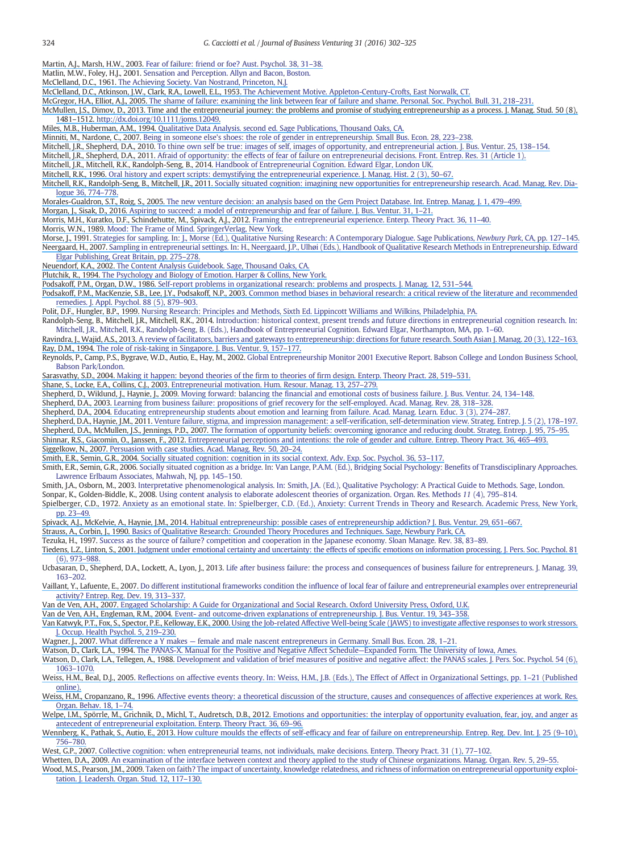- <span id="page-23-0"></span>Martin, A.J., Marsh, H.W., 2003. [Fear of failure: friend or foe? Aust. Psychol. 38, 31](http://refhub.elsevier.com/S0883-9026(16)30002-7/rf0435)–38.
- Matlin, M.W., Foley, H.J., 2001. [Sensation and Perception. Allyn and Bacon, Boston](http://refhub.elsevier.com/S0883-9026(16)30002-7/rf0440).
- McClelland, D.C., 1961. [The Achieving Society. Van Nostrand, Princeton, N.J.](http://refhub.elsevier.com/S0883-9026(16)30002-7/rf0445)
- McClelland, D.C., Atkinson, J.W., Clark, R.A., Lowell, E.L., 1953. [The Achievement Motive. Appleton-Century-Crofts, East Norwalk, C](http://refhub.elsevier.com/S0883-9026(16)30002-7/rf0450)[T.](https://www.researchgate.net/publication/232427653_The_Achievement_Motive?el=1_x_8&enrichId=rgreq-79255f33ff526740e71246f573d8f528-XXX&enrichSource=Y292ZXJQYWdlOzMwMDMxMTExNDtBUzozOTM4NDE3ODcwNjQzMzNAMTQ3MDkxMDYwNzg3MQ==)
- McGregor, H.A., Elliot, A.J., 2005. [The shame of failure: examining the link between fear of failure and shame. Personal. Soc. Psychol. Bull. 31, 218](http://refhub.elsevier.com/S0883-9026(16)30002-7/rf0455)–231.
- [McMullen, J.S., Dimov, D., 2013. Time and the entrepreneurial journey: the problems and promise of studying entrepreneurship as a process. J. Manag. Stud. 50 \(8\),](https://www.researchgate.net/publication/256453851_Time_and_the_Entrepreneurial_Journey_The_Problems_and_Promise_of_Studying_Entrepreneurship_as_a_Process?el=1_x_8&enrichId=rgreq-79255f33ff526740e71246f573d8f528-XXX&enrichSource=Y292ZXJQYWdlOzMwMDMxMTExNDtBUzozOTM4NDE3ODcwNjQzMzNAMTQ3MDkxMDYwNzg3MQ==) 1481–1512. [http://dx.doi.org/1](https://www.researchgate.net/publication/256453851_Time_and_the_Entrepreneurial_Journey_The_Problems_and_Promise_of_Studying_Entrepreneurship_as_a_Process?el=1_x_8&enrichId=rgreq-79255f33ff526740e71246f573d8f528-XXX&enrichSource=Y292ZXJQYWdlOzMwMDMxMTExNDtBUzozOTM4NDE3ODcwNjQzMzNAMTQ3MDkxMDYwNzg3MQ==)[0.1111/joms.12049](http://dx.doi.org/10.1111/joms.12049)[.](https://www.researchgate.net/publication/256453851_Time_and_the_Entrepreneurial_Journey_The_Problems_and_Promise_of_Studying_Entrepreneurship_as_a_Process?el=1_x_8&enrichId=rgreq-79255f33ff526740e71246f573d8f528-XXX&enrichSource=Y292ZXJQYWdlOzMwMDMxMTExNDtBUzozOTM4NDE3ODcwNjQzMzNAMTQ3MDkxMDYwNzg3MQ==)
- Miles, M.B., Huberman, A.M., 1994. [Q](https://www.researchgate.net/publication/251880092_Qualitative_Data_Analysis?el=1_x_8&enrichId=rgreq-79255f33ff526740e71246f573d8f528-XXX&enrichSource=Y292ZXJQYWdlOzMwMDMxMTExNDtBUzozOTM4NDE3ODcwNjQzMzNAMTQ3MDkxMDYwNzg3MQ==)[ualitative Data Analysis. second ed. Sage Publications, Thousand Oaks, C](http://refhub.elsevier.com/S0883-9026(16)30002-7/rf0465)[A.](https://www.researchgate.net/publication/251880092_Qualitative_Data_Analysis?el=1_x_8&enrichId=rgreq-79255f33ff526740e71246f573d8f528-XXX&enrichSource=Y292ZXJQYWdlOzMwMDMxMTExNDtBUzozOTM4NDE3ODcwNjQzMzNAMTQ3MDkxMDYwNzg3MQ==)
- Minniti, M., Nardone, C., 2007. [B](https://www.researchgate.net/publication/null?el=1_x_8&enrichId=rgreq-79255f33ff526740e71246f573d8f528-XXX&enrichSource=Y292ZXJQYWdlOzMwMDMxMTExNDtBUzozOTM4NDE3ODcwNjQzMzNAMTQ3MDkxMDYwNzg3MQ==)[eing in someone else's shoes: the role of gender in entrepreneurship. Small Bus. Econ. 28, 223](http://refhub.elsevier.com/S0883-9026(16)30002-7/rf0470)–238.
- Mitchell, J.R., Shepherd, D.A., 2010. [To thine own self be true: images of self, images of opportunity, and entrepreneurial action. J. Bus. Ventur. 25, 138](http://refhub.elsevier.com/S0883-9026(16)30002-7/rf0475)–154.
- Mitchell, J.R., Shepherd, D.A., 2011. [Afraid of opportunity: the effects of fear of failure on entrepreneurial decisions. Front. Entrep. Res. 31 \(Article 1\)](http://refhub.elsevier.com/S0883-9026(16)30002-7/rf0480)[.](https://www.researchgate.net/publication/254556022_Afraid_of_opportunity_the_effects_of_fear_of_failure_on_entrepreneurial_decisions?el=1_x_8&enrichId=rgreq-79255f33ff526740e71246f573d8f528-XXX&enrichSource=Y292ZXJQYWdlOzMwMDMxMTExNDtBUzozOTM4NDE3ODcwNjQzMzNAMTQ3MDkxMDYwNzg3MQ==)
- Mitchell, J.R., Mitchell, R.K., Randolph-Seng, B., 2014. [H](https://www.researchgate.net/publication/298095577_Introduction_Historical_context_present_trends_and_future_directions_in_entrepreneurial_cognition_research?el=1_x_8&enrichId=rgreq-79255f33ff526740e71246f573d8f528-XXX&enrichSource=Y292ZXJQYWdlOzMwMDMxMTExNDtBUzozOTM4NDE3ODcwNjQzMzNAMTQ3MDkxMDYwNzg3MQ==)[andbook of Entrepreneurial Cognition. Edward Elgar, London UK](http://refhub.elsevier.com/S0883-9026(16)30002-7/rf0485)[.](https://www.researchgate.net/publication/298095577_Introduction_Historical_context_present_trends_and_future_directions_in_entrepreneurial_cognition_research?el=1_x_8&enrichId=rgreq-79255f33ff526740e71246f573d8f528-XXX&enrichSource=Y292ZXJQYWdlOzMwMDMxMTExNDtBUzozOTM4NDE3ODcwNjQzMzNAMTQ3MDkxMDYwNzg3MQ==)
- Mitchell, R.K., 1996. [O](https://www.researchgate.net/publication/235298855_Oral_History_and_Expert_Scripts_Demystifying_the_Entrepreneurial_Experience?el=1_x_8&enrichId=rgreq-79255f33ff526740e71246f573d8f528-XXX&enrichSource=Y292ZXJQYWdlOzMwMDMxMTExNDtBUzozOTM4NDE3ODcwNjQzMzNAMTQ3MDkxMDYwNzg3MQ==)[ral history and expert scripts: demystifying the entrepreneurial experience. J. Manag. Hist. 2 \(3\), 50](http://refhub.elsevier.com/S0883-9026(16)30002-7/rf0490)–67.
- Mitchell, R.K., Randolph-Seng, B., Mitchell, J.R., 2011. [Socially situated cognition: imagining new opportunities for entrepreneurship research. Acad. Manag. Rev. Dia](http://refhub.elsevier.com/S0883-9026(16)30002-7/rf0495)[logue 36, 774](http://refhub.elsevier.com/S0883-9026(16)30002-7/rf0495)–778.
- Morales-Gualdron, S.T., Roig, S., 2005. [The new venture decision: an analysis based on the Gem Project Database. Int. Entrep. Manag. J. 1, 479](http://refhub.elsevier.com/S0883-9026(16)30002-7/rf0500)–499.
- Morgan, J., Sisak, D., 2016. [A](https://www.researchgate.net/publication/284085318_Aspiring_to_succeed_A_model_of_entrepreneurship_and_fear_of_failure?el=1_x_8&enrichId=rgreq-79255f33ff526740e71246f573d8f528-XXX&enrichSource=Y292ZXJQYWdlOzMwMDMxMTExNDtBUzozOTM4NDE3ODcwNjQzMzNAMTQ3MDkxMDYwNzg3MQ==)[spiring to succeed: a model of entrepreneurship and fear of failure. J. Bus. Ventur. 31, 1](http://refhub.elsevier.com/S0883-9026(16)30002-7/rf0505)–21.
- Morris, M.H., Kuratko, D.F., Schindehutte, M., Spivack, A.J., 2012. [Framing](https://www.researchgate.net/publication/228270017_Framing_the_Entrepreneurial_Experience?el=1_x_8&enrichId=rgreq-79255f33ff526740e71246f573d8f528-XXX&enrichSource=Y292ZXJQYWdlOzMwMDMxMTExNDtBUzozOTM4NDE3ODcwNjQzMzNAMTQ3MDkxMDYwNzg3MQ==)[the](https://www.researchgate.net/publication/228270017_Framing_the_Entrepreneurial_Experience?el=1_x_8&enrichId=rgreq-79255f33ff526740e71246f573d8f528-XXX&enrichSource=Y292ZXJQYWdlOzMwMDMxMTExNDtBUzozOTM4NDE3ODcwNjQzMzNAMTQ3MDkxMDYwNzg3MQ==)[entrepreneurial](https://www.researchgate.net/publication/228270017_Framing_the_Entrepreneurial_Experience?el=1_x_8&enrichId=rgreq-79255f33ff526740e71246f573d8f528-XXX&enrichSource=Y292ZXJQYWdlOzMwMDMxMTExNDtBUzozOTM4NDE3ODcwNjQzMzNAMTQ3MDkxMDYwNzg3MQ==)[experience.](https://www.researchgate.net/publication/228270017_Framing_the_Entrepreneurial_Experience?el=1_x_8&enrichId=rgreq-79255f33ff526740e71246f573d8f528-XXX&enrichSource=Y292ZXJQYWdlOzMwMDMxMTExNDtBUzozOTM4NDE3ODcwNjQzMzNAMTQ3MDkxMDYwNzg3MQ==)[Enterp.](https://www.researchgate.net/publication/228270017_Framing_the_Entrepreneurial_Experience?el=1_x_8&enrichId=rgreq-79255f33ff526740e71246f573d8f528-XXX&enrichSource=Y292ZXJQYWdlOzMwMDMxMTExNDtBUzozOTM4NDE3ODcwNjQzMzNAMTQ3MDkxMDYwNzg3MQ==)[Theory](https://www.researchgate.net/publication/228270017_Framing_the_Entrepreneurial_Experience?el=1_x_8&enrichId=rgreq-79255f33ff526740e71246f573d8f528-XXX&enrichSource=Y292ZXJQYWdlOzMwMDMxMTExNDtBUzozOTM4NDE3ODcwNjQzMzNAMTQ3MDkxMDYwNzg3MQ==)[Pract.](https://www.researchgate.net/publication/228270017_Framing_the_Entrepreneurial_Experience?el=1_x_8&enrichId=rgreq-79255f33ff526740e71246f573d8f528-XXX&enrichSource=Y292ZXJQYWdlOzMwMDMxMTExNDtBUzozOTM4NDE3ODcwNjQzMzNAMTQ3MDkxMDYwNzg3MQ==)[36,](https://www.researchgate.net/publication/228270017_Framing_the_Entrepreneurial_Experience?el=1_x_8&enrichId=rgreq-79255f33ff526740e71246f573d8f528-XXX&enrichSource=Y292ZXJQYWdlOzMwMDMxMTExNDtBUzozOTM4NDE3ODcwNjQzMzNAMTQ3MDkxMDYwNzg3MQ==)[11](https://www.researchgate.net/publication/228270017_Framing_the_Entrepreneurial_Experience?el=1_x_8&enrichId=rgreq-79255f33ff526740e71246f573d8f528-XXX&enrichSource=Y292ZXJQYWdlOzMwMDMxMTExNDtBUzozOTM4NDE3ODcwNjQzMzNAMTQ3MDkxMDYwNzg3MQ==)–40.
- Morris, W.N., 1989. [Mood:](https://www.researchgate.net/publication/246869471_Mood_The_Frame_of_Mind?el=1_x_8&enrichId=rgreq-79255f33ff526740e71246f573d8f528-XXX&enrichSource=Y292ZXJQYWdlOzMwMDMxMTExNDtBUzozOTM4NDE3ODcwNjQzMzNAMTQ3MDkxMDYwNzg3MQ==)[The](https://www.researchgate.net/publication/246869471_Mood_The_Frame_of_Mind?el=1_x_8&enrichId=rgreq-79255f33ff526740e71246f573d8f528-XXX&enrichSource=Y292ZXJQYWdlOzMwMDMxMTExNDtBUzozOTM4NDE3ODcwNjQzMzNAMTQ3MDkxMDYwNzg3MQ==)[Frame](https://www.researchgate.net/publication/246869471_Mood_The_Frame_of_Mind?el=1_x_8&enrichId=rgreq-79255f33ff526740e71246f573d8f528-XXX&enrichSource=Y292ZXJQYWdlOzMwMDMxMTExNDtBUzozOTM4NDE3ODcwNjQzMzNAMTQ3MDkxMDYwNzg3MQ==)[of](https://www.researchgate.net/publication/246869471_Mood_The_Frame_of_Mind?el=1_x_8&enrichId=rgreq-79255f33ff526740e71246f573d8f528-XXX&enrichSource=Y292ZXJQYWdlOzMwMDMxMTExNDtBUzozOTM4NDE3ODcwNjQzMzNAMTQ3MDkxMDYwNzg3MQ==)[Mind.](https://www.researchgate.net/publication/246869471_Mood_The_Frame_of_Mind?el=1_x_8&enrichId=rgreq-79255f33ff526740e71246f573d8f528-XXX&enrichSource=Y292ZXJQYWdlOzMwMDMxMTExNDtBUzozOTM4NDE3ODcwNjQzMzNAMTQ3MDkxMDYwNzg3MQ==)[SpringerVerlag,](https://www.researchgate.net/publication/246869471_Mood_The_Frame_of_Mind?el=1_x_8&enrichId=rgreq-79255f33ff526740e71246f573d8f528-XXX&enrichSource=Y292ZXJQYWdlOzMwMDMxMTExNDtBUzozOTM4NDE3ODcwNjQzMzNAMTQ3MDkxMDYwNzg3MQ==)[New](https://www.researchgate.net/publication/246869471_Mood_The_Frame_of_Mind?el=1_x_8&enrichId=rgreq-79255f33ff526740e71246f573d8f528-XXX&enrichSource=Y292ZXJQYWdlOzMwMDMxMTExNDtBUzozOTM4NDE3ODcwNjQzMzNAMTQ3MDkxMDYwNzg3MQ==)[York.](https://www.researchgate.net/publication/246869471_Mood_The_Frame_of_Mind?el=1_x_8&enrichId=rgreq-79255f33ff526740e71246f573d8f528-XXX&enrichSource=Y292ZXJQYWdlOzMwMDMxMTExNDtBUzozOTM4NDE3ODcwNjQzMzNAMTQ3MDkxMDYwNzg3MQ==)
- Morse, J., 1991. [Strategies](https://www.researchgate.net/publication/229071135_Qualitative_nursing_research_A_contemporary_dialogue_rev?el=1_x_8&enrichId=rgreq-79255f33ff526740e71246f573d8f528-XXX&enrichSource=Y292ZXJQYWdlOzMwMDMxMTExNDtBUzozOTM4NDE3ODcwNjQzMzNAMTQ3MDkxMDYwNzg3MQ==)[for](https://www.researchgate.net/publication/229071135_Qualitative_nursing_research_A_contemporary_dialogue_rev?el=1_x_8&enrichId=rgreq-79255f33ff526740e71246f573d8f528-XXX&enrichSource=Y292ZXJQYWdlOzMwMDMxMTExNDtBUzozOTM4NDE3ODcwNjQzMzNAMTQ3MDkxMDYwNzg3MQ==)[sampling.](https://www.researchgate.net/publication/229071135_Qualitative_nursing_research_A_contemporary_dialogue_rev?el=1_x_8&enrichId=rgreq-79255f33ff526740e71246f573d8f528-XXX&enrichSource=Y292ZXJQYWdlOzMwMDMxMTExNDtBUzozOTM4NDE3ODcwNjQzMzNAMTQ3MDkxMDYwNzg3MQ==)[In:](https://www.researchgate.net/publication/229071135_Qualitative_nursing_research_A_contemporary_dialogue_rev?el=1_x_8&enrichId=rgreq-79255f33ff526740e71246f573d8f528-XXX&enrichSource=Y292ZXJQYWdlOzMwMDMxMTExNDtBUzozOTM4NDE3ODcwNjQzMzNAMTQ3MDkxMDYwNzg3MQ==)[J.,](https://www.researchgate.net/publication/229071135_Qualitative_nursing_research_A_contemporary_dialogue_rev?el=1_x_8&enrichId=rgreq-79255f33ff526740e71246f573d8f528-XXX&enrichSource=Y292ZXJQYWdlOzMwMDMxMTExNDtBUzozOTM4NDE3ODcwNjQzMzNAMTQ3MDkxMDYwNzg3MQ==)[Morse](https://www.researchgate.net/publication/229071135_Qualitative_nursing_research_A_contemporary_dialogue_rev?el=1_x_8&enrichId=rgreq-79255f33ff526740e71246f573d8f528-XXX&enrichSource=Y292ZXJQYWdlOzMwMDMxMTExNDtBUzozOTM4NDE3ODcwNjQzMzNAMTQ3MDkxMDYwNzg3MQ==)[\(Ed.\),](https://www.researchgate.net/publication/229071135_Qualitative_nursing_research_A_contemporary_dialogue_rev?el=1_x_8&enrichId=rgreq-79255f33ff526740e71246f573d8f528-XXX&enrichSource=Y292ZXJQYWdlOzMwMDMxMTExNDtBUzozOTM4NDE3ODcwNjQzMzNAMTQ3MDkxMDYwNzg3MQ==)[Qualitative](https://www.researchgate.net/publication/229071135_Qualitative_nursing_research_A_contemporary_dialogue_rev?el=1_x_8&enrichId=rgreq-79255f33ff526740e71246f573d8f528-XXX&enrichSource=Y292ZXJQYWdlOzMwMDMxMTExNDtBUzozOTM4NDE3ODcwNjQzMzNAMTQ3MDkxMDYwNzg3MQ==)[Nursing](https://www.researchgate.net/publication/229071135_Qualitative_nursing_research_A_contemporary_dialogue_rev?el=1_x_8&enrichId=rgreq-79255f33ff526740e71246f573d8f528-XXX&enrichSource=Y292ZXJQYWdlOzMwMDMxMTExNDtBUzozOTM4NDE3ODcwNjQzMzNAMTQ3MDkxMDYwNzg3MQ==)[Research:](https://www.researchgate.net/publication/229071135_Qualitative_nursing_research_A_contemporary_dialogue_rev?el=1_x_8&enrichId=rgreq-79255f33ff526740e71246f573d8f528-XXX&enrichSource=Y292ZXJQYWdlOzMwMDMxMTExNDtBUzozOTM4NDE3ODcwNjQzMzNAMTQ3MDkxMDYwNzg3MQ==)[A](https://www.researchgate.net/publication/229071135_Qualitative_nursing_research_A_contemporary_dialogue_rev?el=1_x_8&enrichId=rgreq-79255f33ff526740e71246f573d8f528-XXX&enrichSource=Y292ZXJQYWdlOzMwMDMxMTExNDtBUzozOTM4NDE3ODcwNjQzMzNAMTQ3MDkxMDYwNzg3MQ==)[Contemporary](https://www.researchgate.net/publication/229071135_Qualitative_nursing_research_A_contemporary_dialogue_rev?el=1_x_8&enrichId=rgreq-79255f33ff526740e71246f573d8f528-XXX&enrichSource=Y292ZXJQYWdlOzMwMDMxMTExNDtBUzozOTM4NDE3ODcwNjQzMzNAMTQ3MDkxMDYwNzg3MQ==)[Dialogue.](https://www.researchgate.net/publication/229071135_Qualitative_nursing_research_A_contemporary_dialogue_rev?el=1_x_8&enrichId=rgreq-79255f33ff526740e71246f573d8f528-XXX&enrichSource=Y292ZXJQYWdlOzMwMDMxMTExNDtBUzozOTM4NDE3ODcwNjQzMzNAMTQ3MDkxMDYwNzg3MQ==)[Sage](https://www.researchgate.net/publication/229071135_Qualitative_nursing_research_A_contemporary_dialogue_rev?el=1_x_8&enrichId=rgreq-79255f33ff526740e71246f573d8f528-XXX&enrichSource=Y292ZXJQYWdlOzMwMDMxMTExNDtBUzozOTM4NDE3ODcwNjQzMzNAMTQ3MDkxMDYwNzg3MQ==)[Publications,](https://www.researchgate.net/publication/229071135_Qualitative_nursing_research_A_contemporary_dialogue_rev?el=1_x_8&enrichId=rgreq-79255f33ff526740e71246f573d8f528-XXX&enrichSource=Y292ZXJQYWdlOzMwMDMxMTExNDtBUzozOTM4NDE3ODcwNjQzMzNAMTQ3MDkxMDYwNzg3MQ==) Newbury Park, CA, pp. 127–145. Neergaard, H., 2007. [Sampling](https://www.researchgate.net/publication/298493306_Handbook_of_qualitative_research_methods_in_entrepreneurship?el=1_x_8&enrichId=rgreq-79255f33ff526740e71246f573d8f528-XXX&enrichSource=Y292ZXJQYWdlOzMwMDMxMTExNDtBUzozOTM4NDE3ODcwNjQzMzNAMTQ3MDkxMDYwNzg3MQ==)[in](https://www.researchgate.net/publication/298493306_Handbook_of_qualitative_research_methods_in_entrepreneurship?el=1_x_8&enrichId=rgreq-79255f33ff526740e71246f573d8f528-XXX&enrichSource=Y292ZXJQYWdlOzMwMDMxMTExNDtBUzozOTM4NDE3ODcwNjQzMzNAMTQ3MDkxMDYwNzg3MQ==)[entrepreneurial](https://www.researchgate.net/publication/298493306_Handbook_of_qualitative_research_methods_in_entrepreneurship?el=1_x_8&enrichId=rgreq-79255f33ff526740e71246f573d8f528-XXX&enrichSource=Y292ZXJQYWdlOzMwMDMxMTExNDtBUzozOTM4NDE3ODcwNjQzMzNAMTQ3MDkxMDYwNzg3MQ==)[settings.](https://www.researchgate.net/publication/298493306_Handbook_of_qualitative_research_methods_in_entrepreneurship?el=1_x_8&enrichId=rgreq-79255f33ff526740e71246f573d8f528-XXX&enrichSource=Y292ZXJQYWdlOzMwMDMxMTExNDtBUzozOTM4NDE3ODcwNjQzMzNAMTQ3MDkxMDYwNzg3MQ==)[In:](https://www.researchgate.net/publication/298493306_Handbook_of_qualitative_research_methods_in_entrepreneurship?el=1_x_8&enrichId=rgreq-79255f33ff526740e71246f573d8f528-XXX&enrichSource=Y292ZXJQYWdlOzMwMDMxMTExNDtBUzozOTM4NDE3ODcwNjQzMzNAMTQ3MDkxMDYwNzg3MQ==)[H.,](https://www.researchgate.net/publication/298493306_Handbook_of_qualitative_research_methods_in_entrepreneurship?el=1_x_8&enrichId=rgreq-79255f33ff526740e71246f573d8f528-XXX&enrichSource=Y292ZXJQYWdlOzMwMDMxMTExNDtBUzozOTM4NDE3ODcwNjQzMzNAMTQ3MDkxMDYwNzg3MQ==)[Neergaard,](https://www.researchgate.net/publication/298493306_Handbook_of_qualitative_research_methods_in_entrepreneurship?el=1_x_8&enrichId=rgreq-79255f33ff526740e71246f573d8f528-XXX&enrichSource=Y292ZXJQYWdlOzMwMDMxMTExNDtBUzozOTM4NDE3ODcwNjQzMzNAMTQ3MDkxMDYwNzg3MQ==)[J.P.,](https://www.researchgate.net/publication/298493306_Handbook_of_qualitative_research_methods_in_entrepreneurship?el=1_x_8&enrichId=rgreq-79255f33ff526740e71246f573d8f528-XXX&enrichSource=Y292ZXJQYWdlOzMwMDMxMTExNDtBUzozOTM4NDE3ODcwNjQzMzNAMTQ3MDkxMDYwNzg3MQ==)[Ulhøi](https://www.researchgate.net/publication/298493306_Handbook_of_qualitative_research_methods_in_entrepreneurship?el=1_x_8&enrichId=rgreq-79255f33ff526740e71246f573d8f528-XXX&enrichSource=Y292ZXJQYWdlOzMwMDMxMTExNDtBUzozOTM4NDE3ODcwNjQzMzNAMTQ3MDkxMDYwNzg3MQ==)[\(Eds.\),](https://www.researchgate.net/publication/298493306_Handbook_of_qualitative_research_methods_in_entrepreneurship?el=1_x_8&enrichId=rgreq-79255f33ff526740e71246f573d8f528-XXX&enrichSource=Y292ZXJQYWdlOzMwMDMxMTExNDtBUzozOTM4NDE3ODcwNjQzMzNAMTQ3MDkxMDYwNzg3MQ==)[Handbook](https://www.researchgate.net/publication/298493306_Handbook_of_qualitative_research_methods_in_entrepreneurship?el=1_x_8&enrichId=rgreq-79255f33ff526740e71246f573d8f528-XXX&enrichSource=Y292ZXJQYWdlOzMwMDMxMTExNDtBUzozOTM4NDE3ODcwNjQzMzNAMTQ3MDkxMDYwNzg3MQ==)[of](https://www.researchgate.net/publication/298493306_Handbook_of_qualitative_research_methods_in_entrepreneurship?el=1_x_8&enrichId=rgreq-79255f33ff526740e71246f573d8f528-XXX&enrichSource=Y292ZXJQYWdlOzMwMDMxMTExNDtBUzozOTM4NDE3ODcwNjQzMzNAMTQ3MDkxMDYwNzg3MQ==)[Qualitative](https://www.researchgate.net/publication/298493306_Handbook_of_qualitative_research_methods_in_entrepreneurship?el=1_x_8&enrichId=rgreq-79255f33ff526740e71246f573d8f528-XXX&enrichSource=Y292ZXJQYWdlOzMwMDMxMTExNDtBUzozOTM4NDE3ODcwNjQzMzNAMTQ3MDkxMDYwNzg3MQ==)[Research](https://www.researchgate.net/publication/298493306_Handbook_of_qualitative_research_methods_in_entrepreneurship?el=1_x_8&enrichId=rgreq-79255f33ff526740e71246f573d8f528-XXX&enrichSource=Y292ZXJQYWdlOzMwMDMxMTExNDtBUzozOTM4NDE3ODcwNjQzMzNAMTQ3MDkxMDYwNzg3MQ==)[Methods](https://www.researchgate.net/publication/298493306_Handbook_of_qualitative_research_methods_in_entrepreneurship?el=1_x_8&enrichId=rgreq-79255f33ff526740e71246f573d8f528-XXX&enrichSource=Y292ZXJQYWdlOzMwMDMxMTExNDtBUzozOTM4NDE3ODcwNjQzMzNAMTQ3MDkxMDYwNzg3MQ==)[in](https://www.researchgate.net/publication/298493306_Handbook_of_qualitative_research_methods_in_entrepreneurship?el=1_x_8&enrichId=rgreq-79255f33ff526740e71246f573d8f528-XXX&enrichSource=Y292ZXJQYWdlOzMwMDMxMTExNDtBUzozOTM4NDE3ODcwNjQzMzNAMTQ3MDkxMDYwNzg3MQ==)[Entrepreneurship.](https://www.researchgate.net/publication/298493306_Handbook_of_qualitative_research_methods_in_entrepreneurship?el=1_x_8&enrichId=rgreq-79255f33ff526740e71246f573d8f528-XXX&enrichSource=Y292ZXJQYWdlOzMwMDMxMTExNDtBUzozOTM4NDE3ODcwNjQzMzNAMTQ3MDkxMDYwNzg3MQ==)[Edward](https://www.researchgate.net/publication/298493306_Handbook_of_qualitative_research_methods_in_entrepreneurship?el=1_x_8&enrichId=rgreq-79255f33ff526740e71246f573d8f528-XXX&enrichSource=Y292ZXJQYWdlOzMwMDMxMTExNDtBUzozOTM4NDE3ODcwNjQzMzNAMTQ3MDkxMDYwNzg3MQ==) [Elgar](https://www.researchgate.net/publication/298493306_Handbook_of_qualitative_research_methods_in_entrepreneurship?el=1_x_8&enrichId=rgreq-79255f33ff526740e71246f573d8f528-XXX&enrichSource=Y292ZXJQYWdlOzMwMDMxMTExNDtBUzozOTM4NDE3ODcwNjQzMzNAMTQ3MDkxMDYwNzg3MQ==)[Publishing,](https://www.researchgate.net/publication/298493306_Handbook_of_qualitative_research_methods_in_entrepreneurship?el=1_x_8&enrichId=rgreq-79255f33ff526740e71246f573d8f528-XXX&enrichSource=Y292ZXJQYWdlOzMwMDMxMTExNDtBUzozOTM4NDE3ODcwNjQzMzNAMTQ3MDkxMDYwNzg3MQ==)[Great](https://www.researchgate.net/publication/298493306_Handbook_of_qualitative_research_methods_in_entrepreneurship?el=1_x_8&enrichId=rgreq-79255f33ff526740e71246f573d8f528-XXX&enrichSource=Y292ZXJQYWdlOzMwMDMxMTExNDtBUzozOTM4NDE3ODcwNjQzMzNAMTQ3MDkxMDYwNzg3MQ==)[Britain,](https://www.researchgate.net/publication/298493306_Handbook_of_qualitative_research_methods_in_entrepreneurship?el=1_x_8&enrichId=rgreq-79255f33ff526740e71246f573d8f528-XXX&enrichSource=Y292ZXJQYWdlOzMwMDMxMTExNDtBUzozOTM4NDE3ODcwNjQzMzNAMTQ3MDkxMDYwNzg3MQ==)[pp.](https://www.researchgate.net/publication/298493306_Handbook_of_qualitative_research_methods_in_entrepreneurship?el=1_x_8&enrichId=rgreq-79255f33ff526740e71246f573d8f528-XXX&enrichSource=Y292ZXJQYWdlOzMwMDMxMTExNDtBUzozOTM4NDE3ODcwNjQzMzNAMTQ3MDkxMDYwNzg3MQ==)[275](https://www.researchgate.net/publication/298493306_Handbook_of_qualitative_research_methods_in_entrepreneurship?el=1_x_8&enrichId=rgreq-79255f33ff526740e71246f573d8f528-XXX&enrichSource=Y292ZXJQYWdlOzMwMDMxMTExNDtBUzozOTM4NDE3ODcwNjQzMzNAMTQ3MDkxMDYwNzg3MQ==)–278.
- Neuendorf, K.A., 2002. [The](https://www.researchgate.net/publication/247817272_The_Content_Analysis_Guidebook?el=1_x_8&enrichId=rgreq-79255f33ff526740e71246f573d8f528-XXX&enrichSource=Y292ZXJQYWdlOzMwMDMxMTExNDtBUzozOTM4NDE3ODcwNjQzMzNAMTQ3MDkxMDYwNzg3MQ==)[Content](https://www.researchgate.net/publication/247817272_The_Content_Analysis_Guidebook?el=1_x_8&enrichId=rgreq-79255f33ff526740e71246f573d8f528-XXX&enrichSource=Y292ZXJQYWdlOzMwMDMxMTExNDtBUzozOTM4NDE3ODcwNjQzMzNAMTQ3MDkxMDYwNzg3MQ==)[Analysis](https://www.researchgate.net/publication/247817272_The_Content_Analysis_Guidebook?el=1_x_8&enrichId=rgreq-79255f33ff526740e71246f573d8f528-XXX&enrichSource=Y292ZXJQYWdlOzMwMDMxMTExNDtBUzozOTM4NDE3ODcwNjQzMzNAMTQ3MDkxMDYwNzg3MQ==)[Guidebook.](https://www.researchgate.net/publication/247817272_The_Content_Analysis_Guidebook?el=1_x_8&enrichId=rgreq-79255f33ff526740e71246f573d8f528-XXX&enrichSource=Y292ZXJQYWdlOzMwMDMxMTExNDtBUzozOTM4NDE3ODcwNjQzMzNAMTQ3MDkxMDYwNzg3MQ==)[Sage,](https://www.researchgate.net/publication/247817272_The_Content_Analysis_Guidebook?el=1_x_8&enrichId=rgreq-79255f33ff526740e71246f573d8f528-XXX&enrichSource=Y292ZXJQYWdlOzMwMDMxMTExNDtBUzozOTM4NDE3ODcwNjQzMzNAMTQ3MDkxMDYwNzg3MQ==)[Thousand](https://www.researchgate.net/publication/247817272_The_Content_Analysis_Guidebook?el=1_x_8&enrichId=rgreq-79255f33ff526740e71246f573d8f528-XXX&enrichSource=Y292ZXJQYWdlOzMwMDMxMTExNDtBUzozOTM4NDE3ODcwNjQzMzNAMTQ3MDkxMDYwNzg3MQ==)[Oaks,](https://www.researchgate.net/publication/247817272_The_Content_Analysis_Guidebook?el=1_x_8&enrichId=rgreq-79255f33ff526740e71246f573d8f528-XXX&enrichSource=Y292ZXJQYWdlOzMwMDMxMTExNDtBUzozOTM4NDE3ODcwNjQzMzNAMTQ3MDkxMDYwNzg3MQ==)[CA.](https://www.researchgate.net/publication/247817272_The_Content_Analysis_Guidebook?el=1_x_8&enrichId=rgreq-79255f33ff526740e71246f573d8f528-XXX&enrichSource=Y292ZXJQYWdlOzMwMDMxMTExNDtBUzozOTM4NDE3ODcwNjQzMzNAMTQ3MDkxMDYwNzg3MQ==)
- Plutchik, R., 1994. [The](https://www.researchgate.net/publication/232282323_The_Psychology_and_Biology_of_Emotion?el=1_x_8&enrichId=rgreq-79255f33ff526740e71246f573d8f528-XXX&enrichSource=Y292ZXJQYWdlOzMwMDMxMTExNDtBUzozOTM4NDE3ODcwNjQzMzNAMTQ3MDkxMDYwNzg3MQ==)[Psychology](https://www.researchgate.net/publication/232282323_The_Psychology_and_Biology_of_Emotion?el=1_x_8&enrichId=rgreq-79255f33ff526740e71246f573d8f528-XXX&enrichSource=Y292ZXJQYWdlOzMwMDMxMTExNDtBUzozOTM4NDE3ODcwNjQzMzNAMTQ3MDkxMDYwNzg3MQ==)[and](https://www.researchgate.net/publication/232282323_The_Psychology_and_Biology_of_Emotion?el=1_x_8&enrichId=rgreq-79255f33ff526740e71246f573d8f528-XXX&enrichSource=Y292ZXJQYWdlOzMwMDMxMTExNDtBUzozOTM4NDE3ODcwNjQzMzNAMTQ3MDkxMDYwNzg3MQ==)[Biology](https://www.researchgate.net/publication/232282323_The_Psychology_and_Biology_of_Emotion?el=1_x_8&enrichId=rgreq-79255f33ff526740e71246f573d8f528-XXX&enrichSource=Y292ZXJQYWdlOzMwMDMxMTExNDtBUzozOTM4NDE3ODcwNjQzMzNAMTQ3MDkxMDYwNzg3MQ==)[of](https://www.researchgate.net/publication/232282323_The_Psychology_and_Biology_of_Emotion?el=1_x_8&enrichId=rgreq-79255f33ff526740e71246f573d8f528-XXX&enrichSource=Y292ZXJQYWdlOzMwMDMxMTExNDtBUzozOTM4NDE3ODcwNjQzMzNAMTQ3MDkxMDYwNzg3MQ==)[Emotion.](https://www.researchgate.net/publication/232282323_The_Psychology_and_Biology_of_Emotion?el=1_x_8&enrichId=rgreq-79255f33ff526740e71246f573d8f528-XXX&enrichSource=Y292ZXJQYWdlOzMwMDMxMTExNDtBUzozOTM4NDE3ODcwNjQzMzNAMTQ3MDkxMDYwNzg3MQ==)[Harper](https://www.researchgate.net/publication/232282323_The_Psychology_and_Biology_of_Emotion?el=1_x_8&enrichId=rgreq-79255f33ff526740e71246f573d8f528-XXX&enrichSource=Y292ZXJQYWdlOzMwMDMxMTExNDtBUzozOTM4NDE3ODcwNjQzMzNAMTQ3MDkxMDYwNzg3MQ==)[&](https://www.researchgate.net/publication/232282323_The_Psychology_and_Biology_of_Emotion?el=1_x_8&enrichId=rgreq-79255f33ff526740e71246f573d8f528-XXX&enrichSource=Y292ZXJQYWdlOzMwMDMxMTExNDtBUzozOTM4NDE3ODcwNjQzMzNAMTQ3MDkxMDYwNzg3MQ==)[Collins,](https://www.researchgate.net/publication/232282323_The_Psychology_and_Biology_of_Emotion?el=1_x_8&enrichId=rgreq-79255f33ff526740e71246f573d8f528-XXX&enrichSource=Y292ZXJQYWdlOzMwMDMxMTExNDtBUzozOTM4NDE3ODcwNjQzMzNAMTQ3MDkxMDYwNzg3MQ==)[New](https://www.researchgate.net/publication/232282323_The_Psychology_and_Biology_of_Emotion?el=1_x_8&enrichId=rgreq-79255f33ff526740e71246f573d8f528-XXX&enrichSource=Y292ZXJQYWdlOzMwMDMxMTExNDtBUzozOTM4NDE3ODcwNjQzMzNAMTQ3MDkxMDYwNzg3MQ==)[York.](https://www.researchgate.net/publication/232282323_The_Psychology_and_Biology_of_Emotion?el=1_x_8&enrichId=rgreq-79255f33ff526740e71246f573d8f528-XXX&enrichSource=Y292ZXJQYWdlOzMwMDMxMTExNDtBUzozOTM4NDE3ODcwNjQzMzNAMTQ3MDkxMDYwNzg3MQ==)
- Podsakoff, P.M., Organ, D.W., 1986. [Self-report](https://www.researchgate.net/publication/284041695_Self-Report_in_Organisational_Research_Problems_and_Prospects?el=1_x_8&enrichId=rgreq-79255f33ff526740e71246f573d8f528-XXX&enrichSource=Y292ZXJQYWdlOzMwMDMxMTExNDtBUzozOTM4NDE3ODcwNjQzMzNAMTQ3MDkxMDYwNzg3MQ==)[problems](https://www.researchgate.net/publication/284041695_Self-Report_in_Organisational_Research_Problems_and_Prospects?el=1_x_8&enrichId=rgreq-79255f33ff526740e71246f573d8f528-XXX&enrichSource=Y292ZXJQYWdlOzMwMDMxMTExNDtBUzozOTM4NDE3ODcwNjQzMzNAMTQ3MDkxMDYwNzg3MQ==)[in](https://www.researchgate.net/publication/284041695_Self-Report_in_Organisational_Research_Problems_and_Prospects?el=1_x_8&enrichId=rgreq-79255f33ff526740e71246f573d8f528-XXX&enrichSource=Y292ZXJQYWdlOzMwMDMxMTExNDtBUzozOTM4NDE3ODcwNjQzMzNAMTQ3MDkxMDYwNzg3MQ==)[organizational](https://www.researchgate.net/publication/284041695_Self-Report_in_Organisational_Research_Problems_and_Prospects?el=1_x_8&enrichId=rgreq-79255f33ff526740e71246f573d8f528-XXX&enrichSource=Y292ZXJQYWdlOzMwMDMxMTExNDtBUzozOTM4NDE3ODcwNjQzMzNAMTQ3MDkxMDYwNzg3MQ==)[research:](https://www.researchgate.net/publication/284041695_Self-Report_in_Organisational_Research_Problems_and_Prospects?el=1_x_8&enrichId=rgreq-79255f33ff526740e71246f573d8f528-XXX&enrichSource=Y292ZXJQYWdlOzMwMDMxMTExNDtBUzozOTM4NDE3ODcwNjQzMzNAMTQ3MDkxMDYwNzg3MQ==)[problems](https://www.researchgate.net/publication/284041695_Self-Report_in_Organisational_Research_Problems_and_Prospects?el=1_x_8&enrichId=rgreq-79255f33ff526740e71246f573d8f528-XXX&enrichSource=Y292ZXJQYWdlOzMwMDMxMTExNDtBUzozOTM4NDE3ODcwNjQzMzNAMTQ3MDkxMDYwNzg3MQ==)[and](https://www.researchgate.net/publication/284041695_Self-Report_in_Organisational_Research_Problems_and_Prospects?el=1_x_8&enrichId=rgreq-79255f33ff526740e71246f573d8f528-XXX&enrichSource=Y292ZXJQYWdlOzMwMDMxMTExNDtBUzozOTM4NDE3ODcwNjQzMzNAMTQ3MDkxMDYwNzg3MQ==)[prospects.](https://www.researchgate.net/publication/284041695_Self-Report_in_Organisational_Research_Problems_and_Prospects?el=1_x_8&enrichId=rgreq-79255f33ff526740e71246f573d8f528-XXX&enrichSource=Y292ZXJQYWdlOzMwMDMxMTExNDtBUzozOTM4NDE3ODcwNjQzMzNAMTQ3MDkxMDYwNzg3MQ==)[J.](https://www.researchgate.net/publication/284041695_Self-Report_in_Organisational_Research_Problems_and_Prospects?el=1_x_8&enrichId=rgreq-79255f33ff526740e71246f573d8f528-XXX&enrichSource=Y292ZXJQYWdlOzMwMDMxMTExNDtBUzozOTM4NDE3ODcwNjQzMzNAMTQ3MDkxMDYwNzg3MQ==)[Manag.](https://www.researchgate.net/publication/284041695_Self-Report_in_Organisational_Research_Problems_and_Prospects?el=1_x_8&enrichId=rgreq-79255f33ff526740e71246f573d8f528-XXX&enrichSource=Y292ZXJQYWdlOzMwMDMxMTExNDtBUzozOTM4NDE3ODcwNjQzMzNAMTQ3MDkxMDYwNzg3MQ==)[12,](https://www.researchgate.net/publication/284041695_Self-Report_in_Organisational_Research_Problems_and_Prospects?el=1_x_8&enrichId=rgreq-79255f33ff526740e71246f573d8f528-XXX&enrichSource=Y292ZXJQYWdlOzMwMDMxMTExNDtBUzozOTM4NDE3ODcwNjQzMzNAMTQ3MDkxMDYwNzg3MQ==)[531](https://www.researchgate.net/publication/284041695_Self-Report_in_Organisational_Research_Problems_and_Prospects?el=1_x_8&enrichId=rgreq-79255f33ff526740e71246f573d8f528-XXX&enrichSource=Y292ZXJQYWdlOzMwMDMxMTExNDtBUzozOTM4NDE3ODcwNjQzMzNAMTQ3MDkxMDYwNzg3MQ==)–544.
- Podsakoff, P.M., MacKenzie, S.B., Lee, J.Y., Podsakoff, N.P., 2003. [C](https://www.researchgate.net/publication/279796507_Common_Method_Biases_in_Behavioral_Research_A_Critical_Review_of_the_Literature_and_Recommended_Remedies?el=1_x_8&enrichId=rgreq-79255f33ff526740e71246f573d8f528-XXX&enrichSource=Y292ZXJQYWdlOzMwMDMxMTExNDtBUzozOTM4NDE3ODcwNjQzMzNAMTQ3MDkxMDYwNzg3MQ==)[ommon method biases in behavioral research: a critical review of the literature and recommended](http://refhub.elsevier.com/S0883-9026(16)30002-7/rf0545) [remedies. J. Appl. Psychol. 88 \(5\), 879](http://refhub.elsevier.com/S0883-9026(16)30002-7/rf0545)–903.
- Polit, D.F., Hungler, B.P., 1999. [Nursing Research: Principles and Methods, Sixth Ed. Lippincott Williams and Wilkins, Philadelphia, P](http://refhub.elsevier.com/S0883-9026(16)30002-7/rf0550)[A.](https://www.researchgate.net/publication/237036447_Nursing_Research_Principles_and_Methods?el=1_x_8&enrichId=rgreq-79255f33ff526740e71246f573d8f528-XXX&enrichSource=Y292ZXJQYWdlOzMwMDMxMTExNDtBUzozOTM4NDE3ODcwNjQzMzNAMTQ3MDkxMDYwNzg3MQ==)
- Randolph-Seng, B., Mitchell, J.R., Mitchell, R.K., 2014. [Introduction: historical context, present trends and future directions in entrepreneurial cognition research. In:](http://refhub.elsevier.com/S0883-9026(16)30002-7/rf0555) [Mitchell, J.R., Mitchell, R.K., Randolph-Seng, B. \(Eds.\), Handbook of Entrepreneurial Cognition. Edward Elgar, Northampton, MA, pp. 1](http://refhub.elsevier.com/S0883-9026(16)30002-7/rf0555)–60.
- Ravindra, J., Wajid, A.S., 2013. [A](https://www.researchgate.net/publication/303179181_A_review_of_facilitators_barriers_and_gateways_to_entrepreneurship_directions_for_future_research?el=1_x_8&enrichId=rgreq-79255f33ff526740e71246f573d8f528-XXX&enrichSource=Y292ZXJQYWdlOzMwMDMxMTExNDtBUzozOTM4NDE3ODcwNjQzMzNAMTQ3MDkxMDYwNzg3MQ==) [review of facilitators, barriers and gateways to entrepreneurship: directions for future research. South Asian J. Manag. 20 \(3\), 122](http://refhub.elsevier.com/S0883-9026(16)30002-7/rf0560)–163. Ray, D.M., 1994. [The role of risk-taking in Singapore. J. Bus. Ventur. 9, 157](http://refhub.elsevier.com/S0883-9026(16)30002-7/rf0565)–177.
- Reynolds, P., Camp, P.S., Bygrave, W.D., Autio, E., Hay, M., 2002. [Global Entrepreneurship Monitor 2001 Executive Report. Babson College and London Business School,](http://refhub.elsevier.com/S0883-9026(16)30002-7/rf0570) [Babson Park/London](http://refhub.elsevier.com/S0883-9026(16)30002-7/rf0570).
- Sarasvathy, S.D., 2004. [Making it happen: beyond theories of the firm to theories of firm design. Enterp. Theory Pract. 28, 519](http://refhub.elsevier.com/S0883-9026(16)30002-7/rf0575)–531.
- Shane, S., Locke, E.A., Collins, C.J., 2003. [Entrepreneurial motivation. Hum. Resour. Manag. 13, 257](http://refhub.elsevier.com/S0883-9026(16)30002-7/rf0580)–279.
- Shepherd, D., Wiklund, J., Haynie, J., 2009. [M](https://www.researchgate.net/publication/null?el=1_x_8&enrichId=rgreq-79255f33ff526740e71246f573d8f528-XXX&enrichSource=Y292ZXJQYWdlOzMwMDMxMTExNDtBUzozOTM4NDE3ODcwNjQzMzNAMTQ3MDkxMDYwNzg3MQ==)[oving forward: balancing the financial and emotional costs of business failure. J. Bus. Ventur. 24, 134](http://refhub.elsevier.com/S0883-9026(16)30002-7/rf0585)–148.
- Shepherd, D.A., 2003. [Learning from business failure: propositions of grief recovery for the self-employed. Acad. Manag. Rev. 28, 318](http://refhub.elsevier.com/S0883-9026(16)30002-7/rf0590)–328.
- Shepherd, D.A., 2004. [Educating entrepreneurship students about emotion and learning from failure. Acad. Manag. Learn. Educ. 3 \(3\), 274](http://refhub.elsevier.com/S0883-9026(16)30002-7/rf0595)–287.
- Shepherd, D.A., Haynie, J.M., 2011. [Venture failure, stigma, and impression management: a self-verification, self-determination view. Strateg. Entrep. J. 5 \(2\), 178](http://refhub.elsevier.com/S0883-9026(16)30002-7/rf0600)–197.
- Shepherd, D.A., McMullen, J.S., Jennings, P.D., 2007. [T](https://www.researchgate.net/publication/227763231_The_Formation_of_Opportunity_Beliefs_Overcoming_Ignorance_and_Reducing_Doubt?el=1_x_8&enrichId=rgreq-79255f33ff526740e71246f573d8f528-XXX&enrichSource=Y292ZXJQYWdlOzMwMDMxMTExNDtBUzozOTM4NDE3ODcwNjQzMzNAMTQ3MDkxMDYwNzg3MQ==)[he formation of opportunity beliefs: overcoming ignorance and reducing doubt. Strateg. Entrep. J. 95, 75](http://refhub.elsevier.com/S0883-9026(16)30002-7/rf0605)–95. Shinnar, R.S., Giacomin, O., Janssen, F., 2012. [E](https://www.researchgate.net/publication/230627743_Entrepreneurial_Perceptions_and_Intentions_The_Role_of_Gender_and_Culture?el=1_x_8&enrichId=rgreq-79255f33ff526740e71246f573d8f528-XXX&enrichSource=Y292ZXJQYWdlOzMwMDMxMTExNDtBUzozOTM4NDE3ODcwNjQzMzNAMTQ3MDkxMDYwNzg3MQ==)[ntrepreneurial perceptions and intentions: the role of gender and culture. Entrep. Theory Pract. 36, 465](http://refhub.elsevier.com/S0883-9026(16)30002-7/rf0610)–493.
- Siggelkow, N., 2007. [P](https://www.researchgate.net/publication/234021898_Persuasion_With_Case_Studies?el=1_x_8&enrichId=rgreq-79255f33ff526740e71246f573d8f528-XXX&enrichSource=Y292ZXJQYWdlOzMwMDMxMTExNDtBUzozOTM4NDE3ODcwNjQzMzNAMTQ3MDkxMDYwNzg3MQ==)[ersuasion with case studies. Acad. Manag. Rev. 50, 20](http://refhub.elsevier.com/S0883-9026(16)30002-7/rf0615)–24.
- Smith, E.R., Semin, G.R., 2004. [S](https://www.researchgate.net/publication/251449621_Socially_Situated_Cognition_Cognition_in_its_Social_Context?el=1_x_8&enrichId=rgreq-79255f33ff526740e71246f573d8f528-XXX&enrichSource=Y292ZXJQYWdlOzMwMDMxMTExNDtBUzozOTM4NDE3ODcwNjQzMzNAMTQ3MDkxMDYwNzg3MQ==)[ocially situated cognition: cognition in its social context. Adv. Exp. Soc. Psychol. 36, 53](http://refhub.elsevier.com/S0883-9026(16)30002-7/rf0620)–117.
- Smith, E.R., Semin, G.R., 2006. [Socially situated cognition as a bridge. In: Van Lange, P.A.M. \(Ed.\), Bridging Social Psychology: Benefits of Transdisciplinary Approaches.](http://refhub.elsevier.com/S0883-9026(16)30002-7/rf0625) [Lawrence Erlbaum Associates, Mahwah, NJ, pp. 145](http://refhub.elsevier.com/S0883-9026(16)30002-7/rf0625)–150.
- Smith, J.A., Osborn, M., 2003. [Interpretative phenomenological analysis. In: Smith, J.A. \(Ed.\), Qualitative Psychology: A Practical Guide to Methods. Sage, London](http://refhub.elsevier.com/S0883-9026(16)30002-7/rf0630).
- Sonpar, K., Golden-Biddle, K., 2008. [Using content analysis to elaborate adolescent theories of organization. Organ. Res. Methods](http://refhub.elsevier.com/S0883-9026(16)30002-7/rf0635) 11 (4), 795–814.
- Spielberger, C.D., 1972. [A](https://www.researchgate.net/publication/288894445_Anxiety_as_an_emotional_state_Anxiety_Current_trends_in_theory_and_researchVol?el=1_x_8&enrichId=rgreq-79255f33ff526740e71246f573d8f528-XXX&enrichSource=Y292ZXJQYWdlOzMwMDMxMTExNDtBUzozOTM4NDE3ODcwNjQzMzNAMTQ3MDkxMDYwNzg3MQ==)[nxiety as an emotional state. In: Spielberger, C.D. \(Ed.\), Anxiety: Current Trends in Theory and Research. Academic Press, New York,](http://refhub.elsevier.com/S0883-9026(16)30002-7/rf0640) [pp. 23](http://refhub.elsevier.com/S0883-9026(16)30002-7/rf0640)–49.
- Spivack, A.J., McKelvie, A., Haynie, J.M., 2014. [Habitual](https://www.researchgate.net/publication/259516457_Habitual_entrepreneurs_Possible_cases_of_entrepreneurship_addiction?el=1_x_8&enrichId=rgreq-79255f33ff526740e71246f573d8f528-XXX&enrichSource=Y292ZXJQYWdlOzMwMDMxMTExNDtBUzozOTM4NDE3ODcwNjQzMzNAMTQ3MDkxMDYwNzg3MQ==)[entrepreneurship:](https://www.researchgate.net/publication/259516457_Habitual_entrepreneurs_Possible_cases_of_entrepreneurship_addiction?el=1_x_8&enrichId=rgreq-79255f33ff526740e71246f573d8f528-XXX&enrichSource=Y292ZXJQYWdlOzMwMDMxMTExNDtBUzozOTM4NDE3ODcwNjQzMzNAMTQ3MDkxMDYwNzg3MQ==)[possible](https://www.researchgate.net/publication/259516457_Habitual_entrepreneurs_Possible_cases_of_entrepreneurship_addiction?el=1_x_8&enrichId=rgreq-79255f33ff526740e71246f573d8f528-XXX&enrichSource=Y292ZXJQYWdlOzMwMDMxMTExNDtBUzozOTM4NDE3ODcwNjQzMzNAMTQ3MDkxMDYwNzg3MQ==)[cases](https://www.researchgate.net/publication/259516457_Habitual_entrepreneurs_Possible_cases_of_entrepreneurship_addiction?el=1_x_8&enrichId=rgreq-79255f33ff526740e71246f573d8f528-XXX&enrichSource=Y292ZXJQYWdlOzMwMDMxMTExNDtBUzozOTM4NDE3ODcwNjQzMzNAMTQ3MDkxMDYwNzg3MQ==)[of](https://www.researchgate.net/publication/259516457_Habitual_entrepreneurs_Possible_cases_of_entrepreneurship_addiction?el=1_x_8&enrichId=rgreq-79255f33ff526740e71246f573d8f528-XXX&enrichSource=Y292ZXJQYWdlOzMwMDMxMTExNDtBUzozOTM4NDE3ODcwNjQzMzNAMTQ3MDkxMDYwNzg3MQ==)[entrepreneurship](https://www.researchgate.net/publication/259516457_Habitual_entrepreneurs_Possible_cases_of_entrepreneurship_addiction?el=1_x_8&enrichId=rgreq-79255f33ff526740e71246f573d8f528-XXX&enrichSource=Y292ZXJQYWdlOzMwMDMxMTExNDtBUzozOTM4NDE3ODcwNjQzMzNAMTQ3MDkxMDYwNzg3MQ==)[addiction?](https://www.researchgate.net/publication/259516457_Habitual_entrepreneurs_Possible_cases_of_entrepreneurship_addiction?el=1_x_8&enrichId=rgreq-79255f33ff526740e71246f573d8f528-XXX&enrichSource=Y292ZXJQYWdlOzMwMDMxMTExNDtBUzozOTM4NDE3ODcwNjQzMzNAMTQ3MDkxMDYwNzg3MQ==)[J.](https://www.researchgate.net/publication/259516457_Habitual_entrepreneurs_Possible_cases_of_entrepreneurship_addiction?el=1_x_8&enrichId=rgreq-79255f33ff526740e71246f573d8f528-XXX&enrichSource=Y292ZXJQYWdlOzMwMDMxMTExNDtBUzozOTM4NDE3ODcwNjQzMzNAMTQ3MDkxMDYwNzg3MQ==)[Bus.](https://www.researchgate.net/publication/259516457_Habitual_entrepreneurs_Possible_cases_of_entrepreneurship_addiction?el=1_x_8&enrichId=rgreq-79255f33ff526740e71246f573d8f528-XXX&enrichSource=Y292ZXJQYWdlOzMwMDMxMTExNDtBUzozOTM4NDE3ODcwNjQzMzNAMTQ3MDkxMDYwNzg3MQ==)[Ventur.](https://www.researchgate.net/publication/259516457_Habitual_entrepreneurs_Possible_cases_of_entrepreneurship_addiction?el=1_x_8&enrichId=rgreq-79255f33ff526740e71246f573d8f528-XXX&enrichSource=Y292ZXJQYWdlOzMwMDMxMTExNDtBUzozOTM4NDE3ODcwNjQzMzNAMTQ3MDkxMDYwNzg3MQ==)[29,](https://www.researchgate.net/publication/259516457_Habitual_entrepreneurs_Possible_cases_of_entrepreneurship_addiction?el=1_x_8&enrichId=rgreq-79255f33ff526740e71246f573d8f528-XXX&enrichSource=Y292ZXJQYWdlOzMwMDMxMTExNDtBUzozOTM4NDE3ODcwNjQzMzNAMTQ3MDkxMDYwNzg3MQ==)[651](https://www.researchgate.net/publication/259516457_Habitual_entrepreneurs_Possible_cases_of_entrepreneurship_addiction?el=1_x_8&enrichId=rgreq-79255f33ff526740e71246f573d8f528-XXX&enrichSource=Y292ZXJQYWdlOzMwMDMxMTExNDtBUzozOTM4NDE3ODcwNjQzMzNAMTQ3MDkxMDYwNzg3MQ==)–667.
- Strauss, A., Corbin, J., 1990. [Basics](https://www.researchgate.net/publication/245581479_Basics_Of_Qualitative_Research_Grounded_Theory_Procedures_And_Techniques?el=1_x_8&enrichId=rgreq-79255f33ff526740e71246f573d8f528-XXX&enrichSource=Y292ZXJQYWdlOzMwMDMxMTExNDtBUzozOTM4NDE3ODcwNjQzMzNAMTQ3MDkxMDYwNzg3MQ==)[of](https://www.researchgate.net/publication/245581479_Basics_Of_Qualitative_Research_Grounded_Theory_Procedures_And_Techniques?el=1_x_8&enrichId=rgreq-79255f33ff526740e71246f573d8f528-XXX&enrichSource=Y292ZXJQYWdlOzMwMDMxMTExNDtBUzozOTM4NDE3ODcwNjQzMzNAMTQ3MDkxMDYwNzg3MQ==)[Qualitative](https://www.researchgate.net/publication/245581479_Basics_Of_Qualitative_Research_Grounded_Theory_Procedures_And_Techniques?el=1_x_8&enrichId=rgreq-79255f33ff526740e71246f573d8f528-XXX&enrichSource=Y292ZXJQYWdlOzMwMDMxMTExNDtBUzozOTM4NDE3ODcwNjQzMzNAMTQ3MDkxMDYwNzg3MQ==)[Research:](https://www.researchgate.net/publication/245581479_Basics_Of_Qualitative_Research_Grounded_Theory_Procedures_And_Techniques?el=1_x_8&enrichId=rgreq-79255f33ff526740e71246f573d8f528-XXX&enrichSource=Y292ZXJQYWdlOzMwMDMxMTExNDtBUzozOTM4NDE3ODcwNjQzMzNAMTQ3MDkxMDYwNzg3MQ==)[Grounded](https://www.researchgate.net/publication/245581479_Basics_Of_Qualitative_Research_Grounded_Theory_Procedures_And_Techniques?el=1_x_8&enrichId=rgreq-79255f33ff526740e71246f573d8f528-XXX&enrichSource=Y292ZXJQYWdlOzMwMDMxMTExNDtBUzozOTM4NDE3ODcwNjQzMzNAMTQ3MDkxMDYwNzg3MQ==)[Theory](https://www.researchgate.net/publication/245581479_Basics_Of_Qualitative_Research_Grounded_Theory_Procedures_And_Techniques?el=1_x_8&enrichId=rgreq-79255f33ff526740e71246f573d8f528-XXX&enrichSource=Y292ZXJQYWdlOzMwMDMxMTExNDtBUzozOTM4NDE3ODcwNjQzMzNAMTQ3MDkxMDYwNzg3MQ==)[Procedures](https://www.researchgate.net/publication/245581479_Basics_Of_Qualitative_Research_Grounded_Theory_Procedures_And_Techniques?el=1_x_8&enrichId=rgreq-79255f33ff526740e71246f573d8f528-XXX&enrichSource=Y292ZXJQYWdlOzMwMDMxMTExNDtBUzozOTM4NDE3ODcwNjQzMzNAMTQ3MDkxMDYwNzg3MQ==)[and](https://www.researchgate.net/publication/245581479_Basics_Of_Qualitative_Research_Grounded_Theory_Procedures_And_Techniques?el=1_x_8&enrichId=rgreq-79255f33ff526740e71246f573d8f528-XXX&enrichSource=Y292ZXJQYWdlOzMwMDMxMTExNDtBUzozOTM4NDE3ODcwNjQzMzNAMTQ3MDkxMDYwNzg3MQ==)[Techniques.](https://www.researchgate.net/publication/245581479_Basics_Of_Qualitative_Research_Grounded_Theory_Procedures_And_Techniques?el=1_x_8&enrichId=rgreq-79255f33ff526740e71246f573d8f528-XXX&enrichSource=Y292ZXJQYWdlOzMwMDMxMTExNDtBUzozOTM4NDE3ODcwNjQzMzNAMTQ3MDkxMDYwNzg3MQ==)[Sage,](https://www.researchgate.net/publication/245581479_Basics_Of_Qualitative_Research_Grounded_Theory_Procedures_And_Techniques?el=1_x_8&enrichId=rgreq-79255f33ff526740e71246f573d8f528-XXX&enrichSource=Y292ZXJQYWdlOzMwMDMxMTExNDtBUzozOTM4NDE3ODcwNjQzMzNAMTQ3MDkxMDYwNzg3MQ==)[Newbury](https://www.researchgate.net/publication/245581479_Basics_Of_Qualitative_Research_Grounded_Theory_Procedures_And_Techniques?el=1_x_8&enrichId=rgreq-79255f33ff526740e71246f573d8f528-XXX&enrichSource=Y292ZXJQYWdlOzMwMDMxMTExNDtBUzozOTM4NDE3ODcwNjQzMzNAMTQ3MDkxMDYwNzg3MQ==)[Park,](https://www.researchgate.net/publication/245581479_Basics_Of_Qualitative_Research_Grounded_Theory_Procedures_And_Techniques?el=1_x_8&enrichId=rgreq-79255f33ff526740e71246f573d8f528-XXX&enrichSource=Y292ZXJQYWdlOzMwMDMxMTExNDtBUzozOTM4NDE3ODcwNjQzMzNAMTQ3MDkxMDYwNzg3MQ==)[CA.](https://www.researchgate.net/publication/245581479_Basics_Of_Qualitative_Research_Grounded_Theory_Procedures_And_Techniques?el=1_x_8&enrichId=rgreq-79255f33ff526740e71246f573d8f528-XXX&enrichSource=Y292ZXJQYWdlOzMwMDMxMTExNDtBUzozOTM4NDE3ODcwNjQzMzNAMTQ3MDkxMDYwNzg3MQ==)
- Tezuka, H., 1997. [Success as the source of failure? competition and cooperation in the Japanese economy. Sloan Manage. Rev. 38, 83](http://refhub.elsevier.com/S0883-9026(16)30002-7/rf0655)–89.
- Tiedens, L.Z., Linton, S., 2001. [Judgment](https://www.researchgate.net/publication/null?el=1_x_8&enrichId=rgreq-79255f33ff526740e71246f573d8f528-XXX&enrichSource=Y292ZXJQYWdlOzMwMDMxMTExNDtBUzozOTM4NDE3ODcwNjQzMzNAMTQ3MDkxMDYwNzg3MQ==)[under](https://www.researchgate.net/publication/null?el=1_x_8&enrichId=rgreq-79255f33ff526740e71246f573d8f528-XXX&enrichSource=Y292ZXJQYWdlOzMwMDMxMTExNDtBUzozOTM4NDE3ODcwNjQzMzNAMTQ3MDkxMDYwNzg3MQ==)[emotional](https://www.researchgate.net/publication/null?el=1_x_8&enrichId=rgreq-79255f33ff526740e71246f573d8f528-XXX&enrichSource=Y292ZXJQYWdlOzMwMDMxMTExNDtBUzozOTM4NDE3ODcwNjQzMzNAMTQ3MDkxMDYwNzg3MQ==)[certainty](https://www.researchgate.net/publication/null?el=1_x_8&enrichId=rgreq-79255f33ff526740e71246f573d8f528-XXX&enrichSource=Y292ZXJQYWdlOzMwMDMxMTExNDtBUzozOTM4NDE3ODcwNjQzMzNAMTQ3MDkxMDYwNzg3MQ==)[and](https://www.researchgate.net/publication/null?el=1_x_8&enrichId=rgreq-79255f33ff526740e71246f573d8f528-XXX&enrichSource=Y292ZXJQYWdlOzMwMDMxMTExNDtBUzozOTM4NDE3ODcwNjQzMzNAMTQ3MDkxMDYwNzg3MQ==)[uncertainty:](https://www.researchgate.net/publication/null?el=1_x_8&enrichId=rgreq-79255f33ff526740e71246f573d8f528-XXX&enrichSource=Y292ZXJQYWdlOzMwMDMxMTExNDtBUzozOTM4NDE3ODcwNjQzMzNAMTQ3MDkxMDYwNzg3MQ==)[the](https://www.researchgate.net/publication/null?el=1_x_8&enrichId=rgreq-79255f33ff526740e71246f573d8f528-XXX&enrichSource=Y292ZXJQYWdlOzMwMDMxMTExNDtBUzozOTM4NDE3ODcwNjQzMzNAMTQ3MDkxMDYwNzg3MQ==)[effects](https://www.researchgate.net/publication/null?el=1_x_8&enrichId=rgreq-79255f33ff526740e71246f573d8f528-XXX&enrichSource=Y292ZXJQYWdlOzMwMDMxMTExNDtBUzozOTM4NDE3ODcwNjQzMzNAMTQ3MDkxMDYwNzg3MQ==)[of](https://www.researchgate.net/publication/null?el=1_x_8&enrichId=rgreq-79255f33ff526740e71246f573d8f528-XXX&enrichSource=Y292ZXJQYWdlOzMwMDMxMTExNDtBUzozOTM4NDE3ODcwNjQzMzNAMTQ3MDkxMDYwNzg3MQ==)[specific](https://www.researchgate.net/publication/null?el=1_x_8&enrichId=rgreq-79255f33ff526740e71246f573d8f528-XXX&enrichSource=Y292ZXJQYWdlOzMwMDMxMTExNDtBUzozOTM4NDE3ODcwNjQzMzNAMTQ3MDkxMDYwNzg3MQ==)[emotions](https://www.researchgate.net/publication/null?el=1_x_8&enrichId=rgreq-79255f33ff526740e71246f573d8f528-XXX&enrichSource=Y292ZXJQYWdlOzMwMDMxMTExNDtBUzozOTM4NDE3ODcwNjQzMzNAMTQ3MDkxMDYwNzg3MQ==)[on](https://www.researchgate.net/publication/null?el=1_x_8&enrichId=rgreq-79255f33ff526740e71246f573d8f528-XXX&enrichSource=Y292ZXJQYWdlOzMwMDMxMTExNDtBUzozOTM4NDE3ODcwNjQzMzNAMTQ3MDkxMDYwNzg3MQ==)[information](https://www.researchgate.net/publication/null?el=1_x_8&enrichId=rgreq-79255f33ff526740e71246f573d8f528-XXX&enrichSource=Y292ZXJQYWdlOzMwMDMxMTExNDtBUzozOTM4NDE3ODcwNjQzMzNAMTQ3MDkxMDYwNzg3MQ==)[processing.](https://www.researchgate.net/publication/null?el=1_x_8&enrichId=rgreq-79255f33ff526740e71246f573d8f528-XXX&enrichSource=Y292ZXJQYWdlOzMwMDMxMTExNDtBUzozOTM4NDE3ODcwNjQzMzNAMTQ3MDkxMDYwNzg3MQ==)[J.](https://www.researchgate.net/publication/null?el=1_x_8&enrichId=rgreq-79255f33ff526740e71246f573d8f528-XXX&enrichSource=Y292ZXJQYWdlOzMwMDMxMTExNDtBUzozOTM4NDE3ODcwNjQzMzNAMTQ3MDkxMDYwNzg3MQ==)[Pers.](https://www.researchgate.net/publication/null?el=1_x_8&enrichId=rgreq-79255f33ff526740e71246f573d8f528-XXX&enrichSource=Y292ZXJQYWdlOzMwMDMxMTExNDtBUzozOTM4NDE3ODcwNjQzMzNAMTQ3MDkxMDYwNzg3MQ==)[Soc.](https://www.researchgate.net/publication/null?el=1_x_8&enrichId=rgreq-79255f33ff526740e71246f573d8f528-XXX&enrichSource=Y292ZXJQYWdlOzMwMDMxMTExNDtBUzozOTM4NDE3ODcwNjQzMzNAMTQ3MDkxMDYwNzg3MQ==)[Psychol.](https://www.researchgate.net/publication/null?el=1_x_8&enrichId=rgreq-79255f33ff526740e71246f573d8f528-XXX&enrichSource=Y292ZXJQYWdlOzMwMDMxMTExNDtBUzozOTM4NDE3ODcwNjQzMzNAMTQ3MDkxMDYwNzg3MQ==)[81](https://www.researchgate.net/publication/null?el=1_x_8&enrichId=rgreq-79255f33ff526740e71246f573d8f528-XXX&enrichSource=Y292ZXJQYWdlOzMwMDMxMTExNDtBUzozOTM4NDE3ODcwNjQzMzNAMTQ3MDkxMDYwNzg3MQ==) [\(6\),](https://www.researchgate.net/publication/null?el=1_x_8&enrichId=rgreq-79255f33ff526740e71246f573d8f528-XXX&enrichSource=Y292ZXJQYWdlOzMwMDMxMTExNDtBUzozOTM4NDE3ODcwNjQzMzNAMTQ3MDkxMDYwNzg3MQ==)[973](https://www.researchgate.net/publication/null?el=1_x_8&enrichId=rgreq-79255f33ff526740e71246f573d8f528-XXX&enrichSource=Y292ZXJQYWdlOzMwMDMxMTExNDtBUzozOTM4NDE3ODcwNjQzMzNAMTQ3MDkxMDYwNzg3MQ==)–988.
- Ucbasaran, D., Shepherd, D.A., Lockett, A., Lyon, J., 2013. [Life after business failure: the process and consequences of business failure for entrepreneurs. J. Manag. 39,](http://refhub.elsevier.com/S0883-9026(16)30002-7/rf0665) 163–[202.](http://refhub.elsevier.com/S0883-9026(16)30002-7/rf0665)
- Vaillant, Y., Lafuente, E., 2007. [Do](https://www.researchgate.net/publication/237933920_Do_Different_Institutional_Frameworks_Condition_the_Influence_of_Local_Fear_of_Failure_and_Entrepreneurial_Examples_Over_Entrepreneurial_Activity?el=1_x_8&enrichId=rgreq-79255f33ff526740e71246f573d8f528-XXX&enrichSource=Y292ZXJQYWdlOzMwMDMxMTExNDtBUzozOTM4NDE3ODcwNjQzMzNAMTQ3MDkxMDYwNzg3MQ==)[different](https://www.researchgate.net/publication/237933920_Do_Different_Institutional_Frameworks_Condition_the_Influence_of_Local_Fear_of_Failure_and_Entrepreneurial_Examples_Over_Entrepreneurial_Activity?el=1_x_8&enrichId=rgreq-79255f33ff526740e71246f573d8f528-XXX&enrichSource=Y292ZXJQYWdlOzMwMDMxMTExNDtBUzozOTM4NDE3ODcwNjQzMzNAMTQ3MDkxMDYwNzg3MQ==)[institutional](https://www.researchgate.net/publication/237933920_Do_Different_Institutional_Frameworks_Condition_the_Influence_of_Local_Fear_of_Failure_and_Entrepreneurial_Examples_Over_Entrepreneurial_Activity?el=1_x_8&enrichId=rgreq-79255f33ff526740e71246f573d8f528-XXX&enrichSource=Y292ZXJQYWdlOzMwMDMxMTExNDtBUzozOTM4NDE3ODcwNjQzMzNAMTQ3MDkxMDYwNzg3MQ==)[frameworks](https://www.researchgate.net/publication/237933920_Do_Different_Institutional_Frameworks_Condition_the_Influence_of_Local_Fear_of_Failure_and_Entrepreneurial_Examples_Over_Entrepreneurial_Activity?el=1_x_8&enrichId=rgreq-79255f33ff526740e71246f573d8f528-XXX&enrichSource=Y292ZXJQYWdlOzMwMDMxMTExNDtBUzozOTM4NDE3ODcwNjQzMzNAMTQ3MDkxMDYwNzg3MQ==)[condition](https://www.researchgate.net/publication/237933920_Do_Different_Institutional_Frameworks_Condition_the_Influence_of_Local_Fear_of_Failure_and_Entrepreneurial_Examples_Over_Entrepreneurial_Activity?el=1_x_8&enrichId=rgreq-79255f33ff526740e71246f573d8f528-XXX&enrichSource=Y292ZXJQYWdlOzMwMDMxMTExNDtBUzozOTM4NDE3ODcwNjQzMzNAMTQ3MDkxMDYwNzg3MQ==)[the](https://www.researchgate.net/publication/237933920_Do_Different_Institutional_Frameworks_Condition_the_Influence_of_Local_Fear_of_Failure_and_Entrepreneurial_Examples_Over_Entrepreneurial_Activity?el=1_x_8&enrichId=rgreq-79255f33ff526740e71246f573d8f528-XXX&enrichSource=Y292ZXJQYWdlOzMwMDMxMTExNDtBUzozOTM4NDE3ODcwNjQzMzNAMTQ3MDkxMDYwNzg3MQ==)[influence](https://www.researchgate.net/publication/237933920_Do_Different_Institutional_Frameworks_Condition_the_Influence_of_Local_Fear_of_Failure_and_Entrepreneurial_Examples_Over_Entrepreneurial_Activity?el=1_x_8&enrichId=rgreq-79255f33ff526740e71246f573d8f528-XXX&enrichSource=Y292ZXJQYWdlOzMwMDMxMTExNDtBUzozOTM4NDE3ODcwNjQzMzNAMTQ3MDkxMDYwNzg3MQ==)[of](https://www.researchgate.net/publication/237933920_Do_Different_Institutional_Frameworks_Condition_the_Influence_of_Local_Fear_of_Failure_and_Entrepreneurial_Examples_Over_Entrepreneurial_Activity?el=1_x_8&enrichId=rgreq-79255f33ff526740e71246f573d8f528-XXX&enrichSource=Y292ZXJQYWdlOzMwMDMxMTExNDtBUzozOTM4NDE3ODcwNjQzMzNAMTQ3MDkxMDYwNzg3MQ==)[local](https://www.researchgate.net/publication/237933920_Do_Different_Institutional_Frameworks_Condition_the_Influence_of_Local_Fear_of_Failure_and_Entrepreneurial_Examples_Over_Entrepreneurial_Activity?el=1_x_8&enrichId=rgreq-79255f33ff526740e71246f573d8f528-XXX&enrichSource=Y292ZXJQYWdlOzMwMDMxMTExNDtBUzozOTM4NDE3ODcwNjQzMzNAMTQ3MDkxMDYwNzg3MQ==)[fear](https://www.researchgate.net/publication/237933920_Do_Different_Institutional_Frameworks_Condition_the_Influence_of_Local_Fear_of_Failure_and_Entrepreneurial_Examples_Over_Entrepreneurial_Activity?el=1_x_8&enrichId=rgreq-79255f33ff526740e71246f573d8f528-XXX&enrichSource=Y292ZXJQYWdlOzMwMDMxMTExNDtBUzozOTM4NDE3ODcwNjQzMzNAMTQ3MDkxMDYwNzg3MQ==)[of](https://www.researchgate.net/publication/237933920_Do_Different_Institutional_Frameworks_Condition_the_Influence_of_Local_Fear_of_Failure_and_Entrepreneurial_Examples_Over_Entrepreneurial_Activity?el=1_x_8&enrichId=rgreq-79255f33ff526740e71246f573d8f528-XXX&enrichSource=Y292ZXJQYWdlOzMwMDMxMTExNDtBUzozOTM4NDE3ODcwNjQzMzNAMTQ3MDkxMDYwNzg3MQ==)[failure](https://www.researchgate.net/publication/237933920_Do_Different_Institutional_Frameworks_Condition_the_Influence_of_Local_Fear_of_Failure_and_Entrepreneurial_Examples_Over_Entrepreneurial_Activity?el=1_x_8&enrichId=rgreq-79255f33ff526740e71246f573d8f528-XXX&enrichSource=Y292ZXJQYWdlOzMwMDMxMTExNDtBUzozOTM4NDE3ODcwNjQzMzNAMTQ3MDkxMDYwNzg3MQ==)[and](https://www.researchgate.net/publication/237933920_Do_Different_Institutional_Frameworks_Condition_the_Influence_of_Local_Fear_of_Failure_and_Entrepreneurial_Examples_Over_Entrepreneurial_Activity?el=1_x_8&enrichId=rgreq-79255f33ff526740e71246f573d8f528-XXX&enrichSource=Y292ZXJQYWdlOzMwMDMxMTExNDtBUzozOTM4NDE3ODcwNjQzMzNAMTQ3MDkxMDYwNzg3MQ==)[entrepreneurial](https://www.researchgate.net/publication/237933920_Do_Different_Institutional_Frameworks_Condition_the_Influence_of_Local_Fear_of_Failure_and_Entrepreneurial_Examples_Over_Entrepreneurial_Activity?el=1_x_8&enrichId=rgreq-79255f33ff526740e71246f573d8f528-XXX&enrichSource=Y292ZXJQYWdlOzMwMDMxMTExNDtBUzozOTM4NDE3ODcwNjQzMzNAMTQ3MDkxMDYwNzg3MQ==)[examples](https://www.researchgate.net/publication/237933920_Do_Different_Institutional_Frameworks_Condition_the_Influence_of_Local_Fear_of_Failure_and_Entrepreneurial_Examples_Over_Entrepreneurial_Activity?el=1_x_8&enrichId=rgreq-79255f33ff526740e71246f573d8f528-XXX&enrichSource=Y292ZXJQYWdlOzMwMDMxMTExNDtBUzozOTM4NDE3ODcwNjQzMzNAMTQ3MDkxMDYwNzg3MQ==)[over](https://www.researchgate.net/publication/237933920_Do_Different_Institutional_Frameworks_Condition_the_Influence_of_Local_Fear_of_Failure_and_Entrepreneurial_Examples_Over_Entrepreneurial_Activity?el=1_x_8&enrichId=rgreq-79255f33ff526740e71246f573d8f528-XXX&enrichSource=Y292ZXJQYWdlOzMwMDMxMTExNDtBUzozOTM4NDE3ODcwNjQzMzNAMTQ3MDkxMDYwNzg3MQ==)[entrepreneurial](https://www.researchgate.net/publication/237933920_Do_Different_Institutional_Frameworks_Condition_the_Influence_of_Local_Fear_of_Failure_and_Entrepreneurial_Examples_Over_Entrepreneurial_Activity?el=1_x_8&enrichId=rgreq-79255f33ff526740e71246f573d8f528-XXX&enrichSource=Y292ZXJQYWdlOzMwMDMxMTExNDtBUzozOTM4NDE3ODcwNjQzMzNAMTQ3MDkxMDYwNzg3MQ==) [activity?](https://www.researchgate.net/publication/237933920_Do_Different_Institutional_Frameworks_Condition_the_Influence_of_Local_Fear_of_Failure_and_Entrepreneurial_Examples_Over_Entrepreneurial_Activity?el=1_x_8&enrichId=rgreq-79255f33ff526740e71246f573d8f528-XXX&enrichSource=Y292ZXJQYWdlOzMwMDMxMTExNDtBUzozOTM4NDE3ODcwNjQzMzNAMTQ3MDkxMDYwNzg3MQ==)[Entrep.](https://www.researchgate.net/publication/237933920_Do_Different_Institutional_Frameworks_Condition_the_Influence_of_Local_Fear_of_Failure_and_Entrepreneurial_Examples_Over_Entrepreneurial_Activity?el=1_x_8&enrichId=rgreq-79255f33ff526740e71246f573d8f528-XXX&enrichSource=Y292ZXJQYWdlOzMwMDMxMTExNDtBUzozOTM4NDE3ODcwNjQzMzNAMTQ3MDkxMDYwNzg3MQ==)[Reg.](https://www.researchgate.net/publication/237933920_Do_Different_Institutional_Frameworks_Condition_the_Influence_of_Local_Fear_of_Failure_and_Entrepreneurial_Examples_Over_Entrepreneurial_Activity?el=1_x_8&enrichId=rgreq-79255f33ff526740e71246f573d8f528-XXX&enrichSource=Y292ZXJQYWdlOzMwMDMxMTExNDtBUzozOTM4NDE3ODcwNjQzMzNAMTQ3MDkxMDYwNzg3MQ==)[Dev.](https://www.researchgate.net/publication/237933920_Do_Different_Institutional_Frameworks_Condition_the_Influence_of_Local_Fear_of_Failure_and_Entrepreneurial_Examples_Over_Entrepreneurial_Activity?el=1_x_8&enrichId=rgreq-79255f33ff526740e71246f573d8f528-XXX&enrichSource=Y292ZXJQYWdlOzMwMDMxMTExNDtBUzozOTM4NDE3ODcwNjQzMzNAMTQ3MDkxMDYwNzg3MQ==)[19,](https://www.researchgate.net/publication/237933920_Do_Different_Institutional_Frameworks_Condition_the_Influence_of_Local_Fear_of_Failure_and_Entrepreneurial_Examples_Over_Entrepreneurial_Activity?el=1_x_8&enrichId=rgreq-79255f33ff526740e71246f573d8f528-XXX&enrichSource=Y292ZXJQYWdlOzMwMDMxMTExNDtBUzozOTM4NDE3ODcwNjQzMzNAMTQ3MDkxMDYwNzg3MQ==)[313](https://www.researchgate.net/publication/237933920_Do_Different_Institutional_Frameworks_Condition_the_Influence_of_Local_Fear_of_Failure_and_Entrepreneurial_Examples_Over_Entrepreneurial_Activity?el=1_x_8&enrichId=rgreq-79255f33ff526740e71246f573d8f528-XXX&enrichSource=Y292ZXJQYWdlOzMwMDMxMTExNDtBUzozOTM4NDE3ODcwNjQzMzNAMTQ3MDkxMDYwNzg3MQ==)–337.
- Van de Ven, A.H., 2007. [Engaged Scholarship: A Guide for Organizational and Social Research. Oxford University Press, Oxford, U.K.](http://refhub.elsevier.com/S0883-9026(16)30002-7/rf0675)
- Van de Ven, A.H., Engleman, R.M., 2004. [Event- and outcome-driven explanations of entrepreneurship. J. Bus. Ventur. 19, 343](http://refhub.elsevier.com/S0883-9026(16)30002-7/rf0680)–358.
- Van Katwyk, P.T., Fox, S., Spector, P.E., Kelloway, E.K., 2000. [U](https://www.researchgate.net/publication/null?el=1_x_8&enrichId=rgreq-79255f33ff526740e71246f573d8f528-XXX&enrichSource=Y292ZXJQYWdlOzMwMDMxMTExNDtBUzozOTM4NDE3ODcwNjQzMzNAMTQ3MDkxMDYwNzg3MQ==)[sing the Job-related Affective Well-being Scale \(JAWS\) to investigate affective responses to work stressors.](http://refhub.elsevier.com/S0883-9026(16)30002-7/rf0685) [J. Occup. Health Psychol. 5, 219](http://refhub.elsevier.com/S0883-9026(16)30002-7/rf0685)–230.
- Wagner, J., 2007. What difference a Y makes [female and male nascent entrepreneurs in Germany. Small Bus. Econ. 28, 1](http://refhub.elsevier.com/S0883-9026(16)30002-7/rf0690)-21.
- Watson, D., Clark, L.A., 1994. [The PANAS-X. Manual for the Positive and Negative Affect Schedule](http://refhub.elsevier.com/S0883-9026(16)30002-7/rf0695)—Expanded Form. The University of Iowa, Ames.
- Watson, D., Clark, L.A., Tellegen, A., 1988. [Development and validation of brief measures of positive and negative affect: the PANAS scales. J. Pers. Soc. Psychol. 54 \(6\),](http://refhub.elsevier.com/S0883-9026(16)30002-7/rf0700) 1063–[1070](http://refhub.elsevier.com/S0883-9026(16)30002-7/rf0700)[.](https://www.researchgate.net/publication/235726247_Development_and_Validation_of_Brief_Measures_of_Positive_and_Negative_Affect_The_PANAS_Scales?el=1_x_8&enrichId=rgreq-79255f33ff526740e71246f573d8f528-XXX&enrichSource=Y292ZXJQYWdlOzMwMDMxMTExNDtBUzozOTM4NDE3ODcwNjQzMzNAMTQ3MDkxMDYwNzg3MQ==)
- Weiss, H.M., Beal, D.J., 2005. [Reflections on affective events theory. In: Weiss, H.M., J.B. \(Eds.\), The Effect of Affect in Organizational Settings, pp. 1](http://refhub.elsevier.com/S0883-9026(16)30002-7/rf0705)–21 (Published [online](http://refhub.elsevier.com/S0883-9026(16)30002-7/rf0705)[\).](https://www.researchgate.net/publication/243459479_Reflections_on_Affective_Events_Theory?el=1_x_8&enrichId=rgreq-79255f33ff526740e71246f573d8f528-XXX&enrichSource=Y292ZXJQYWdlOzMwMDMxMTExNDtBUzozOTM4NDE3ODcwNjQzMzNAMTQ3MDkxMDYwNzg3MQ==)
- Weiss, H.M., Cropanzano, R., 1996. [Affective events theory: a theoretical discussion of the structure, causes and consequences of affective experiences at work. Res.](http://refhub.elsevier.com/S0883-9026(16)30002-7/rf0710) [Organ. Behav. 18, 1](http://refhub.elsevier.com/S0883-9026(16)30002-7/rf0710)–74.
- Welpe, I.M., Spörrle, M., Grichnik, D., Michl, T., Audretsch, D.B., 2012. [E](https://www.researchgate.net/publication/227980856_Emotions_and_Opportunities_The_Interplay_of_Opportunity_Evaluation_Fear_Joy_and_Anger_as_Antecedent_of_Entrepreneurial_Exploitation?el=1_x_8&enrichId=rgreq-79255f33ff526740e71246f573d8f528-XXX&enrichSource=Y292ZXJQYWdlOzMwMDMxMTExNDtBUzozOTM4NDE3ODcwNjQzMzNAMTQ3MDkxMDYwNzg3MQ==)[motions and opportunities: the interplay of opportunity evaluation, fear, joy, and anger as](http://refhub.elsevier.com/S0883-9026(16)30002-7/rf0715) [antecedent of entrepreneurial exploitation. Enterp. Theory Pract. 36, 69](http://refhub.elsevier.com/S0883-9026(16)30002-7/rf0715)–96.
- Wennberg, K., Pathak, S., Autio, E., 2013. [How culture moulds the effects of self-efficacy and fear of failure on entrepreneurship. Entrep. Reg. Dev. Int. J. 25 \(9](http://refhub.elsevier.com/S0883-9026(16)30002-7/rf0720)-10), 756–[780](http://refhub.elsevier.com/S0883-9026(16)30002-7/rf0720)[.](https://www.researchgate.net/publication/263417325_How_culture_moulds_the_effects_of_self-efficacy_and_fear_of_failure_on_entrepreneurship?el=1_x_8&enrichId=rgreq-79255f33ff526740e71246f573d8f528-XXX&enrichSource=Y292ZXJQYWdlOzMwMDMxMTExNDtBUzozOTM4NDE3ODcwNjQzMzNAMTQ3MDkxMDYwNzg3MQ==)
- West, G.P., 2007. [Collective cognition: when entrepreneurial teams, not individuals, make decisions. Enterp. Theory Pract. 31 \(1\), 77](http://refhub.elsevier.com/S0883-9026(16)30002-7/rf0725)-102.
- Whetten, D.A., 2009. [An examination of the interface between context and theory applied to the study of Chinese organizations. Manag. Organ. Rev. 5, 29](http://refhub.elsevier.com/S0883-9026(16)30002-7/rf0730)–55.
- Wood, M.S., Pearson, J.M., 2009. [T](https://www.researchgate.net/publication/237938434_Taken_on_Faith_The_Impact_of_Uncertainty_Knowledge_Relatedness_and_Richness_of_Information_on_Entrepreneurial_Opportunity_Exploitation?el=1_x_8&enrichId=rgreq-79255f33ff526740e71246f573d8f528-XXX&enrichSource=Y292ZXJQYWdlOzMwMDMxMTExNDtBUzozOTM4NDE3ODcwNjQzMzNAMTQ3MDkxMDYwNzg3MQ==)[aken on faith? The impact of uncertainty, knowledge relatedness, and richness of information on entrepreneurial opportunity exploi](http://refhub.elsevier.com/S0883-9026(16)30002-7/rf0735)[tation. J. Leadersh. Organ. Stud. 12, 117](http://refhub.elsevier.com/S0883-9026(16)30002-7/rf0735)–130.